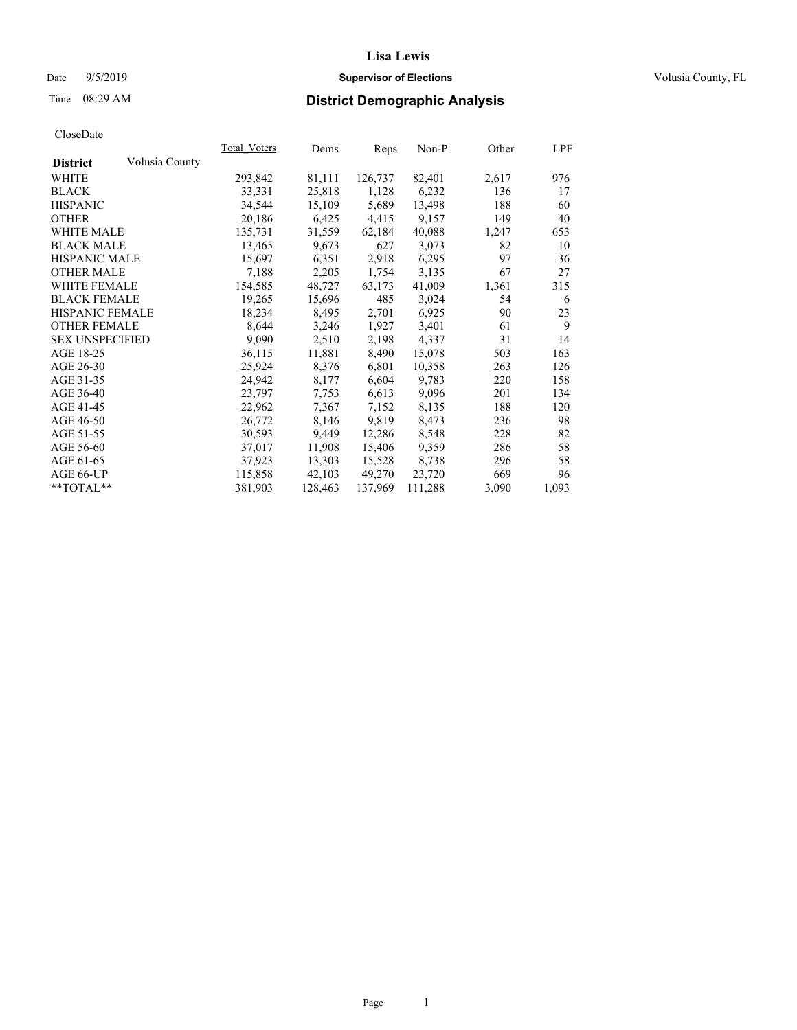#### Date  $9/5/2019$  **Supervisor of Elections Supervisor of Elections** Volusia County, FL

# Time 08:29 AM **District Demographic Analysis**

|                        |                | Total Voters | Dems    | Reps    | Non-P   | Other | LPF   |
|------------------------|----------------|--------------|---------|---------|---------|-------|-------|
| <b>District</b>        | Volusia County |              |         |         |         |       |       |
| WHITE                  |                | 293,842      | 81,111  | 126,737 | 82,401  | 2,617 | 976   |
| <b>BLACK</b>           |                | 33,331       | 25,818  | 1,128   | 6,232   | 136   | 17    |
| <b>HISPANIC</b>        |                | 34,544       | 15,109  | 5,689   | 13,498  | 188   | 60    |
| <b>OTHER</b>           |                | 20,186       | 6,425   | 4,415   | 9,157   | 149   | 40    |
| <b>WHITE MALE</b>      |                | 135,731      | 31,559  | 62,184  | 40,088  | 1,247 | 653   |
| <b>BLACK MALE</b>      |                | 13,465       | 9,673   | 627     | 3,073   | 82    | 10    |
| <b>HISPANIC MALE</b>   |                | 15,697       | 6,351   | 2,918   | 6,295   | 97    | 36    |
| <b>OTHER MALE</b>      |                | 7,188        | 2,205   | 1,754   | 3,135   | 67    | 27    |
| <b>WHITE FEMALE</b>    |                | 154,585      | 48,727  | 63,173  | 41,009  | 1,361 | 315   |
| <b>BLACK FEMALE</b>    |                | 19,265       | 15,696  | 485     | 3,024   | 54    | 6     |
| HISPANIC FEMALE        |                | 18,234       | 8,495   | 2,701   | 6,925   | 90    | 23    |
| <b>OTHER FEMALE</b>    |                | 8,644        | 3,246   | 1,927   | 3,401   | 61    | 9     |
| <b>SEX UNSPECIFIED</b> |                | 9,090        | 2,510   | 2,198   | 4,337   | 31    | 14    |
| AGE 18-25              |                | 36,115       | 11,881  | 8,490   | 15,078  | 503   | 163   |
| AGE 26-30              |                | 25,924       | 8,376   | 6,801   | 10,358  | 263   | 126   |
| AGE 31-35              |                | 24,942       | 8,177   | 6,604   | 9,783   | 220   | 158   |
| AGE 36-40              |                | 23,797       | 7,753   | 6,613   | 9,096   | 201   | 134   |
| AGE 41-45              |                | 22,962       | 7,367   | 7,152   | 8,135   | 188   | 120   |
| AGE 46-50              |                | 26,772       | 8,146   | 9,819   | 8,473   | 236   | 98    |
| AGE 51-55              |                | 30,593       | 9,449   | 12,286  | 8,548   | 228   | 82    |
| AGE 56-60              |                | 37,017       | 11,908  | 15,406  | 9,359   | 286   | 58    |
| AGE 61-65              |                | 37,923       | 13,303  | 15,528  | 8,738   | 296   | 58    |
| AGE 66-UP              |                | 115,858      | 42,103  | 49,270  | 23,720  | 669   | 96    |
| $*$ $TOTAL**$          |                | 381,903      | 128,463 | 137,969 | 111,288 | 3,090 | 1,093 |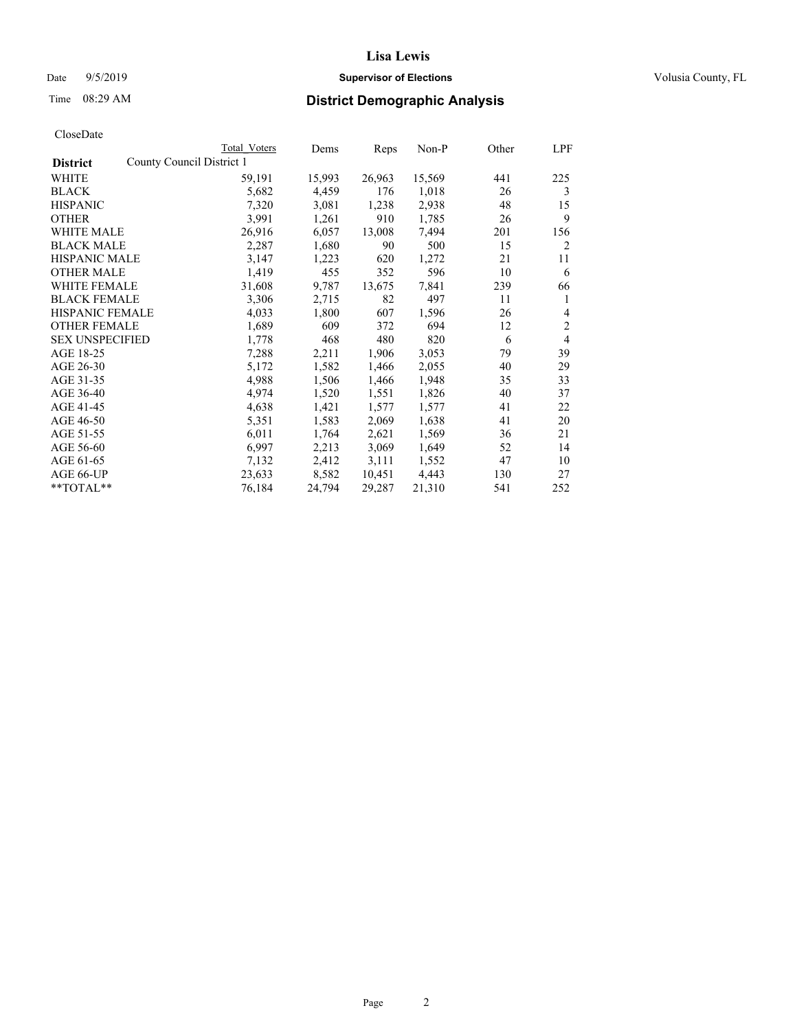## Date 9/5/2019 **Supervisor of Elections Supervisor of Elections** Volusia County, FL

|                                              | Total Voters | Dems   | Reps   | Non-P  | Other | LPF            |
|----------------------------------------------|--------------|--------|--------|--------|-------|----------------|
| County Council District 1<br><b>District</b> |              |        |        |        |       |                |
| WHITE                                        | 59,191       | 15,993 | 26,963 | 15,569 | 441   | 225            |
| BLACK                                        | 5,682        | 4,459  | 176    | 1,018  | 26    | 3              |
| <b>HISPANIC</b>                              | 7,320        | 3,081  | 1,238  | 2,938  | 48    | 15             |
| <b>OTHER</b>                                 | 3,991        | 1,261  | 910    | 1,785  | 26    | 9              |
| <b>WHITE MALE</b>                            | 26,916       | 6,057  | 13,008 | 7,494  | 201   | 156            |
| <b>BLACK MALE</b>                            | 2,287        | 1,680  | 90     | 500    | 15    | 2              |
| <b>HISPANIC MALE</b>                         | 3,147        | 1,223  | 620    | 1,272  | 21    | 11             |
| <b>OTHER MALE</b>                            | 1,419        | 455    | 352    | 596    | 10    | 6              |
| <b>WHITE FEMALE</b>                          | 31,608       | 9,787  | 13,675 | 7,841  | 239   | 66             |
| <b>BLACK FEMALE</b>                          | 3,306        | 2,715  | 82     | 497    | 11    | 1              |
| HISPANIC FEMALE                              | 4,033        | 1,800  | 607    | 1,596  | 26    | $\overline{4}$ |
| <b>OTHER FEMALE</b>                          | 1,689        | 609    | 372    | 694    | 12    | $\overline{c}$ |
| <b>SEX UNSPECIFIED</b>                       | 1,778        | 468    | 480    | 820    | 6     | $\overline{4}$ |
| AGE 18-25                                    | 7,288        | 2,211  | 1,906  | 3,053  | 79    | 39             |
| AGE 26-30                                    | 5,172        | 1,582  | 1,466  | 2,055  | 40    | 29             |
| AGE 31-35                                    | 4,988        | 1,506  | 1,466  | 1,948  | 35    | 33             |
| AGE 36-40                                    | 4,974        | 1,520  | 1,551  | 1,826  | 40    | 37             |
| AGE 41-45                                    | 4,638        | 1,421  | 1,577  | 1,577  | 41    | 22             |
| AGE 46-50                                    | 5,351        | 1,583  | 2,069  | 1,638  | 41    | 20             |
| AGE 51-55                                    | 6,011        | 1,764  | 2,621  | 1,569  | 36    | 21             |
| AGE 56-60                                    | 6,997        | 2,213  | 3,069  | 1,649  | 52    | 14             |
| AGE 61-65                                    | 7,132        | 2,412  | 3,111  | 1,552  | 47    | 10             |
| AGE 66-UP                                    | 23,633       | 8,582  | 10,451 | 4,443  | 130   | 27             |
| **TOTAL**                                    | 76,184       | 24,794 | 29,287 | 21,310 | 541   | 252            |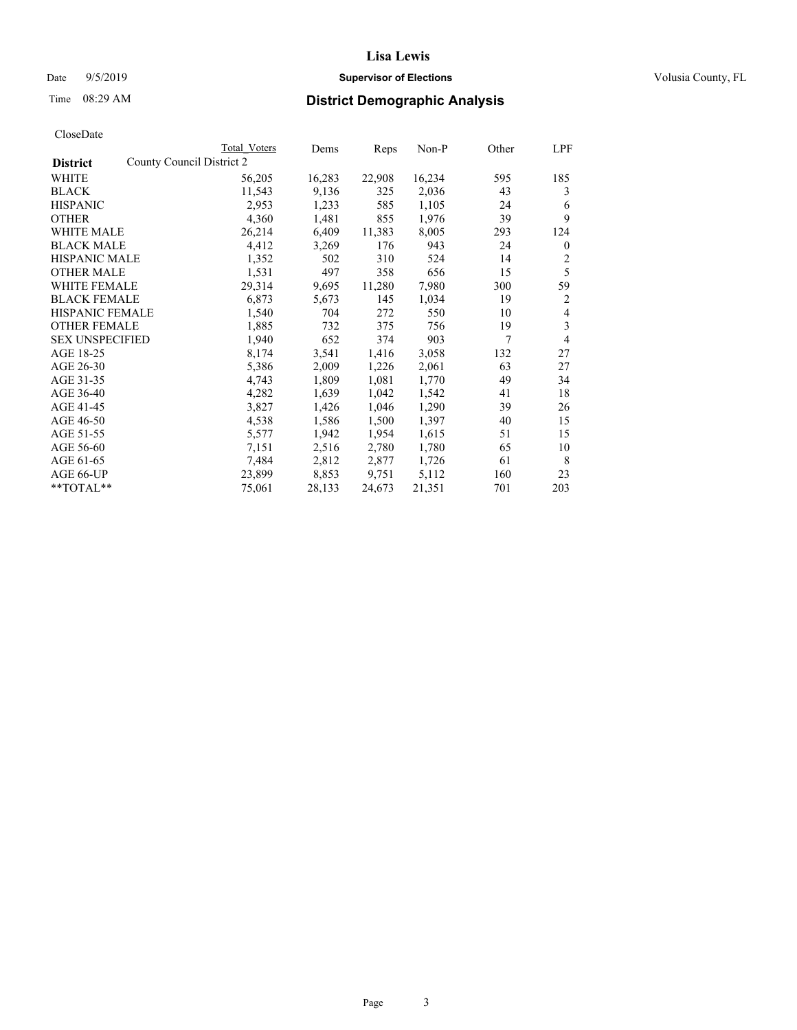#### Date  $9/5/2019$  **Supervisor of Elections Supervisor of Elections** Volusia County, FL

|                                              | Total Voters | Dems   | Reps   | Non-P  | Other | LPF          |
|----------------------------------------------|--------------|--------|--------|--------|-------|--------------|
| County Council District 2<br><b>District</b> |              |        |        |        |       |              |
| WHITE                                        | 56,205       | 16,283 | 22,908 | 16,234 | 595   | 185          |
| <b>BLACK</b>                                 | 11,543       | 9,136  | 325    | 2,036  | 43    | 3            |
| <b>HISPANIC</b>                              | 2,953        | 1,233  | 585    | 1,105  | 24    | 6            |
| <b>OTHER</b>                                 | 4,360        | 1,481  | 855    | 1,976  | 39    | 9            |
| WHITE MALE                                   | 26,214       | 6,409  | 11,383 | 8,005  | 293   | 124          |
| <b>BLACK MALE</b>                            | 4,412        | 3,269  | 176    | 943    | 24    | $\mathbf{0}$ |
| <b>HISPANIC MALE</b>                         | 1,352        | 502    | 310    | 524    | 14    | 2            |
| <b>OTHER MALE</b>                            | 1,531        | 497    | 358    | 656    | 15    | 5            |
| WHITE FEMALE                                 | 29,314       | 9,695  | 11,280 | 7,980  | 300   | 59           |
| <b>BLACK FEMALE</b>                          | 6,873        | 5,673  | 145    | 1,034  | 19    | 2            |
| <b>HISPANIC FEMALE</b>                       | 1,540        | 704    | 272    | 550    | 10    | 4            |
| <b>OTHER FEMALE</b>                          | 1,885        | 732    | 375    | 756    | 19    | 3            |
| <b>SEX UNSPECIFIED</b>                       | 1,940        | 652    | 374    | 903    | 7     | 4            |
| AGE 18-25                                    | 8,174        | 3,541  | 1,416  | 3,058  | 132   | 27           |
| AGE 26-30                                    | 5,386        | 2,009  | 1,226  | 2,061  | 63    | 27           |
| AGE 31-35                                    | 4,743        | 1,809  | 1,081  | 1,770  | 49    | 34           |
| AGE 36-40                                    | 4,282        | 1,639  | 1,042  | 1,542  | 41    | 18           |
| AGE 41-45                                    | 3,827        | 1,426  | 1,046  | 1,290  | 39    | 26           |
| AGE 46-50                                    | 4,538        | 1,586  | 1,500  | 1,397  | 40    | 15           |
| AGE 51-55                                    | 5,577        | 1,942  | 1,954  | 1,615  | 51    | 15           |
| AGE 56-60                                    | 7,151        | 2,516  | 2,780  | 1,780  | 65    | 10           |
| AGE 61-65                                    | 7,484        | 2,812  | 2,877  | 1,726  | 61    | 8            |
| AGE 66-UP                                    | 23,899       | 8,853  | 9,751  | 5,112  | 160   | 23           |
| $*$ $TOTAL**$                                | 75,061       | 28,133 | 24,673 | 21,351 | 701   | 203          |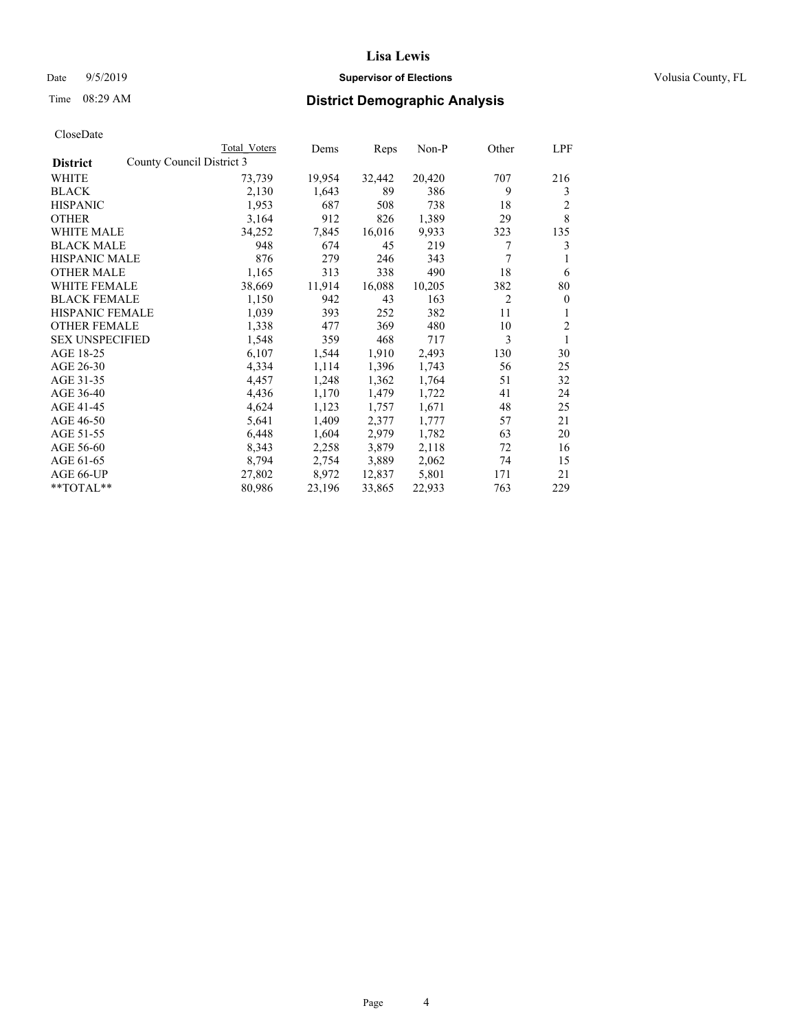## Date 9/5/2019 **Supervisor of Elections Supervisor of Elections** Volusia County, FL

|                        |                           | Total Voters | Dems   | Reps   | $Non-P$ | Other          | LPF            |
|------------------------|---------------------------|--------------|--------|--------|---------|----------------|----------------|
| <b>District</b>        | County Council District 3 |              |        |        |         |                |                |
| WHITE                  |                           | 73,739       | 19,954 | 32,442 | 20,420  | 707            | 216            |
| <b>BLACK</b>           |                           | 2,130        | 1,643  | 89     | 386     | 9              | 3              |
| <b>HISPANIC</b>        |                           | 1,953        | 687    | 508    | 738     | 18             | 2              |
| <b>OTHER</b>           |                           | 3,164        | 912    | 826    | 1,389   | 29             | 8              |
| WHITE MALE             |                           | 34,252       | 7,845  | 16,016 | 9,933   | 323            | 135            |
| <b>BLACK MALE</b>      |                           | 948          | 674    | 45     | 219     | 7              | 3              |
| <b>HISPANIC MALE</b>   |                           | 876          | 279    | 246    | 343     | 7              |                |
| <b>OTHER MALE</b>      |                           | 1,165        | 313    | 338    | 490     | 18             | 6              |
| <b>WHITE FEMALE</b>    |                           | 38,669       | 11,914 | 16,088 | 10,205  | 382            | 80             |
| <b>BLACK FEMALE</b>    |                           | 1,150        | 942    | 43     | 163     | $\overline{c}$ | $\mathbf{0}$   |
| HISPANIC FEMALE        |                           | 1,039        | 393    | 252    | 382     | 11             | 1              |
| <b>OTHER FEMALE</b>    |                           | 1,338        | 477    | 369    | 480     | 10             | $\overline{c}$ |
| <b>SEX UNSPECIFIED</b> |                           | 1,548        | 359    | 468    | 717     | 3              | 1              |
| AGE 18-25              |                           | 6,107        | 1,544  | 1,910  | 2,493   | 130            | 30             |
| AGE 26-30              |                           | 4,334        | 1,114  | 1,396  | 1,743   | 56             | 25             |
| AGE 31-35              |                           | 4,457        | 1,248  | 1,362  | 1,764   | 51             | 32             |
| AGE 36-40              |                           | 4,436        | 1,170  | 1,479  | 1,722   | 41             | 24             |
| AGE 41-45              |                           | 4,624        | 1,123  | 1,757  | 1,671   | 48             | 25             |
| AGE 46-50              |                           | 5,641        | 1,409  | 2,377  | 1,777   | 57             | 21             |
| AGE 51-55              |                           | 6,448        | 1,604  | 2,979  | 1,782   | 63             | 20             |
| AGE 56-60              |                           | 8,343        | 2,258  | 3,879  | 2,118   | 72             | 16             |
| AGE 61-65              |                           | 8,794        | 2,754  | 3,889  | 2,062   | 74             | 15             |
| AGE 66-UP              |                           | 27,802       | 8,972  | 12,837 | 5,801   | 171            | 21             |
| $*$ TOTAL $*$          |                           | 80,986       | 23,196 | 33,865 | 22,933  | 763            | 229            |
|                        |                           |              |        |        |         |                |                |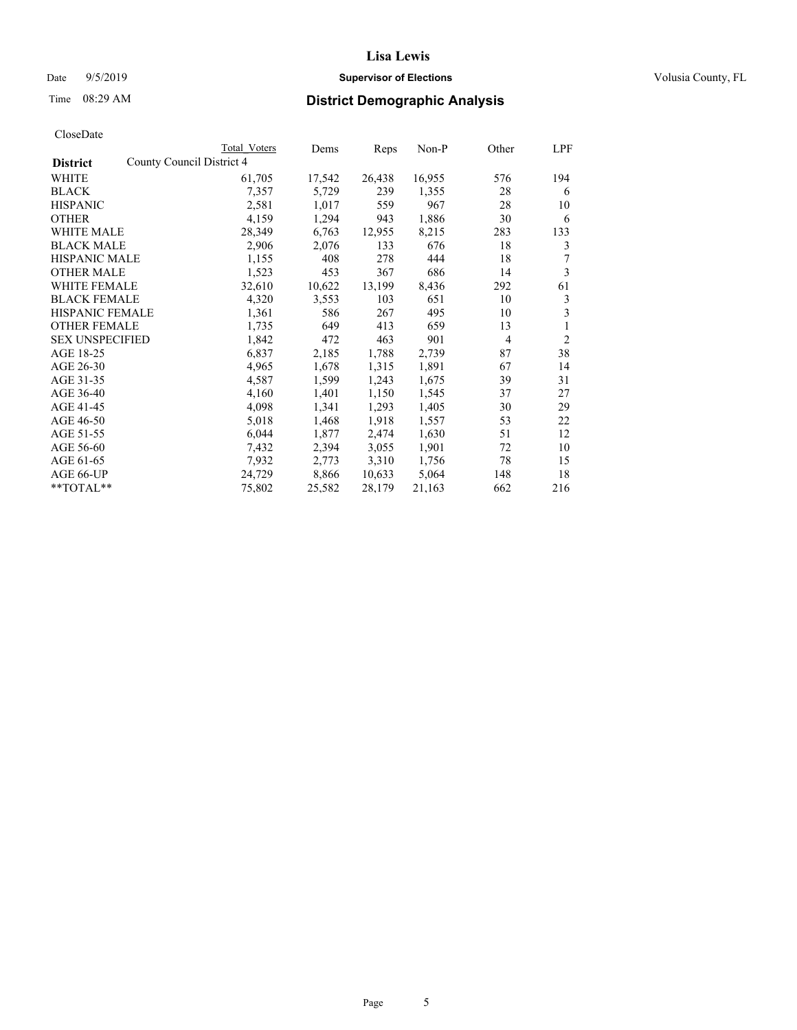#### Date  $9/5/2019$  **Supervisor of Elections Supervisor of Elections** Volusia County, FL

|                                              | Total Voters | Dems   | Reps   | Non-P  | Other | <b>LPF</b>     |
|----------------------------------------------|--------------|--------|--------|--------|-------|----------------|
| County Council District 4<br><b>District</b> |              |        |        |        |       |                |
| WHITE                                        | 61,705       | 17,542 | 26,438 | 16,955 | 576   | 194            |
| <b>BLACK</b>                                 | 7,357        | 5,729  | 239    | 1,355  | 28    | 6              |
| <b>HISPANIC</b>                              | 2,581        | 1,017  | 559    | 967    | 28    | 10             |
| <b>OTHER</b>                                 | 4,159        | 1,294  | 943    | 1,886  | 30    | 6              |
| WHITE MALE                                   | 28,349       | 6,763  | 12,955 | 8,215  | 283   | 133            |
| <b>BLACK MALE</b>                            | 2,906        | 2,076  | 133    | 676    | 18    | 3              |
| <b>HISPANIC MALE</b>                         | 1,155        | 408    | 278    | 444    | 18    | 7              |
| <b>OTHER MALE</b>                            | 1,523        | 453    | 367    | 686    | 14    | 3              |
| <b>WHITE FEMALE</b>                          | 32,610       | 10,622 | 13,199 | 8,436  | 292   | 61             |
| <b>BLACK FEMALE</b>                          | 4,320        | 3,553  | 103    | 651    | 10    | 3              |
| <b>HISPANIC FEMALE</b>                       | 1,361        | 586    | 267    | 495    | 10    | 3              |
| <b>OTHER FEMALE</b>                          | 1,735        | 649    | 413    | 659    | 13    | 1              |
| <b>SEX UNSPECIFIED</b>                       | 1,842        | 472    | 463    | 901    | 4     | $\overline{2}$ |
| AGE 18-25                                    | 6,837        | 2,185  | 1,788  | 2,739  | 87    | 38             |
| AGE 26-30                                    | 4,965        | 1,678  | 1,315  | 1,891  | 67    | 14             |
| AGE 31-35                                    | 4,587        | 1,599  | 1,243  | 1,675  | 39    | 31             |
| AGE 36-40                                    | 4,160        | 1,401  | 1,150  | 1,545  | 37    | 27             |
| AGE 41-45                                    | 4,098        | 1,341  | 1,293  | 1,405  | 30    | 29             |
| AGE 46-50                                    | 5,018        | 1,468  | 1,918  | 1,557  | 53    | 22             |
| AGE 51-55                                    | 6,044        | 1,877  | 2,474  | 1,630  | 51    | 12             |
| AGE 56-60                                    | 7,432        | 2,394  | 3,055  | 1,901  | 72    | 10             |
| AGE 61-65                                    | 7,932        | 2,773  | 3,310  | 1,756  | 78    | 15             |
| AGE 66-UP                                    | 24,729       | 8,866  | 10,633 | 5,064  | 148   | 18             |
| $*$ $TOTAL**$                                | 75,802       | 25,582 | 28,179 | 21,163 | 662   | 216            |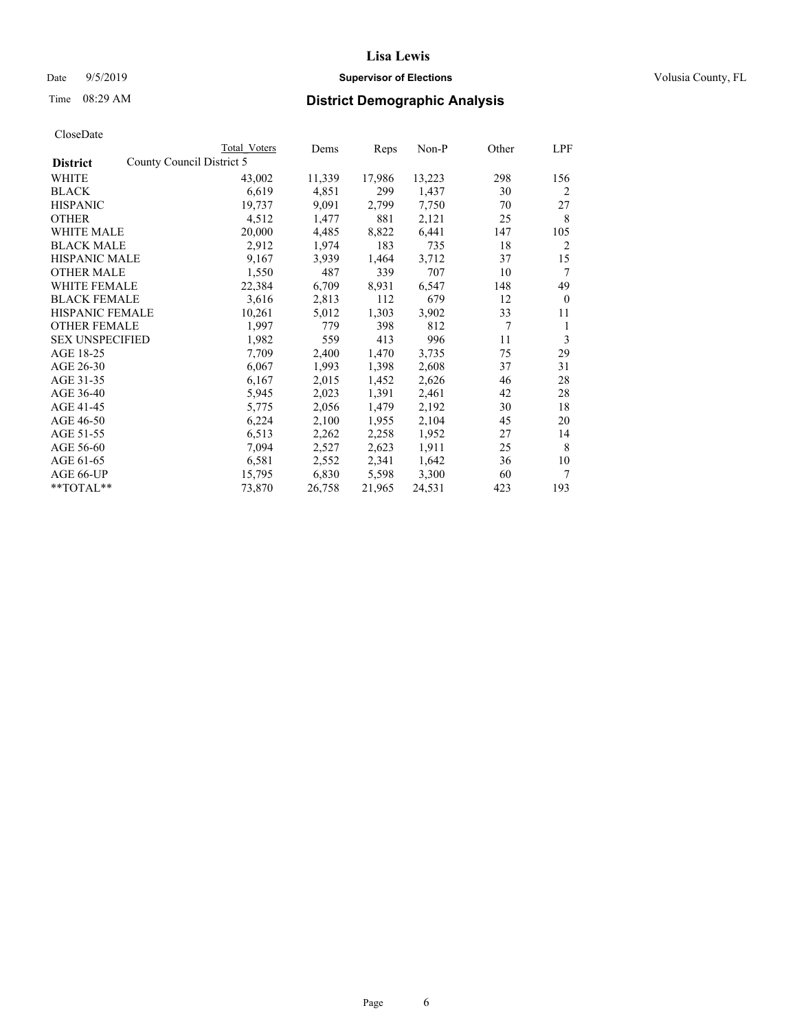## Date 9/5/2019 **Supervisor of Elections Supervisor of Elections** Volusia County, FL

| CloseDate |
|-----------|
|-----------|

|                                              | Total Voters | Dems   | Reps   | Non-P  | Other | LPF            |
|----------------------------------------------|--------------|--------|--------|--------|-------|----------------|
| County Council District 5<br><b>District</b> |              |        |        |        |       |                |
| WHITE                                        | 43,002       | 11,339 | 17,986 | 13,223 | 298   | 156            |
| <b>BLACK</b>                                 | 6,619        | 4,851  | 299    | 1,437  | 30    | 2              |
| <b>HISPANIC</b>                              | 19,737       | 9,091  | 2,799  | 7,750  | 70    | 27             |
| <b>OTHER</b>                                 | 4,512        | 1,477  | 881    | 2,121  | 25    | 8              |
| <b>WHITE MALE</b>                            | 20,000       | 4,485  | 8,822  | 6,441  | 147   | 105            |
| <b>BLACK MALE</b>                            | 2,912        | 1,974  | 183    | 735    | 18    | $\overline{2}$ |
| <b>HISPANIC MALE</b>                         | 9,167        | 3,939  | 1,464  | 3,712  | 37    | 15             |
| <b>OTHER MALE</b>                            | 1,550        | 487    | 339    | 707    | 10    | 7              |
| <b>WHITE FEMALE</b>                          | 22,384       | 6,709  | 8,931  | 6,547  | 148   | 49             |
| <b>BLACK FEMALE</b>                          | 3,616        | 2,813  | 112    | 679    | 12    | $\mathbf{0}$   |
| <b>HISPANIC FEMALE</b>                       | 10,261       | 5,012  | 1,303  | 3,902  | 33    | 11             |
| <b>OTHER FEMALE</b>                          | 1,997        | 779    | 398    | 812    | 7     | 1              |
| <b>SEX UNSPECIFIED</b>                       | 1,982        | 559    | 413    | 996    | 11    | 3              |
| AGE 18-25                                    | 7,709        | 2,400  | 1,470  | 3,735  | 75    | 29             |
| AGE 26-30                                    | 6,067        | 1,993  | 1,398  | 2,608  | 37    | 31             |
| AGE 31-35                                    | 6,167        | 2,015  | 1,452  | 2,626  | 46    | 28             |
| AGE 36-40                                    | 5,945        | 2,023  | 1,391  | 2,461  | 42    | 28             |
| AGE 41-45                                    | 5,775        | 2,056  | 1,479  | 2,192  | 30    | 18             |
| AGE 46-50                                    | 6,224        | 2,100  | 1,955  | 2,104  | 45    | 20             |
| AGE 51-55                                    | 6,513        | 2,262  | 2,258  | 1,952  | 27    | 14             |
| AGE 56-60                                    | 7,094        | 2,527  | 2,623  | 1,911  | 25    | 8              |
| AGE 61-65                                    | 6,581        | 2,552  | 2,341  | 1,642  | 36    | 10             |
| AGE 66-UP                                    | 15,795       | 6,830  | 5,598  | 3,300  | 60    | 7              |
| **TOTAL**                                    | 73,870       | 26,758 | 21,965 | 24,531 | 423   | 193            |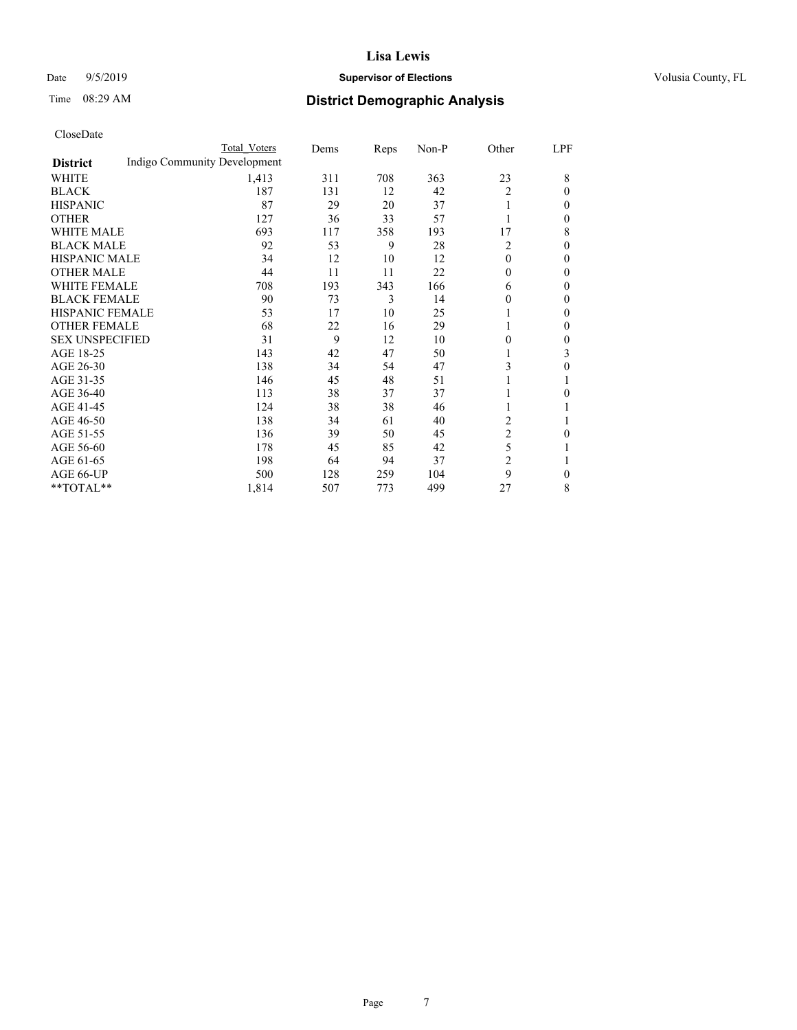## Date 9/5/2019 **Supervisor of Elections Supervisor of Elections** Volusia County, FL

# Time 08:29 AM **District Demographic Analysis**

|                        |                              | Total Voters | Dems | Reps | Non-P | Other          | LPF          |
|------------------------|------------------------------|--------------|------|------|-------|----------------|--------------|
| <b>District</b>        | Indigo Community Development |              |      |      |       |                |              |
| WHITE                  |                              | 1,413        | 311  | 708  | 363   | 23             | 8            |
| <b>BLACK</b>           |                              | 187          | 131  | 12   | 42    | 2              | $\Omega$     |
| <b>HISPANIC</b>        |                              | 87           | 29   | 20   | 37    |                | $\Omega$     |
| <b>OTHER</b>           |                              | 127          | 36   | 33   | 57    |                | 0            |
| <b>WHITE MALE</b>      |                              | 693          | 117  | 358  | 193   | 17             | 8            |
| <b>BLACK MALE</b>      |                              | 92           | 53   | 9    | 28    | $\overline{2}$ | $\Omega$     |
| <b>HISPANIC MALE</b>   |                              | 34           | 12   | 10   | 12    | $\theta$       | $\Omega$     |
| <b>OTHER MALE</b>      |                              | 44           | 11   | 11   | 22    | $\theta$       | $\mathbf{0}$ |
| <b>WHITE FEMALE</b>    |                              | 708          | 193  | 343  | 166   | 6              | 0            |
| <b>BLACK FEMALE</b>    |                              | 90           | 73   | 3    | 14    | 0              | $\Omega$     |
| <b>HISPANIC FEMALE</b> |                              | 53           | 17   | 10   | 25    |                | $\Omega$     |
| <b>OTHER FEMALE</b>    |                              | 68           | 22   | 16   | 29    |                | $\Omega$     |
| <b>SEX UNSPECIFIED</b> |                              | 31           | 9    | 12   | 10    | 0              | 0            |
| AGE 18-25              |                              | 143          | 42   | 47   | 50    |                | 3            |
| AGE 26-30              |                              | 138          | 34   | 54   | 47    | 3              | $\theta$     |
| AGE 31-35              |                              | 146          | 45   | 48   | 51    |                |              |
| AGE 36-40              |                              | 113          | 38   | 37   | 37    |                | 0            |
| AGE 41-45              |                              | 124          | 38   | 38   | 46    |                |              |
| AGE 46-50              |                              | 138          | 34   | 61   | 40    | 2              |              |
| AGE 51-55              |                              | 136          | 39   | 50   | 45    | 2              | 0            |
| AGE 56-60              |                              | 178          | 45   | 85   | 42    | 5              |              |
| AGE 61-65              |                              | 198          | 64   | 94   | 37    | 2              |              |
| AGE 66-UP              |                              | 500          | 128  | 259  | 104   | 9              | 0            |
| **TOTAL**              |                              | 1,814        | 507  | 773  | 499   | 27             | 8            |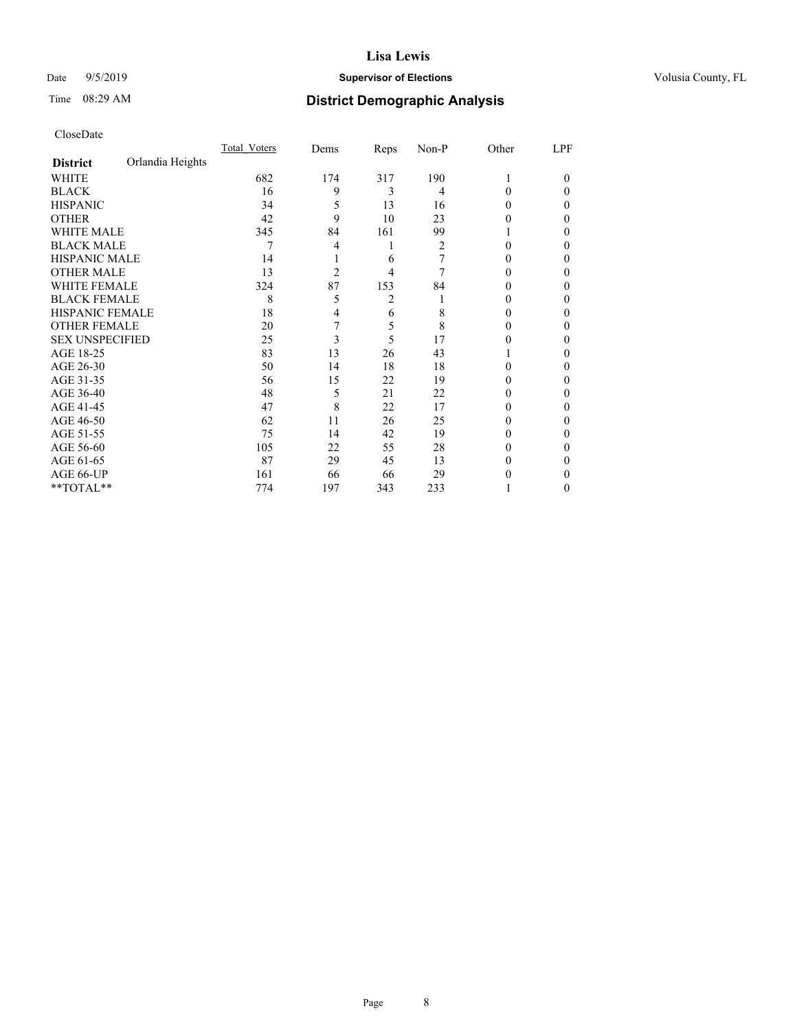#### Date  $9/5/2019$  **Supervisor of Elections Supervisor of Elections** Volusia County, FL

# Time 08:29 AM **District Demographic Analysis**

|                        |                  | Total Voters | Dems           | Reps | Non-P | Other  | LPF    |
|------------------------|------------------|--------------|----------------|------|-------|--------|--------|
| <b>District</b>        | Orlandia Heights |              |                |      |       |        |        |
| WHITE                  |                  | 682          | 174            | 317  | 190   |        | $_{0}$ |
| <b>BLACK</b>           |                  | 16           | 9              | 3    | 4     | 0      | 0      |
| <b>HISPANIC</b>        |                  | 34           | 5              | 13   | 16    | $_{0}$ | 0      |
| <b>OTHER</b>           |                  | 42           | 9              | 10   | 23    |        | 0      |
| <b>WHITE MALE</b>      |                  | 345          | 84             | 161  | 99    |        | 0      |
| <b>BLACK MALE</b>      |                  | 7            | 4              | 1    | 2     |        | 0      |
| <b>HISPANIC MALE</b>   |                  | 14           |                | 6    |       |        | 0      |
| <b>OTHER MALE</b>      |                  | 13           | $\overline{2}$ | 4    | 7     | 0      | 0      |
| <b>WHITE FEMALE</b>    |                  | 324          | 87             | 153  | 84    |        | 0      |
| <b>BLACK FEMALE</b>    |                  | 8            | 5              | 2    |       | 0      | 0      |
| HISPANIC FEMALE        |                  | 18           | 4              | 6    | 8     | $_{0}$ | 0      |
| <b>OTHER FEMALE</b>    |                  | 20           | 7              | 5    | 8     | $_{0}$ | 0      |
| <b>SEX UNSPECIFIED</b> |                  | 25           | 3              | 5    | 17    |        | 0      |
| AGE 18-25              |                  | 83           | 13             | 26   | 43    |        | 0      |
| AGE 26-30              |                  | 50           | 14             | 18   | 18    | $_{0}$ | 0      |
| AGE 31-35              |                  | 56           | 15             | 22   | 19    |        | 0      |
| AGE 36-40              |                  | 48           | 5              | 21   | 22    |        | 0      |
| AGE 41-45              |                  | 47           | 8              | 22   | 17    |        | 0      |
| AGE 46-50              |                  | 62           | 11             | 26   | 25    | $_{0}$ | 0      |
| AGE 51-55              |                  | 75           | 14             | 42   | 19    | 0      | 0      |
| AGE 56-60              |                  | 105          | 22             | 55   | 28    | $_{0}$ | 0      |
| AGE 61-65              |                  | 87           | 29             | 45   | 13    |        | 0      |
| AGE 66-UP              |                  | 161          | 66             | 66   | 29    |        | 0      |
| **TOTAL**              |                  | 774          | 197            | 343  | 233   |        | 0      |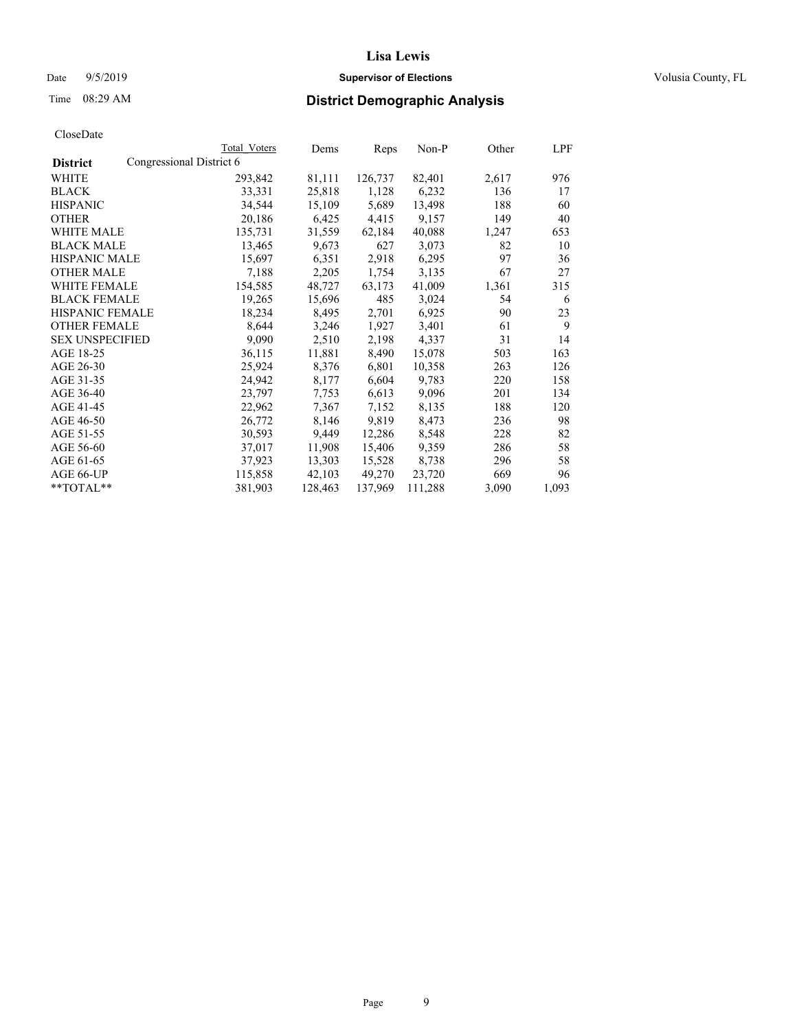Date  $9/5/2019$  **Supervisor of Elections Supervisor of Elections** Volusia County, FL

| CloseDate |
|-----------|
|-----------|

|                                             | Total Voters | Dems    | Reps    | Non-P   | Other | LPF   |
|---------------------------------------------|--------------|---------|---------|---------|-------|-------|
| Congressional District 6<br><b>District</b> |              |         |         |         |       |       |
| WHITE                                       | 293,842      | 81,111  | 126,737 | 82,401  | 2,617 | 976   |
| <b>BLACK</b>                                | 33,331       | 25,818  | 1,128   | 6,232   | 136   | 17    |
| <b>HISPANIC</b>                             | 34,544       | 15,109  | 5,689   | 13,498  | 188   | 60    |
| OTHER                                       | 20,186       | 6,425   | 4,415   | 9,157   | 149   | 40    |
| WHITE MALE                                  | 135,731      | 31,559  | 62,184  | 40,088  | 1,247 | 653   |
| <b>BLACK MALE</b>                           | 13,465       | 9,673   | 627     | 3,073   | 82    | 10    |
| HISPANIC MALE                               | 15,697       | 6,351   | 2,918   | 6,295   | 97    | 36    |
| <b>OTHER MALE</b>                           | 7,188        | 2,205   | 1,754   | 3,135   | 67    | 27    |
| <b>WHITE FEMALE</b>                         | 154,585      | 48,727  | 63,173  | 41,009  | 1,361 | 315   |
| <b>BLACK FEMALE</b>                         | 19,265       | 15,696  | 485     | 3,024   | 54    | 6     |
| HISPANIC FEMALE                             | 18,234       | 8,495   | 2,701   | 6,925   | 90    | 23    |
| <b>OTHER FEMALE</b>                         | 8,644        | 3,246   | 1,927   | 3,401   | 61    | 9     |
| <b>SEX UNSPECIFIED</b>                      | 9,090        | 2,510   | 2,198   | 4,337   | 31    | 14    |
| AGE 18-25                                   | 36,115       | 11,881  | 8,490   | 15,078  | 503   | 163   |
| AGE 26-30                                   | 25,924       | 8,376   | 6,801   | 10,358  | 263   | 126   |
| AGE 31-35                                   | 24,942       | 8,177   | 6,604   | 9,783   | 220   | 158   |
| AGE 36-40                                   | 23,797       | 7,753   | 6,613   | 9,096   | 201   | 134   |
| AGE 41-45                                   | 22,962       | 7,367   | 7,152   | 8,135   | 188   | 120   |
| AGE 46-50                                   | 26,772       | 8,146   | 9,819   | 8,473   | 236   | 98    |
| AGE 51-55                                   | 30,593       | 9,449   | 12,286  | 8,548   | 228   | 82    |
| AGE 56-60                                   | 37,017       | 11,908  | 15,406  | 9,359   | 286   | 58    |
| AGE 61-65                                   | 37,923       | 13,303  | 15,528  | 8,738   | 296   | 58    |
| AGE 66-UP                                   | 115,858      | 42,103  | 49,270  | 23,720  | 669   | 96    |
| $*$ TOTAL $*$                               | 381,903      | 128,463 | 137,969 | 111,288 | 3,090 | 1,093 |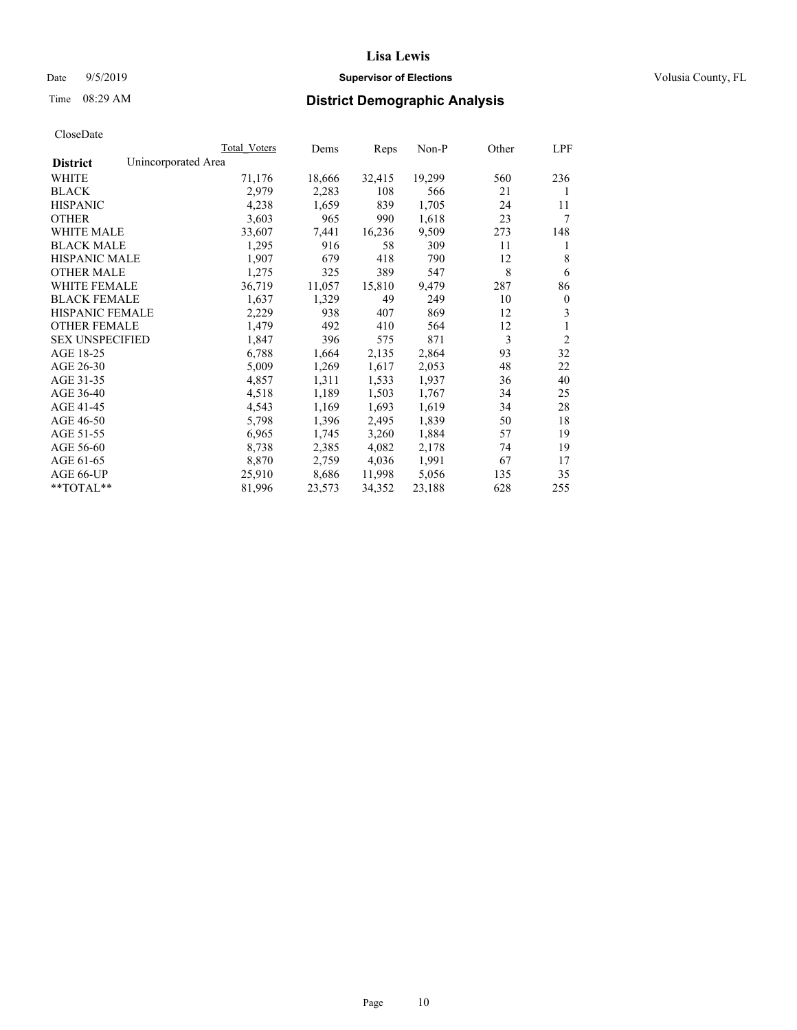#### Date  $9/5/2019$  **Supervisor of Elections Supervisor of Elections** Volusia County, FL

## Time 08:29 AM **District Demographic Analysis**

|                        | Total Voters        | Dems   | Reps   | Non-P  | Other | LPF            |
|------------------------|---------------------|--------|--------|--------|-------|----------------|
| <b>District</b>        | Unincorporated Area |        |        |        |       |                |
| WHITE                  | 71,176              | 18,666 | 32,415 | 19,299 | 560   | 236            |
| <b>BLACK</b>           | 2,979               | 2,283  | 108    | 566    | 21    | 1              |
| <b>HISPANIC</b>        | 4,238               | 1,659  | 839    | 1,705  | 24    | 11             |
| <b>OTHER</b>           | 3,603               | 965    | 990    | 1,618  | 23    | 7              |
| WHITE MALE             | 33,607              | 7,441  | 16,236 | 9,509  | 273   | 148            |
| <b>BLACK MALE</b>      | 1,295               | 916    | 58     | 309    | 11    | 1              |
| <b>HISPANIC MALE</b>   | 1,907               | 679    | 418    | 790    | 12    | 8              |
| <b>OTHER MALE</b>      | 1,275               | 325    | 389    | 547    | 8     | 6              |
| WHITE FEMALE           | 36,719              | 11,057 | 15,810 | 9,479  | 287   | 86             |
| <b>BLACK FEMALE</b>    | 1,637               | 1,329  | 49     | 249    | 10    | $\mathbf{0}$   |
| <b>HISPANIC FEMALE</b> | 2,229               | 938    | 407    | 869    | 12    | 3              |
| <b>OTHER FEMALE</b>    | 1,479               | 492    | 410    | 564    | 12    | 1              |
| <b>SEX UNSPECIFIED</b> | 1,847               | 396    | 575    | 871    | 3     | $\overline{2}$ |
| AGE 18-25              | 6,788               | 1,664  | 2,135  | 2,864  | 93    | 32             |
| AGE 26-30              | 5,009               | 1,269  | 1,617  | 2,053  | 48    | 22             |
| AGE 31-35              | 4,857               | 1,311  | 1,533  | 1,937  | 36    | 40             |
| AGE 36-40              | 4,518               | 1,189  | 1,503  | 1,767  | 34    | 25             |
| AGE 41-45              | 4,543               | 1,169  | 1,693  | 1,619  | 34    | 28             |
| AGE 46-50              | 5,798               | 1,396  | 2,495  | 1,839  | 50    | 18             |
| AGE 51-55              | 6,965               | 1,745  | 3,260  | 1,884  | 57    | 19             |
| AGE 56-60              | 8,738               | 2,385  | 4,082  | 2,178  | 74    | 19             |
| AGE 61-65              | 8,870               | 2,759  | 4,036  | 1,991  | 67    | 17             |
| AGE 66-UP              | 25,910              | 8,686  | 11,998 | 5,056  | 135   | 35             |
| $*$ $TOTAL**$          | 81,996              | 23,573 | 34,352 | 23,188 | 628   | 255            |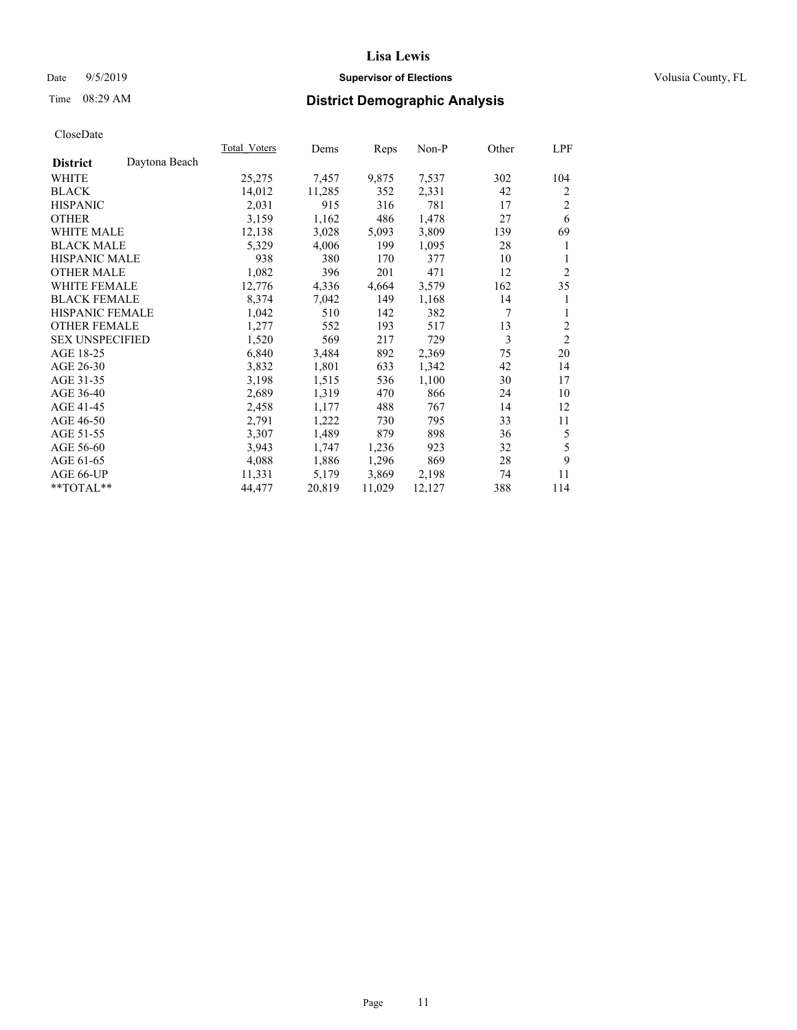## Date 9/5/2019 **Supervisor of Elections Supervisor of Elections** Volusia County, FL

# Time 08:29 AM **District Demographic Analysis**

|                        | Total Voters  | Dems   | Reps   | Non-P  | Other | LPF            |
|------------------------|---------------|--------|--------|--------|-------|----------------|
| <b>District</b>        | Daytona Beach |        |        |        |       |                |
| WHITE                  | 25,275        | 7,457  | 9,875  | 7,537  | 302   | 104            |
| <b>BLACK</b>           | 14,012        | 11,285 | 352    | 2,331  | 42    | 2              |
| <b>HISPANIC</b>        | 2,031         | 915    | 316    | 781    | 17    | 2              |
| <b>OTHER</b>           | 3,159         | 1,162  | 486    | 1,478  | 27    | 6              |
| <b>WHITE MALE</b>      | 12,138        | 3,028  | 5,093  | 3,809  | 139   | 69             |
| <b>BLACK MALE</b>      | 5,329         | 4,006  | 199    | 1,095  | 28    | 1              |
| <b>HISPANIC MALE</b>   | 938           | 380    | 170    | 377    | 10    | 1              |
| <b>OTHER MALE</b>      | 1,082         | 396    | 201    | 471    | 12    | $\overline{2}$ |
| WHITE FEMALE           | 12,776        | 4,336  | 4,664  | 3,579  | 162   | 35             |
| <b>BLACK FEMALE</b>    | 8,374         | 7,042  | 149    | 1,168  | 14    | 1              |
| <b>HISPANIC FEMALE</b> | 1,042         | 510    | 142    | 382    | 7     | 1              |
| <b>OTHER FEMALE</b>    | 1,277         | 552    | 193    | 517    | 13    | 2              |
| <b>SEX UNSPECIFIED</b> | 1,520         | 569    | 217    | 729    | 3     | $\overline{2}$ |
| AGE 18-25              | 6,840         | 3,484  | 892    | 2,369  | 75    | 20             |
| AGE 26-30              | 3,832         | 1,801  | 633    | 1,342  | 42    | 14             |
| AGE 31-35              | 3,198         | 1,515  | 536    | 1,100  | 30    | 17             |
| AGE 36-40              | 2,689         | 1,319  | 470    | 866    | 24    | 10             |
| AGE 41-45              | 2,458         | 1,177  | 488    | 767    | 14    | 12             |
| AGE 46-50              | 2,791         | 1,222  | 730    | 795    | 33    | 11             |
| AGE 51-55              | 3,307         | 1,489  | 879    | 898    | 36    | 5              |
| AGE 56-60              | 3,943         | 1,747  | 1,236  | 923    | 32    | 5              |
| AGE 61-65              | 4,088         | 1,886  | 1,296  | 869    | 28    | 9              |
| AGE 66-UP              | 11,331        | 5,179  | 3,869  | 2,198  | 74    | 11             |
| $*$ TOTAL $*$          | 44,477        | 20,819 | 11,029 | 12,127 | 388   | 114            |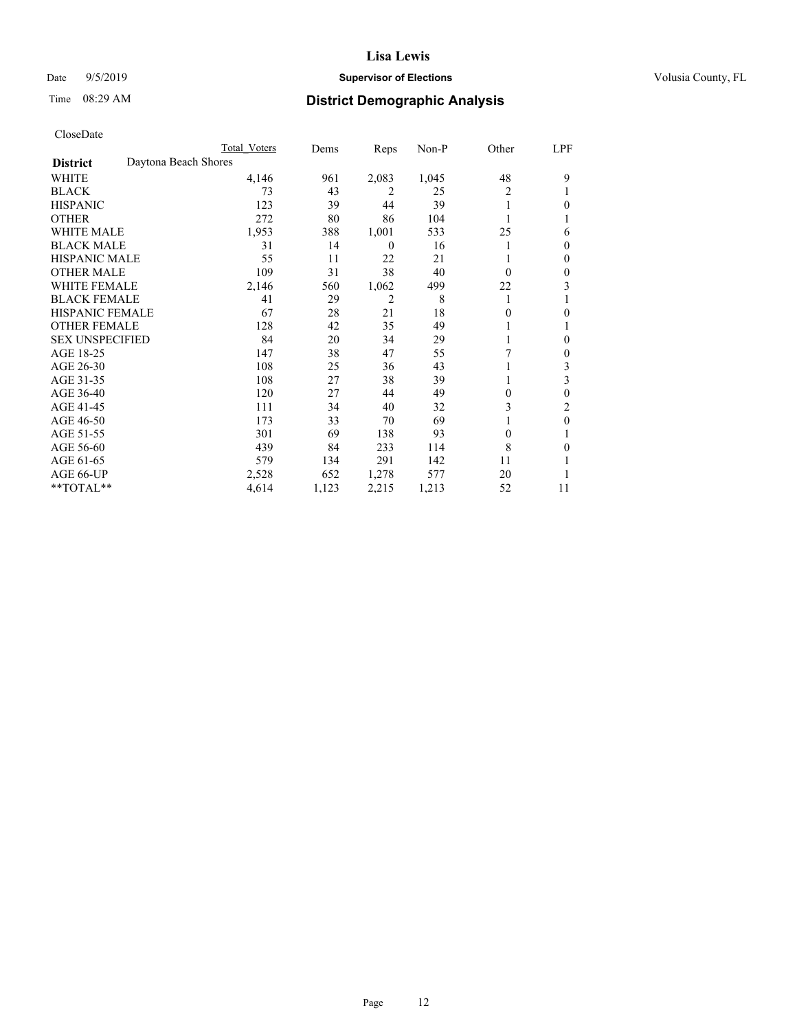## Date 9/5/2019 **Supervisor of Elections Supervisor of Elections** Volusia County, FL

# Time 08:29 AM **District Demographic Analysis**

|                        |                      | Total Voters | Dems  | Reps             | Non-P | Other    | LPF          |
|------------------------|----------------------|--------------|-------|------------------|-------|----------|--------------|
| <b>District</b>        | Daytona Beach Shores |              |       |                  |       |          |              |
| WHITE                  |                      | 4,146        | 961   | 2,083            | 1,045 | 48       | 9            |
| <b>BLACK</b>           |                      | 73           | 43    | 2                | 25    | 2        |              |
| <b>HISPANIC</b>        |                      | 123          | 39    | 44               | 39    |          | 0            |
| <b>OTHER</b>           |                      | 272          | 80    | 86               | 104   |          |              |
| <b>WHITE MALE</b>      |                      | 1,953        | 388   | 1,001            | 533   | 25       | 6            |
| <b>BLACK MALE</b>      |                      | 31           | 14    | $\boldsymbol{0}$ | 16    |          | $\Omega$     |
| <b>HISPANIC MALE</b>   |                      | 55           | 11    | 22               | 21    |          | $\theta$     |
| <b>OTHER MALE</b>      |                      | 109          | 31    | 38               | 40    | $\theta$ | $\mathbf{0}$ |
| WHITE FEMALE           |                      | 2,146        | 560   | 1,062            | 499   | 22       | 3            |
| <b>BLACK FEMALE</b>    |                      | 41           | 29    | 2                | 8     |          |              |
| <b>HISPANIC FEMALE</b> |                      | 67           | 28    | 21               | 18    | 0        | 0            |
| <b>OTHER FEMALE</b>    |                      | 128          | 42    | 35               | 49    |          |              |
| <b>SEX UNSPECIFIED</b> |                      | 84           | 20    | 34               | 29    |          | 0            |
| AGE 18-25              |                      | 147          | 38    | 47               | 55    | 7        | $\mathbf{0}$ |
| AGE 26-30              |                      | 108          | 25    | 36               | 43    |          | 3            |
| AGE 31-35              |                      | 108          | 27    | 38               | 39    |          | 3            |
| AGE 36-40              |                      | 120          | 27    | 44               | 49    | 0        | $\theta$     |
| AGE 41-45              |                      | 111          | 34    | 40               | 32    | 3        | 2            |
| AGE 46-50              |                      | 173          | 33    | 70               | 69    |          | $\theta$     |
| AGE 51-55              |                      | 301          | 69    | 138              | 93    | $\theta$ |              |
| AGE 56-60              |                      | 439          | 84    | 233              | 114   | 8        | 0            |
| AGE 61-65              |                      | 579          | 134   | 291              | 142   | 11       |              |
| AGE 66-UP              |                      | 2,528        | 652   | 1,278            | 577   | 20       |              |
| **TOTAL**              |                      | 4,614        | 1,123 | 2,215            | 1,213 | 52       | 11           |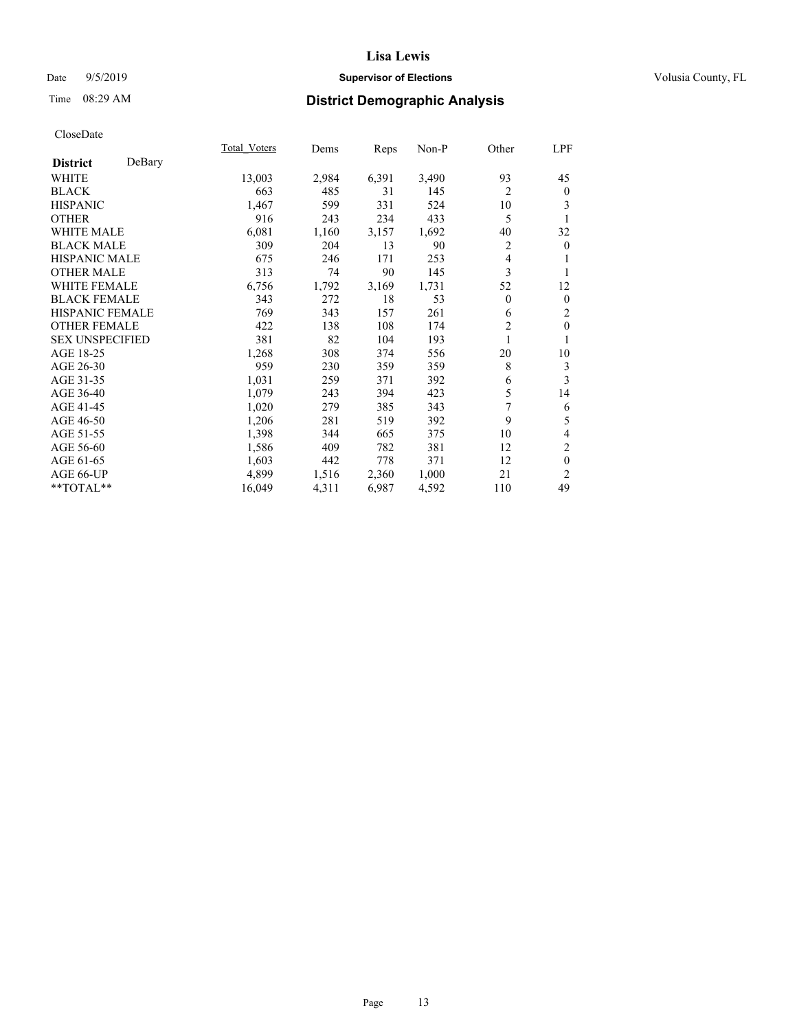## Date 9/5/2019 **Supervisor of Elections Supervisor of Elections** Volusia County, FL

## Time 08:29 AM **District Demographic Analysis**

|                        |        | Total Voters | Dems  | Reps  | Non-P | Other          | LPF            |
|------------------------|--------|--------------|-------|-------|-------|----------------|----------------|
| <b>District</b>        | DeBary |              |       |       |       |                |                |
| WHITE                  |        | 13,003       | 2,984 | 6,391 | 3,490 | 93             | 45             |
| <b>BLACK</b>           |        | 663          | 485   | 31    | 145   | 2              | $\mathbf{0}$   |
| <b>HISPANIC</b>        |        | 1,467        | 599   | 331   | 524   | 10             | 3              |
| <b>OTHER</b>           |        | 916          | 243   | 234   | 433   | 5              | 1              |
| WHITE MALE             |        | 6,081        | 1,160 | 3,157 | 1,692 | 40             | 32             |
| <b>BLACK MALE</b>      |        | 309          | 204   | 13    | 90    | 2              | $\mathbf{0}$   |
| <b>HISPANIC MALE</b>   |        | 675          | 246   | 171   | 253   | 4              | 1              |
| <b>OTHER MALE</b>      |        | 313          | 74    | 90    | 145   | 3              | 1              |
| <b>WHITE FEMALE</b>    |        | 6,756        | 1,792 | 3,169 | 1,731 | 52             | 12             |
| <b>BLACK FEMALE</b>    |        | 343          | 272   | 18    | 53    | $\overline{0}$ | $\mathbf{0}$   |
| <b>HISPANIC FEMALE</b> |        | 769          | 343   | 157   | 261   | 6              | 2              |
| <b>OTHER FEMALE</b>    |        | 422          | 138   | 108   | 174   | $\overline{2}$ | $\mathbf{0}$   |
| <b>SEX UNSPECIFIED</b> |        | 381          | 82    | 104   | 193   | 1              | 1              |
| AGE 18-25              |        | 1,268        | 308   | 374   | 556   | 20             | 10             |
| AGE 26-30              |        | 959          | 230   | 359   | 359   | 8              | 3              |
| AGE 31-35              |        | 1,031        | 259   | 371   | 392   | 6              | 3              |
| AGE 36-40              |        | 1,079        | 243   | 394   | 423   | 5              | 14             |
| AGE 41-45              |        | 1,020        | 279   | 385   | 343   | 7              | 6              |
| AGE 46-50              |        | 1,206        | 281   | 519   | 392   | 9              | 5              |
| AGE 51-55              |        | 1,398        | 344   | 665   | 375   | 10             | 4              |
| AGE 56-60              |        | 1,586        | 409   | 782   | 381   | 12             | $\overline{c}$ |
| AGE 61-65              |        | 1,603        | 442   | 778   | 371   | 12             | $\theta$       |
| AGE 66-UP              |        | 4,899        | 1,516 | 2,360 | 1,000 | 21             | 2              |
| **TOTAL**              |        | 16,049       | 4,311 | 6,987 | 4,592 | 110            | 49             |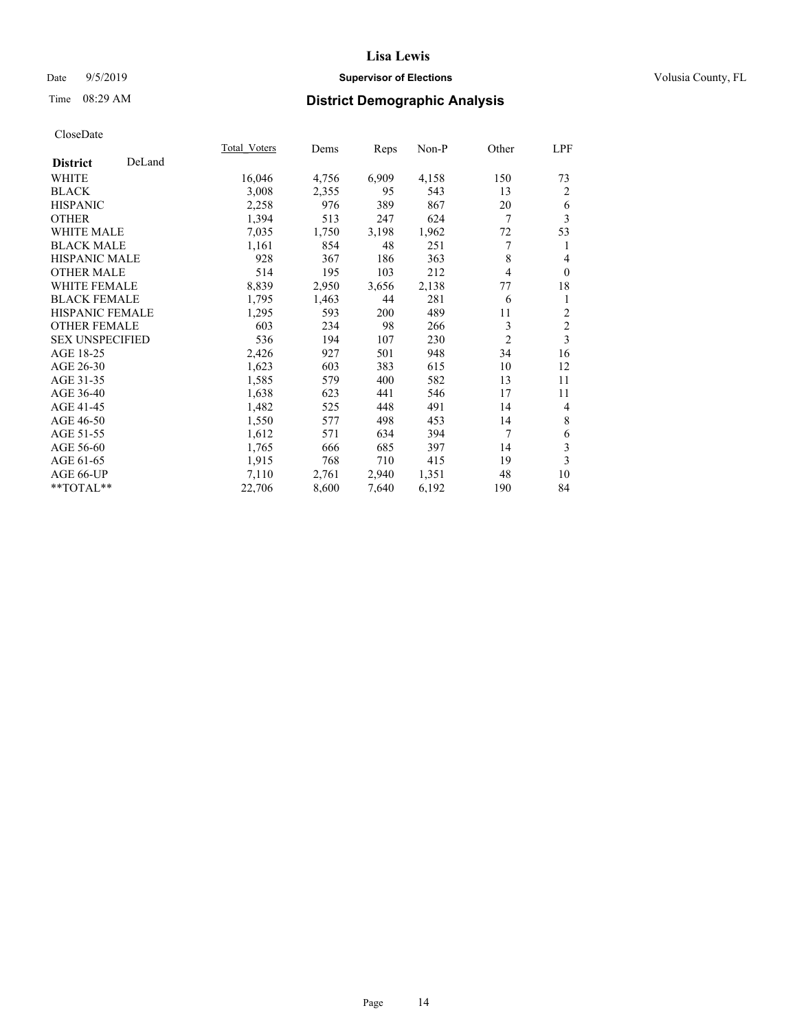## Date 9/5/2019 **Supervisor of Elections Supervisor of Elections** Volusia County, FL

## Time 08:29 AM **District Demographic Analysis**

|                        |        | Total Voters | Dems  | Reps  | Non-P | Other          | LPF            |
|------------------------|--------|--------------|-------|-------|-------|----------------|----------------|
| <b>District</b>        | DeLand |              |       |       |       |                |                |
| WHITE                  |        | 16,046       | 4,756 | 6,909 | 4,158 | 150            | 73             |
| <b>BLACK</b>           |        | 3,008        | 2,355 | 95    | 543   | 13             | 2              |
| <b>HISPANIC</b>        |        | 2,258        | 976   | 389   | 867   | 20             | 6              |
| <b>OTHER</b>           |        | 1,394        | 513   | 247   | 624   | 7              | 3              |
| <b>WHITE MALE</b>      |        | 7,035        | 1,750 | 3,198 | 1,962 | 72             | 53             |
| <b>BLACK MALE</b>      |        | 1,161        | 854   | 48    | 251   | 7              | 1              |
| <b>HISPANIC MALE</b>   |        | 928          | 367   | 186   | 363   | 8              | 4              |
| <b>OTHER MALE</b>      |        | 514          | 195   | 103   | 212   | 4              | $\mathbf{0}$   |
| <b>WHITE FEMALE</b>    |        | 8,839        | 2,950 | 3,656 | 2,138 | 77             | 18             |
| <b>BLACK FEMALE</b>    |        | 1,795        | 1,463 | 44    | 281   | 6              | 1              |
| <b>HISPANIC FEMALE</b> |        | 1,295        | 593   | 200   | 489   | 11             | $\overline{2}$ |
| <b>OTHER FEMALE</b>    |        | 603          | 234   | 98    | 266   | 3              | $\mathfrak{2}$ |
| <b>SEX UNSPECIFIED</b> |        | 536          | 194   | 107   | 230   | $\overline{2}$ | 3              |
| AGE 18-25              |        | 2,426        | 927   | 501   | 948   | 34             | 16             |
| AGE 26-30              |        | 1,623        | 603   | 383   | 615   | 10             | 12             |
| AGE 31-35              |        | 1,585        | 579   | 400   | 582   | 13             | 11             |
| AGE 36-40              |        | 1,638        | 623   | 441   | 546   | 17             | 11             |
| AGE 41-45              |        | 1,482        | 525   | 448   | 491   | 14             | 4              |
| AGE 46-50              |        | 1,550        | 577   | 498   | 453   | 14             | 8              |
| AGE 51-55              |        | 1,612        | 571   | 634   | 394   | 7              | 6              |
| AGE 56-60              |        | 1,765        | 666   | 685   | 397   | 14             | $\mathfrak{Z}$ |
| AGE 61-65              |        | 1,915        | 768   | 710   | 415   | 19             | 3              |
| AGE 66-UP              |        | 7,110        | 2,761 | 2,940 | 1,351 | 48             | 10             |
| **TOTAL**              |        | 22,706       | 8,600 | 7,640 | 6,192 | 190            | 84             |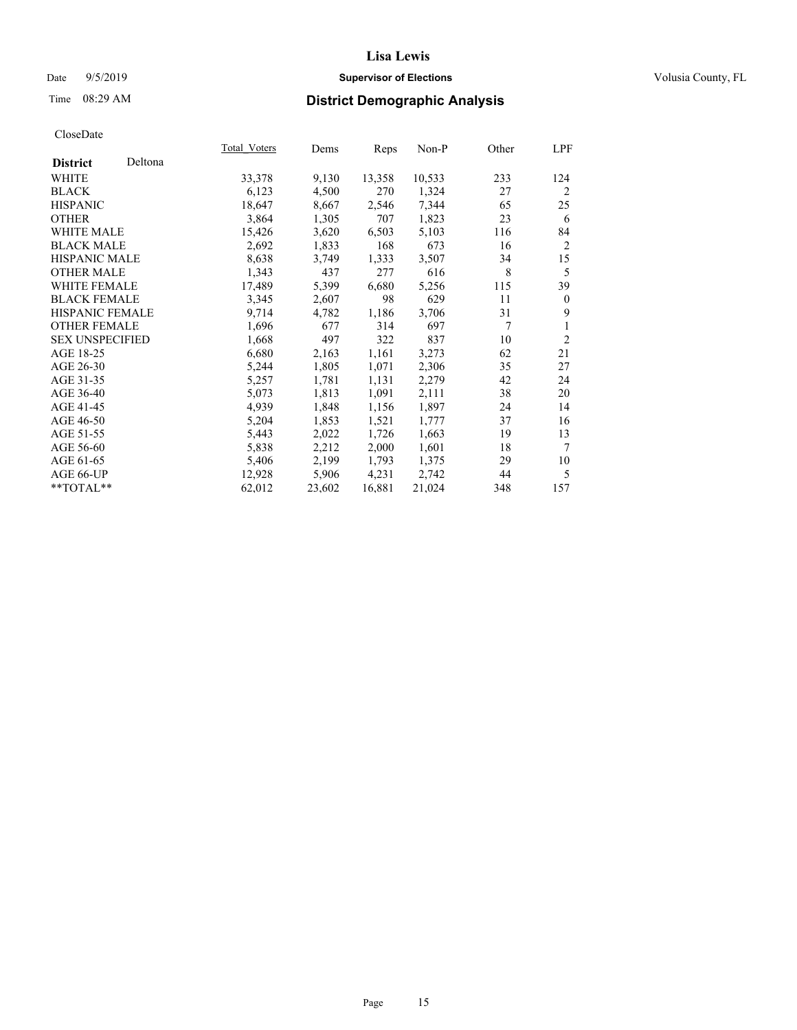## Date 9/5/2019 **Supervisor of Elections Supervisor of Elections** Volusia County, FL

## Time 08:29 AM **District Demographic Analysis**

|                        |         | Total Voters | Dems   | Reps   | Non-P  | Other | LPF            |
|------------------------|---------|--------------|--------|--------|--------|-------|----------------|
| <b>District</b>        | Deltona |              |        |        |        |       |                |
| WHITE                  |         | 33,378       | 9,130  | 13,358 | 10,533 | 233   | 124            |
| <b>BLACK</b>           |         | 6,123        | 4,500  | 270    | 1,324  | 27    | 2              |
| <b>HISPANIC</b>        |         | 18,647       | 8,667  | 2,546  | 7,344  | 65    | 25             |
| <b>OTHER</b>           |         | 3,864        | 1,305  | 707    | 1,823  | 23    | 6              |
| WHITE MALE             |         | 15,426       | 3,620  | 6,503  | 5,103  | 116   | 84             |
| <b>BLACK MALE</b>      |         | 2,692        | 1,833  | 168    | 673    | 16    | $\overline{2}$ |
| <b>HISPANIC MALE</b>   |         | 8,638        | 3,749  | 1,333  | 3,507  | 34    | 15             |
| <b>OTHER MALE</b>      |         | 1,343        | 437    | 277    | 616    | 8     | 5              |
| <b>WHITE FEMALE</b>    |         | 17,489       | 5,399  | 6,680  | 5,256  | 115   | 39             |
| <b>BLACK FEMALE</b>    |         | 3,345        | 2,607  | 98     | 629    | 11    | $\mathbf{0}$   |
| <b>HISPANIC FEMALE</b> |         | 9,714        | 4,782  | 1,186  | 3,706  | 31    | 9              |
| <b>OTHER FEMALE</b>    |         | 1,696        | 677    | 314    | 697    | 7     | 1              |
| <b>SEX UNSPECIFIED</b> |         | 1,668        | 497    | 322    | 837    | 10    | $\overline{2}$ |
| AGE 18-25              |         | 6,680        | 2,163  | 1,161  | 3,273  | 62    | 21             |
| AGE 26-30              |         | 5,244        | 1,805  | 1,071  | 2,306  | 35    | 27             |
| AGE 31-35              |         | 5,257        | 1,781  | 1,131  | 2,279  | 42    | 24             |
| AGE 36-40              |         | 5,073        | 1,813  | 1,091  | 2,111  | 38    | 20             |
| AGE 41-45              |         | 4,939        | 1,848  | 1,156  | 1,897  | 24    | 14             |
| AGE 46-50              |         | 5,204        | 1,853  | 1,521  | 1,777  | 37    | 16             |
| AGE 51-55              |         | 5,443        | 2,022  | 1,726  | 1,663  | 19    | 13             |
| AGE 56-60              |         | 5,838        | 2,212  | 2,000  | 1,601  | 18    | 7              |
| AGE 61-65              |         | 5,406        | 2,199  | 1,793  | 1,375  | 29    | 10             |
| AGE 66-UP              |         | 12,928       | 5,906  | 4,231  | 2,742  | 44    | 5              |
| **TOTAL**              |         | 62,012       | 23,602 | 16,881 | 21,024 | 348   | 157            |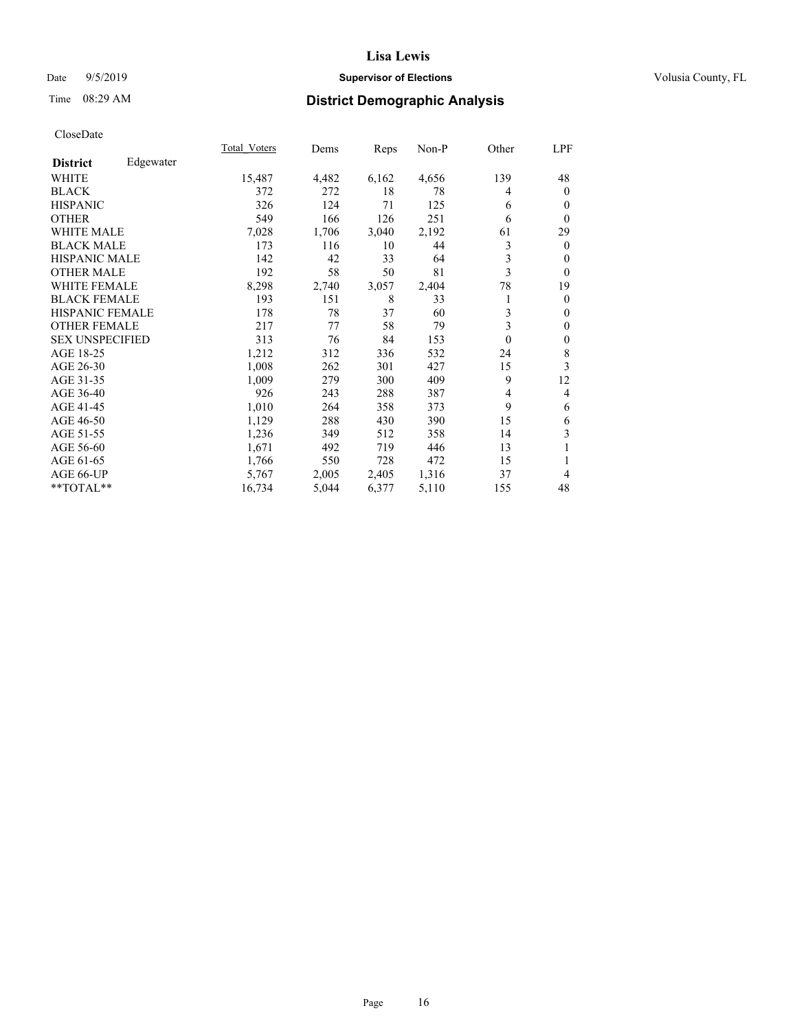## Date 9/5/2019 **Supervisor of Elections Supervisor of Elections** Volusia County, FL

## Time 08:29 AM **District Demographic Analysis**

|                        |           | Total Voters | Dems  | Reps  | Non-P | Other    | LPF            |
|------------------------|-----------|--------------|-------|-------|-------|----------|----------------|
| <b>District</b>        | Edgewater |              |       |       |       |          |                |
| WHITE                  |           | 15,487       | 4,482 | 6,162 | 4,656 | 139      | 48             |
| <b>BLACK</b>           |           | 372          | 272   | 18    | 78    | 4        | $\mathbf{0}$   |
| <b>HISPANIC</b>        |           | 326          | 124   | 71    | 125   | 6        | $\mathbf{0}$   |
| <b>OTHER</b>           |           | 549          | 166   | 126   | 251   | 6        | $\theta$       |
| WHITE MALE             |           | 7,028        | 1,706 | 3,040 | 2,192 | 61       | 29             |
| <b>BLACK MALE</b>      |           | 173          | 116   | 10    | 44    | 3        | $\mathbf{0}$   |
| <b>HISPANIC MALE</b>   |           | 142          | 42    | 33    | 64    | 3        | $\theta$       |
| <b>OTHER MALE</b>      |           | 192          | 58    | 50    | 81    | 3        | $\theta$       |
| <b>WHITE FEMALE</b>    |           | 8,298        | 2,740 | 3,057 | 2,404 | 78       | 19             |
| <b>BLACK FEMALE</b>    |           | 193          | 151   | 8     | 33    | 1        | $\overline{0}$ |
| <b>HISPANIC FEMALE</b> |           | 178          | 78    | 37    | 60    | 3        | $\mathbf{0}$   |
| <b>OTHER FEMALE</b>    |           | 217          | 77    | 58    | 79    | 3        | $\theta$       |
| <b>SEX UNSPECIFIED</b> |           | 313          | 76    | 84    | 153   | $\theta$ | $\mathbf{0}$   |
| AGE 18-25              |           | 1,212        | 312   | 336   | 532   | 24       | 8              |
| AGE 26-30              |           | 1,008        | 262   | 301   | 427   | 15       | 3              |
| AGE 31-35              |           | 1,009        | 279   | 300   | 409   | 9        | 12             |
| AGE 36-40              |           | 926          | 243   | 288   | 387   | 4        | 4              |
| AGE 41-45              |           | 1,010        | 264   | 358   | 373   | 9        | 6              |
| AGE 46-50              |           | 1,129        | 288   | 430   | 390   | 15       | 6              |
| AGE 51-55              |           | 1,236        | 349   | 512   | 358   | 14       | 3              |
| AGE 56-60              |           | 1,671        | 492   | 719   | 446   | 13       | 1              |
| AGE 61-65              |           | 1,766        | 550   | 728   | 472   | 15       | 1              |
| AGE 66-UP              |           | 5,767        | 2,005 | 2,405 | 1,316 | 37       | 4              |
| **TOTAL**              |           | 16,734       | 5,044 | 6,377 | 5,110 | 155      | 48             |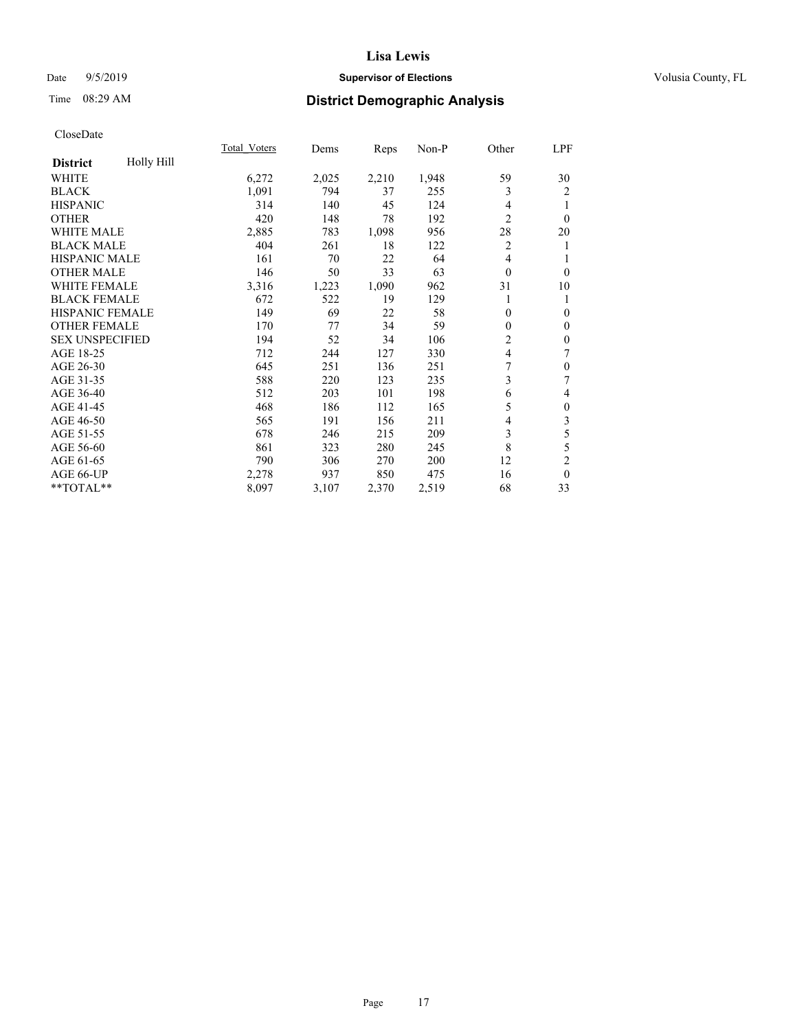## Date 9/5/2019 **Supervisor of Elections Supervisor of Elections** Volusia County, FL

## Time 08:29 AM **District Demographic Analysis**

|                        |            | Total Voters | Dems  | Reps  | Non-P | Other          | LPF              |
|------------------------|------------|--------------|-------|-------|-------|----------------|------------------|
| <b>District</b>        | Holly Hill |              |       |       |       |                |                  |
| <b>WHITE</b>           |            | 6,272        | 2,025 | 2,210 | 1,948 | 59             | 30               |
| <b>BLACK</b>           |            | 1,091        | 794   | 37    | 255   | 3              | 2                |
| <b>HISPANIC</b>        |            | 314          | 140   | 45    | 124   | 4              | 1                |
| <b>OTHER</b>           |            | 420          | 148   | 78    | 192   | 2              | $\theta$         |
| <b>WHITE MALE</b>      |            | 2,885        | 783   | 1,098 | 956   | 28             | 20               |
| <b>BLACK MALE</b>      |            | 404          | 261   | 18    | 122   | $\overline{c}$ | 1                |
| <b>HISPANIC MALE</b>   |            | 161          | 70    | 22    | 64    | 4              | 1                |
| <b>OTHER MALE</b>      |            | 146          | 50    | 33    | 63    | $\theta$       | $\theta$         |
| WHITE FEMALE           |            | 3,316        | 1,223 | 1,090 | 962   | 31             | 10               |
| <b>BLACK FEMALE</b>    |            | 672          | 522   | 19    | 129   | 1              | 1                |
| HISPANIC FEMALE        |            | 149          | 69    | 22    | 58    | 0              | $\mathbf{0}$     |
| <b>OTHER FEMALE</b>    |            | 170          | 77    | 34    | 59    | 0              | $\mathbf{0}$     |
| <b>SEX UNSPECIFIED</b> |            | 194          | 52    | 34    | 106   | $\overline{c}$ | $\mathbf{0}$     |
| AGE 18-25              |            | 712          | 244   | 127   | 330   | 4              | 7                |
| AGE 26-30              |            | 645          | 251   | 136   | 251   | 7              | $\mathbf{0}$     |
| AGE 31-35              |            | 588          | 220   | 123   | 235   | 3              | 7                |
| AGE 36-40              |            | 512          | 203   | 101   | 198   | 6              | 4                |
| AGE 41-45              |            | 468          | 186   | 112   | 165   | 5              | $\boldsymbol{0}$ |
| AGE 46-50              |            | 565          | 191   | 156   | 211   | 4              | 3                |
| AGE 51-55              |            | 678          | 246   | 215   | 209   | 3              | 5                |
| AGE 56-60              |            | 861          | 323   | 280   | 245   | 8              | 5                |
| AGE 61-65              |            | 790          | 306   | 270   | 200   | 12             | $\overline{2}$   |
| AGE 66-UP              |            | 2,278        | 937   | 850   | 475   | 16             | $\mathbf{0}$     |
| **TOTAL**              |            | 8,097        | 3,107 | 2,370 | 2,519 | 68             | 33               |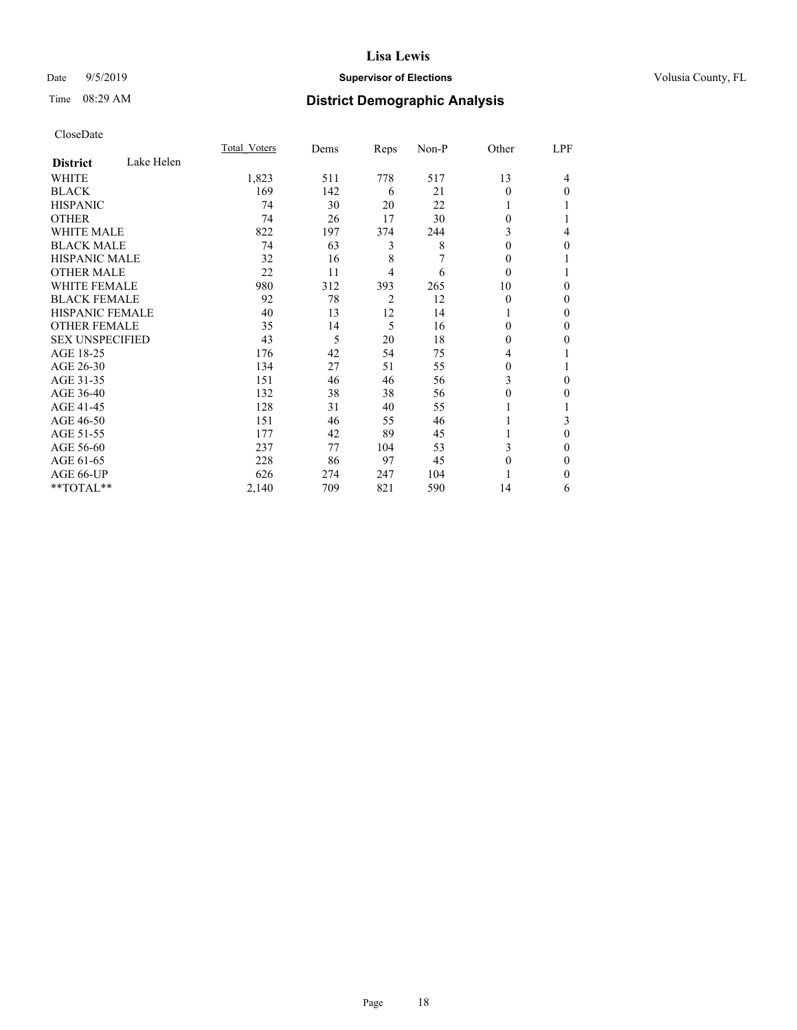## Date 9/5/2019 **Supervisor of Elections Supervisor of Elections** Volusia County, FL

## Time 08:29 AM **District Demographic Analysis**

|                        |            | Total Voters | Dems | Reps           | Non-P | Other    | LPF          |
|------------------------|------------|--------------|------|----------------|-------|----------|--------------|
| <b>District</b>        | Lake Helen |              |      |                |       |          |              |
| WHITE                  |            | 1,823        | 511  | 778            | 517   | 13       | 4            |
| <b>BLACK</b>           |            | 169          | 142  | 6              | 21    | $\Omega$ | $\Omega$     |
| <b>HISPANIC</b>        |            | 74           | 30   | 20             | 22    |          |              |
| <b>OTHER</b>           |            | 74           | 26   | 17             | 30    | 0        |              |
| WHITE MALE             |            | 822          | 197  | 374            | 244   | 3        | 4            |
| <b>BLACK MALE</b>      |            | 74           | 63   | 3              | 8     | $\Omega$ | 0            |
| <b>HISPANIC MALE</b>   |            | 32           | 16   | 8              | 7     | 0        |              |
| <b>OTHER MALE</b>      |            | 22           | 11   | 4              | 6     | $\theta$ |              |
| WHITE FEMALE           |            | 980          | 312  | 393            | 265   | 10       | 0            |
| <b>BLACK FEMALE</b>    |            | 92           | 78   | $\overline{2}$ | 12    | $\theta$ | 0            |
| <b>HISPANIC FEMALE</b> |            | 40           | 13   | 12             | 14    | 1        | 0            |
| <b>OTHER FEMALE</b>    |            | 35           | 14   | 5              | 16    | 0        | 0            |
| <b>SEX UNSPECIFIED</b> |            | 43           | 5    | 20             | 18    | $\Omega$ | 0            |
| AGE 18-25              |            | 176          | 42   | 54             | 75    | 4        |              |
| AGE 26-30              |            | 134          | 27   | 51             | 55    | 0        |              |
| AGE 31-35              |            | 151          | 46   | 46             | 56    | 3        | 0            |
| AGE 36-40              |            | 132          | 38   | 38             | 56    | $\theta$ | 0            |
| AGE 41-45              |            | 128          | 31   | 40             | 55    |          |              |
| AGE 46-50              |            | 151          | 46   | 55             | 46    |          | 3            |
| AGE 51-55              |            | 177          | 42   | 89             | 45    |          | 0            |
| AGE 56-60              |            | 237          | 77   | 104            | 53    | 3        | 0            |
| AGE 61-65              |            | 228          | 86   | 97             | 45    | 0        | $\mathbf{0}$ |
| AGE 66-UP              |            | 626          | 274  | 247            | 104   |          | 0            |
| **TOTAL**              |            | 2,140        | 709  | 821            | 590   | 14       | 6            |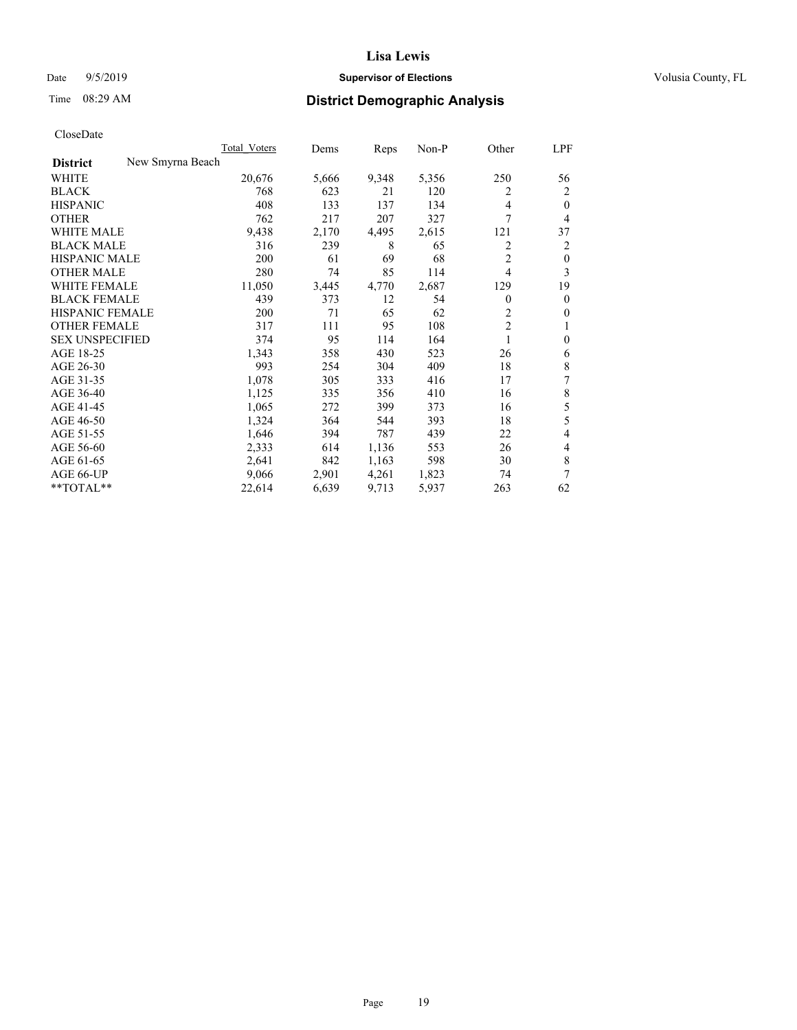## Date 9/5/2019 **Supervisor of Elections Supervisor of Elections** Volusia County, FL

# Time 08:29 AM **District Demographic Analysis**

|                                     | Total Voters | Dems  | Reps  | $Non-P$ | Other          | LPF            |
|-------------------------------------|--------------|-------|-------|---------|----------------|----------------|
| New Smyrna Beach<br><b>District</b> |              |       |       |         |                |                |
| WHITE                               | 20,676       | 5,666 | 9,348 | 5,356   | 250            | 56             |
| <b>BLACK</b>                        | 768          | 623   | 21    | 120     | 2              | 2              |
| <b>HISPANIC</b>                     | 408          | 133   | 137   | 134     | 4              | $\theta$       |
| <b>OTHER</b>                        | 762          | 217   | 207   | 327     | 7              | 4              |
| <b>WHITE MALE</b>                   | 9,438        | 2,170 | 4,495 | 2,615   | 121            | 37             |
| <b>BLACK MALE</b>                   | 316          | 239   | 8     | 65      | 2              | 2              |
| <b>HISPANIC MALE</b>                | 200          | 61    | 69    | 68      | $\overline{2}$ | $\mathbf{0}$   |
| <b>OTHER MALE</b>                   | 280          | 74    | 85    | 114     | 4              | 3              |
| <b>WHITE FEMALE</b>                 | 11,050       | 3,445 | 4,770 | 2,687   | 129            | 19             |
| <b>BLACK FEMALE</b>                 | 439          | 373   | 12    | 54      | 0              | $\mathbf{0}$   |
| HISPANIC FEMALE                     | 200          | 71    | 65    | 62      | 2              | $\mathbf{0}$   |
| <b>OTHER FEMALE</b>                 | 317          | 111   | 95    | 108     | $\overline{c}$ | 1              |
| <b>SEX UNSPECIFIED</b>              | 374          | 95    | 114   | 164     | 1              | $\mathbf{0}$   |
| AGE 18-25                           | 1,343        | 358   | 430   | 523     | 26             | 6              |
| AGE 26-30                           | 993          | 254   | 304   | 409     | 18             | 8              |
| AGE 31-35                           | 1,078        | 305   | 333   | 416     | 17             | 7              |
| AGE 36-40                           | 1,125        | 335   | 356   | 410     | 16             | 8              |
| AGE 41-45                           | 1,065        | 272   | 399   | 373     | 16             | 5              |
| AGE 46-50                           | 1,324        | 364   | 544   | 393     | 18             | 5              |
| AGE 51-55                           | 1,646        | 394   | 787   | 439     | 22             | $\overline{4}$ |
| AGE 56-60                           | 2,333        | 614   | 1,136 | 553     | 26             | 4              |
| AGE 61-65                           | 2,641        | 842   | 1,163 | 598     | 30             | 8              |
| AGE 66-UP                           | 9,066        | 2,901 | 4,261 | 1,823   | 74             | 7              |
| **TOTAL**                           | 22,614       | 6,639 | 9,713 | 5,937   | 263            | 62             |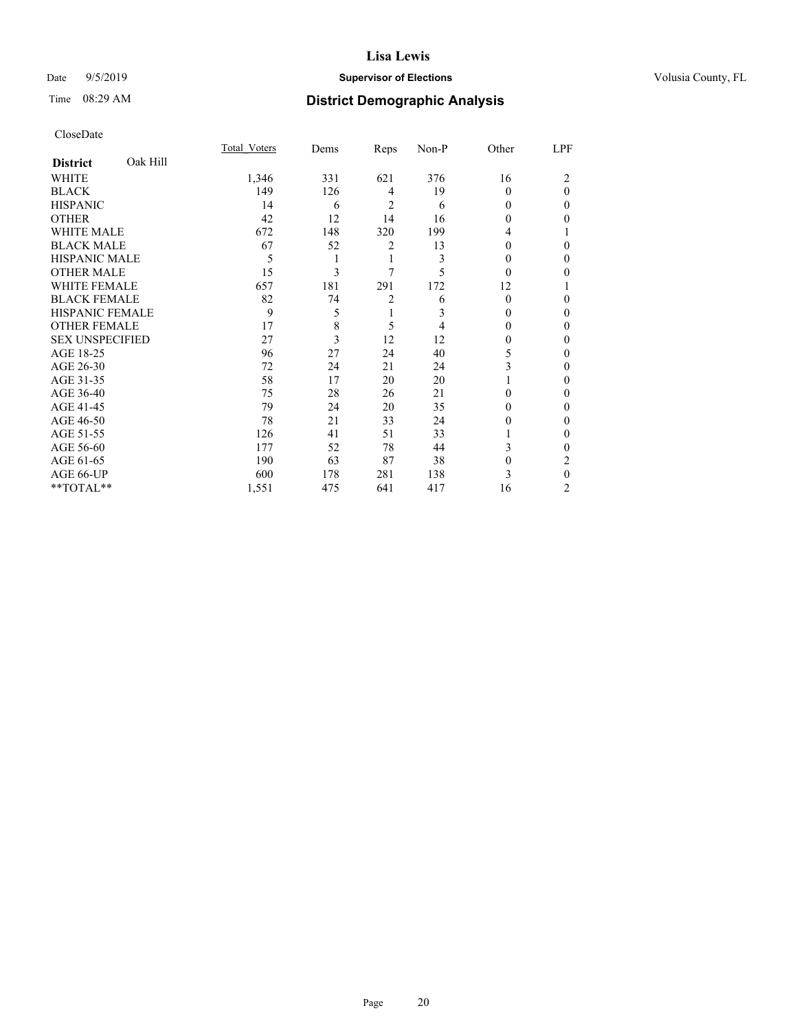## Date 9/5/2019 **Supervisor of Elections Supervisor of Elections** Volusia County, FL

## Time 08:29 AM **District Demographic Analysis**

|                        |          | Total Voters | Dems | Reps | Non-P | Other    | LPF            |
|------------------------|----------|--------------|------|------|-------|----------|----------------|
| <b>District</b>        | Oak Hill |              |      |      |       |          |                |
| WHITE                  |          | 1,346        | 331  | 621  | 376   | 16       | 2              |
| <b>BLACK</b>           |          | 149          | 126  | 4    | 19    | 0        | $\theta$       |
| <b>HISPANIC</b>        |          | 14           | 6    | 2    | 6     | 0        | $\Omega$       |
| <b>OTHER</b>           |          | 42           | 12   | 14   | 16    | 0        | 0              |
| WHITE MALE             |          | 672          | 148  | 320  | 199   | 4        |                |
| <b>BLACK MALE</b>      |          | 67           | 52   | 2    | 13    | 0        | 0              |
| <b>HISPANIC MALE</b>   |          | 5            |      | 1    | 3     | 0        | $\Omega$       |
| <b>OTHER MALE</b>      |          | 15           | 3    | 7    | 5     | 0        | 0              |
| <b>WHITE FEMALE</b>    |          | 657          | 181  | 291  | 172   | 12       |                |
| <b>BLACK FEMALE</b>    |          | 82           | 74   | 2    | 6     | $\Omega$ | 0              |
| <b>HISPANIC FEMALE</b> |          | 9            | 5    |      | 3     | 0        | $\Omega$       |
| <b>OTHER FEMALE</b>    |          | 17           | 8    | 5    | 4     | 0        | $\Omega$       |
| <b>SEX UNSPECIFIED</b> |          | 27           | 3    | 12   | 12    | 0        | 0              |
| AGE 18-25              |          | 96           | 27   | 24   | 40    | 5        | $\Omega$       |
| AGE 26-30              |          | 72           | 24   | 21   | 24    | 3        | $\mathbf{0}$   |
| AGE 31-35              |          | 58           | 17   | 20   | 20    |          | 0              |
| AGE 36-40              |          | 75           | 28   | 26   | 21    | 0        | 0              |
| AGE 41-45              |          | 79           | 24   | 20   | 35    | 0        | 0              |
| AGE 46-50              |          | 78           | 21   | 33   | 24    | 0        | $\Omega$       |
| AGE 51-55              |          | 126          | 41   | 51   | 33    |          | $\Omega$       |
| AGE 56-60              |          | 177          | 52   | 78   | 44    | 3        | 0              |
| AGE 61-65              |          | 190          | 63   | 87   | 38    | 0        | 2              |
| AGE 66-UP              |          | 600          | 178  | 281  | 138   | 3        | $\theta$       |
| **TOTAL**              |          | 1,551        | 475  | 641  | 417   | 16       | $\overline{c}$ |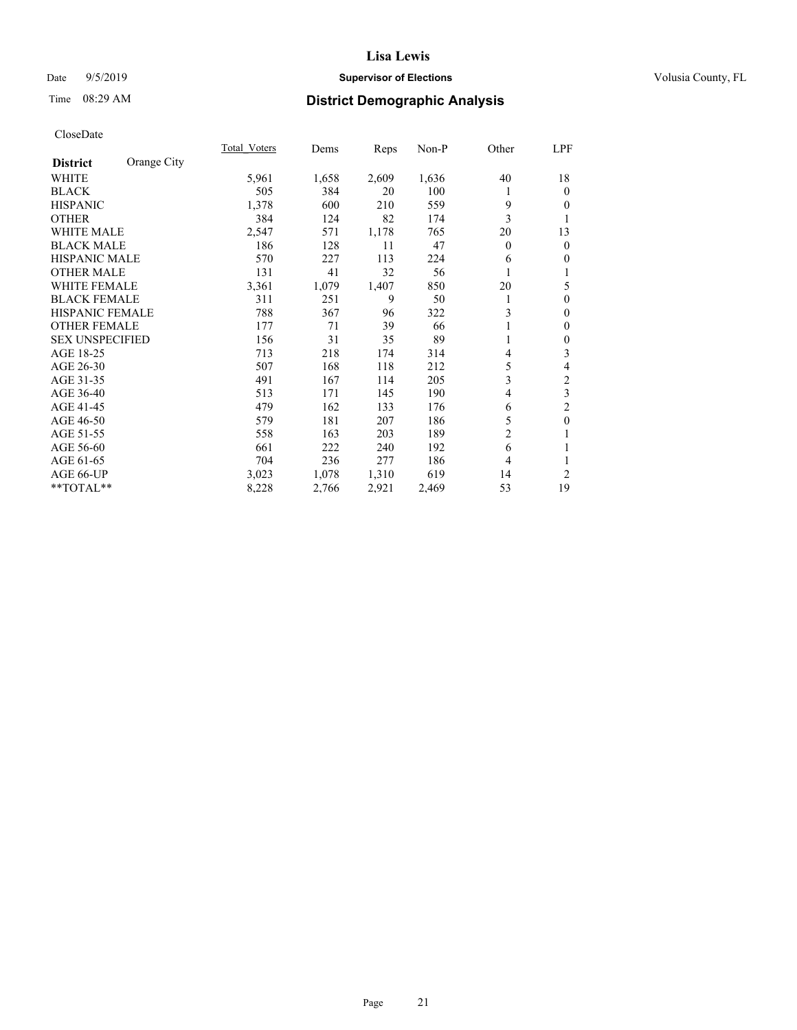## Date 9/5/2019 **Supervisor of Elections Supervisor of Elections** Volusia County, FL

## Time 08:29 AM **District Demographic Analysis**

|                        |             | Total Voters | Dems  | Reps  | Non-P | Other          | LPF              |
|------------------------|-------------|--------------|-------|-------|-------|----------------|------------------|
| <b>District</b>        | Orange City |              |       |       |       |                |                  |
| WHITE                  |             | 5,961        | 1,658 | 2,609 | 1,636 | 40             | 18               |
| <b>BLACK</b>           |             | 505          | 384   | 20    | 100   |                | $\mathbf{0}$     |
| <b>HISPANIC</b>        |             | 1,378        | 600   | 210   | 559   | 9              | $\theta$         |
| <b>OTHER</b>           |             | 384          | 124   | 82    | 174   | 3              | 1                |
| <b>WHITE MALE</b>      |             | 2,547        | 571   | 1,178 | 765   | 20             | 13               |
| <b>BLACK MALE</b>      |             | 186          | 128   | 11    | 47    | $\theta$       | $\mathbf{0}$     |
| <b>HISPANIC MALE</b>   |             | 570          | 227   | 113   | 224   | 6              | $\mathbf{0}$     |
| <b>OTHER MALE</b>      |             | 131          | 41    | 32    | 56    | 1              | 1                |
| <b>WHITE FEMALE</b>    |             | 3,361        | 1,079 | 1,407 | 850   | 20             | 5                |
| <b>BLACK FEMALE</b>    |             | 311          | 251   | 9     | 50    | 1              | $\boldsymbol{0}$ |
| <b>HISPANIC FEMALE</b> |             | 788          | 367   | 96    | 322   | 3              | $\mathbf{0}$     |
| <b>OTHER FEMALE</b>    |             | 177          | 71    | 39    | 66    |                | $\theta$         |
| <b>SEX UNSPECIFIED</b> |             | 156          | 31    | 35    | 89    |                | $\theta$         |
| AGE 18-25              |             | 713          | 218   | 174   | 314   | 4              | $\mathfrak{Z}$   |
| AGE 26-30              |             | 507          | 168   | 118   | 212   | 5              | $\overline{4}$   |
| AGE 31-35              |             | 491          | 167   | 114   | 205   | 3              | $\sqrt{2}$       |
| AGE 36-40              |             | 513          | 171   | 145   | 190   | 4              | $\overline{3}$   |
| AGE 41-45              |             | 479          | 162   | 133   | 176   | 6              | $\overline{2}$   |
| AGE 46-50              |             | 579          | 181   | 207   | 186   | 5              | $\mathbf{0}$     |
| AGE 51-55              |             | 558          | 163   | 203   | 189   | $\overline{c}$ | 1                |
| AGE 56-60              |             | 661          | 222   | 240   | 192   | 6              | 1                |
| AGE 61-65              |             | 704          | 236   | 277   | 186   | 4              | 1                |
| AGE 66-UP              |             | 3,023        | 1,078 | 1,310 | 619   | 14             | $\overline{2}$   |
| **TOTAL**              |             | 8,228        | 2,766 | 2,921 | 2,469 | 53             | 19               |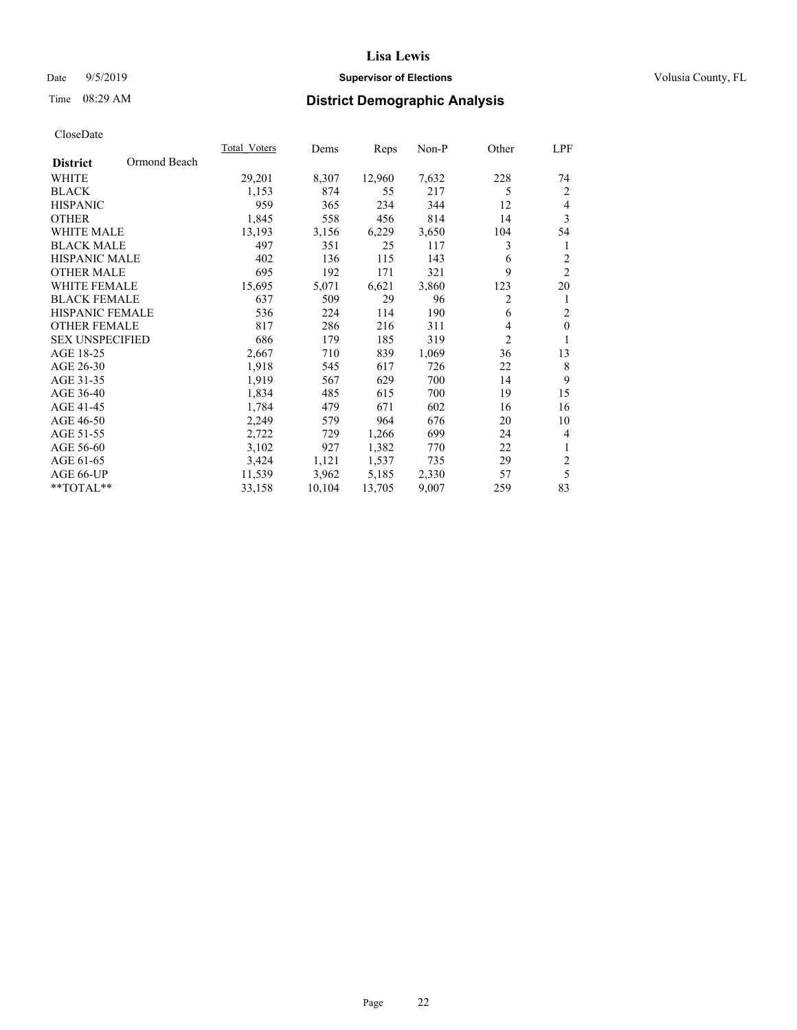## Date 9/5/2019 **Supervisor of Elections Supervisor of Elections** Volusia County, FL

# Time 08:29 AM **District Demographic Analysis**

|                        |              | Total Voters | Dems   | Reps   | Non-P | Other          | LPF            |
|------------------------|--------------|--------------|--------|--------|-------|----------------|----------------|
| <b>District</b>        | Ormond Beach |              |        |        |       |                |                |
| WHITE                  |              | 29,201       | 8,307  | 12,960 | 7,632 | 228            | 74             |
| <b>BLACK</b>           |              | 1,153        | 874    | 55     | 217   | 5              | 2              |
| <b>HISPANIC</b>        |              | 959          | 365    | 234    | 344   | 12             | $\overline{4}$ |
| <b>OTHER</b>           |              | 1,845        | 558    | 456    | 814   | 14             | 3              |
| <b>WHITE MALE</b>      |              | 13,193       | 3,156  | 6,229  | 3,650 | 104            | 54             |
| <b>BLACK MALE</b>      |              | 497          | 351    | 25     | 117   | 3              | 1              |
| <b>HISPANIC MALE</b>   |              | 402          | 136    | 115    | 143   | 6              | $\overline{2}$ |
| <b>OTHER MALE</b>      |              | 695          | 192    | 171    | 321   | 9              | $\overline{2}$ |
| <b>WHITE FEMALE</b>    |              | 15,695       | 5,071  | 6,621  | 3,860 | 123            | 20             |
| <b>BLACK FEMALE</b>    |              | 637          | 509    | 29     | 96    | $\overline{2}$ | 1              |
| <b>HISPANIC FEMALE</b> |              | 536          | 224    | 114    | 190   | 6              | $\overline{2}$ |
| <b>OTHER FEMALE</b>    |              | 817          | 286    | 216    | 311   | 4              | $\mathbf{0}$   |
| <b>SEX UNSPECIFIED</b> |              | 686          | 179    | 185    | 319   | $\overline{2}$ | 1              |
| AGE 18-25              |              | 2,667        | 710    | 839    | 1,069 | 36             | 13             |
| AGE 26-30              |              | 1,918        | 545    | 617    | 726   | 22             | 8              |
| AGE 31-35              |              | 1,919        | 567    | 629    | 700   | 14             | 9              |
| AGE 36-40              |              | 1,834        | 485    | 615    | 700   | 19             | 15             |
| AGE 41-45              |              | 1,784        | 479    | 671    | 602   | 16             | 16             |
| AGE 46-50              |              | 2,249        | 579    | 964    | 676   | 20             | 10             |
| AGE 51-55              |              | 2,722        | 729    | 1,266  | 699   | 24             | 4              |
| AGE 56-60              |              | 3,102        | 927    | 1,382  | 770   | 22             | $\mathbf{1}$   |
| AGE 61-65              |              | 3,424        | 1,121  | 1,537  | 735   | 29             | $\overline{2}$ |
| AGE 66-UP              |              | 11,539       | 3,962  | 5,185  | 2,330 | 57             | 5              |
| **TOTAL**              |              | 33,158       | 10,104 | 13,705 | 9,007 | 259            | 83             |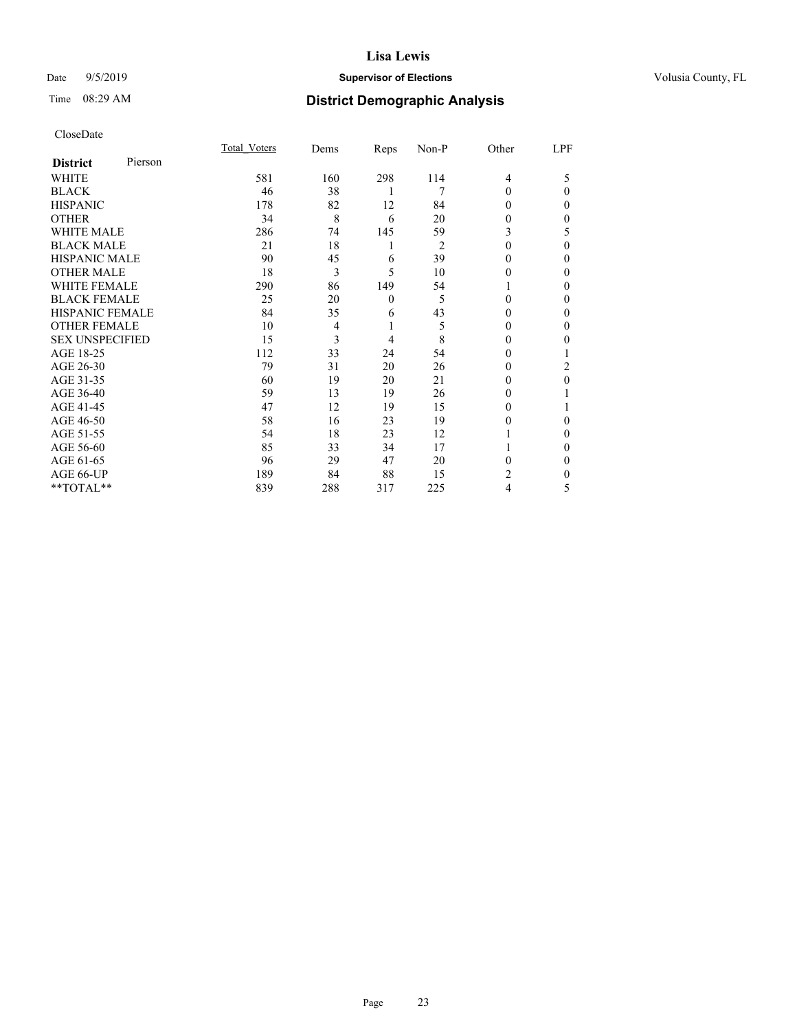## Date 9/5/2019 **Supervisor of Elections Supervisor of Elections** Volusia County, FL

# Time 08:29 AM **District Demographic Analysis**

|                        |         | Total Voters | Dems | Reps         | Non-P          | Other          | LPF      |
|------------------------|---------|--------------|------|--------------|----------------|----------------|----------|
| <b>District</b>        | Pierson |              |      |              |                |                |          |
| WHITE                  |         | 581          | 160  | 298          | 114            | $\overline{4}$ | 5        |
| <b>BLACK</b>           |         | 46           | 38   | 1            | 7              | 0              | 0        |
| <b>HISPANIC</b>        |         | 178          | 82   | 12           | 84             | 0              | 0        |
| <b>OTHER</b>           |         | 34           | 8    | 6            | 20             | $_{0}$         | 0        |
| <b>WHITE MALE</b>      |         | 286          | 74   | 145          | 59             | 3              | 5        |
| <b>BLACK MALE</b>      |         | 21           | 18   | 1            | $\overline{2}$ | $\Omega$       | $\Omega$ |
| <b>HISPANIC MALE</b>   |         | 90           | 45   | 6            | 39             | 0              | 0        |
| <b>OTHER MALE</b>      |         | 18           | 3    | 5            | 10             | 0              | 0        |
| <b>WHITE FEMALE</b>    |         | 290          | 86   | 149          | 54             |                | 0        |
| <b>BLACK FEMALE</b>    |         | 25           | 20   | $\mathbf{0}$ | 5              | $\Omega$       | 0        |
| <b>HISPANIC FEMALE</b> |         | 84           | 35   | 6            | 43             | $_{0}$         | 0        |
| <b>OTHER FEMALE</b>    |         | 10           | 4    | 1            | 5              | 0              | 0        |
| <b>SEX UNSPECIFIED</b> |         | 15           | 3    | 4            | 8              | 0              | 0        |
| AGE 18-25              |         | 112          | 33   | 24           | 54             | 0              |          |
| AGE 26-30              |         | 79           | 31   | 20           | 26             | 0              | 2        |
| AGE 31-35              |         | 60           | 19   | 20           | 21             | 0              | 0        |
| AGE 36-40              |         | 59           | 13   | 19           | 26             | 0              |          |
| AGE 41-45              |         | 47           | 12   | 19           | 15             | 0              |          |
| AGE 46-50              |         | 58           | 16   | 23           | 19             | 0              | 0        |
| AGE 51-55              |         | 54           | 18   | 23           | 12             |                | 0        |
| AGE 56-60              |         | 85           | 33   | 34           | 17             |                | 0        |
| AGE 61-65              |         | 96           | 29   | 47           | 20             | 0              | 0        |
| AGE 66-UP              |         | 189          | 84   | 88           | 15             | 2              | 0        |
| **TOTAL**              |         | 839          | 288  | 317          | 225            | 4              | 5        |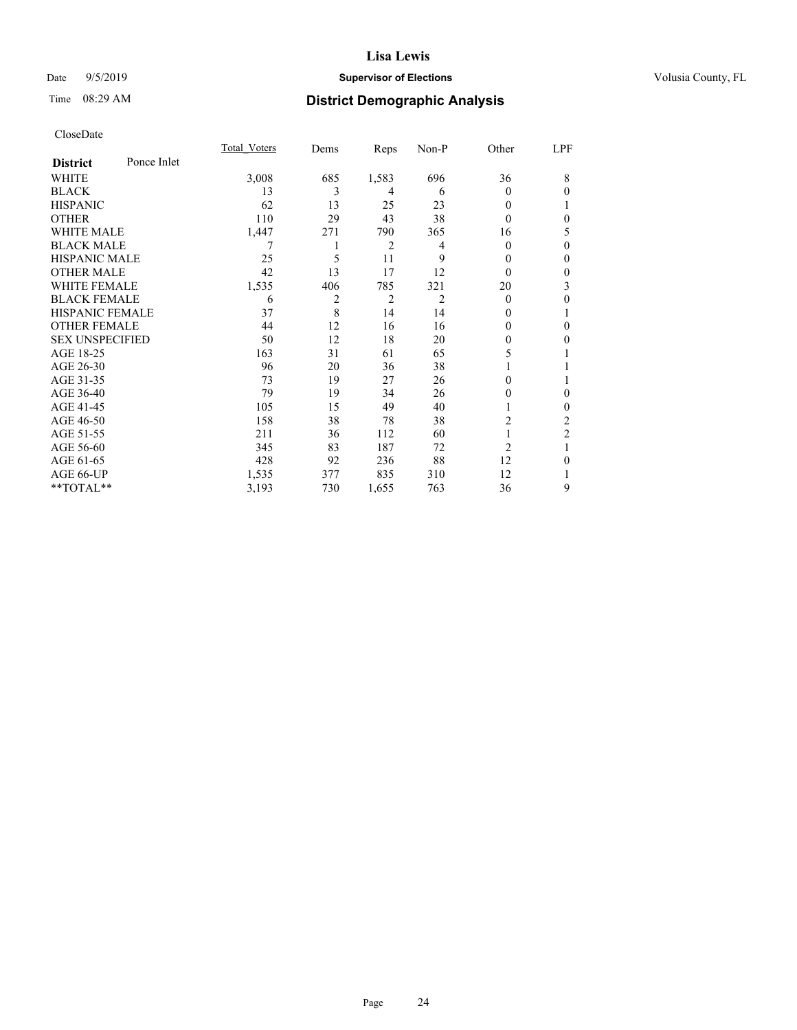## Date 9/5/2019 **Supervisor of Elections Supervisor of Elections** Volusia County, FL

# Time 08:29 AM **District Demographic Analysis**

|                        |             | <b>Total Voters</b> | Dems | Reps  | Non-P | Other          | LPF            |
|------------------------|-------------|---------------------|------|-------|-------|----------------|----------------|
| <b>District</b>        | Ponce Inlet |                     |      |       |       |                |                |
| WHITE                  |             | 3,008               | 685  | 1,583 | 696   | 36             | 8              |
| <b>BLACK</b>           |             | 13                  | 3    | 4     | 6     | 0              | $\theta$       |
| <b>HISPANIC</b>        |             | 62                  | 13   | 25    | 23    | 0              |                |
| <b>OTHER</b>           |             | 110                 | 29   | 43    | 38    | 0              | $\theta$       |
| WHITE MALE             |             | 1,447               | 271  | 790   | 365   | 16             | 5              |
| <b>BLACK MALE</b>      |             |                     |      | 2     | 4     | 0              | $\theta$       |
| <b>HISPANIC MALE</b>   |             | 25                  | 5    | 11    | 9     | 0              | $\theta$       |
| <b>OTHER MALE</b>      |             | 42                  | 13   | 17    | 12    | $\theta$       | $\mathbf{0}$   |
| <b>WHITE FEMALE</b>    |             | 1,535               | 406  | 785   | 321   | 20             | 3              |
| <b>BLACK FEMALE</b>    |             | 6                   | 2    | 2     | 2     | $\theta$       | 0              |
| <b>HISPANIC FEMALE</b> |             | 37                  | 8    | 14    | 14    | 0              |                |
| <b>OTHER FEMALE</b>    |             | 44                  | 12   | 16    | 16    | 0              | $\theta$       |
| <b>SEX UNSPECIFIED</b> |             | 50                  | 12   | 18    | 20    | 0              | $\theta$       |
| AGE 18-25              |             | 163                 | 31   | 61    | 65    | 5              |                |
| AGE 26-30              |             | 96                  | 20   | 36    | 38    |                | 1              |
| AGE 31-35              |             | 73                  | 19   | 27    | 26    | 0              | 1              |
| AGE 36-40              |             | 79                  | 19   | 34    | 26    | 0              | $\mathbf{0}$   |
| AGE 41-45              |             | 105                 | 15   | 49    | 40    |                | $\theta$       |
| AGE 46-50              |             | 158                 | 38   | 78    | 38    | 2              | 2              |
| AGE 51-55              |             | 211                 | 36   | 112   | 60    |                | $\overline{2}$ |
| AGE 56-60              |             | 345                 | 83   | 187   | 72    | $\overline{2}$ | 1              |
| AGE 61-65              |             | 428                 | 92   | 236   | 88    | 12             | $\theta$       |
| AGE 66-UP              |             | 1,535               | 377  | 835   | 310   | 12             | 1              |
| **TOTAL**              |             | 3,193               | 730  | 1,655 | 763   | 36             | 9              |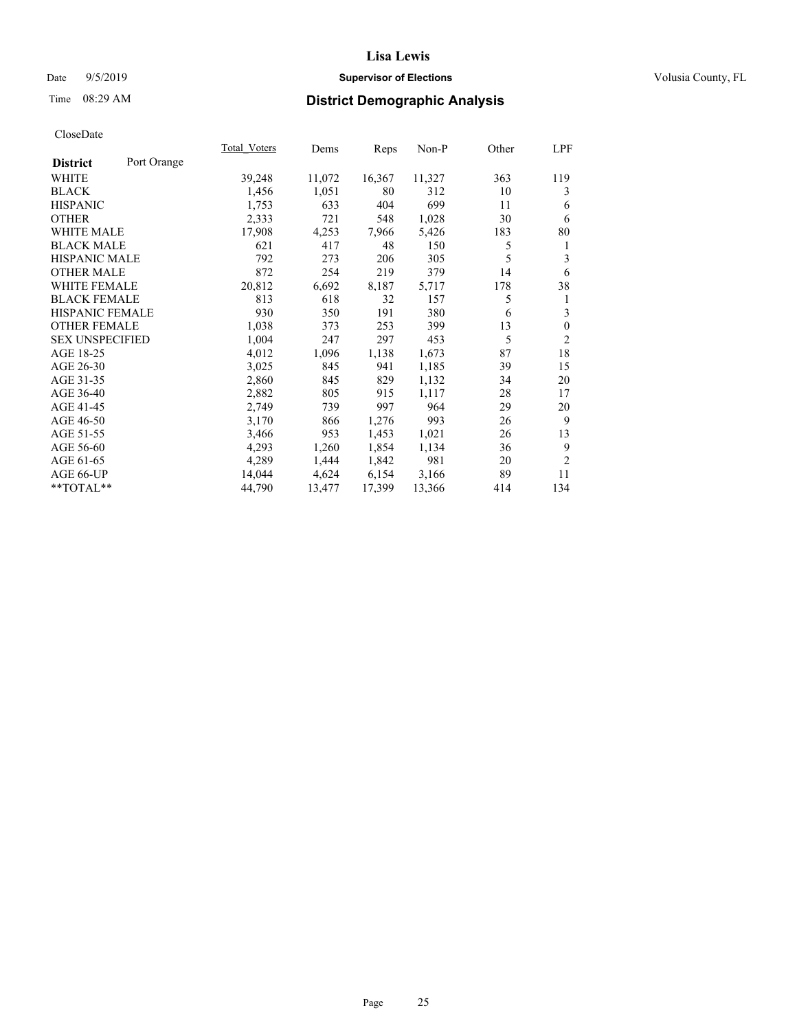## Date 9/5/2019 **Supervisor of Elections Supervisor of Elections** Volusia County, FL

# Time 08:29 AM **District Demographic Analysis**

|                        |             | Total Voters | Dems   | Reps   | Non-P  | Other | LPF            |
|------------------------|-------------|--------------|--------|--------|--------|-------|----------------|
| <b>District</b>        | Port Orange |              |        |        |        |       |                |
| WHITE                  |             | 39,248       | 11,072 | 16,367 | 11,327 | 363   | 119            |
| <b>BLACK</b>           |             | 1,456        | 1,051  | 80     | 312    | 10    | 3              |
| <b>HISPANIC</b>        |             | 1,753        | 633    | 404    | 699    | 11    | 6              |
| <b>OTHER</b>           |             | 2,333        | 721    | 548    | 1,028  | 30    | 6              |
| WHITE MALE             |             | 17,908       | 4,253  | 7,966  | 5,426  | 183   | 80             |
| <b>BLACK MALE</b>      |             | 621          | 417    | 48     | 150    | 5     | 1              |
| <b>HISPANIC MALE</b>   |             | 792          | 273    | 206    | 305    | 5     | 3              |
| <b>OTHER MALE</b>      |             | 872          | 254    | 219    | 379    | 14    | 6              |
| WHITE FEMALE           |             | 20,812       | 6,692  | 8,187  | 5,717  | 178   | 38             |
| <b>BLACK FEMALE</b>    |             | 813          | 618    | 32     | 157    | 5     | 1              |
| HISPANIC FEMALE        |             | 930          | 350    | 191    | 380    | 6     | 3              |
| <b>OTHER FEMALE</b>    |             | 1,038        | 373    | 253    | 399    | 13    | $\mathbf{0}$   |
| <b>SEX UNSPECIFIED</b> |             | 1,004        | 247    | 297    | 453    | 5     | $\overline{2}$ |
| AGE 18-25              |             | 4,012        | 1,096  | 1,138  | 1,673  | 87    | 18             |
| AGE 26-30              |             | 3,025        | 845    | 941    | 1,185  | 39    | 15             |
| AGE 31-35              |             | 2,860        | 845    | 829    | 1,132  | 34    | 20             |
| AGE 36-40              |             | 2,882        | 805    | 915    | 1,117  | 28    | 17             |
| AGE 41-45              |             | 2,749        | 739    | 997    | 964    | 29    | 20             |
| AGE 46-50              |             | 3,170        | 866    | 1,276  | 993    | 26    | 9              |
| AGE 51-55              |             | 3,466        | 953    | 1,453  | 1,021  | 26    | 13             |
| AGE 56-60              |             | 4,293        | 1,260  | 1,854  | 1,134  | 36    | 9              |
| AGE 61-65              |             | 4,289        | 1,444  | 1,842  | 981    | 20    | $\overline{2}$ |
| AGE 66-UP              |             | 14,044       | 4,624  | 6,154  | 3,166  | 89    | 11             |
| $*$ $TOTAL**$          |             | 44,790       | 13,477 | 17,399 | 13,366 | 414   | 134            |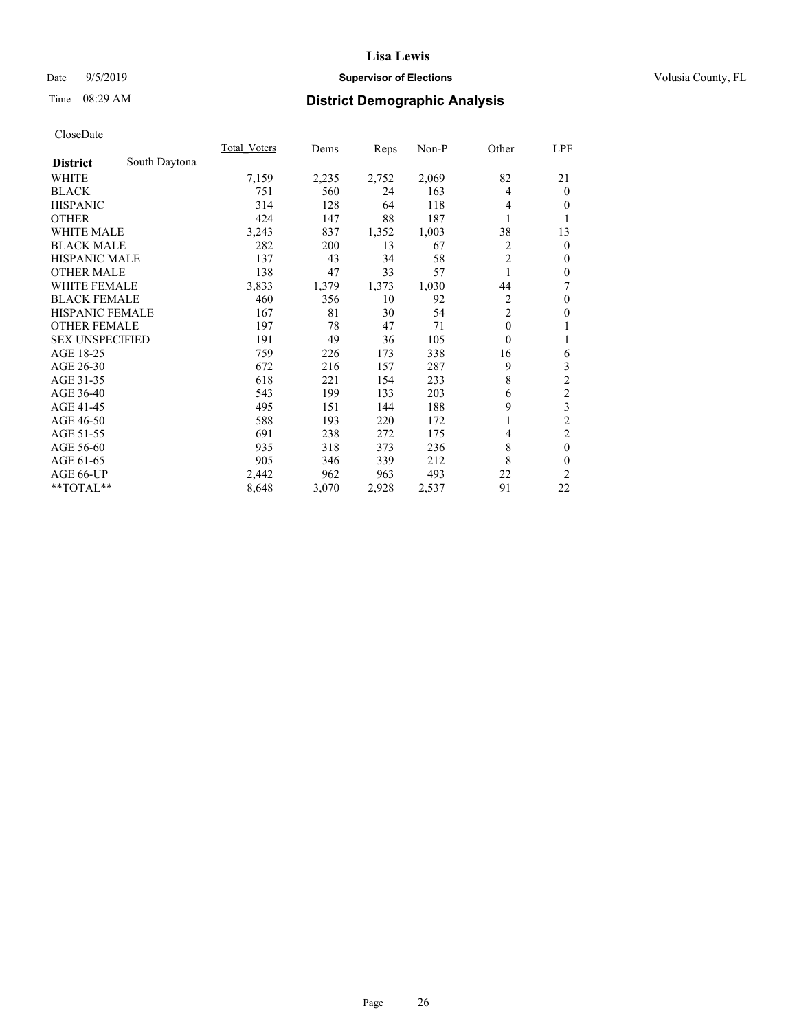## Date 9/5/2019 **Supervisor of Elections Supervisor of Elections** Volusia County, FL

## Time 08:29 AM **District Demographic Analysis**

|                        |               | Total Voters | Dems  | Reps  | Non-P | Other          | LPF            |
|------------------------|---------------|--------------|-------|-------|-------|----------------|----------------|
| <b>District</b>        | South Daytona |              |       |       |       |                |                |
| WHITE                  |               | 7,159        | 2,235 | 2,752 | 2,069 | 82             | 21             |
| <b>BLACK</b>           |               | 751          | 560   | 24    | 163   | 4              | $\overline{0}$ |
| <b>HISPANIC</b>        |               | 314          | 128   | 64    | 118   | 4              | $\overline{0}$ |
| <b>OTHER</b>           |               | 424          | 147   | 88    | 187   | 1              | 1              |
| WHITE MALE             |               | 3,243        | 837   | 1,352 | 1,003 | 38             | 13             |
| <b>BLACK MALE</b>      |               | 282          | 200   | 13    | 67    | $\overline{2}$ | $\theta$       |
| <b>HISPANIC MALE</b>   |               | 137          | 43    | 34    | 58    | $\overline{2}$ | $\theta$       |
| <b>OTHER MALE</b>      |               | 138          | 47    | 33    | 57    | 1              | $\mathbf{0}$   |
| <b>WHITE FEMALE</b>    |               | 3,833        | 1,379 | 1,373 | 1,030 | 44             | 7              |
| <b>BLACK FEMALE</b>    |               | 460          | 356   | 10    | 92    | 2              | $\mathbf{0}$   |
| <b>HISPANIC FEMALE</b> |               | 167          | 81    | 30    | 54    | $\overline{c}$ | $\theta$       |
| <b>OTHER FEMALE</b>    |               | 197          | 78    | 47    | 71    | $\mathbf{0}$   | 1              |
| <b>SEX UNSPECIFIED</b> |               | 191          | 49    | 36    | 105   | $\theta$       | 1              |
| AGE 18-25              |               | 759          | 226   | 173   | 338   | 16             | 6              |
| AGE 26-30              |               | 672          | 216   | 157   | 287   | 9              | 3              |
| AGE 31-35              |               | 618          | 221   | 154   | 233   | 8              | $\overline{c}$ |
| AGE 36-40              |               | 543          | 199   | 133   | 203   | 6              | $\overline{c}$ |
| AGE 41-45              |               | 495          | 151   | 144   | 188   | 9              | 3              |
| AGE 46-50              |               | 588          | 193   | 220   | 172   |                | $\overline{c}$ |
| AGE 51-55              |               | 691          | 238   | 272   | 175   | 4              | $\overline{2}$ |
| AGE 56-60              |               | 935          | 318   | 373   | 236   | 8              | $\mathbf{0}$   |
| AGE 61-65              |               | 905          | 346   | 339   | 212   | 8              | $\mathbf{0}$   |
| AGE 66-UP              |               | 2,442        | 962   | 963   | 493   | 22             | 2              |
| **TOTAL**              |               | 8,648        | 3,070 | 2,928 | 2,537 | 91             | 22             |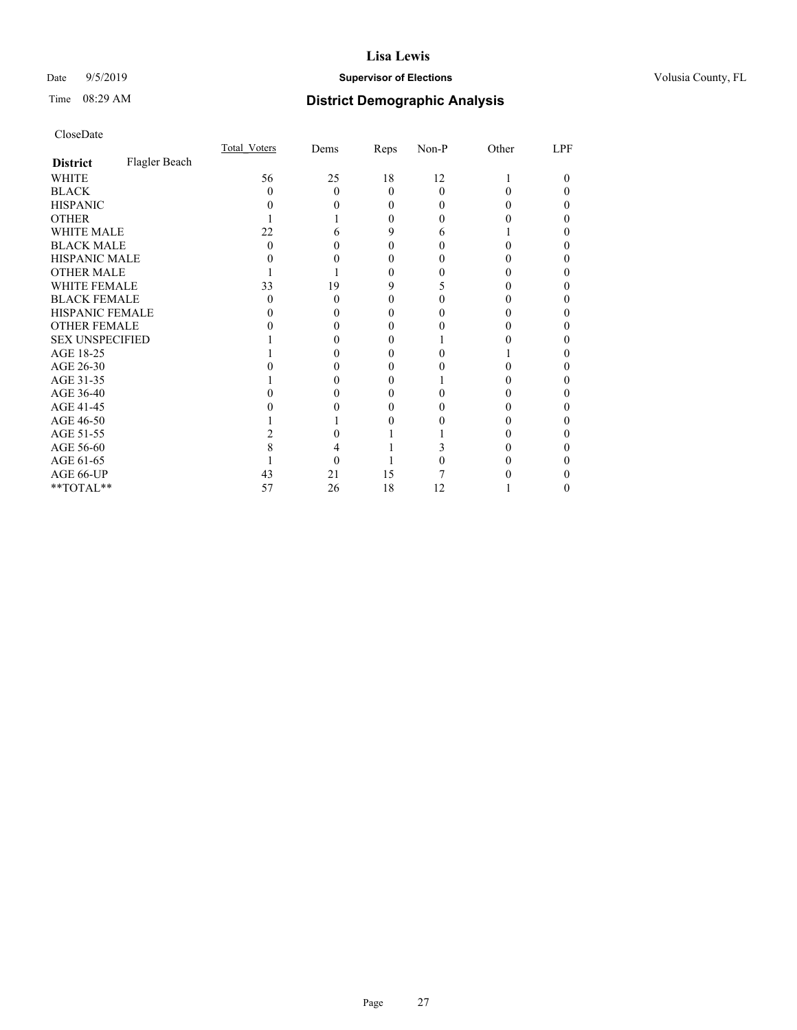## Date 9/5/2019 **Supervisor of Elections Supervisor of Elections** Volusia County, FL

# Time 08:29 AM **District Demographic Analysis**

|                        |               | Total Voters | Dems | Reps     | Non-P    | Other | LPF |
|------------------------|---------------|--------------|------|----------|----------|-------|-----|
| <b>District</b>        | Flagler Beach |              |      |          |          |       |     |
| WHITE                  |               | 56           | 25   | 18       | 12       |       | 0   |
| <b>BLACK</b>           |               | 0            | 0    | $\Omega$ | $\Omega$ |       |     |
| <b>HISPANIC</b>        |               |              |      | 0        | 0        |       |     |
| <b>OTHER</b>           |               |              |      | 0        | 0        |       |     |
| WHITE MALE             |               | 22           |      | 9        | 6        |       |     |
| <b>BLACK MALE</b>      |               | 0            |      |          |          |       |     |
| <b>HISPANIC MALE</b>   |               |              |      |          |          |       |     |
| <b>OTHER MALE</b>      |               |              |      | 0        |          |       | 0   |
| <b>WHITE FEMALE</b>    |               | 33           | 19   | 9        |          |       |     |
| <b>BLACK FEMALE</b>    |               | $\mathbf{0}$ | 0    | $\theta$ |          |       |     |
| <b>HISPANIC FEMALE</b> |               |              |      |          |          |       |     |
| <b>OTHER FEMALE</b>    |               |              |      |          |          |       |     |
| <b>SEX UNSPECIFIED</b> |               |              |      |          |          |       |     |
| AGE 18-25              |               |              |      |          |          |       |     |
| AGE 26-30              |               |              |      |          |          |       |     |
| AGE 31-35              |               |              |      |          |          |       |     |
| AGE 36-40              |               |              |      |          |          |       |     |
| AGE 41-45              |               |              |      |          |          |       |     |
| AGE 46-50              |               |              |      |          |          |       |     |
| AGE 51-55              |               |              |      |          |          |       |     |
| AGE 56-60              |               |              |      |          |          |       |     |
| AGE 61-65              |               |              |      |          |          |       |     |
| AGE 66-UP              |               | 43           | 21   | 15       |          |       |     |
| **TOTAL**              |               | 57           | 26   | 18       | 12       |       | 0   |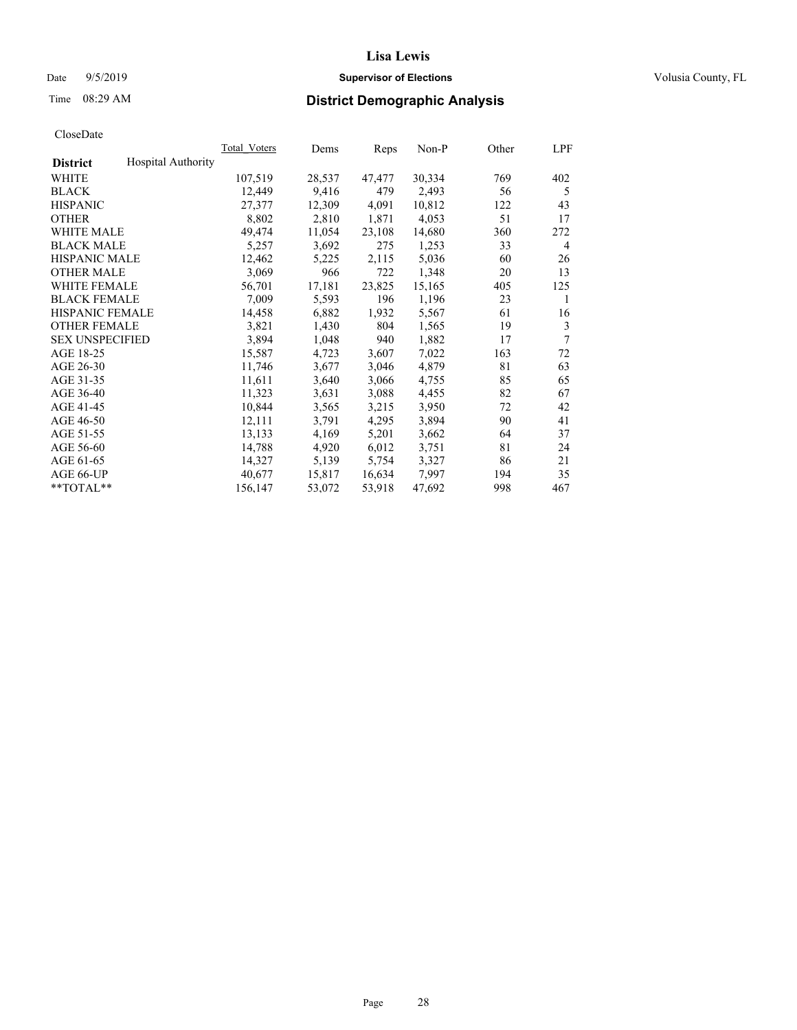## Date 9/5/2019 **Supervisor of Elections Supervisor of Elections** Volusia County, FL

## Time 08:29 AM **District Demographic Analysis**

|                        |                           | Total Voters | Dems   | Reps   | Non-P  | Other | LPF |
|------------------------|---------------------------|--------------|--------|--------|--------|-------|-----|
| <b>District</b>        | <b>Hospital Authority</b> |              |        |        |        |       |     |
| WHITE                  |                           | 107,519      | 28,537 | 47,477 | 30,334 | 769   | 402 |
| <b>BLACK</b>           |                           | 12,449       | 9,416  | 479    | 2,493  | 56    | 5   |
| <b>HISPANIC</b>        |                           | 27,377       | 12,309 | 4,091  | 10,812 | 122   | 43  |
| <b>OTHER</b>           |                           | 8,802        | 2,810  | 1,871  | 4,053  | 51    | 17  |
| WHITE MALE             |                           | 49,474       | 11,054 | 23,108 | 14,680 | 360   | 272 |
| <b>BLACK MALE</b>      |                           | 5,257        | 3,692  | 275    | 1,253  | 33    | 4   |
| <b>HISPANIC MALE</b>   |                           | 12,462       | 5,225  | 2,115  | 5,036  | 60    | 26  |
| <b>OTHER MALE</b>      |                           | 3,069        | 966    | 722    | 1,348  | 20    | 13  |
| <b>WHITE FEMALE</b>    |                           | 56,701       | 17,181 | 23,825 | 15,165 | 405   | 125 |
| <b>BLACK FEMALE</b>    |                           | 7,009        | 5,593  | 196    | 1,196  | 23    | 1   |
| <b>HISPANIC FEMALE</b> |                           | 14,458       | 6,882  | 1,932  | 5,567  | 61    | 16  |
| <b>OTHER FEMALE</b>    |                           | 3,821        | 1,430  | 804    | 1,565  | 19    | 3   |
| <b>SEX UNSPECIFIED</b> |                           | 3,894        | 1,048  | 940    | 1,882  | 17    | 7   |
| AGE 18-25              |                           | 15,587       | 4,723  | 3,607  | 7,022  | 163   | 72  |
| AGE 26-30              |                           | 11,746       | 3,677  | 3,046  | 4,879  | 81    | 63  |
| AGE 31-35              |                           | 11,611       | 3,640  | 3,066  | 4,755  | 85    | 65  |
| AGE 36-40              |                           | 11,323       | 3,631  | 3,088  | 4,455  | 82    | 67  |
| AGE 41-45              |                           | 10,844       | 3,565  | 3,215  | 3,950  | 72    | 42  |
| AGE 46-50              |                           | 12,111       | 3,791  | 4,295  | 3,894  | 90    | 41  |
| AGE 51-55              |                           | 13,133       | 4,169  | 5,201  | 3,662  | 64    | 37  |
| AGE 56-60              |                           | 14,788       | 4,920  | 6,012  | 3,751  | 81    | 24  |
| AGE 61-65              |                           | 14,327       | 5,139  | 5,754  | 3,327  | 86    | 21  |
| AGE 66-UP              |                           | 40,677       | 15,817 | 16,634 | 7,997  | 194   | 35  |
| $*$ TOTAL $*$          |                           | 156,147      | 53,072 | 53,918 | 47,692 | 998   | 467 |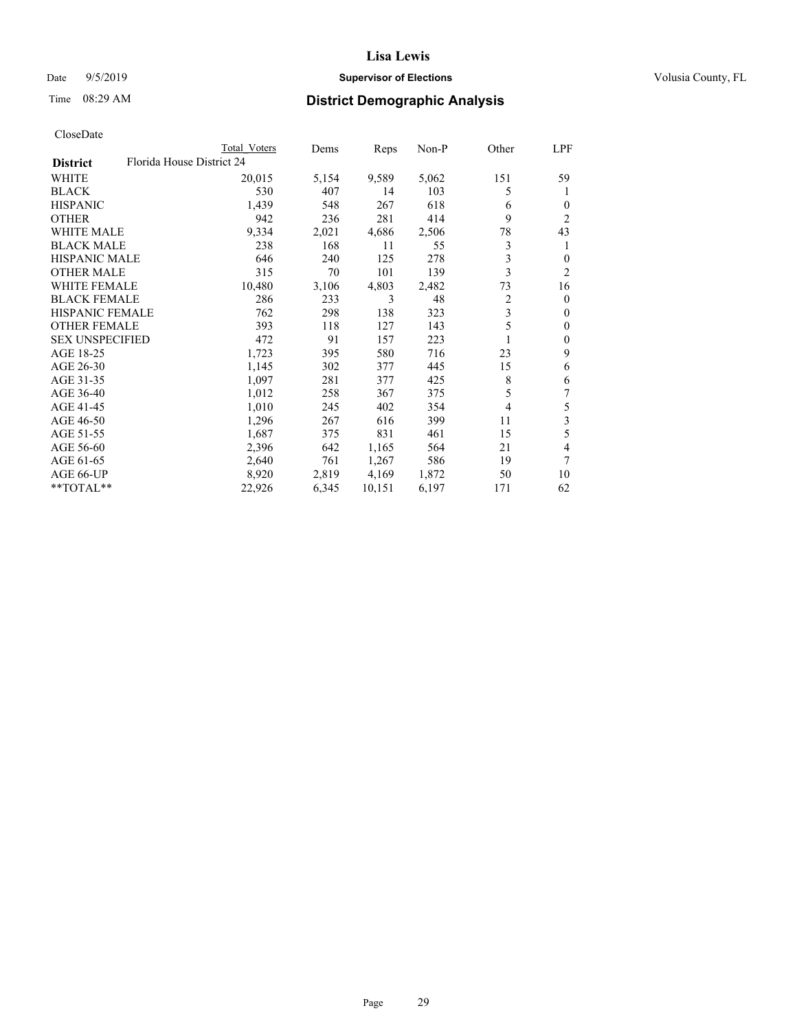## Date 9/5/2019 **Supervisor of Elections Supervisor of Elections** Volusia County, FL

| CloseDate |
|-----------|
|-----------|

|                                              | Total Voters | Dems  | Reps   | Non-P | Other          | LPF                     |
|----------------------------------------------|--------------|-------|--------|-------|----------------|-------------------------|
| Florida House District 24<br><b>District</b> |              |       |        |       |                |                         |
| WHITE                                        | 20,015       | 5,154 | 9,589  | 5,062 | 151            | 59                      |
| <b>BLACK</b>                                 | 530          | 407   | 14     | 103   | 5              | 1                       |
| <b>HISPANIC</b>                              | 1,439        | 548   | 267    | 618   | 6              | $\overline{0}$          |
| <b>OTHER</b>                                 | 942          | 236   | 281    | 414   | 9              | $\overline{2}$          |
| <b>WHITE MALE</b>                            | 9,334        | 2,021 | 4,686  | 2,506 | 78             | 43                      |
| <b>BLACK MALE</b>                            | 238          | 168   | 11     | 55    | 3              | 1                       |
| <b>HISPANIC MALE</b>                         | 646          | 240   | 125    | 278   | 3              | 0                       |
| <b>OTHER MALE</b>                            | 315          | 70    | 101    | 139   | 3              | $\overline{2}$          |
| <b>WHITE FEMALE</b>                          | 10,480       | 3,106 | 4,803  | 2,482 | 73             | 16                      |
| <b>BLACK FEMALE</b>                          | 286          | 233   | 3      | 48    | $\overline{c}$ | $\mathbf{0}$            |
| <b>HISPANIC FEMALE</b>                       | 762          | 298   | 138    | 323   | 3              | 0                       |
| <b>OTHER FEMALE</b>                          | 393          | 118   | 127    | 143   | 5              | $\theta$                |
| <b>SEX UNSPECIFIED</b>                       | 472          | 91    | 157    | 223   | 1              | $\mathbf{0}$            |
| AGE 18-25                                    | 1,723        | 395   | 580    | 716   | 23             | 9                       |
| AGE 26-30                                    | 1,145        | 302   | 377    | 445   | 15             | 6                       |
| AGE 31-35                                    | 1,097        | 281   | 377    | 425   | 8              | 6                       |
| AGE 36-40                                    | 1,012        | 258   | 367    | 375   | 5              | 7                       |
| AGE 41-45                                    | 1,010        | 245   | 402    | 354   | 4              | 5                       |
| AGE 46-50                                    | 1,296        | 267   | 616    | 399   | 11             | $\overline{\mathbf{3}}$ |
| AGE 51-55                                    | 1,687        | 375   | 831    | 461   | 15             | 5                       |
| AGE 56-60                                    | 2,396        | 642   | 1,165  | 564   | 21             | 4                       |
| AGE 61-65                                    | 2,640        | 761   | 1,267  | 586   | 19             | 7                       |
| AGE 66-UP                                    | 8,920        | 2,819 | 4,169  | 1,872 | 50             | 10                      |
| **TOTAL**                                    | 22,926       | 6,345 | 10,151 | 6,197 | 171            | 62                      |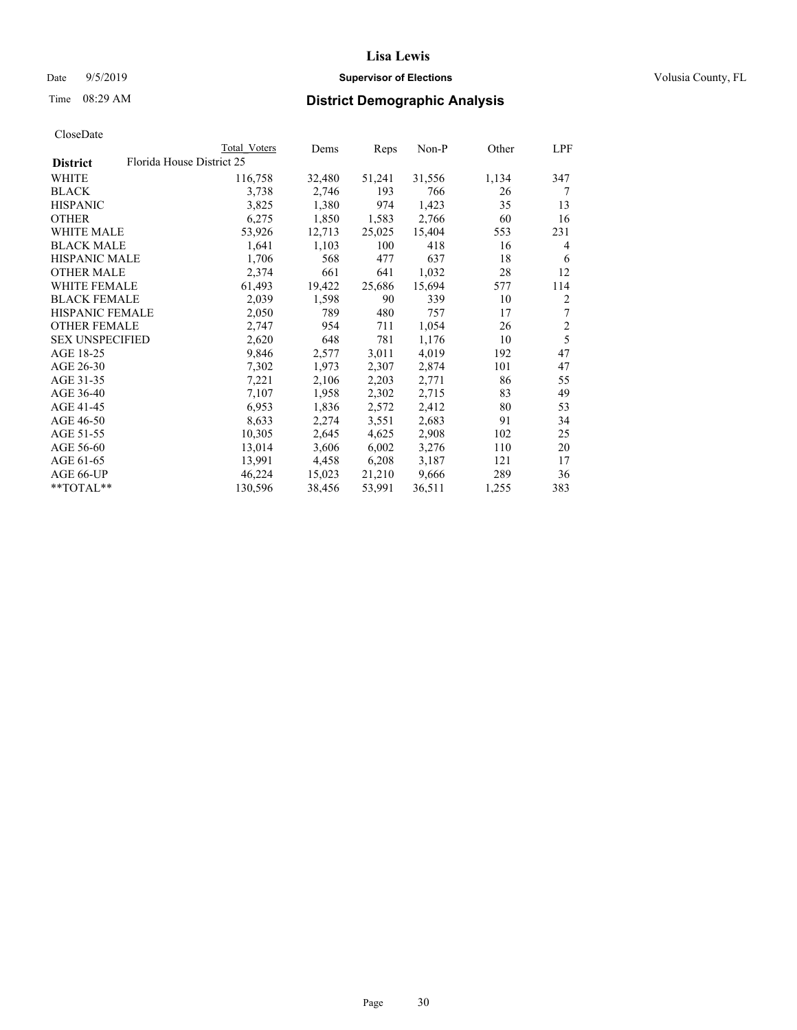## Date 9/5/2019 **Supervisor of Elections Supervisor of Elections** Volusia County, FL

|                        | Total Voters              | Dems   | Reps   | Non-P  | Other | LPF            |
|------------------------|---------------------------|--------|--------|--------|-------|----------------|
| <b>District</b>        | Florida House District 25 |        |        |        |       |                |
| WHITE                  | 116,758                   | 32,480 | 51,241 | 31,556 | 1,134 | 347            |
| BLACK                  | 3,738                     | 2,746  | 193    | 766    | 26    | 7              |
| HISPANIC               | 3,825                     | 1,380  | 974    | 1,423  | 35    | 13             |
| OTHER                  | 6,275                     | 1,850  | 1,583  | 2,766  | 60    | 16             |
| WHITE MALE             | 53,926                    | 12,713 | 25,025 | 15,404 | 553   | 231            |
| BLACK MALE             | 1,641                     | 1,103  | 100    | 418    | 16    | 4              |
| HISPANIC MALE          | 1,706                     | 568    | 477    | 637    | 18    | 6              |
| OTHER MALE             | 2,374                     | 661    | 641    | 1,032  | 28    | 12             |
| WHITE FEMALE           | 61,493                    | 19,422 | 25,686 | 15,694 | 577   | 114            |
| BLACK FEMALE           | 2,039                     | 1,598  | 90     | 339    | 10    | 2              |
| HISPANIC FEMALE        | 2,050                     | 789    | 480    | 757    | 17    | 7              |
| OTHER FEMALE           | 2,747                     | 954    | 711    | 1,054  | 26    | $\overline{c}$ |
| <b>SEX UNSPECIFIED</b> | 2,620                     | 648    | 781    | 1,176  | 10    | 5              |
| AGE 18-25              | 9,846                     | 2,577  | 3,011  | 4,019  | 192   | 47             |
| AGE 26-30              | 7,302                     | 1,973  | 2,307  | 2,874  | 101   | 47             |
| AGE 31-35              | 7,221                     | 2,106  | 2,203  | 2,771  | 86    | 55             |
| AGE 36-40              | 7,107                     | 1,958  | 2,302  | 2,715  | 83    | 49             |
| AGE 41-45              | 6,953                     | 1,836  | 2,572  | 2,412  | 80    | 53             |
| AGE 46-50              | 8,633                     | 2,274  | 3,551  | 2,683  | 91    | 34             |
| AGE 51-55              | 10,305                    | 2,645  | 4,625  | 2,908  | 102   | 25             |
| AGE 56-60              | 13,014                    | 3,606  | 6,002  | 3,276  | 110   | 20             |
| AGE 61-65              | 13,991                    | 4,458  | 6,208  | 3,187  | 121   | 17             |
| AGE 66-UP              | 46,224                    | 15,023 | 21,210 | 9,666  | 289   | 36             |
| $*$ TOTAL $**$         | 130,596                   | 38,456 | 53,991 | 36,511 | 1,255 | 383            |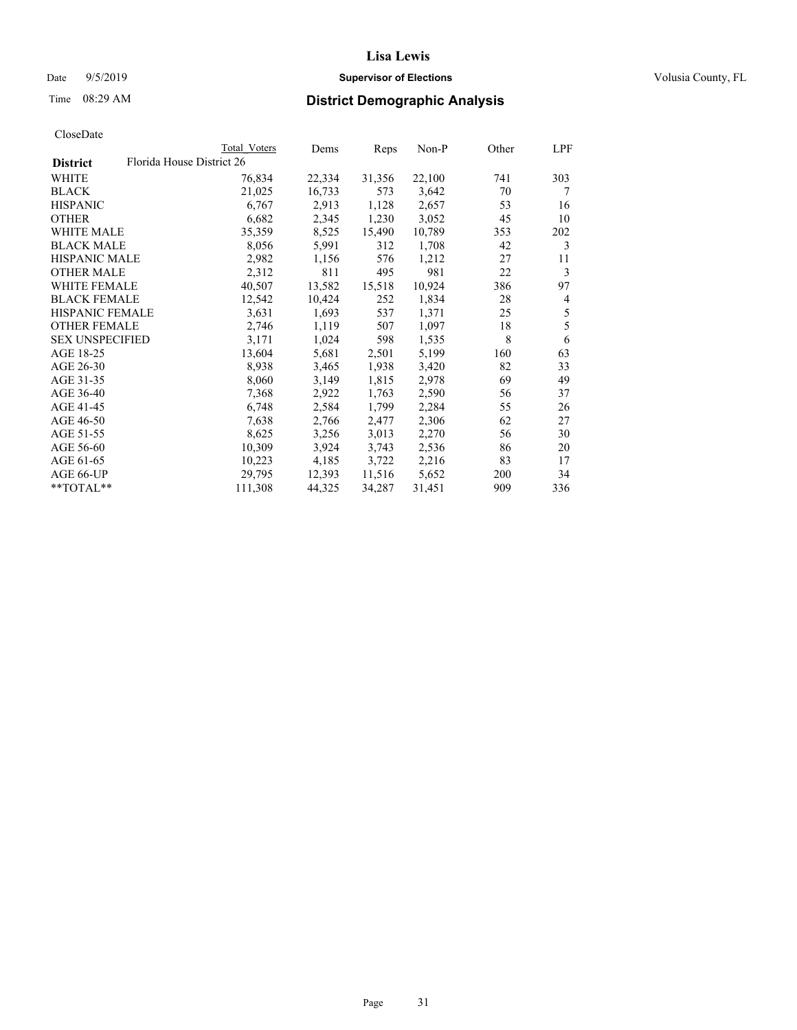## Date 9/5/2019 **Supervisor of Elections Supervisor of Elections** Volusia County, FL

|                                              | Total Voters | Dems   | Reps   | Non-P  | Other | LPF |
|----------------------------------------------|--------------|--------|--------|--------|-------|-----|
| Florida House District 26<br><b>District</b> |              |        |        |        |       |     |
| WHITE                                        | 76,834       | 22,334 | 31,356 | 22,100 | 741   | 303 |
| BLACK                                        | 21,025       | 16,733 | 573    | 3,642  | 70    | 7   |
| <b>HISPANIC</b>                              | 6,767        | 2,913  | 1,128  | 2,657  | 53    | 16  |
| <b>OTHER</b>                                 | 6,682        | 2,345  | 1,230  | 3,052  | 45    | 10  |
| <b>WHITE MALE</b>                            | 35,359       | 8,525  | 15,490 | 10,789 | 353   | 202 |
| <b>BLACK MALE</b>                            | 8,056        | 5,991  | 312    | 1,708  | 42    | 3   |
| <b>HISPANIC MALE</b>                         | 2,982        | 1,156  | 576    | 1,212  | 27    | 11  |
| <b>OTHER MALE</b>                            | 2,312        | 811    | 495    | 981    | 22    | 3   |
| <b>WHITE FEMALE</b>                          | 40,507       | 13,582 | 15,518 | 10,924 | 386   | 97  |
| <b>BLACK FEMALE</b>                          | 12,542       | 10,424 | 252    | 1,834  | 28    | 4   |
| HISPANIC FEMALE                              | 3,631        | 1,693  | 537    | 1,371  | 25    | 5   |
| <b>OTHER FEMALE</b>                          | 2,746        | 1,119  | 507    | 1,097  | 18    | 5   |
| <b>SEX UNSPECIFIED</b>                       | 3,171        | 1,024  | 598    | 1,535  | 8     | 6   |
| AGE 18-25                                    | 13,604       | 5,681  | 2,501  | 5,199  | 160   | 63  |
| AGE 26-30                                    | 8,938        | 3,465  | 1,938  | 3,420  | 82    | 33  |
| AGE 31-35                                    | 8,060        | 3,149  | 1,815  | 2,978  | 69    | 49  |
| AGE 36-40                                    | 7,368        | 2,922  | 1,763  | 2,590  | 56    | 37  |
| AGE 41-45                                    | 6,748        | 2,584  | 1,799  | 2,284  | 55    | 26  |
| AGE 46-50                                    | 7,638        | 2,766  | 2,477  | 2,306  | 62    | 27  |
| AGE 51-55                                    | 8,625        | 3,256  | 3,013  | 2,270  | 56    | 30  |
| AGE 56-60                                    | 10,309       | 3,924  | 3,743  | 2,536  | 86    | 20  |
| AGE 61-65                                    | 10,223       | 4,185  | 3,722  | 2,216  | 83    | 17  |
| AGE 66-UP                                    | 29,795       | 12,393 | 11,516 | 5,652  | 200   | 34  |
| **TOTAL**                                    | 111,308      | 44,325 | 34,287 | 31,451 | 909   | 336 |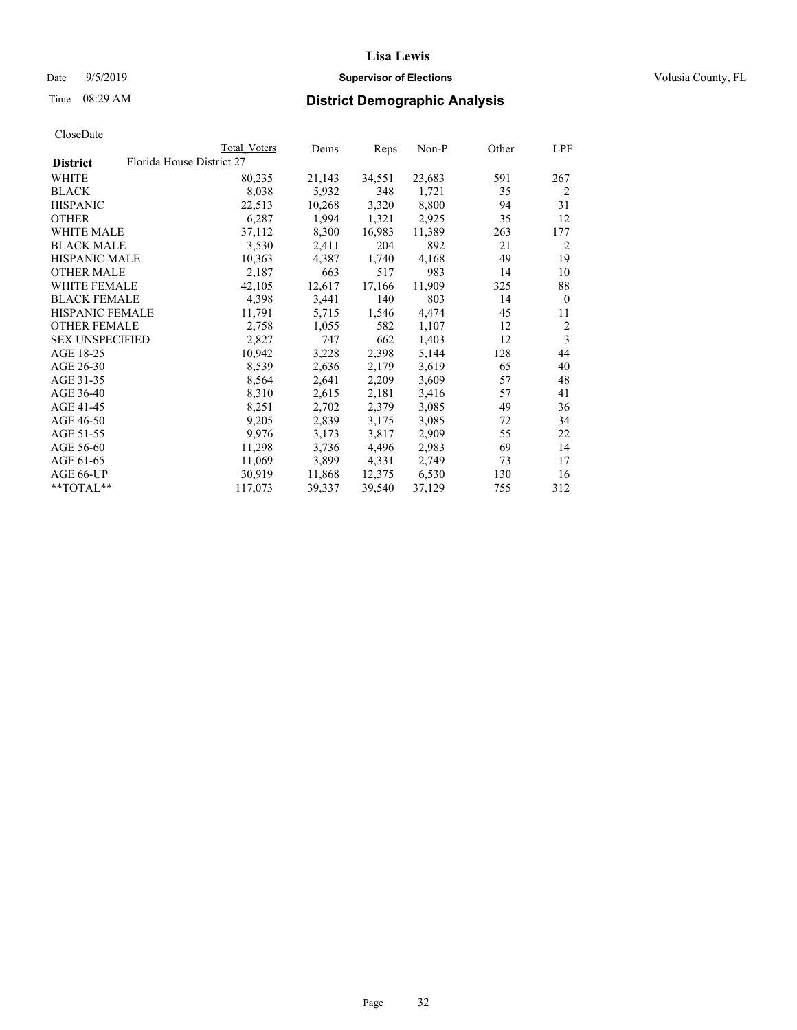## Date 9/5/2019 **Supervisor of Elections Supervisor of Elections** Volusia County, FL

|                        | Total Voters              | Dems   | Reps   | Non-P  | Other | LPF            |
|------------------------|---------------------------|--------|--------|--------|-------|----------------|
| <b>District</b>        | Florida House District 27 |        |        |        |       |                |
| WHITE                  | 80,235                    | 21,143 | 34,551 | 23,683 | 591   | 267            |
| BLACK                  | 8,038                     | 5,932  | 348    | 1,721  | 35    | $\overline{2}$ |
| <b>HISPANIC</b>        | 22,513                    | 10,268 | 3,320  | 8,800  | 94    | 31             |
| OTHER                  | 6,287                     | 1,994  | 1,321  | 2,925  | 35    | 12             |
| <b>WHITE MALE</b>      | 37,112                    | 8,300  | 16,983 | 11,389 | 263   | 177            |
| <b>BLACK MALE</b>      | 3,530                     | 2,411  | 204    | 892    | 21    | 2              |
| <b>HISPANIC MALE</b>   | 10,363                    | 4,387  | 1,740  | 4,168  | 49    | 19             |
| <b>OTHER MALE</b>      | 2,187                     | 663    | 517    | 983    | 14    | 10             |
| <b>WHITE FEMALE</b>    | 42,105                    | 12,617 | 17,166 | 11,909 | 325   | 88             |
| <b>BLACK FEMALE</b>    | 4,398                     | 3,441  | 140    | 803    | 14    | $\mathbf{0}$   |
| HISPANIC FEMALE        | 11,791                    | 5,715  | 1,546  | 4,474  | 45    | 11             |
| <b>OTHER FEMALE</b>    | 2,758                     | 1,055  | 582    | 1,107  | 12    | 2              |
| <b>SEX UNSPECIFIED</b> | 2,827                     | 747    | 662    | 1,403  | 12    | 3              |
| AGE 18-25              | 10,942                    | 3,228  | 2,398  | 5,144  | 128   | 44             |
| AGE 26-30              | 8,539                     | 2,636  | 2,179  | 3,619  | 65    | 40             |
| AGE 31-35              | 8,564                     | 2,641  | 2,209  | 3,609  | 57    | 48             |
| AGE 36-40              | 8,310                     | 2,615  | 2,181  | 3,416  | 57    | 41             |
| AGE 41-45              | 8,251                     | 2,702  | 2,379  | 3,085  | 49    | 36             |
| AGE 46-50              | 9,205                     | 2,839  | 3,175  | 3,085  | 72    | 34             |
| AGE 51-55              | 9,976                     | 3,173  | 3,817  | 2,909  | 55    | 22             |
| AGE 56-60              | 11,298                    | 3,736  | 4,496  | 2,983  | 69    | 14             |
| AGE 61-65              | 11,069                    | 3,899  | 4,331  | 2,749  | 73    | 17             |
| AGE 66-UP              | 30,919                    | 11,868 | 12,375 | 6,530  | 130   | 16             |
| **TOTAL**              | 117,073                   | 39,337 | 39,540 | 37,129 | 755   | 312            |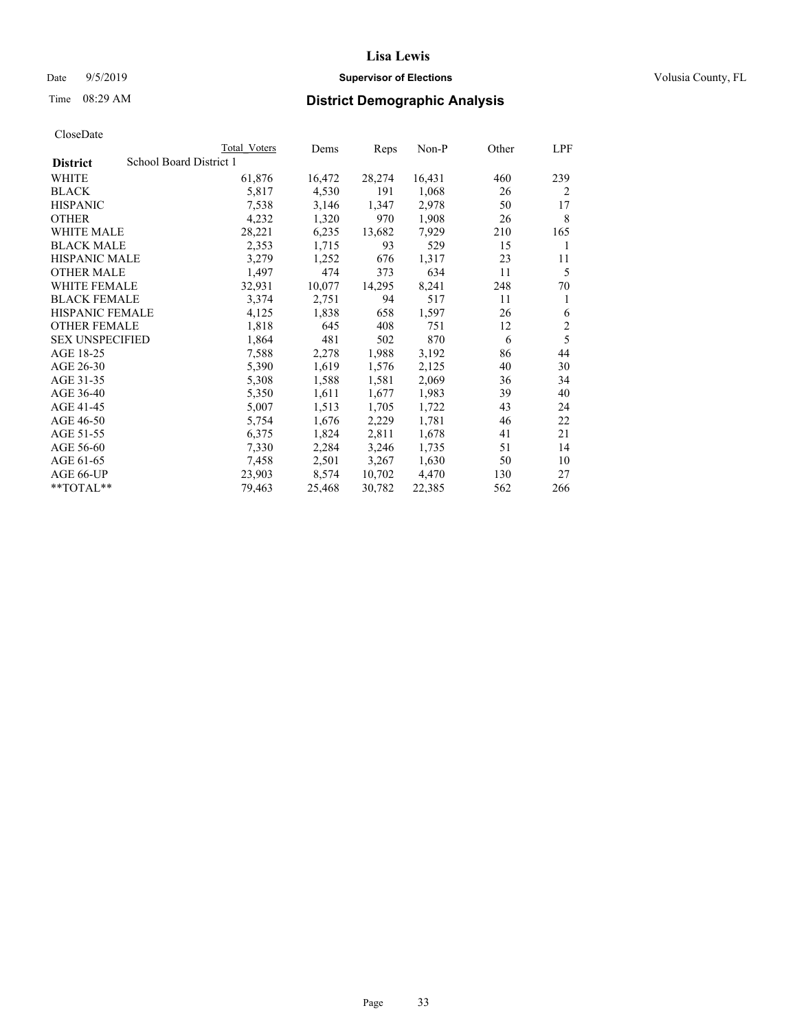#### Date  $9/5/2019$  **Supervisor of Elections Supervisor of Elections** Volusia County, FL

## Time 08:29 AM **District Demographic Analysis**

|                        |                         | Total Voters | Dems   | Reps   | Non-P  | Other | LPF            |
|------------------------|-------------------------|--------------|--------|--------|--------|-------|----------------|
| <b>District</b>        | School Board District 1 |              |        |        |        |       |                |
| WHITE                  |                         | 61,876       | 16,472 | 28,274 | 16,431 | 460   | 239            |
| <b>BLACK</b>           |                         | 5,817        | 4,530  | 191    | 1,068  | 26    | $\overline{2}$ |
| <b>HISPANIC</b>        |                         | 7,538        | 3,146  | 1,347  | 2,978  | 50    | 17             |
| <b>OTHER</b>           |                         | 4,232        | 1,320  | 970    | 1,908  | 26    | 8              |
| WHITE MALE             |                         | 28,221       | 6,235  | 13,682 | 7,929  | 210   | 165            |
| <b>BLACK MALE</b>      |                         | 2,353        | 1,715  | 93     | 529    | 15    | 1              |
| <b>HISPANIC MALE</b>   |                         | 3,279        | 1,252  | 676    | 1,317  | 23    | 11             |
| <b>OTHER MALE</b>      |                         | 1,497        | 474    | 373    | 634    | 11    | 5              |
| WHITE FEMALE           |                         | 32,931       | 10,077 | 14,295 | 8,241  | 248   | 70             |
| <b>BLACK FEMALE</b>    |                         | 3,374        | 2,751  | 94     | 517    | 11    | 1              |
| <b>HISPANIC FEMALE</b> |                         | 4,125        | 1,838  | 658    | 1,597  | 26    | 6              |
| <b>OTHER FEMALE</b>    |                         | 1,818        | 645    | 408    | 751    | 12    | $\mathfrak{2}$ |
| <b>SEX UNSPECIFIED</b> |                         | 1,864        | 481    | 502    | 870    | 6     | 5              |
| AGE 18-25              |                         | 7,588        | 2,278  | 1,988  | 3,192  | 86    | 44             |
| AGE 26-30              |                         | 5,390        | 1,619  | 1,576  | 2,125  | 40    | 30             |
| AGE 31-35              |                         | 5,308        | 1,588  | 1,581  | 2,069  | 36    | 34             |
| AGE 36-40              |                         | 5,350        | 1,611  | 1,677  | 1,983  | 39    | 40             |
| AGE 41-45              |                         | 5,007        | 1,513  | 1,705  | 1,722  | 43    | 24             |
| AGE 46-50              |                         | 5,754        | 1,676  | 2,229  | 1,781  | 46    | 22             |
| AGE 51-55              |                         | 6,375        | 1,824  | 2,811  | 1,678  | 41    | 21             |
| AGE 56-60              |                         | 7,330        | 2,284  | 3,246  | 1,735  | 51    | 14             |
| AGE 61-65              |                         | 7,458        | 2,501  | 3,267  | 1,630  | 50    | 10             |
| AGE 66-UP              |                         | 23,903       | 8,574  | 10,702 | 4,470  | 130   | 27             |
| $*$ $TOTAL**$          |                         | 79,463       | 25,468 | 30,782 | 22,385 | 562   | 266            |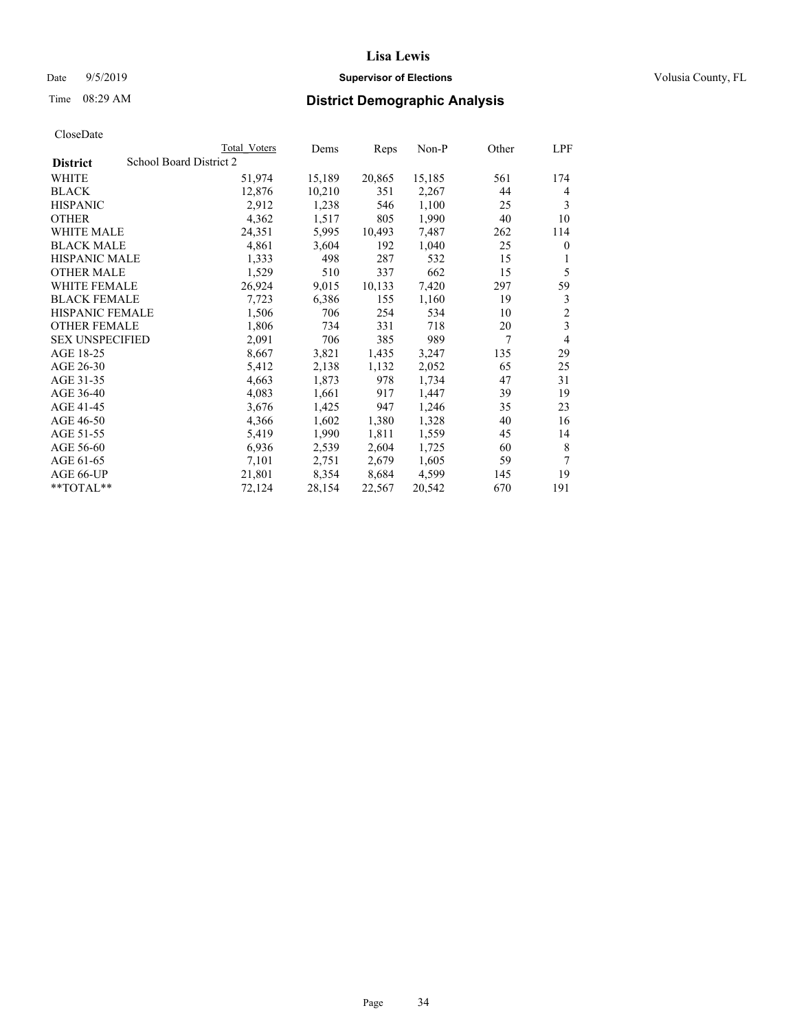## Date 9/5/2019 **Supervisor of Elections Supervisor of Elections** Volusia County, FL

# Time 08:29 AM **District Demographic Analysis**

|                        | Total Voters            | Dems   | Reps   | Non-P  | Other | LPF            |
|------------------------|-------------------------|--------|--------|--------|-------|----------------|
| <b>District</b>        | School Board District 2 |        |        |        |       |                |
| WHITE                  | 51,974                  | 15,189 | 20,865 | 15,185 | 561   | 174            |
| <b>BLACK</b>           | 12,876                  | 10,210 | 351    | 2,267  | 44    | 4              |
| <b>HISPANIC</b>        | 2,912                   | 1,238  | 546    | 1,100  | 25    | 3              |
| <b>OTHER</b>           | 4,362                   | 1,517  | 805    | 1,990  | 40    | 10             |
| WHITE MALE             | 24,351                  | 5,995  | 10,493 | 7,487  | 262   | 114            |
| <b>BLACK MALE</b>      | 4,861                   | 3,604  | 192    | 1,040  | 25    | $\theta$       |
| <b>HISPANIC MALE</b>   | 1,333                   | 498    | 287    | 532    | 15    | 1              |
| <b>OTHER MALE</b>      | 1,529                   | 510    | 337    | 662    | 15    | 5              |
| <b>WHITE FEMALE</b>    | 26,924                  | 9,015  | 10,133 | 7,420  | 297   | 59             |
| <b>BLACK FEMALE</b>    | 7,723                   | 6,386  | 155    | 1,160  | 19    | 3              |
| <b>HISPANIC FEMALE</b> | 1,506                   | 706    | 254    | 534    | 10    | $\overline{2}$ |
| <b>OTHER FEMALE</b>    | 1,806                   | 734    | 331    | 718    | 20    | 3              |
| <b>SEX UNSPECIFIED</b> | 2,091                   | 706    | 385    | 989    | 7     | 4              |
| AGE 18-25              | 8,667                   | 3,821  | 1,435  | 3,247  | 135   | 29             |
| AGE 26-30              | 5,412                   | 2,138  | 1,132  | 2,052  | 65    | 25             |
| AGE 31-35              | 4,663                   | 1,873  | 978    | 1,734  | 47    | 31             |
| AGE 36-40              | 4,083                   | 1,661  | 917    | 1,447  | 39    | 19             |
| AGE 41-45              | 3,676                   | 1,425  | 947    | 1,246  | 35    | 23             |
| AGE 46-50              | 4,366                   | 1,602  | 1,380  | 1,328  | 40    | 16             |
| AGE 51-55              | 5,419                   | 1,990  | 1,811  | 1,559  | 45    | 14             |
| AGE 56-60              | 6,936                   | 2,539  | 2,604  | 1,725  | 60    | 8              |
| AGE 61-65              | 7,101                   | 2,751  | 2,679  | 1,605  | 59    | 7              |
| AGE 66-UP              | 21,801                  | 8,354  | 8,684  | 4,599  | 145   | 19             |
| $*$ $TOTAL**$          | 72,124                  | 28,154 | 22,567 | 20,542 | 670   | 191            |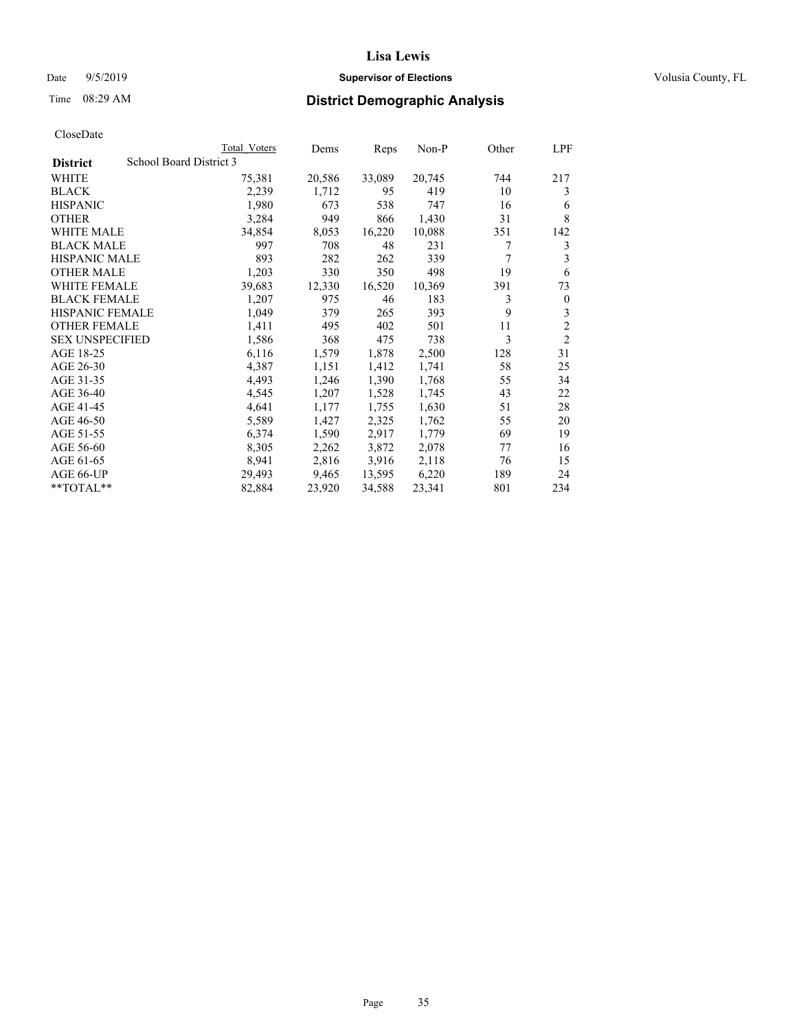## Date 9/5/2019 **Supervisor of Elections Supervisor of Elections** Volusia County, FL

# Time 08:29 AM **District Demographic Analysis**

|                        | Total Voters            | Dems   | Reps   | Non-P  | Other | LPF            |
|------------------------|-------------------------|--------|--------|--------|-------|----------------|
| <b>District</b>        | School Board District 3 |        |        |        |       |                |
| WHITE                  | 75,381                  | 20,586 | 33,089 | 20,745 | 744   | 217            |
| <b>BLACK</b>           | 2,239                   | 1,712  | 95     | 419    | 10    | 3              |
| <b>HISPANIC</b>        | 1,980                   | 673    | 538    | 747    | 16    | 6              |
| <b>OTHER</b>           | 3,284                   | 949    | 866    | 1,430  | 31    | 8              |
| WHITE MALE             | 34,854                  | 8,053  | 16,220 | 10,088 | 351   | 142            |
| <b>BLACK MALE</b>      | 997                     | 708    | 48     | 231    | 7     | 3              |
| <b>HISPANIC MALE</b>   | 893                     | 282    | 262    | 339    | 7     | 3              |
| <b>OTHER MALE</b>      | 1,203                   | 330    | 350    | 498    | 19    | 6              |
| WHITE FEMALE           | 39,683                  | 12,330 | 16,520 | 10,369 | 391   | 73             |
| <b>BLACK FEMALE</b>    | 1,207                   | 975    | 46     | 183    | 3     | $\mathbf{0}$   |
| <b>HISPANIC FEMALE</b> | 1,049                   | 379    | 265    | 393    | 9     | 3              |
| <b>OTHER FEMALE</b>    | 1,411                   | 495    | 402    | 501    | 11    | $\overline{c}$ |
| <b>SEX UNSPECIFIED</b> | 1,586                   | 368    | 475    | 738    | 3     | $\overline{2}$ |
| AGE 18-25              | 6,116                   | 1,579  | 1,878  | 2,500  | 128   | 31             |
| AGE 26-30              | 4,387                   | 1,151  | 1,412  | 1,741  | 58    | 25             |
| AGE 31-35              | 4,493                   | 1,246  | 1,390  | 1,768  | 55    | 34             |
| AGE 36-40              | 4,545                   | 1,207  | 1,528  | 1,745  | 43    | 22             |
| AGE 41-45              | 4,641                   | 1,177  | 1,755  | 1,630  | 51    | 28             |
| AGE 46-50              | 5,589                   | 1,427  | 2,325  | 1,762  | 55    | 20             |
| AGE 51-55              | 6,374                   | 1,590  | 2,917  | 1,779  | 69    | 19             |
| AGE 56-60              | 8,305                   | 2,262  | 3,872  | 2,078  | 77    | 16             |
| AGE 61-65              | 8,941                   | 2,816  | 3,916  | 2,118  | 76    | 15             |
| AGE 66-UP              | 29,493                  | 9,465  | 13,595 | 6,220  | 189   | 24             |
| $*$ $TOTAL**$          | 82,884                  | 23,920 | 34,588 | 23,341 | 801   | 234            |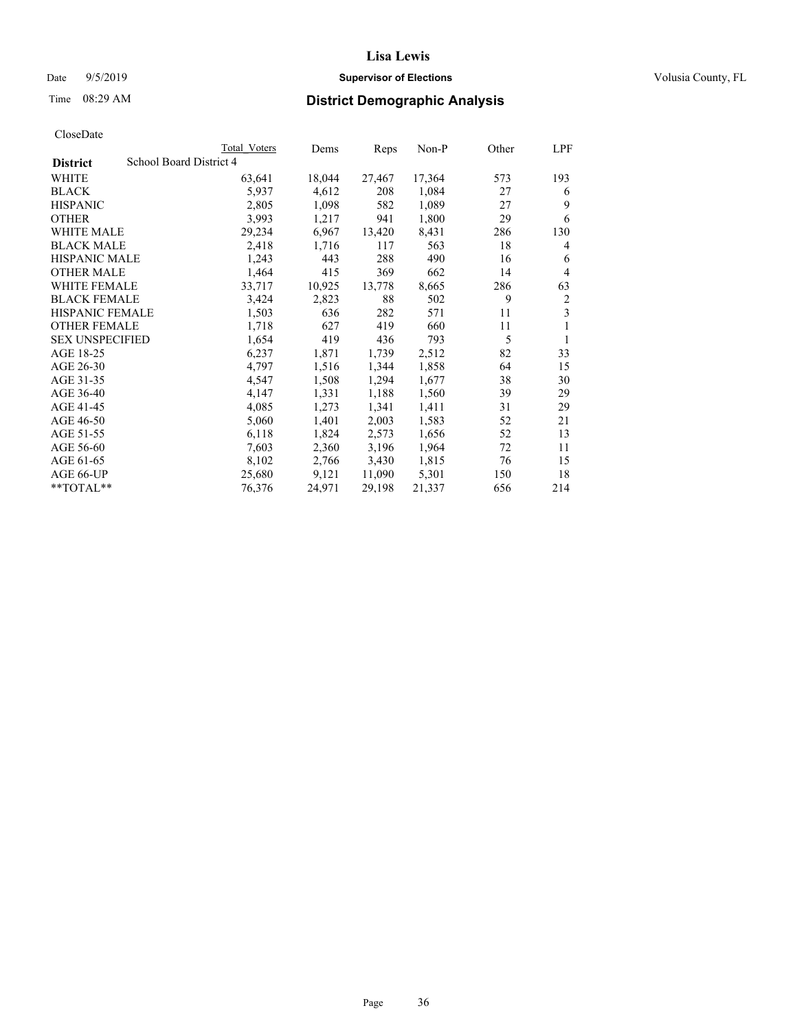## Date 9/5/2019 **Supervisor of Elections Supervisor of Elections** Volusia County, FL

## Time 08:29 AM **District Demographic Analysis**

|                        |                         | Total Voters | Dems   | Reps   | Non-P  | Other | LPF            |
|------------------------|-------------------------|--------------|--------|--------|--------|-------|----------------|
| <b>District</b>        | School Board District 4 |              |        |        |        |       |                |
| WHITE                  |                         | 63,641       | 18,044 | 27,467 | 17,364 | 573   | 193            |
| <b>BLACK</b>           |                         | 5,937        | 4,612  | 208    | 1,084  | 27    | 6              |
| <b>HISPANIC</b>        |                         | 2,805        | 1,098  | 582    | 1,089  | 27    | 9              |
| <b>OTHER</b>           |                         | 3,993        | 1,217  | 941    | 1,800  | 29    | 6              |
| WHITE MALE             |                         | 29,234       | 6,967  | 13,420 | 8,431  | 286   | 130            |
| <b>BLACK MALE</b>      |                         | 2,418        | 1,716  | 117    | 563    | 18    | 4              |
| <b>HISPANIC MALE</b>   |                         | 1,243        | 443    | 288    | 490    | 16    | 6              |
| <b>OTHER MALE</b>      |                         | 1,464        | 415    | 369    | 662    | 14    | 4              |
| <b>WHITE FEMALE</b>    |                         | 33,717       | 10,925 | 13,778 | 8,665  | 286   | 63             |
| <b>BLACK FEMALE</b>    |                         | 3,424        | 2,823  | 88     | 502    | 9     | $\overline{2}$ |
| <b>HISPANIC FEMALE</b> |                         | 1,503        | 636    | 282    | 571    | 11    | 3              |
| <b>OTHER FEMALE</b>    |                         | 1,718        | 627    | 419    | 660    | 11    | 1              |
| <b>SEX UNSPECIFIED</b> |                         | 1,654        | 419    | 436    | 793    | 5     | 1              |
| AGE 18-25              |                         | 6,237        | 1,871  | 1,739  | 2,512  | 82    | 33             |
| AGE 26-30              |                         | 4,797        | 1,516  | 1,344  | 1,858  | 64    | 15             |
| AGE 31-35              |                         | 4,547        | 1,508  | 1,294  | 1,677  | 38    | 30             |
| AGE 36-40              |                         | 4,147        | 1,331  | 1,188  | 1,560  | 39    | 29             |
| AGE 41-45              |                         | 4,085        | 1,273  | 1,341  | 1,411  | 31    | 29             |
| AGE 46-50              |                         | 5,060        | 1,401  | 2,003  | 1,583  | 52    | 21             |
| AGE 51-55              |                         | 6,118        | 1,824  | 2,573  | 1,656  | 52    | 13             |
| AGE 56-60              |                         | 7,603        | 2,360  | 3,196  | 1,964  | 72    | 11             |
| AGE 61-65              |                         | 8,102        | 2,766  | 3,430  | 1,815  | 76    | 15             |
| AGE 66-UP              |                         | 25,680       | 9,121  | 11,090 | 5,301  | 150   | 18             |
| $*$ $TOTAL**$          |                         | 76,376       | 24,971 | 29,198 | 21,337 | 656   | 214            |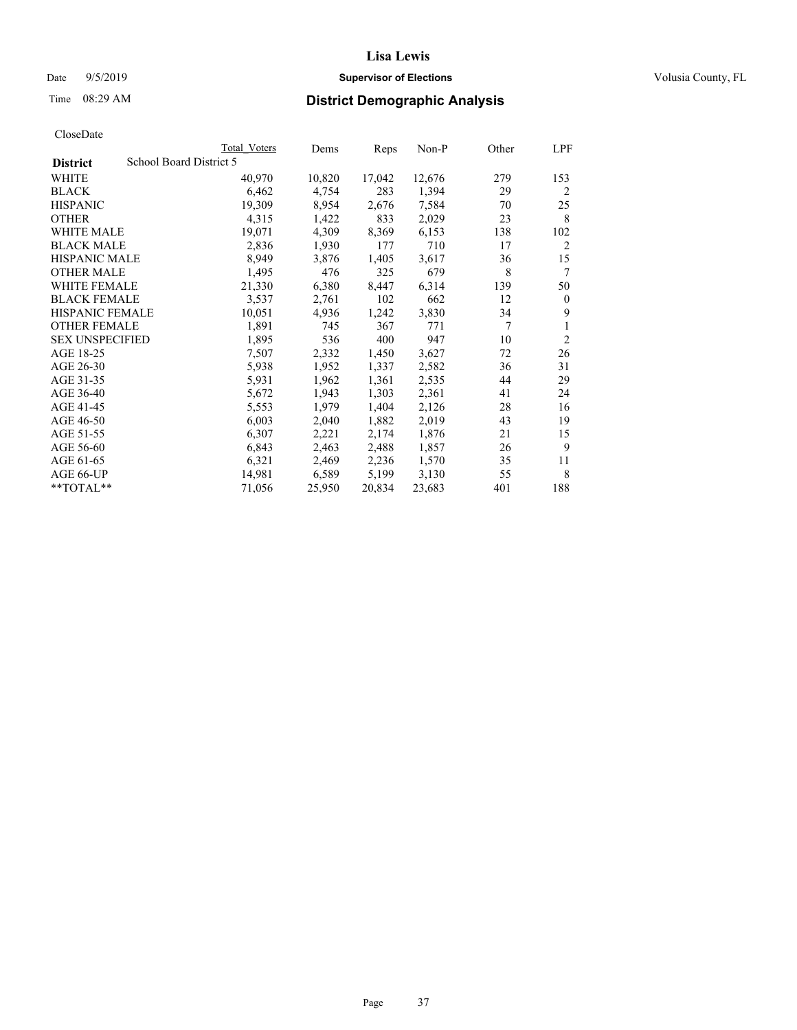# Date 9/5/2019 **Supervisor of Elections Supervisor of Elections** Volusia County, FL

# Time 08:29 AM **District Demographic Analysis**

|                        | Total Voters            | Dems   | Reps   | Non-P  | Other | LPF            |
|------------------------|-------------------------|--------|--------|--------|-------|----------------|
| <b>District</b>        | School Board District 5 |        |        |        |       |                |
| WHITE                  | 40,970                  | 10,820 | 17,042 | 12,676 | 279   | 153            |
| <b>BLACK</b>           | 6,462                   | 4,754  | 283    | 1,394  | 29    | $\overline{2}$ |
| <b>HISPANIC</b>        | 19,309                  | 8,954  | 2,676  | 7,584  | 70    | 25             |
| <b>OTHER</b>           | 4,315                   | 1,422  | 833    | 2,029  | 23    | 8              |
| WHITE MALE             | 19,071                  | 4,309  | 8,369  | 6,153  | 138   | 102            |
| <b>BLACK MALE</b>      | 2,836                   | 1,930  | 177    | 710    | 17    | 2              |
| <b>HISPANIC MALE</b>   | 8,949                   | 3,876  | 1,405  | 3,617  | 36    | 15             |
| <b>OTHER MALE</b>      | 1,495                   | 476    | 325    | 679    | 8     | 7              |
| WHITE FEMALE           | 21,330                  | 6,380  | 8,447  | 6,314  | 139   | 50             |
| <b>BLACK FEMALE</b>    | 3,537                   | 2,761  | 102    | 662    | 12    | $\theta$       |
| <b>HISPANIC FEMALE</b> | 10,051                  | 4,936  | 1,242  | 3,830  | 34    | 9              |
| <b>OTHER FEMALE</b>    | 1,891                   | 745    | 367    | 771    | 7     | 1              |
| <b>SEX UNSPECIFIED</b> | 1,895                   | 536    | 400    | 947    | 10    | $\overline{2}$ |
| AGE 18-25              | 7,507                   | 2,332  | 1,450  | 3,627  | 72    | 26             |
| AGE 26-30              | 5,938                   | 1,952  | 1,337  | 2,582  | 36    | 31             |
| AGE 31-35              | 5,931                   | 1,962  | 1,361  | 2,535  | 44    | 29             |
| AGE 36-40              | 5,672                   | 1,943  | 1,303  | 2,361  | 41    | 24             |
| AGE 41-45              | 5,553                   | 1,979  | 1,404  | 2,126  | 28    | 16             |
| AGE 46-50              | 6,003                   | 2,040  | 1,882  | 2,019  | 43    | 19             |
| AGE 51-55              | 6,307                   | 2,221  | 2,174  | 1,876  | 21    | 15             |
| AGE 56-60              | 6,843                   | 2,463  | 2,488  | 1,857  | 26    | 9              |
| AGE 61-65              | 6,321                   | 2,469  | 2,236  | 1,570  | 35    | 11             |
| AGE 66-UP              | 14,981                  | 6,589  | 5,199  | 3,130  | 55    | 8              |
| $*$ $TOTAL**$          | 71,056                  | 25,950 | 20,834 | 23,683 | 401   | 188            |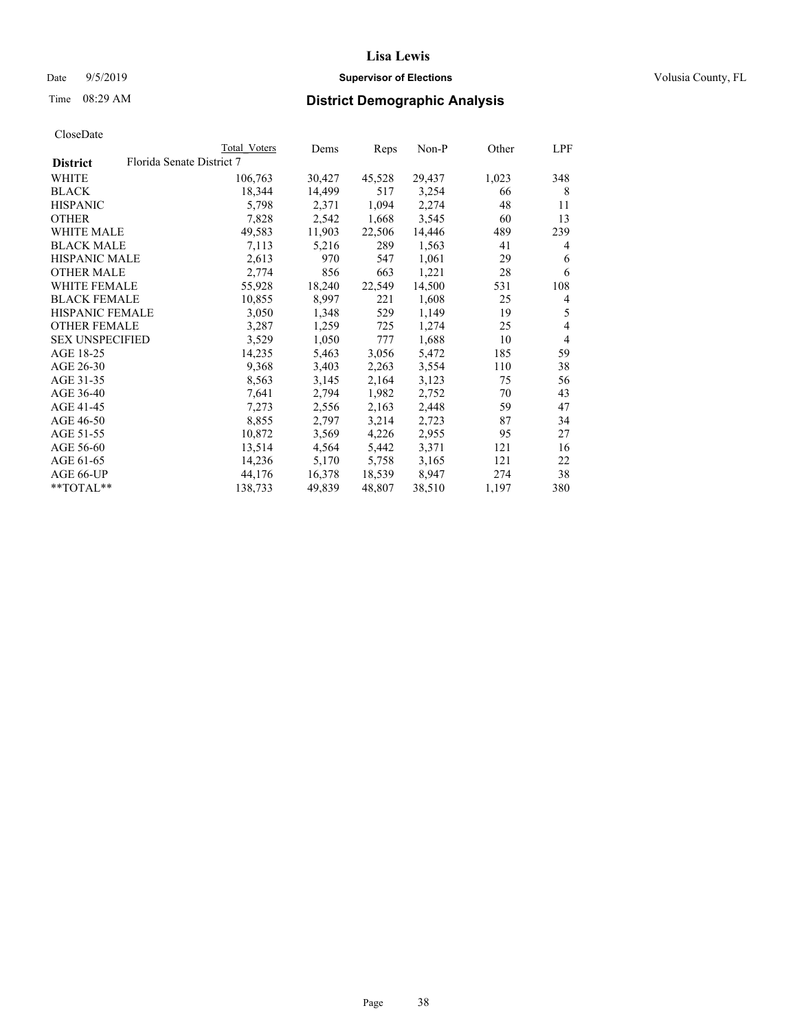## Date  $9/5/2019$  **Supervisor of Elections Supervisor of Elections** Volusia County, FL

# Time 08:29 AM **District Demographic Analysis**

|                        |                           | Total Voters | Dems   | Reps   | Non-P  | Other | LPF            |
|------------------------|---------------------------|--------------|--------|--------|--------|-------|----------------|
| <b>District</b>        | Florida Senate District 7 |              |        |        |        |       |                |
| WHITE                  |                           | 106,763      | 30,427 | 45,528 | 29,437 | 1,023 | 348            |
| <b>BLACK</b>           |                           | 18,344       | 14,499 | 517    | 3,254  | 66    | 8              |
| <b>HISPANIC</b>        |                           | 5,798        | 2,371  | 1,094  | 2,274  | 48    | 11             |
| <b>OTHER</b>           |                           | 7,828        | 2,542  | 1,668  | 3,545  | 60    | 13             |
| <b>WHITE MALE</b>      |                           | 49,583       | 11,903 | 22,506 | 14,446 | 489   | 239            |
| <b>BLACK MALE</b>      |                           | 7,113        | 5,216  | 289    | 1,563  | 41    | 4              |
| <b>HISPANIC MALE</b>   |                           | 2,613        | 970    | 547    | 1,061  | 29    | 6              |
| <b>OTHER MALE</b>      |                           | 2,774        | 856    | 663    | 1,221  | 28    | 6              |
| <b>WHITE FEMALE</b>    |                           | 55,928       | 18,240 | 22,549 | 14,500 | 531   | 108            |
| <b>BLACK FEMALE</b>    |                           | 10,855       | 8,997  | 221    | 1,608  | 25    | 4              |
| <b>HISPANIC FEMALE</b> |                           | 3,050        | 1,348  | 529    | 1,149  | 19    | 5              |
| <b>OTHER FEMALE</b>    |                           | 3,287        | 1,259  | 725    | 1,274  | 25    | $\overline{4}$ |
| <b>SEX UNSPECIFIED</b> |                           | 3,529        | 1,050  | 777    | 1,688  | 10    | $\overline{4}$ |
| AGE 18-25              |                           | 14,235       | 5,463  | 3,056  | 5,472  | 185   | 59             |
| AGE 26-30              |                           | 9,368        | 3,403  | 2,263  | 3,554  | 110   | 38             |
| AGE 31-35              |                           | 8,563        | 3,145  | 2,164  | 3,123  | 75    | 56             |
| AGE 36-40              |                           | 7,641        | 2,794  | 1,982  | 2,752  | 70    | 43             |
| AGE 41-45              |                           | 7,273        | 2,556  | 2,163  | 2,448  | 59    | 47             |
| AGE 46-50              |                           | 8,855        | 2,797  | 3,214  | 2,723  | 87    | 34             |
| AGE 51-55              |                           | 10,872       | 3,569  | 4,226  | 2,955  | 95    | 27             |
| AGE 56-60              |                           | 13,514       | 4,564  | 5,442  | 3,371  | 121   | 16             |
| AGE 61-65              |                           | 14,236       | 5,170  | 5,758  | 3,165  | 121   | 22             |
| AGE 66-UP              |                           | 44,176       | 16,378 | 18,539 | 8,947  | 274   | 38             |
| $*$ TOTAL $*$          |                           | 138,733      | 49,839 | 48,807 | 38,510 | 1,197 | 380            |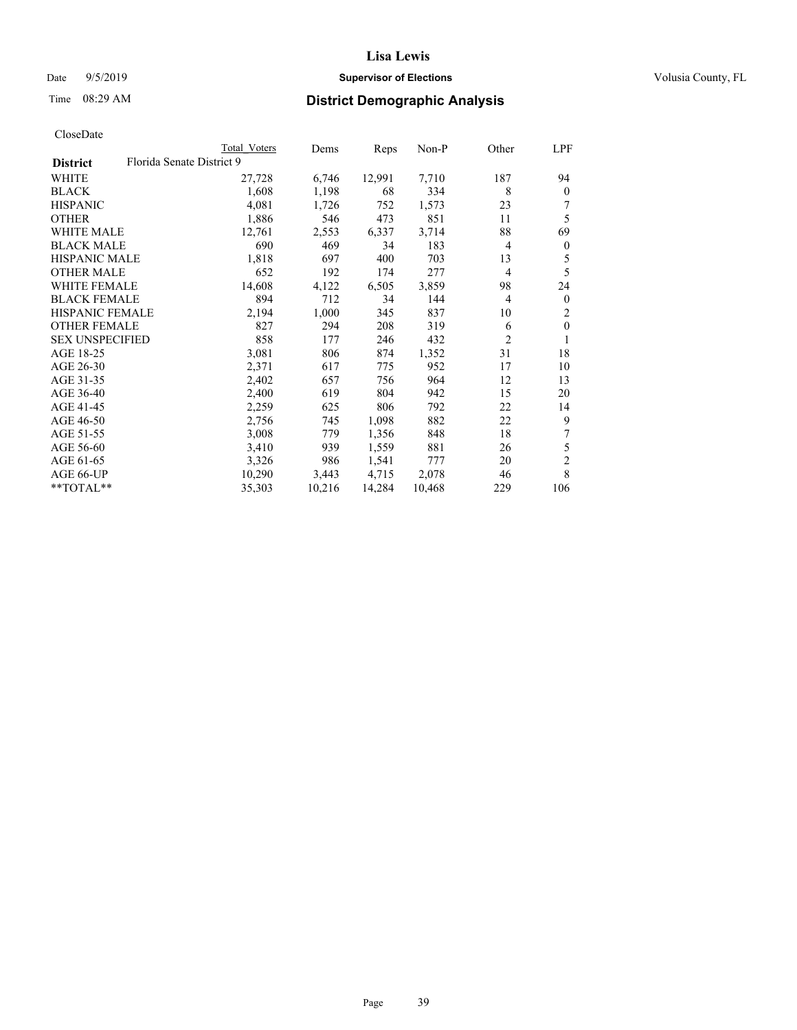# Date 9/5/2019 **Supervisor of Elections Supervisor of Elections** Volusia County, FL

# Time 08:29 AM **District Demographic Analysis**

|                        |                           | Total Voters | Dems   | Reps   | $Non-P$ | Other          | LPF            |
|------------------------|---------------------------|--------------|--------|--------|---------|----------------|----------------|
| <b>District</b>        | Florida Senate District 9 |              |        |        |         |                |                |
| WHITE                  |                           | 27,728       | 6,746  | 12,991 | 7,710   | 187            | 94             |
| <b>BLACK</b>           |                           | 1,608        | 1,198  | 68     | 334     | 8              | $\Omega$       |
| <b>HISPANIC</b>        |                           | 4,081        | 1,726  | 752    | 1,573   | 23             | 7              |
| <b>OTHER</b>           |                           | 1,886        | 546    | 473    | 851     | 11             | 5              |
| WHITE MALE             |                           | 12,761       | 2,553  | 6,337  | 3,714   | 88             | 69             |
| <b>BLACK MALE</b>      |                           | 690          | 469    | 34     | 183     | 4              | 0              |
| <b>HISPANIC MALE</b>   |                           | 1,818        | 697    | 400    | 703     | 13             | 5              |
| <b>OTHER MALE</b>      |                           | 652          | 192    | 174    | 277     | $\overline{4}$ | 5              |
| <b>WHITE FEMALE</b>    |                           | 14,608       | 4,122  | 6,505  | 3,859   | 98             | 24             |
| <b>BLACK FEMALE</b>    |                           | 894          | 712    | 34     | 144     | $\overline{4}$ | $\overline{0}$ |
| HISPANIC FEMALE        |                           | 2,194        | 1,000  | 345    | 837     | 10             | 2              |
| <b>OTHER FEMALE</b>    |                           | 827          | 294    | 208    | 319     | 6              | $\theta$       |
| <b>SEX UNSPECIFIED</b> |                           | 858          | 177    | 246    | 432     | $\overline{c}$ |                |
| AGE 18-25              |                           | 3,081        | 806    | 874    | 1,352   | 31             | 18             |
| AGE 26-30              |                           | 2,371        | 617    | 775    | 952     | 17             | 10             |
| AGE 31-35              |                           | 2,402        | 657    | 756    | 964     | 12             | 13             |
| AGE 36-40              |                           | 2,400        | 619    | 804    | 942     | 15             | 20             |
| AGE 41-45              |                           | 2,259        | 625    | 806    | 792     | 22             | 14             |
| AGE 46-50              |                           | 2,756        | 745    | 1,098  | 882     | 22             | 9              |
| AGE 51-55              |                           | 3,008        | 779    | 1,356  | 848     | 18             |                |
| AGE 56-60              |                           | 3,410        | 939    | 1,559  | 881     | 26             | 5              |
| AGE 61-65              |                           | 3,326        | 986    | 1,541  | 777     | 20             | $\overline{c}$ |
| AGE 66-UP              |                           | 10,290       | 3,443  | 4,715  | 2,078   | 46             | 8              |
| $*$ TOTAL $*$          |                           | 35,303       | 10,216 | 14,284 | 10,468  | 229            | 106            |
|                        |                           |              |        |        |         |                |                |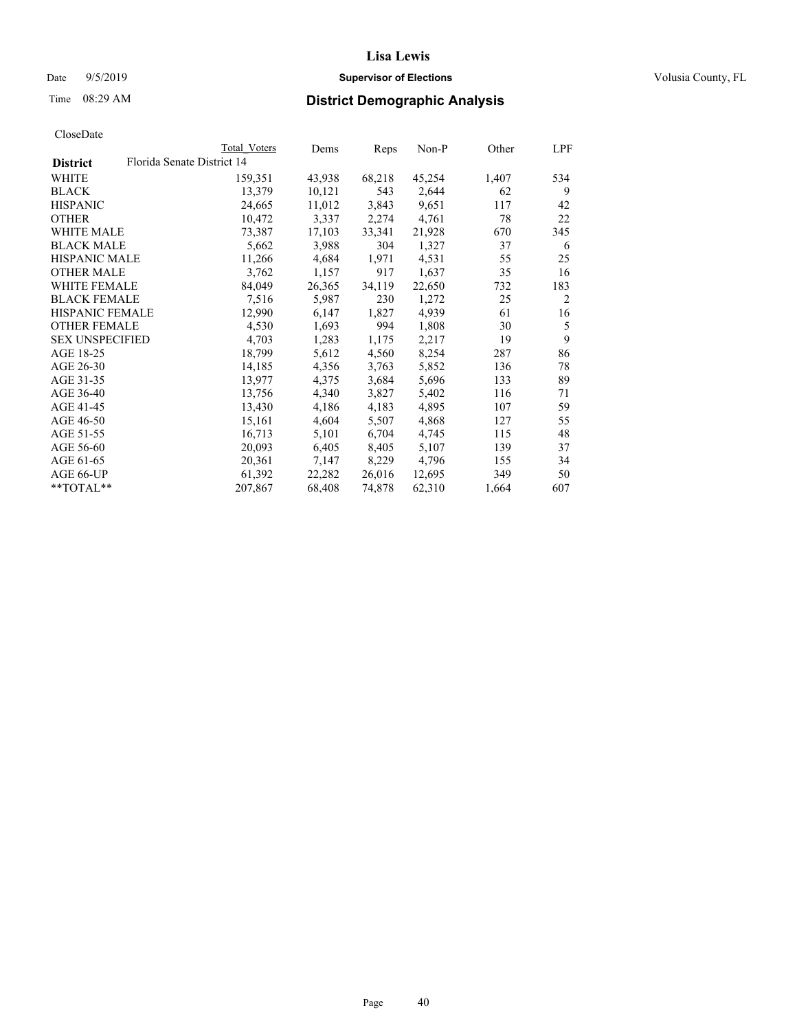# Date 9/5/2019 **Supervisor of Elections Supervisor of Elections** Volusia County, FL

# Time 08:29 AM **District Demographic Analysis**

| Florida Senate District 14<br><b>District</b><br>68,218<br>45,254<br>WHITE<br>159,351<br>43,938<br>1,407<br>13,379<br>2,644<br><b>BLACK</b><br>10,121<br>543<br>62<br>24,665<br>11,012<br>3,843<br>9,651<br><b>HISPANIC</b><br>117<br>2,274<br>78<br><b>OTHER</b><br>10,472<br>3,337<br>4,761 | 534<br>9<br>42<br>22 |
|-----------------------------------------------------------------------------------------------------------------------------------------------------------------------------------------------------------------------------------------------------------------------------------------------|----------------------|
|                                                                                                                                                                                                                                                                                               |                      |
|                                                                                                                                                                                                                                                                                               |                      |
|                                                                                                                                                                                                                                                                                               |                      |
|                                                                                                                                                                                                                                                                                               |                      |
|                                                                                                                                                                                                                                                                                               |                      |
| WHITE MALE<br>73,387<br>17,103<br>33,341<br>21,928<br>670                                                                                                                                                                                                                                     | 345                  |
| <b>BLACK MALE</b><br>5,662<br>304<br>1,327<br>3,988<br>37                                                                                                                                                                                                                                     | 6                    |
| <b>HISPANIC MALE</b><br>4,531<br>11,266<br>4,684<br>1,971<br>55                                                                                                                                                                                                                               | 25                   |
| <b>OTHER MALE</b><br>3,762<br>1,157<br>917<br>1,637<br>35                                                                                                                                                                                                                                     | 16                   |
| 84,049<br>WHITE FEMALE<br>26,365<br>34,119<br>22,650<br>732                                                                                                                                                                                                                                   | 183                  |
| <b>BLACK FEMALE</b><br>1,272<br>7,516<br>5,987<br>230<br>25                                                                                                                                                                                                                                   | $\overline{2}$       |
| HISPANIC FEMALE<br>12,990<br>1,827<br>4,939<br>6,147<br>61                                                                                                                                                                                                                                    | 16                   |
| <b>OTHER FEMALE</b><br>4,530<br>1,693<br>994<br>1,808<br>30                                                                                                                                                                                                                                   | 5                    |
| <b>SEX UNSPECIFIED</b><br>4,703<br>2,217<br>1,283<br>19<br>1,175                                                                                                                                                                                                                              | 9                    |
| AGE 18-25<br>18,799<br>5,612<br>8,254<br>4,560<br>287                                                                                                                                                                                                                                         | 86                   |
| AGE 26-30<br>14,185<br>4,356<br>3,763<br>5,852<br>136                                                                                                                                                                                                                                         | 78                   |
| 5,696<br>AGE 31-35<br>13,977<br>3,684<br>133<br>4,375                                                                                                                                                                                                                                         | 89                   |
| AGE 36-40<br>13,756<br>4,340<br>3,827<br>5,402<br>116                                                                                                                                                                                                                                         | 71                   |
| AGE 41-45<br>13,430<br>4,186<br>4,183<br>4,895<br>107                                                                                                                                                                                                                                         | 59                   |
| AGE 46-50<br>4,868<br>15,161<br>4,604<br>127<br>5,507                                                                                                                                                                                                                                         | 55                   |
| AGE 51-55<br>16,713<br>6,704<br>5,101<br>4,745<br>115                                                                                                                                                                                                                                         | 48                   |
| AGE 56-60<br>20,093<br>8,405<br>5,107<br>139<br>6,405                                                                                                                                                                                                                                         | 37                   |
| AGE 61-65<br>20,361<br>8,229<br>4,796<br>7,147<br>155                                                                                                                                                                                                                                         | 34                   |
| 26,016<br>AGE 66-UP<br>61,392<br>22,282<br>12,695<br>349                                                                                                                                                                                                                                      | 50                   |
| $*$ TOTAL $*$<br>207,867<br>68,408<br>74,878<br>62,310<br>1,664                                                                                                                                                                                                                               | 607                  |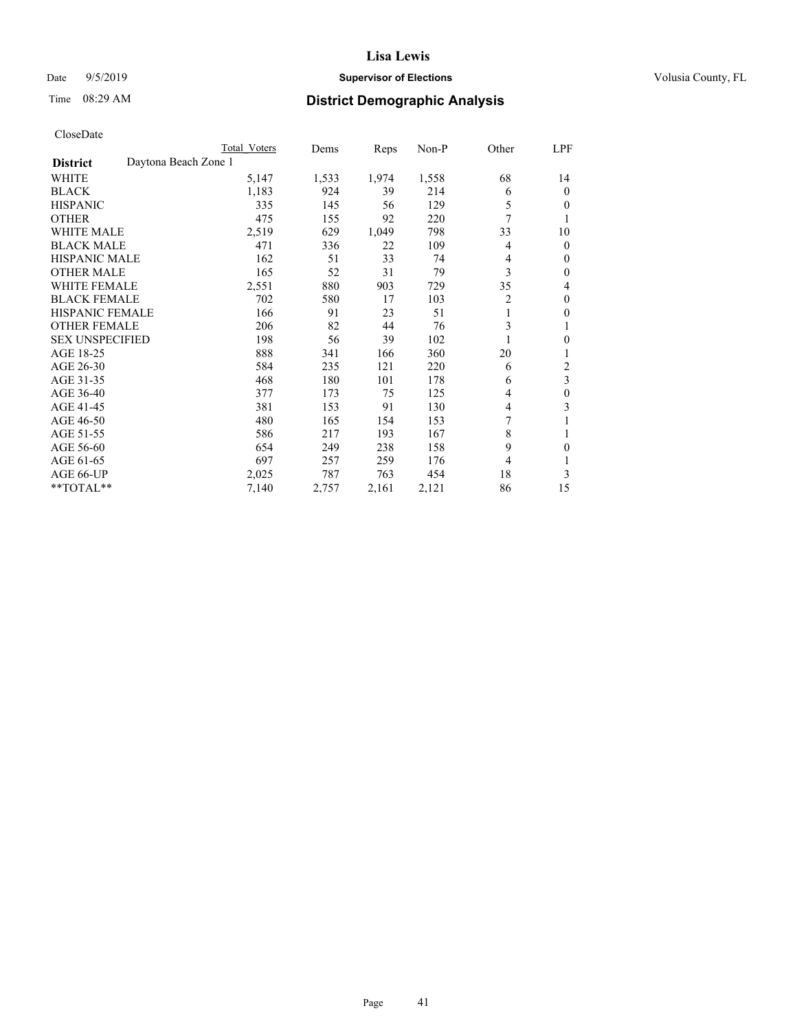# Date 9/5/2019 **Supervisor of Elections Supervisor of Elections** Volusia County, FL

# Time 08:29 AM **District Demographic Analysis**

|                        | Total Voters         | Dems  | Reps  | Non-P | Other          | LPF          |
|------------------------|----------------------|-------|-------|-------|----------------|--------------|
| <b>District</b>        | Daytona Beach Zone 1 |       |       |       |                |              |
| WHITE                  | 5,147                | 1,533 | 1,974 | 1,558 | 68             | 14           |
| <b>BLACK</b>           | 1,183                | 924   | 39    | 214   | 6              | $\mathbf{0}$ |
| <b>HISPANIC</b>        | 335                  | 145   | 56    | 129   | 5              | $\Omega$     |
| <b>OTHER</b>           | 475                  | 155   | 92    | 220   | 7              |              |
| <b>WHITE MALE</b>      | 2,519                | 629   | 1,049 | 798   | 33             | 10           |
| <b>BLACK MALE</b>      | 471                  | 336   | 22    | 109   | 4              | $\theta$     |
| <b>HISPANIC MALE</b>   | 162                  | 51    | 33    | 74    | 4              | $\mathbf{0}$ |
| <b>OTHER MALE</b>      | 165                  | 52    | 31    | 79    | 3              | $\mathbf{0}$ |
| <b>WHITE FEMALE</b>    | 2,551                | 880   | 903   | 729   | 35             | 4            |
| <b>BLACK FEMALE</b>    | 702                  | 580   | 17    | 103   | $\overline{2}$ | $\mathbf{0}$ |
| <b>HISPANIC FEMALE</b> | 166                  | 91    | 23    | 51    | 1              | $\theta$     |
| <b>OTHER FEMALE</b>    | 206                  | 82    | 44    | 76    | 3              |              |
| <b>SEX UNSPECIFIED</b> | 198                  | 56    | 39    | 102   |                | $\theta$     |
| AGE 18-25              | 888                  | 341   | 166   | 360   | 20             |              |
| AGE 26-30              | 584                  | 235   | 121   | 220   | 6              | 2            |
| AGE 31-35              | 468                  | 180   | 101   | 178   | 6              | 3            |
| AGE 36-40              | 377                  | 173   | 75    | 125   | 4              | $\theta$     |
| AGE 41-45              | 381                  | 153   | 91    | 130   | $\overline{4}$ | 3            |
| AGE 46-50              | 480                  | 165   | 154   | 153   |                |              |
| AGE 51-55              | 586                  | 217   | 193   | 167   | 8              |              |
| AGE 56-60              | 654                  | 249   | 238   | 158   | 9              | 0            |
| AGE 61-65              | 697                  | 257   | 259   | 176   | 4              | 1            |
| AGE 66-UP              | 2,025                | 787   | 763   | 454   | 18             | 3            |
| **TOTAL**              | 7,140                | 2,757 | 2,161 | 2,121 | 86             | 15           |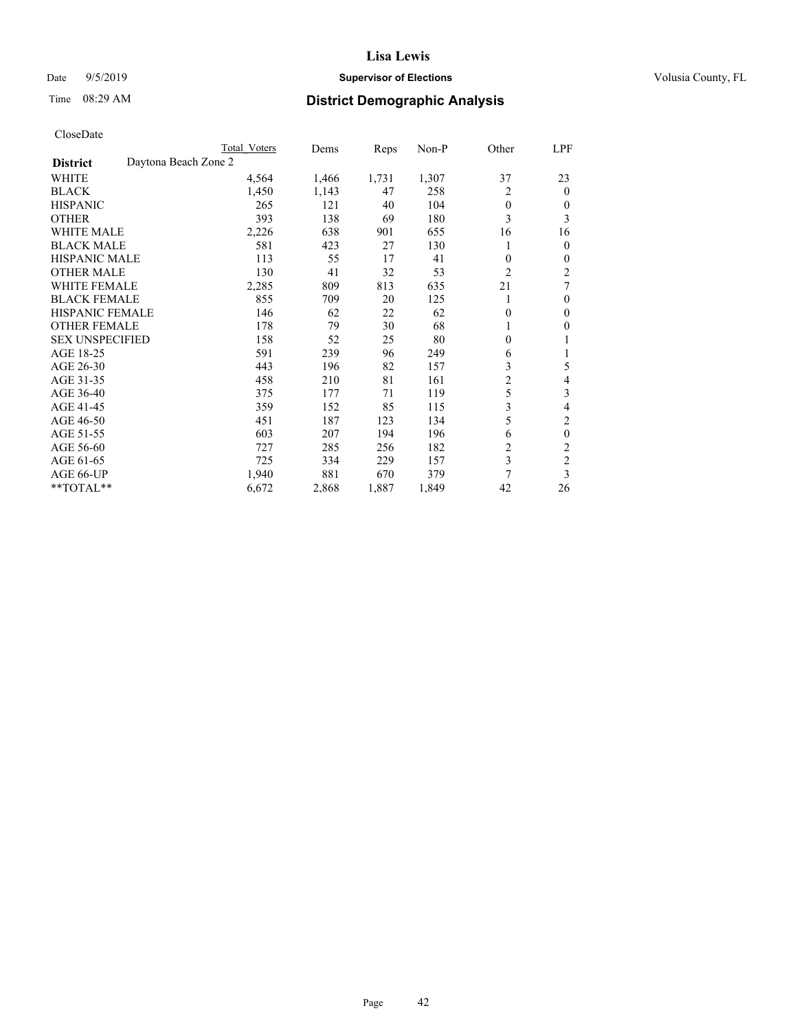# Date 9/5/2019 **Supervisor of Elections Supervisor of Elections** Volusia County, FL

# Time 08:29 AM **District Demographic Analysis**

|                        | Total Voters         | Dems  | Reps  | Non-P | Other          | LPF            |
|------------------------|----------------------|-------|-------|-------|----------------|----------------|
| <b>District</b>        | Daytona Beach Zone 2 |       |       |       |                |                |
| WHITE                  | 4,564                | 1,466 | 1,731 | 1,307 | 37             | 23             |
| <b>BLACK</b>           | 1,450                | 1,143 | 47    | 258   | 2              | $\Omega$       |
| <b>HISPANIC</b>        | 265                  | 121   | 40    | 104   | $\theta$       | $_{0}$         |
| <b>OTHER</b>           | 393                  | 138   | 69    | 180   | 3              | 3              |
| WHITE MALE             | 2,226                | 638   | 901   | 655   | 16             | 16             |
| <b>BLACK MALE</b>      | 581                  | 423   | 27    | 130   |                | 0              |
| <b>HISPANIC MALE</b>   | 113                  | 55    | 17    | 41    | $\theta$       | 0              |
| <b>OTHER MALE</b>      | 130                  | 41    | 32    | 53    | $\overline{2}$ | 2              |
| <b>WHITE FEMALE</b>    | 2,285                | 809   | 813   | 635   | 21             | 7              |
| <b>BLACK FEMALE</b>    | 855                  | 709   | 20    | 125   | 1              | 0              |
| <b>HISPANIC FEMALE</b> | 146                  | 62    | 22    | 62    | $\theta$       | 0              |
| <b>OTHER FEMALE</b>    | 178                  | 79    | 30    | 68    |                | 0              |
| <b>SEX UNSPECIFIED</b> | 158                  | 52    | 25    | 80    | $\theta$       |                |
| AGE 18-25              | 591                  | 239   | 96    | 249   | 6              |                |
| AGE 26-30              | 443                  | 196   | 82    | 157   | 3              | 5              |
| AGE 31-35              | 458                  | 210   | 81    | 161   | $\overline{c}$ | 4              |
| AGE 36-40              | 375                  | 177   | 71    | 119   | 5              | 3              |
| AGE 41-45              | 359                  | 152   | 85    | 115   | 3              | 4              |
| AGE 46-50              | 451                  | 187   | 123   | 134   | 5              | 2              |
| AGE 51-55              | 603                  | 207   | 194   | 196   | 6              | 0              |
| AGE 56-60              | 727                  | 285   | 256   | 182   | $\overline{c}$ | $\overline{c}$ |
| AGE 61-65              | 725                  | 334   | 229   | 157   | 3              | 2              |
| AGE 66-UP              | 1,940                | 881   | 670   | 379   | 7              | 3              |
| **TOTAL**              | 6,672                | 2,868 | 1,887 | 1,849 | 42             | 26             |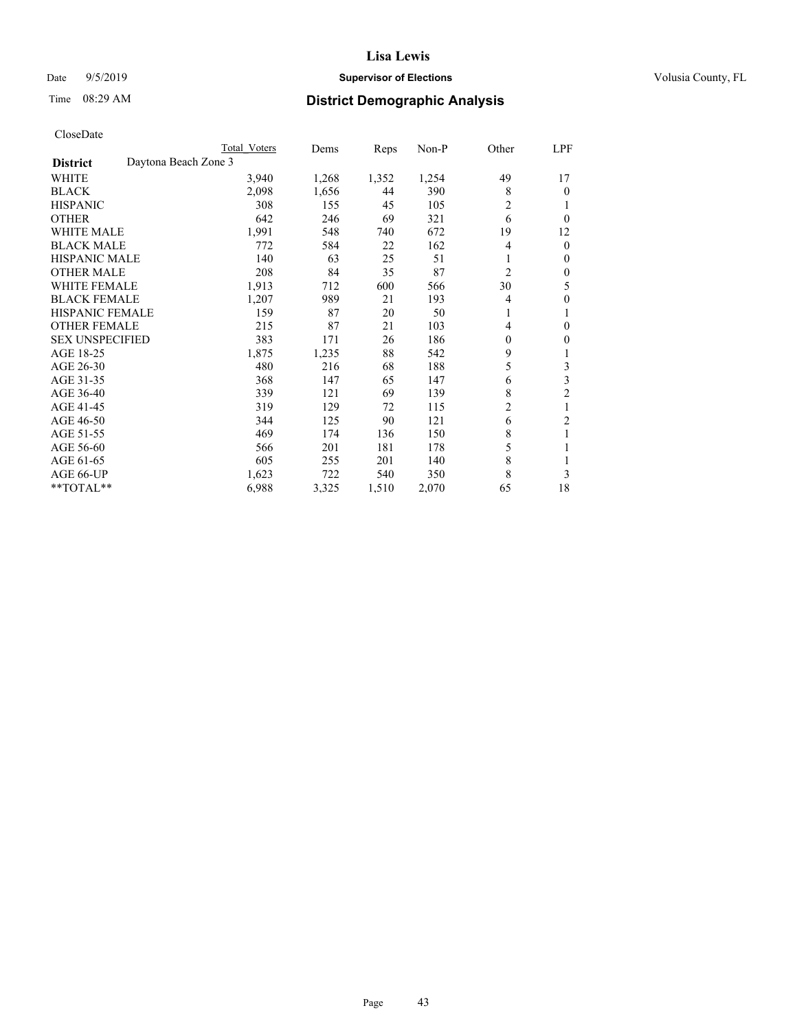# Date 9/5/2019 **Supervisor of Elections Supervisor of Elections** Volusia County, FL

# Time 08:29 AM **District Demographic Analysis**

|                                         | Total Voters | Dems  | Reps  | $Non-P$ | Other          | LPF            |
|-----------------------------------------|--------------|-------|-------|---------|----------------|----------------|
| Daytona Beach Zone 3<br><b>District</b> |              |       |       |         |                |                |
| WHITE                                   | 3,940        | 1,268 | 1,352 | 1,254   | 49             | 17             |
| <b>BLACK</b>                            | 2,098        | 1,656 | 44    | 390     | 8              | $\theta$       |
| <b>HISPANIC</b>                         | 308          | 155   | 45    | 105     | $\overline{2}$ | 1              |
| <b>OTHER</b>                            | 642          | 246   | 69    | 321     | 6              | $\theta$       |
| <b>WHITE MALE</b>                       | 1,991        | 548   | 740   | 672     | 19             | 12             |
| <b>BLACK MALE</b>                       | 772          | 584   | 22    | 162     | 4              | $\mathbf{0}$   |
| <b>HISPANIC MALE</b>                    | 140          | 63    | 25    | 51      | 1              | $\mathbf{0}$   |
| <b>OTHER MALE</b>                       | 208          | 84    | 35    | 87      | $\overline{2}$ | $\theta$       |
| <b>WHITE FEMALE</b>                     | 1,913        | 712   | 600   | 566     | 30             | 5              |
| <b>BLACK FEMALE</b>                     | 1,207        | 989   | 21    | 193     | 4              | $\mathbf{0}$   |
| <b>HISPANIC FEMALE</b>                  | 159          | 87    | 20    | 50      | 1              | 1              |
| <b>OTHER FEMALE</b>                     | 215          | 87    | 21    | 103     | 4              | $\theta$       |
| <b>SEX UNSPECIFIED</b>                  | 383          | 171   | 26    | 186     | $\theta$       | $\theta$       |
| AGE 18-25                               | 1,875        | 1,235 | 88    | 542     | 9              | 1              |
| AGE 26-30                               | 480          | 216   | 68    | 188     | 5              | 3              |
| AGE 31-35                               | 368          | 147   | 65    | 147     | 6              | 3              |
| AGE 36-40                               | 339          | 121   | 69    | 139     | 8              | $\overline{2}$ |
| AGE 41-45                               | 319          | 129   | 72    | 115     | $\overline{c}$ | 1              |
| AGE 46-50                               | 344          | 125   | 90    | 121     | 6              | $\overline{2}$ |
| AGE 51-55                               | 469          | 174   | 136   | 150     | 8              | 1              |
| AGE 56-60                               | 566          | 201   | 181   | 178     | 5              | 1              |
| AGE 61-65                               | 605          | 255   | 201   | 140     | 8              |                |
| AGE 66-UP                               | 1,623        | 722   | 540   | 350     | 8              | 3              |
| **TOTAL**                               | 6,988        | 3,325 | 1,510 | 2,070   | 65             | 18             |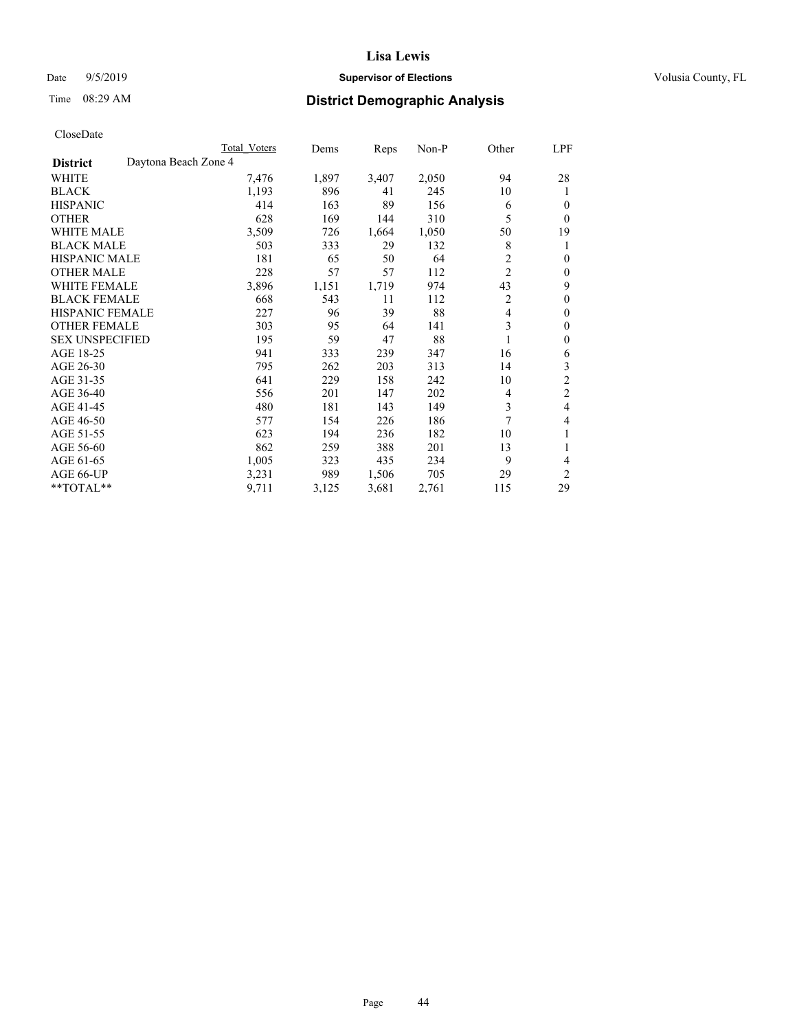# Date 9/5/2019 **Supervisor of Elections Supervisor of Elections** Volusia County, FL

# Time 08:29 AM **District Demographic Analysis**

|                        |                      | Total Voters | Dems  | Reps  | Non-P | Other          | LPF            |
|------------------------|----------------------|--------------|-------|-------|-------|----------------|----------------|
| <b>District</b>        | Daytona Beach Zone 4 |              |       |       |       |                |                |
| WHITE                  |                      | 7,476        | 1,897 | 3,407 | 2,050 | 94             | 28             |
| <b>BLACK</b>           |                      | 1,193        | 896   | 41    | 245   | 10             | 1              |
| <b>HISPANIC</b>        |                      | 414          | 163   | 89    | 156   | 6              | $\Omega$       |
| <b>OTHER</b>           |                      | 628          | 169   | 144   | 310   | 5              | 0              |
| <b>WHITE MALE</b>      |                      | 3,509        | 726   | 1,664 | 1,050 | 50             | 19             |
| <b>BLACK MALE</b>      |                      | 503          | 333   | 29    | 132   | 8              | 1              |
| <b>HISPANIC MALE</b>   |                      | 181          | 65    | 50    | 64    | $\overline{2}$ | $\theta$       |
| <b>OTHER MALE</b>      |                      | 228          | 57    | 57    | 112   | $\overline{c}$ | $\mathbf{0}$   |
| <b>WHITE FEMALE</b>    |                      | 3,896        | 1,151 | 1,719 | 974   | 43             | 9              |
| <b>BLACK FEMALE</b>    |                      | 668          | 543   | 11    | 112   | 2              | $\theta$       |
| <b>HISPANIC FEMALE</b> |                      | 227          | 96    | 39    | 88    | 4              | $\theta$       |
| <b>OTHER FEMALE</b>    |                      | 303          | 95    | 64    | 141   | 3              | $\theta$       |
| <b>SEX UNSPECIFIED</b> |                      | 195          | 59    | 47    | 88    |                | $\theta$       |
| AGE 18-25              |                      | 941          | 333   | 239   | 347   | 16             | 6              |
| AGE 26-30              |                      | 795          | 262   | 203   | 313   | 14             | 3              |
| AGE 31-35              |                      | 641          | 229   | 158   | 242   | 10             | $\overline{c}$ |
| AGE 36-40              |                      | 556          | 201   | 147   | 202   | 4              | 2              |
| AGE 41-45              |                      | 480          | 181   | 143   | 149   | 3              | 4              |
| AGE 46-50              |                      | 577          | 154   | 226   | 186   | 7              | 4              |
| AGE 51-55              |                      | 623          | 194   | 236   | 182   | 10             | 1              |
| AGE 56-60              |                      | 862          | 259   | 388   | 201   | 13             |                |
| AGE 61-65              |                      | 1,005        | 323   | 435   | 234   | 9              | 4              |
| AGE 66-UP              |                      | 3,231        | 989   | 1,506 | 705   | 29             | $\overline{c}$ |
| **TOTAL**              |                      | 9,711        | 3,125 | 3,681 | 2,761 | 115            | 29             |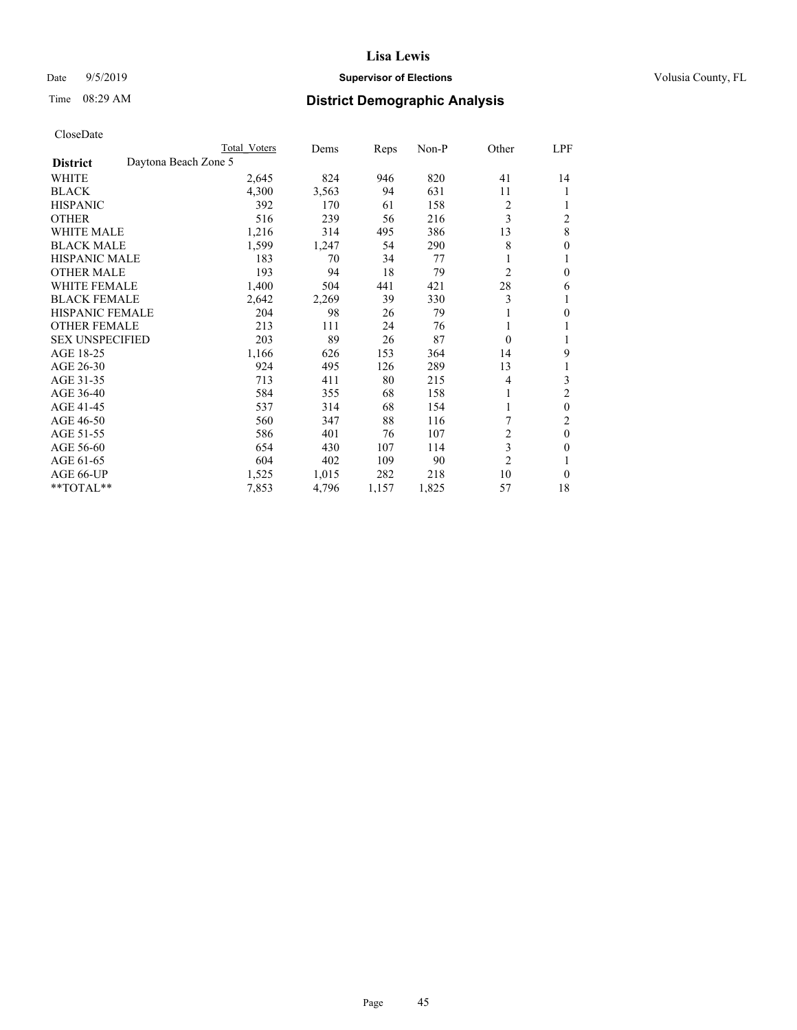# Date 9/5/2019 **Supervisor of Elections Supervisor of Elections** Volusia County, FL

# Time 08:29 AM **District Demographic Analysis**

|                                         | Total Voters | Dems  | Reps  | $Non-P$ | Other          | <u>LPF</u>     |
|-----------------------------------------|--------------|-------|-------|---------|----------------|----------------|
| Daytona Beach Zone 5<br><b>District</b> |              |       |       |         |                |                |
| WHITE                                   | 2,645        | 824   | 946   | 820     | 41             | 14             |
| <b>BLACK</b>                            | 4,300        | 3,563 | 94    | 631     | 11             |                |
| <b>HISPANIC</b>                         | 392          | 170   | 61    | 158     | 2              |                |
| <b>OTHER</b>                            | 516          | 239   | 56    | 216     | 3              | $\overline{2}$ |
| <b>WHITE MALE</b>                       | 1,216        | 314   | 495   | 386     | 13             | 8              |
| <b>BLACK MALE</b>                       | 1,599        | 1,247 | 54    | 290     | 8              | 0              |
| <b>HISPANIC MALE</b>                    | 183          | 70    | 34    | 77      | 1              |                |
| <b>OTHER MALE</b>                       | 193          | 94    | 18    | 79      | 2              | $\theta$       |
| WHITE FEMALE                            | 1,400        | 504   | 441   | 421     | 28             | 6              |
| <b>BLACK FEMALE</b>                     | 2,642        | 2,269 | 39    | 330     | 3              |                |
| <b>HISPANIC FEMALE</b>                  | 204          | 98    | 26    | 79      | 1              | 0              |
| <b>OTHER FEMALE</b>                     | 213          | 111   | 24    | 76      | 1              |                |
| <b>SEX UNSPECIFIED</b>                  | 203          | 89    | 26    | 87      | $\theta$       |                |
| AGE 18-25                               | 1,166        | 626   | 153   | 364     | 14             | 9              |
| AGE 26-30                               | 924          | 495   | 126   | 289     | 13             |                |
| AGE 31-35                               | 713          | 411   | 80    | 215     | 4              | 3              |
| AGE 36-40                               | 584          | 355   | 68    | 158     | 1              | $\overline{2}$ |
| AGE 41-45                               | 537          | 314   | 68    | 154     | 1              | $\theta$       |
| AGE 46-50                               | 560          | 347   | 88    | 116     | 7              | 2              |
| AGE 51-55                               | 586          | 401   | 76    | 107     | $\overline{2}$ | $\mathbf{0}$   |
| AGE 56-60                               | 654          | 430   | 107   | 114     | 3              | 0              |
| AGE 61-65                               | 604          | 402   | 109   | 90      | $\overline{2}$ |                |
| AGE 66-UP                               | 1,525        | 1,015 | 282   | 218     | 10             | $\theta$       |
| $*$ TOTAL $*$                           | 7,853        | 4,796 | 1,157 | 1,825   | 57             | 18             |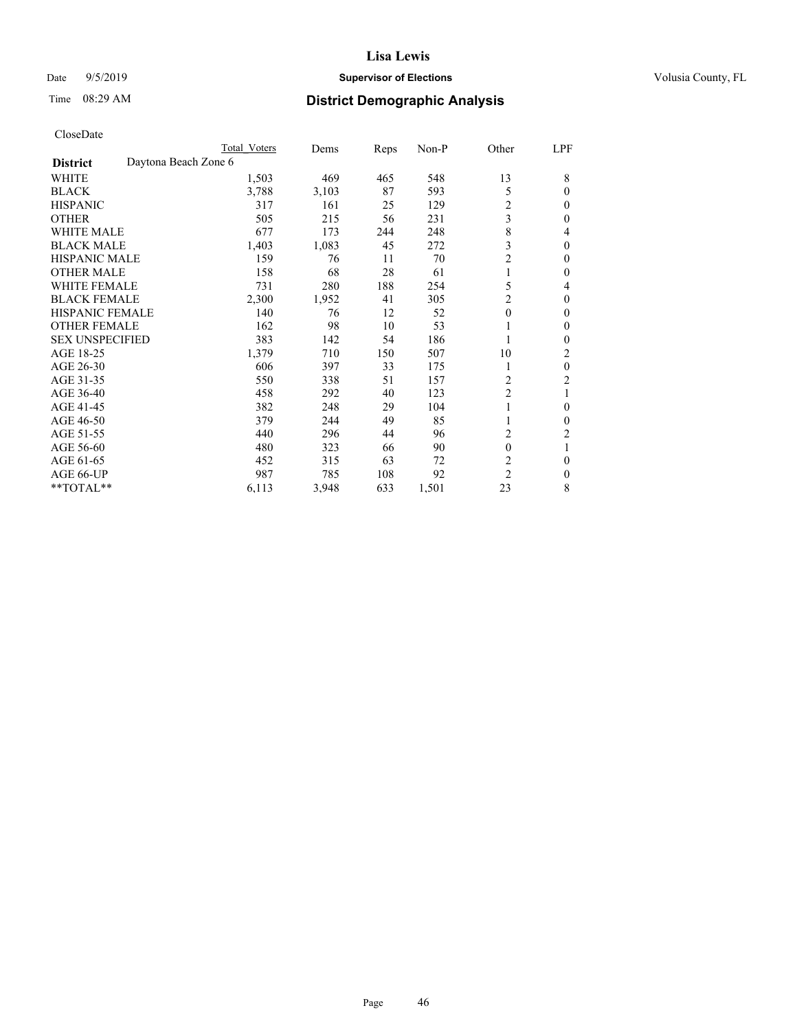# Date 9/5/2019 **Supervisor of Elections Supervisor of Elections** Volusia County, FL

# Time 08:29 AM **District Demographic Analysis**

|                                         | Total Voters | Dems  | Reps | Non-P | Other          | LPF          |
|-----------------------------------------|--------------|-------|------|-------|----------------|--------------|
| Daytona Beach Zone 6<br><b>District</b> |              |       |      |       |                |              |
| <b>WHITE</b>                            | 1,503        | 469   | 465  | 548   | 13             | 8            |
| <b>BLACK</b>                            | 3,788        | 3,103 | 87   | 593   | 5              | $\mathbf{0}$ |
| <b>HISPANIC</b>                         | 317          | 161   | 25   | 129   | 2              | $\mathbf{0}$ |
| <b>OTHER</b>                            | 505          | 215   | 56   | 231   | 3              | $\theta$     |
| <b>WHITE MALE</b>                       | 677          | 173   | 244  | 248   | 8              | 4            |
| <b>BLACK MALE</b>                       | 1,403        | 1,083 | 45   | 272   | 3              | $\theta$     |
| <b>HISPANIC MALE</b>                    | 159          | 76    | 11   | 70    | $\overline{2}$ | $\theta$     |
| <b>OTHER MALE</b>                       | 158          | 68    | 28   | 61    | 1              | $\mathbf{0}$ |
| <b>WHITE FEMALE</b>                     | 731          | 280   | 188  | 254   | 5              | 4            |
| <b>BLACK FEMALE</b>                     | 2,300        | 1,952 | 41   | 305   | $\overline{c}$ | $\theta$     |
| <b>HISPANIC FEMALE</b>                  | 140          | 76    | 12   | 52    | $\mathbf{0}$   | $\theta$     |
| <b>OTHER FEMALE</b>                     | 162          | 98    | 10   | 53    | 1              | $\theta$     |
| <b>SEX UNSPECIFIED</b>                  | 383          | 142   | 54   | 186   | 1              | $\theta$     |
| AGE 18-25                               | 1,379        | 710   | 150  | 507   | 10             | 2            |
| AGE 26-30                               | 606          | 397   | 33   | 175   | 1              | $\mathbf{0}$ |
| AGE 31-35                               | 550          | 338   | 51   | 157   | 2              | 2            |
| AGE 36-40                               | 458          | 292   | 40   | 123   | $\overline{c}$ | 1            |
| AGE 41-45                               | 382          | 248   | 29   | 104   | 1              | $\theta$     |
| AGE 46-50                               | 379          | 244   | 49   | 85    |                | $\mathbf{0}$ |
| AGE 51-55                               | 440          | 296   | 44   | 96    | 2              | 2            |
| AGE 56-60                               | 480          | 323   | 66   | 90    | 0              | 1            |
| AGE 61-65                               | 452          | 315   | 63   | 72    | $\overline{c}$ | $\theta$     |
| AGE 66-UP                               | 987          | 785   | 108  | 92    | $\overline{2}$ | $\theta$     |
| **TOTAL**                               | 6,113        | 3,948 | 633  | 1,501 | 23             | 8            |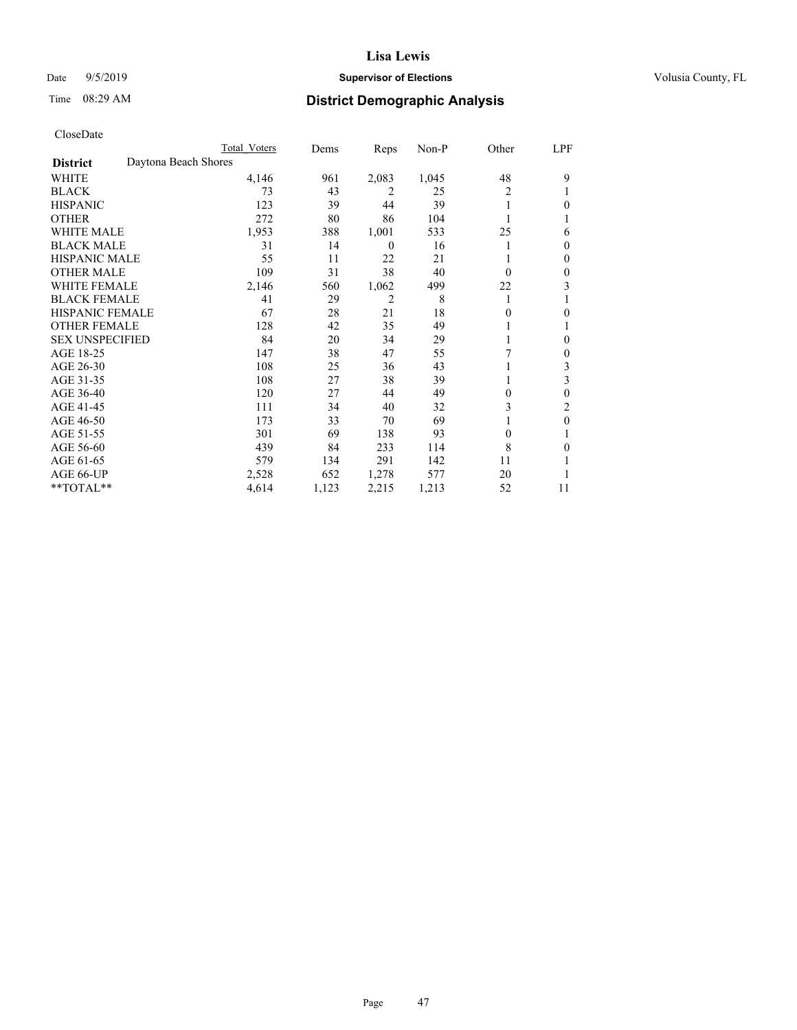# Date 9/5/2019 **Supervisor of Elections Supervisor of Elections** Volusia County, FL

# Time 08:29 AM **District Demographic Analysis**

|                        |                      | Total Voters | Dems  | Reps             | Non-P | Other    | LPF          |
|------------------------|----------------------|--------------|-------|------------------|-------|----------|--------------|
| <b>District</b>        | Daytona Beach Shores |              |       |                  |       |          |              |
| WHITE                  |                      | 4,146        | 961   | 2,083            | 1,045 | 48       | 9            |
| <b>BLACK</b>           |                      | 73           | 43    | 2                | 25    | 2        |              |
| <b>HISPANIC</b>        |                      | 123          | 39    | 44               | 39    | 1        | 0            |
| <b>OTHER</b>           |                      | 272          | 80    | 86               | 104   |          |              |
| WHITE MALE             |                      | 1,953        | 388   | 1,001            | 533   | 25       | 6            |
| <b>BLACK MALE</b>      |                      | 31           | 14    | $\boldsymbol{0}$ | 16    |          | $\Omega$     |
| <b>HISPANIC MALE</b>   |                      | 55           | 11    | 22               | 21    |          | $\mathbf{0}$ |
| <b>OTHER MALE</b>      |                      | 109          | 31    | 38               | 40    | $\Omega$ | $\mathbf{0}$ |
| WHITE FEMALE           |                      | 2,146        | 560   | 1,062            | 499   | 22       | 3            |
| <b>BLACK FEMALE</b>    |                      | 41           | 29    | 2                | 8     | 1        |              |
| <b>HISPANIC FEMALE</b> |                      | 67           | 28    | 21               | 18    | 0        | 0            |
| <b>OTHER FEMALE</b>    |                      | 128          | 42    | 35               | 49    |          |              |
| <b>SEX UNSPECIFIED</b> |                      | 84           | 20    | 34               | 29    |          | 0            |
| AGE 18-25              |                      | 147          | 38    | 47               | 55    | 7        | $\mathbf{0}$ |
| AGE 26-30              |                      | 108          | 25    | 36               | 43    |          | 3            |
| AGE 31-35              |                      | 108          | 27    | 38               | 39    |          | 3            |
| AGE 36-40              |                      | 120          | 27    | 44               | 49    | 0        | 0            |
| AGE 41-45              |                      | 111          | 34    | 40               | 32    | 3        | 2            |
| AGE 46-50              |                      | 173          | 33    | 70               | 69    |          | $\theta$     |
| AGE 51-55              |                      | 301          | 69    | 138              | 93    | 0        |              |
| AGE 56-60              |                      | 439          | 84    | 233              | 114   | 8        | 0            |
| AGE 61-65              |                      | 579          | 134   | 291              | 142   | 11       |              |
| AGE 66-UP              |                      | 2,528        | 652   | 1,278            | 577   | 20       |              |
| **TOTAL**              |                      | 4,614        | 1,123 | 2,215            | 1,213 | 52       | 11           |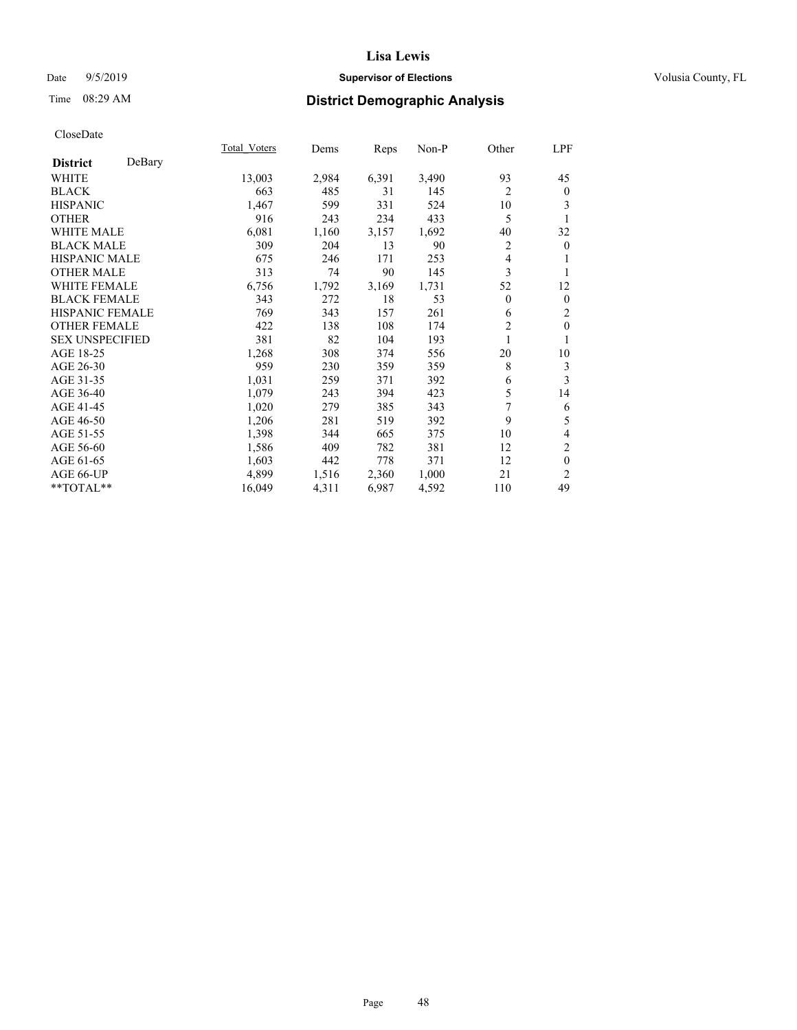# Date 9/5/2019 **Supervisor of Elections Supervisor of Elections** Volusia County, FL

# Time 08:29 AM **District Demographic Analysis**

|                        |        | Total Voters | Dems  | Reps  | $Non-P$ | Other          | LPF            |
|------------------------|--------|--------------|-------|-------|---------|----------------|----------------|
| <b>District</b>        | DeBary |              |       |       |         |                |                |
| <b>WHITE</b>           |        | 13,003       | 2,984 | 6,391 | 3,490   | 93             | 45             |
| <b>BLACK</b>           |        | 663          | 485   | 31    | 145     | $\overline{2}$ | $\mathbf{0}$   |
| <b>HISPANIC</b>        |        | 1,467        | 599   | 331   | 524     | 10             | 3              |
| <b>OTHER</b>           |        | 916          | 243   | 234   | 433     | 5              |                |
| WHITE MALE             |        | 6,081        | 1,160 | 3,157 | 1,692   | 40             | 32             |
| <b>BLACK MALE</b>      |        | 309          | 204   | 13    | 90      | 2              | $\mathbf{0}$   |
| <b>HISPANIC MALE</b>   |        | 675          | 246   | 171   | 253     | 4              | 1              |
| <b>OTHER MALE</b>      |        | 313          | 74    | 90    | 145     | 3              | 1              |
| <b>WHITE FEMALE</b>    |        | 6,756        | 1,792 | 3,169 | 1,731   | 52             | 12             |
| <b>BLACK FEMALE</b>    |        | 343          | 272   | 18    | 53      | $\overline{0}$ | $\mathbf{0}$   |
| <b>HISPANIC FEMALE</b> |        | 769          | 343   | 157   | 261     | 6              | 2              |
| <b>OTHER FEMALE</b>    |        | 422          | 138   | 108   | 174     | $\overline{2}$ | $\theta$       |
| <b>SEX UNSPECIFIED</b> |        | 381          | 82    | 104   | 193     | 1              | 1              |
| AGE 18-25              |        | 1,268        | 308   | 374   | 556     | 20             | 10             |
| AGE 26-30              |        | 959          | 230   | 359   | 359     | 8              | 3              |
| AGE 31-35              |        | 1,031        | 259   | 371   | 392     | 6              | 3              |
| AGE 36-40              |        | 1,079        | 243   | 394   | 423     | 5              | 14             |
| AGE 41-45              |        | 1,020        | 279   | 385   | 343     | 7              | 6              |
| AGE 46-50              |        | 1,206        | 281   | 519   | 392     | 9              | 5              |
| AGE 51-55              |        | 1,398        | 344   | 665   | 375     | 10             | 4              |
| AGE 56-60              |        | 1,586        | 409   | 782   | 381     | 12             | $\mathfrak{2}$ |
| AGE 61-65              |        | 1,603        | 442   | 778   | 371     | 12             | $\mathbf{0}$   |
| AGE 66-UP              |        | 4,899        | 1,516 | 2,360 | 1,000   | 21             | $\overline{2}$ |
| **TOTAL**              |        | 16,049       | 4,311 | 6,987 | 4,592   | 110            | 49             |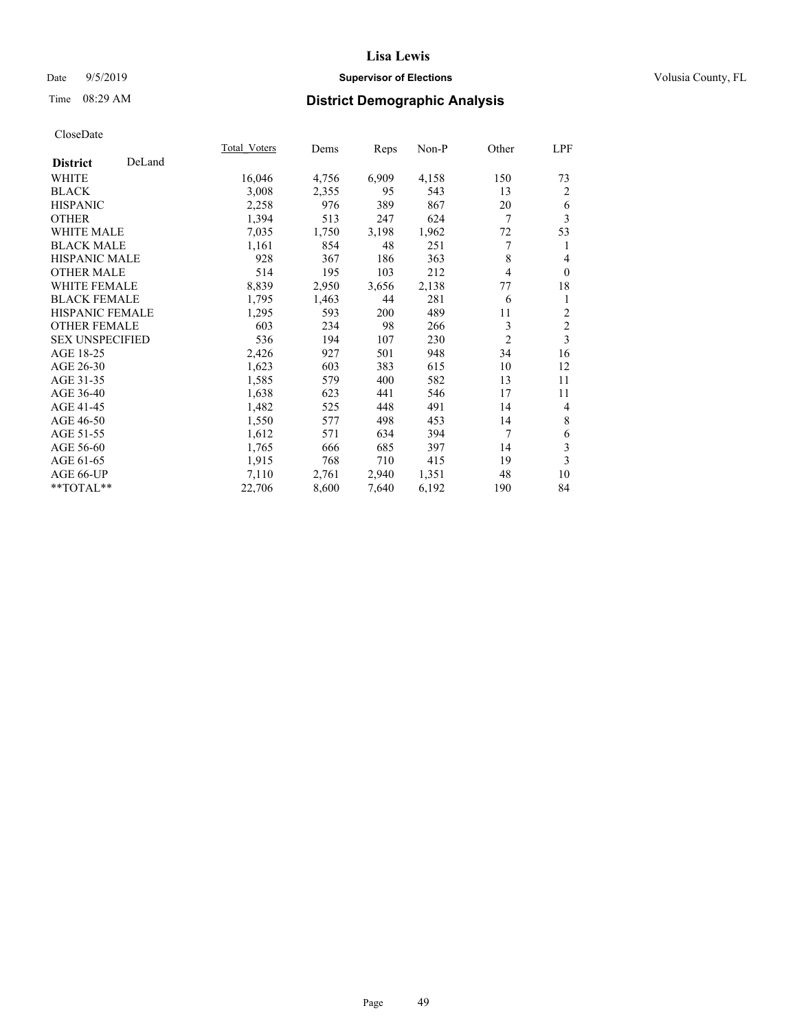# Date 9/5/2019 **Supervisor of Elections Supervisor of Elections** Volusia County, FL

# Time 08:29 AM **District Demographic Analysis**

|                        |        | Total Voters | Dems  | Reps  | Non-P | Other          | LPF            |
|------------------------|--------|--------------|-------|-------|-------|----------------|----------------|
| <b>District</b>        | DeLand |              |       |       |       |                |                |
| WHITE                  |        | 16,046       | 4,756 | 6,909 | 4,158 | 150            | 73             |
| <b>BLACK</b>           |        | 3,008        | 2,355 | 95    | 543   | 13             | 2              |
| <b>HISPANIC</b>        |        | 2,258        | 976   | 389   | 867   | 20             | 6              |
| <b>OTHER</b>           |        | 1,394        | 513   | 247   | 624   | 7              | 3              |
| <b>WHITE MALE</b>      |        | 7,035        | 1,750 | 3,198 | 1,962 | 72             | 53             |
| <b>BLACK MALE</b>      |        | 1,161        | 854   | 48    | 251   | 7              | 1              |
| <b>HISPANIC MALE</b>   |        | 928          | 367   | 186   | 363   | 8              | $\overline{4}$ |
| <b>OTHER MALE</b>      |        | 514          | 195   | 103   | 212   | 4              | $\mathbf{0}$   |
| <b>WHITE FEMALE</b>    |        | 8,839        | 2,950 | 3,656 | 2,138 | 77             | 18             |
| <b>BLACK FEMALE</b>    |        | 1,795        | 1,463 | 44    | 281   | 6              | 1              |
| <b>HISPANIC FEMALE</b> |        | 1,295        | 593   | 200   | 489   | 11             | $\overline{c}$ |
| <b>OTHER FEMALE</b>    |        | 603          | 234   | 98    | 266   | 3              | $\mathfrak{2}$ |
| <b>SEX UNSPECIFIED</b> |        | 536          | 194   | 107   | 230   | $\overline{c}$ | 3              |
| AGE 18-25              |        | 2,426        | 927   | 501   | 948   | 34             | 16             |
| AGE 26-30              |        | 1,623        | 603   | 383   | 615   | 10             | 12             |
| AGE 31-35              |        | 1,585        | 579   | 400   | 582   | 13             | 11             |
| AGE 36-40              |        | 1,638        | 623   | 441   | 546   | 17             | 11             |
| AGE 41-45              |        | 1,482        | 525   | 448   | 491   | 14             | 4              |
| AGE 46-50              |        | 1,550        | 577   | 498   | 453   | 14             | $\,$ 8 $\,$    |
| AGE 51-55              |        | 1,612        | 571   | 634   | 394   | 7              | 6              |
| AGE 56-60              |        | 1,765        | 666   | 685   | 397   | 14             | $\mathfrak{Z}$ |
| AGE 61-65              |        | 1,915        | 768   | 710   | 415   | 19             | 3              |
| AGE 66-UP              |        | 7,110        | 2,761 | 2,940 | 1,351 | 48             | 10             |
| **TOTAL**              |        | 22,706       | 8,600 | 7,640 | 6,192 | 190            | 84             |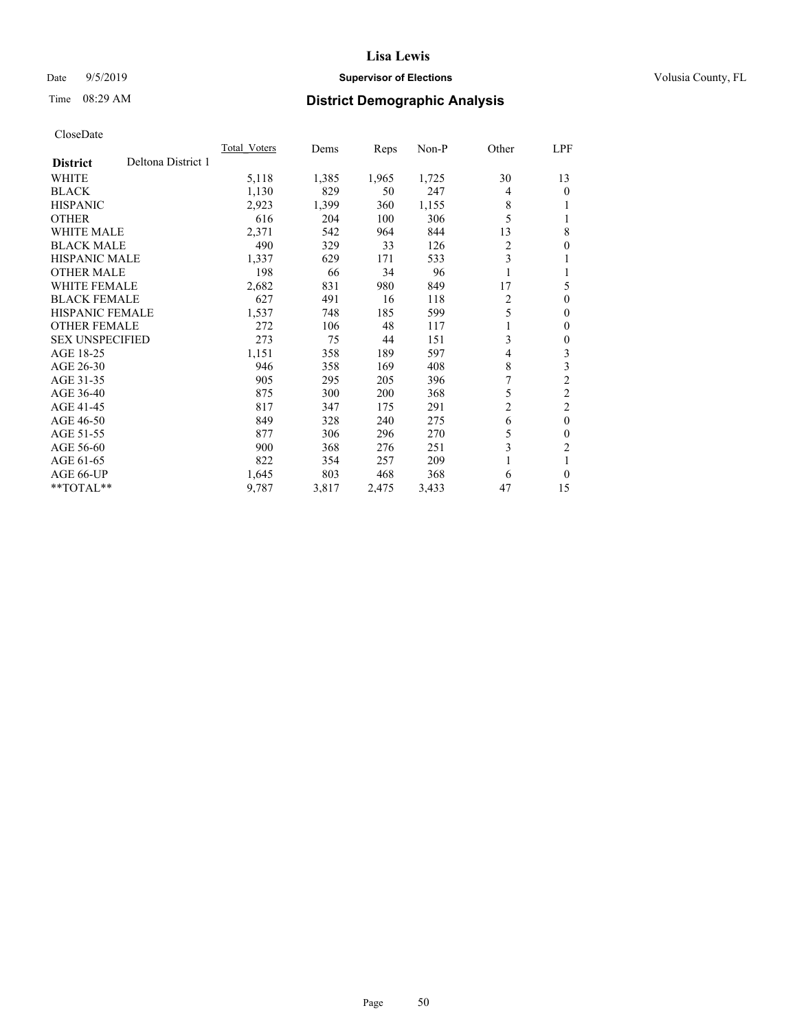# Date 9/5/2019 **Supervisor of Elections Supervisor of Elections** Volusia County, FL

# Time 08:29 AM **District Demographic Analysis**

|                                       | Total Voters | Dems  | Reps  | $Non-P$ | Other          | LPF            |
|---------------------------------------|--------------|-------|-------|---------|----------------|----------------|
| Deltona District 1<br><b>District</b> |              |       |       |         |                |                |
| <b>WHITE</b>                          | 5,118        | 1,385 | 1,965 | 1,725   | 30             | 13             |
| <b>BLACK</b>                          | 1,130        | 829   | 50    | 247     | 4              | 0              |
| <b>HISPANIC</b>                       | 2,923        | 1,399 | 360   | 1,155   | 8              |                |
| <b>OTHER</b>                          | 616          | 204   | 100   | 306     | 5              |                |
| WHITE MALE                            | 2,371        | 542   | 964   | 844     | 13             | 8              |
| <b>BLACK MALE</b>                     | 490          | 329   | 33    | 126     | $\overline{c}$ | 0              |
| <b>HISPANIC MALE</b>                  | 1,337        | 629   | 171   | 533     | 3              |                |
| <b>OTHER MALE</b>                     | 198          | 66    | 34    | 96      | 1              |                |
| <b>WHITE FEMALE</b>                   | 2,682        | 831   | 980   | 849     | 17             | 5              |
| <b>BLACK FEMALE</b>                   | 627          | 491   | 16    | 118     | $\overline{2}$ | 0              |
| <b>HISPANIC FEMALE</b>                | 1,537        | 748   | 185   | 599     | 5              | 0              |
| <b>OTHER FEMALE</b>                   | 272          | 106   | 48    | 117     |                | 0              |
| <b>SEX UNSPECIFIED</b>                | 273          | 75    | 44    | 151     | 3              | 0              |
| AGE 18-25                             | 1,151        | 358   | 189   | 597     | 4              | 3              |
| AGE 26-30                             | 946          | 358   | 169   | 408     | 8              | 3              |
| AGE 31-35                             | 905          | 295   | 205   | 396     | 7              | $\overline{2}$ |
| AGE 36-40                             | 875          | 300   | 200   | 368     | 5              | $\overline{2}$ |
| AGE 41-45                             | 817          | 347   | 175   | 291     | $\overline{c}$ | 2              |
| AGE 46-50                             | 849          | 328   | 240   | 275     | 6              | $\theta$       |
| AGE 51-55                             | 877          | 306   | 296   | 270     | 5              | 0              |
| AGE 56-60                             | 900          | 368   | 276   | 251     | 3              | $\overline{2}$ |
| AGE 61-65                             | 822          | 354   | 257   | 209     |                |                |
| AGE 66-UP                             | 1,645        | 803   | 468   | 368     | 6              | 0              |
| $*$ TOTAL $*$                         | 9,787        | 3,817 | 2,475 | 3,433   | 47             | 15             |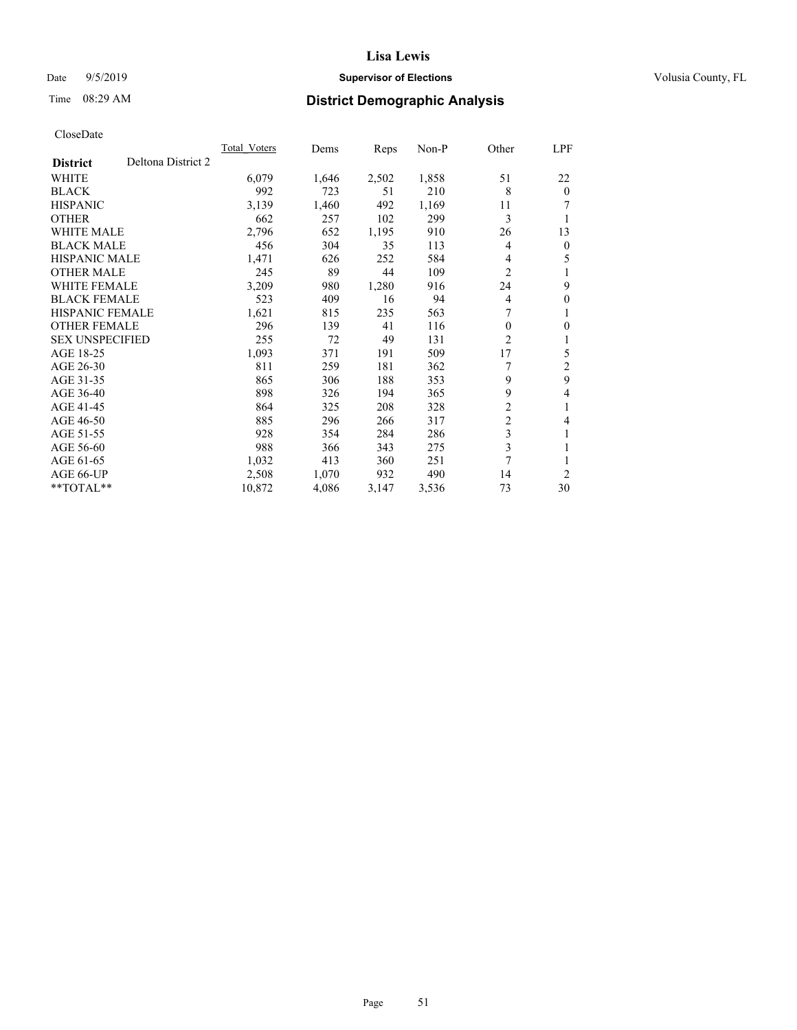# Date 9/5/2019 **Supervisor of Elections Supervisor of Elections** Volusia County, FL

# Time 08:29 AM **District Demographic Analysis**

|                                       | Total Voters | Dems  | Reps  | $Non-P$ | Other          | <u>LPF</u>     |
|---------------------------------------|--------------|-------|-------|---------|----------------|----------------|
| Deltona District 2<br><b>District</b> |              |       |       |         |                |                |
| WHITE                                 | 6,079        | 1,646 | 2,502 | 1,858   | 51             | 22             |
| <b>BLACK</b>                          | 992          | 723   | 51    | 210     | 8              | $\theta$       |
| <b>HISPANIC</b>                       | 3,139        | 1,460 | 492   | 1,169   | 11             |                |
| <b>OTHER</b>                          | 662          | 257   | 102   | 299     | 3              | 1              |
| <b>WHITE MALE</b>                     | 2,796        | 652   | 1,195 | 910     | 26             | 13             |
| <b>BLACK MALE</b>                     | 456          | 304   | 35    | 113     | 4              | $\mathbf{0}$   |
| <b>HISPANIC MALE</b>                  | 1,471        | 626   | 252   | 584     | 4              | 5              |
| <b>OTHER MALE</b>                     | 245          | 89    | 44    | 109     | $\overline{c}$ | 1              |
| <b>WHITE FEMALE</b>                   | 3,209        | 980   | 1,280 | 916     | 24             | 9              |
| <b>BLACK FEMALE</b>                   | 523          | 409   | 16    | 94      | 4              | $\mathbf{0}$   |
| <b>HISPANIC FEMALE</b>                | 1,621        | 815   | 235   | 563     | 7              | 1              |
| <b>OTHER FEMALE</b>                   | 296          | 139   | 41    | 116     | 0              | $\mathbf{0}$   |
| <b>SEX UNSPECIFIED</b>                | 255          | 72    | 49    | 131     | 2              | 1              |
| AGE 18-25                             | 1,093        | 371   | 191   | 509     | 17             | 5              |
| AGE 26-30                             | 811          | 259   | 181   | 362     |                | $\overline{2}$ |
| AGE 31-35                             | 865          | 306   | 188   | 353     | 9              | 9              |
| AGE 36-40                             | 898          | 326   | 194   | 365     | 9              | 4              |
| AGE 41-45                             | 864          | 325   | 208   | 328     | $\overline{2}$ | 1              |
| AGE 46-50                             | 885          | 296   | 266   | 317     | $\overline{c}$ | 4              |
| AGE 51-55                             | 928          | 354   | 284   | 286     | 3              | 1              |
| AGE 56-60                             | 988          | 366   | 343   | 275     | 3              | 1              |
| AGE 61-65                             | 1,032        | 413   | 360   | 251     | 7              | 1              |
| AGE 66-UP                             | 2,508        | 1,070 | 932   | 490     | 14             | $\overline{2}$ |
| $*$ TOTAL $*$                         | 10,872       | 4,086 | 3,147 | 3,536   | 73             | 30             |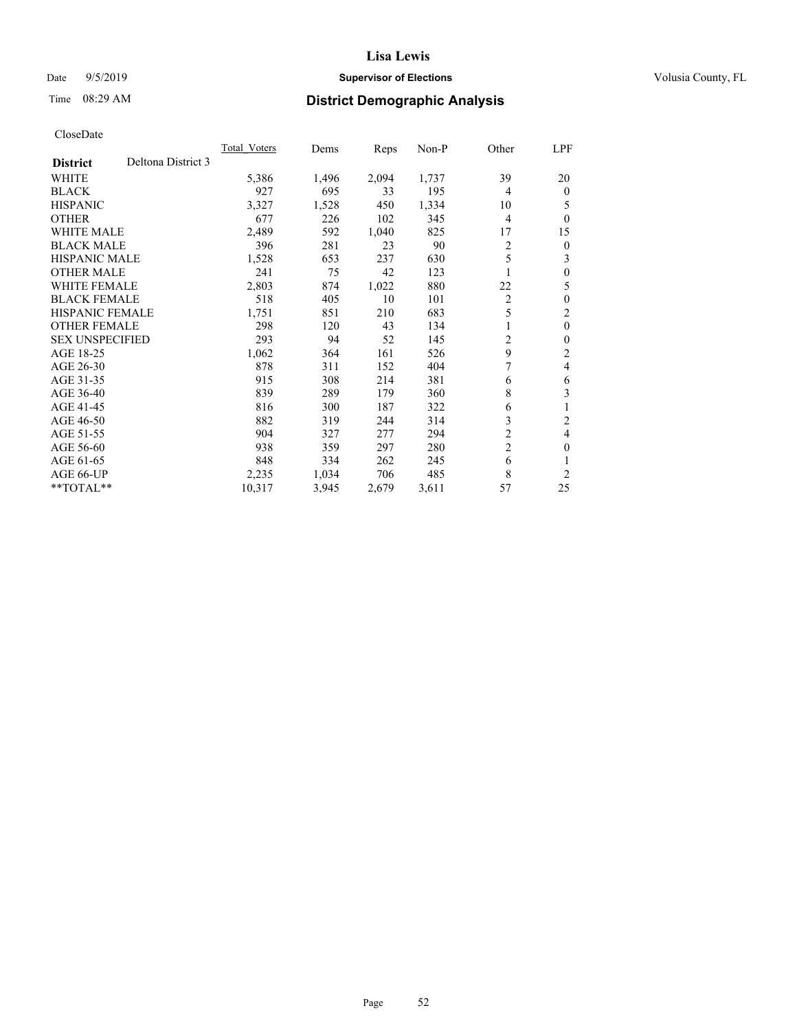# Date 9/5/2019 **Supervisor of Elections Supervisor of Elections** Volusia County, FL

# Time 08:29 AM **District Demographic Analysis**

|                                       | <b>Total Voters</b> | Dems  | Reps  | $Non-P$ | Other          | LPF            |
|---------------------------------------|---------------------|-------|-------|---------|----------------|----------------|
| Deltona District 3<br><b>District</b> |                     |       |       |         |                |                |
| WHITE                                 | 5,386               | 1,496 | 2,094 | 1,737   | 39             | 20             |
| <b>BLACK</b>                          | 927                 | 695   | 33    | 195     | 4              | $\theta$       |
| <b>HISPANIC</b>                       | 3,327               | 1,528 | 450   | 1,334   | 10             | 5              |
| <b>OTHER</b>                          | 677                 | 226   | 102   | 345     | 4              | $\theta$       |
| <b>WHITE MALE</b>                     | 2,489               | 592   | 1,040 | 825     | 17             | 15             |
| <b>BLACK MALE</b>                     | 396                 | 281   | 23    | 90      | 2              | $\theta$       |
| HISPANIC MALE                         | 1,528               | 653   | 237   | 630     | 5              | 3              |
| <b>OTHER MALE</b>                     | 241                 | 75    | 42    | 123     |                | $\theta$       |
| <b>WHITE FEMALE</b>                   | 2,803               | 874   | 1,022 | 880     | 22             | 5              |
| <b>BLACK FEMALE</b>                   | 518                 | 405   | 10    | 101     | 2              | $\theta$       |
| <b>HISPANIC FEMALE</b>                | 1,751               | 851   | 210   | 683     | 5              | 2              |
| <b>OTHER FEMALE</b>                   | 298                 | 120   | 43    | 134     | 1              | $\mathbf{0}$   |
| <b>SEX UNSPECIFIED</b>                | 293                 | 94    | 52    | 145     | 2              | $\theta$       |
| AGE 18-25                             | 1,062               | 364   | 161   | 526     | 9              | 2              |
| AGE 26-30                             | 878                 | 311   | 152   | 404     | 7              | 4              |
| AGE 31-35                             | 915                 | 308   | 214   | 381     | 6              | 6              |
| AGE 36-40                             | 839                 | 289   | 179   | 360     | 8              | 3              |
| AGE 41-45                             | 816                 | 300   | 187   | 322     | 6              | 1              |
| AGE 46-50                             | 882                 | 319   | 244   | 314     | 3              | 2              |
| AGE 51-55                             | 904                 | 327   | 277   | 294     | 2              | $\overline{4}$ |
| AGE 56-60                             | 938                 | 359   | 297   | 280     | $\overline{2}$ | $\theta$       |
| AGE 61-65                             | 848                 | 334   | 262   | 245     | 6              |                |
| AGE 66-UP                             | 2,235               | 1,034 | 706   | 485     | 8              | 2              |
| **TOTAL**                             | 10,317              | 3,945 | 2,679 | 3,611   | 57             | 25             |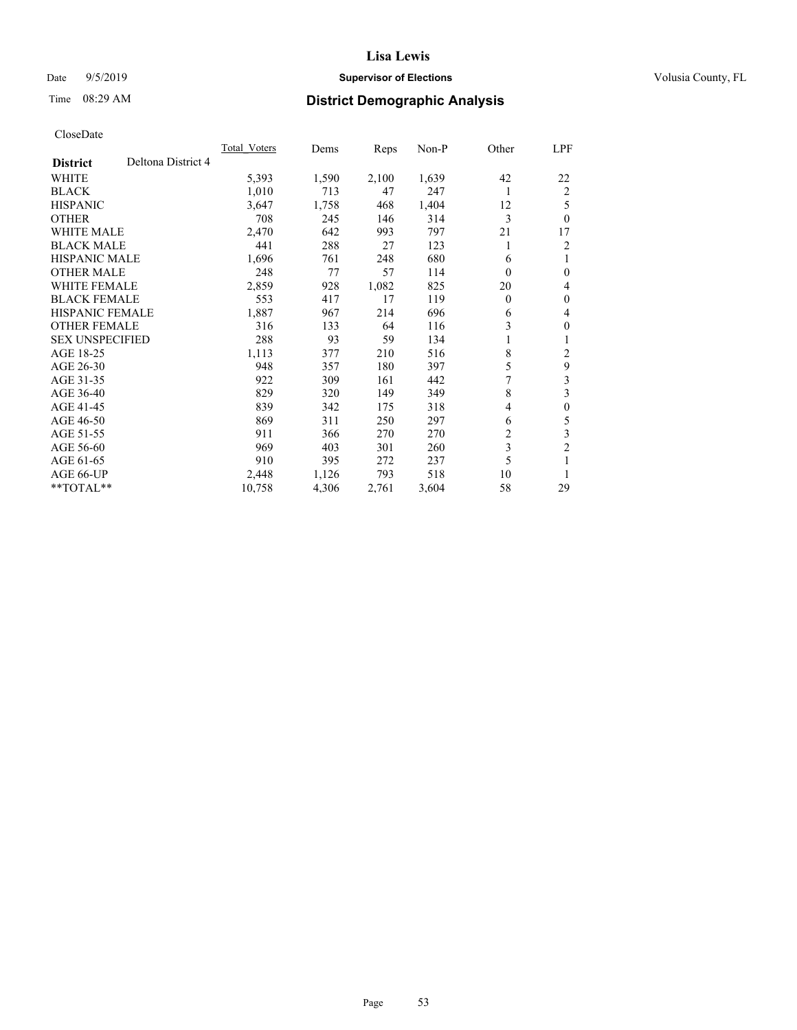# Date 9/5/2019 **Supervisor of Elections Supervisor of Elections** Volusia County, FL

# Time 08:29 AM **District Demographic Analysis**

|                        |                    | Total Voters | Dems  | Reps  | $Non-P$ | Other    | LPF              |
|------------------------|--------------------|--------------|-------|-------|---------|----------|------------------|
| <b>District</b>        | Deltona District 4 |              |       |       |         |          |                  |
| WHITE                  |                    | 5,393        | 1,590 | 2,100 | 1,639   | 42       | 22               |
| <b>BLACK</b>           |                    | 1,010        | 713   | 47    | 247     | 1        | 2                |
| <b>HISPANIC</b>        |                    | 3,647        | 1,758 | 468   | 1,404   | 12       | 5                |
| <b>OTHER</b>           |                    | 708          | 245   | 146   | 314     | 3        | $\theta$         |
| <b>WHITE MALE</b>      |                    | 2,470        | 642   | 993   | 797     | 21       | 17               |
| <b>BLACK MALE</b>      |                    | 441          | 288   | 27    | 123     | 1        | 2                |
| <b>HISPANIC MALE</b>   |                    | 1,696        | 761   | 248   | 680     | 6        | 1                |
| <b>OTHER MALE</b>      |                    | 248          | 77    | 57    | 114     | $\theta$ | $\mathbf{0}$     |
| <b>WHITE FEMALE</b>    |                    | 2,859        | 928   | 1,082 | 825     | 20       | 4                |
| <b>BLACK FEMALE</b>    |                    | 553          | 417   | 17    | 119     | 0        | $\mathbf{0}$     |
| <b>HISPANIC FEMALE</b> |                    | 1,887        | 967   | 214   | 696     | 6        | 4                |
| <b>OTHER FEMALE</b>    |                    | 316          | 133   | 64    | 116     | 3        | $\mathbf{0}$     |
| <b>SEX UNSPECIFIED</b> |                    | 288          | 93    | 59    | 134     | 1        | 1                |
| AGE 18-25              |                    | 1,113        | 377   | 210   | 516     | 8        | 2                |
| AGE 26-30              |                    | 948          | 357   | 180   | 397     | 5        | 9                |
| AGE 31-35              |                    | 922          | 309   | 161   | 442     | 7        | $\mathfrak{Z}$   |
| AGE 36-40              |                    | 829          | 320   | 149   | 349     | 8        | 3                |
| AGE 41-45              |                    | 839          | 342   | 175   | 318     | 4        | $\boldsymbol{0}$ |
| AGE 46-50              |                    | 869          | 311   | 250   | 297     | 6        | 5                |
| AGE 51-55              |                    | 911          | 366   | 270   | 270     | 2        | 3                |
| AGE 56-60              |                    | 969          | 403   | 301   | 260     | 3        | $\overline{2}$   |
| AGE 61-65              |                    | 910          | 395   | 272   | 237     | 5        | 1                |
| AGE 66-UP              |                    | 2,448        | 1,126 | 793   | 518     | 10       | 1                |
| $*$ TOTAL $*$          |                    | 10,758       | 4,306 | 2,761 | 3,604   | 58       | 29               |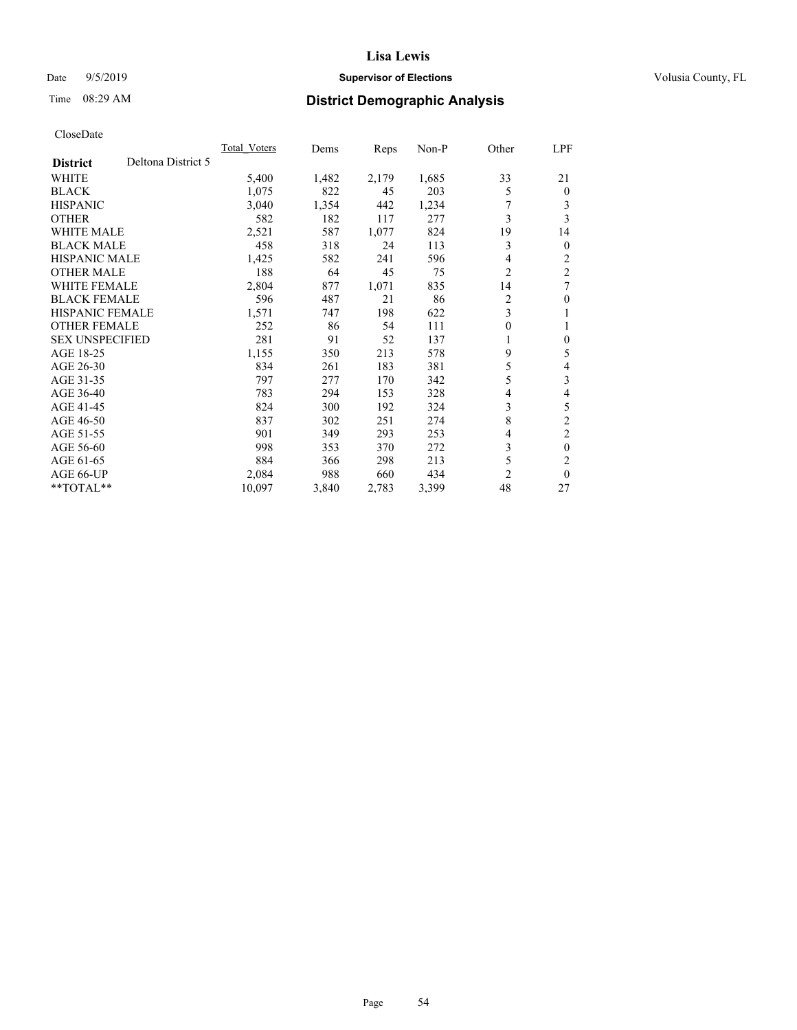# Date 9/5/2019 **Supervisor of Elections Supervisor of Elections** Volusia County, FL

# Time 08:29 AM **District Demographic Analysis**

|                        |                    | <b>Total Voters</b> | Dems  | Reps  | $Non-P$ | Other | LPF            |
|------------------------|--------------------|---------------------|-------|-------|---------|-------|----------------|
| <b>District</b>        | Deltona District 5 |                     |       |       |         |       |                |
| <b>WHITE</b>           |                    | 5,400               | 1,482 | 2,179 | 1,685   | 33    | 21             |
| <b>BLACK</b>           |                    | 1,075               | 822   | 45    | 203     | 5     | $\theta$       |
| <b>HISPANIC</b>        |                    | 3,040               | 1,354 | 442   | 1,234   | 7     | 3              |
| <b>OTHER</b>           |                    | 582                 | 182   | 117   | 277     | 3     | 3              |
| <b>WHITE MALE</b>      |                    | 2,521               | 587   | 1,077 | 824     | 19    | 14             |
| <b>BLACK MALE</b>      |                    | 458                 | 318   | 24    | 113     | 3     | $\mathbf{0}$   |
| HISPANIC MALE          |                    | 1,425               | 582   | 241   | 596     | 4     | 2              |
| <b>OTHER MALE</b>      |                    | 188                 | 64    | 45    | 75      | 2     | $\overline{2}$ |
| <b>WHITE FEMALE</b>    |                    | 2,804               | 877   | 1,071 | 835     | 14    | 7              |
| <b>BLACK FEMALE</b>    |                    | 596                 | 487   | 21    | 86      | 2     | $\theta$       |
| <b>HISPANIC FEMALE</b> |                    | 1,571               | 747   | 198   | 622     | 3     | 1              |
| <b>OTHER FEMALE</b>    |                    | 252                 | 86    | 54    | 111     | 0     | 1              |
| <b>SEX UNSPECIFIED</b> |                    | 281                 | 91    | 52    | 137     | 1     | $\theta$       |
| AGE 18-25              |                    | 1,155               | 350   | 213   | 578     | 9     | 5              |
| AGE 26-30              |                    | 834                 | 261   | 183   | 381     | 5     | 4              |
| AGE 31-35              |                    | 797                 | 277   | 170   | 342     | 5     | 3              |
| AGE 36-40              |                    | 783                 | 294   | 153   | 328     | 4     | 4              |
| AGE 41-45              |                    | 824                 | 300   | 192   | 324     | 3     | 5              |
| AGE 46-50              |                    | 837                 | 302   | 251   | 274     | 8     | $\overline{2}$ |
| AGE 51-55              |                    | 901                 | 349   | 293   | 253     | 4     | $\overline{c}$ |
| AGE 56-60              |                    | 998                 | 353   | 370   | 272     | 3     | $\theta$       |
| AGE 61-65              |                    | 884                 | 366   | 298   | 213     | 5     | $\overline{c}$ |
| AGE 66-UP              |                    | 2,084               | 988   | 660   | 434     | 2     | $\theta$       |
| $*$ TOTAL $*$          |                    | 10,097              | 3,840 | 2,783 | 3,399   | 48    | 27             |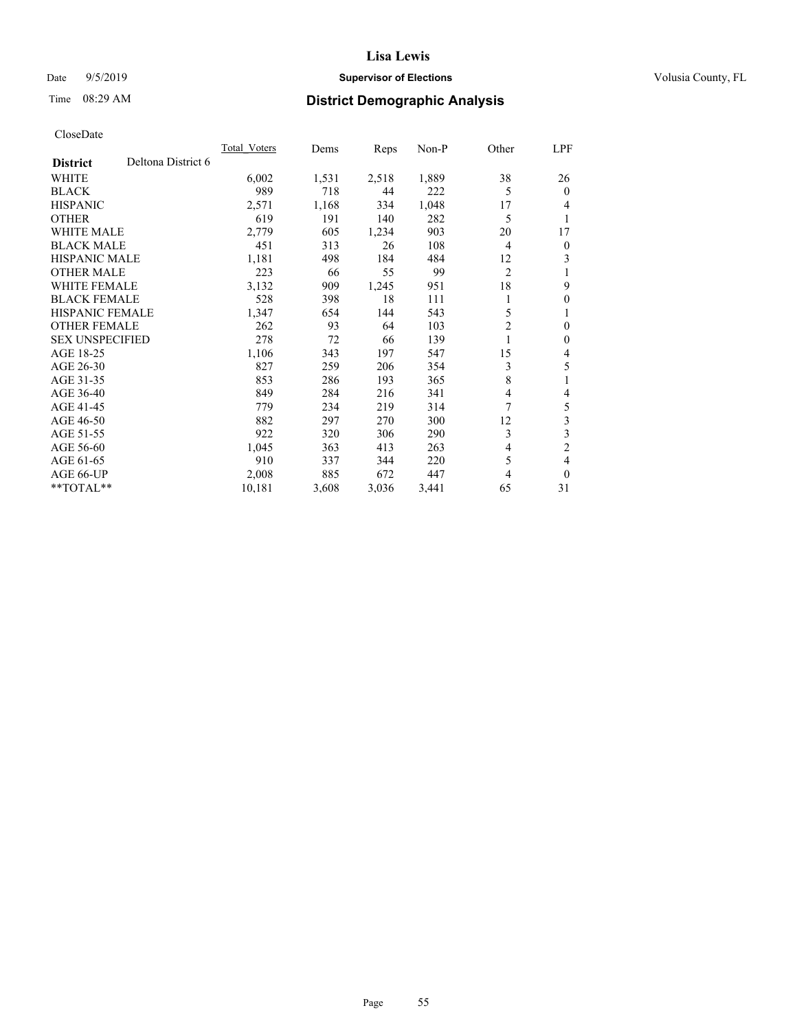# Date 9/5/2019 **Supervisor of Elections Supervisor of Elections** Volusia County, FL

# Time 08:29 AM **District Demographic Analysis**

|                                       | Total Voters | Dems  | Reps  | $Non-P$ | Other          | LPF            |
|---------------------------------------|--------------|-------|-------|---------|----------------|----------------|
| Deltona District 6<br><b>District</b> |              |       |       |         |                |                |
| WHITE                                 | 6,002        | 1,531 | 2,518 | 1,889   | 38             | 26             |
| <b>BLACK</b>                          | 989          | 718   | 44    | 222     | 5              | $\theta$       |
| <b>HISPANIC</b>                       | 2,571        | 1,168 | 334   | 1,048   | 17             | 4              |
| <b>OTHER</b>                          | 619          | 191   | 140   | 282     | 5              | 1              |
| <b>WHITE MALE</b>                     | 2,779        | 605   | 1,234 | 903     | 20             | 17             |
| <b>BLACK MALE</b>                     | 451          | 313   | 26    | 108     | 4              | $\mathbf{0}$   |
| <b>HISPANIC MALE</b>                  | 1,181        | 498   | 184   | 484     | 12             | 3              |
| <b>OTHER MALE</b>                     | 223          | 66    | 55    | 99      | $\overline{c}$ | 1              |
| <b>WHITE FEMALE</b>                   | 3,132        | 909   | 1,245 | 951     | 18             | 9              |
| <b>BLACK FEMALE</b>                   | 528          | 398   | 18    | 111     |                | $\mathbf{0}$   |
| <b>HISPANIC FEMALE</b>                | 1,347        | 654   | 144   | 543     | 5              | 1              |
| <b>OTHER FEMALE</b>                   | 262          | 93    | 64    | 103     | $\overline{c}$ | $\mathbf{0}$   |
| <b>SEX UNSPECIFIED</b>                | 278          | 72    | 66    | 139     | 1              | $\mathbf{0}$   |
| AGE 18-25                             | 1,106        | 343   | 197   | 547     | 15             | 4              |
| AGE 26-30                             | 827          | 259   | 206   | 354     | 3              | 5              |
| AGE 31-35                             | 853          | 286   | 193   | 365     | 8              | 1              |
| AGE 36-40                             | 849          | 284   | 216   | 341     | 4              | 4              |
| AGE 41-45                             | 779          | 234   | 219   | 314     | 7              | 5              |
| AGE 46-50                             | 882          | 297   | 270   | 300     | 12             | 3              |
| AGE 51-55                             | 922          | 320   | 306   | 290     | 3              | $\mathfrak{Z}$ |
| AGE 56-60                             | 1,045        | 363   | 413   | 263     | 4              | $\overline{2}$ |
| AGE 61-65                             | 910          | 337   | 344   | 220     | 5              | 4              |
| AGE 66-UP                             | 2,008        | 885   | 672   | 447     | 4              | $\theta$       |
| $*$ TOTAL $*$                         | 10,181       | 3,608 | 3,036 | 3,441   | 65             | 31             |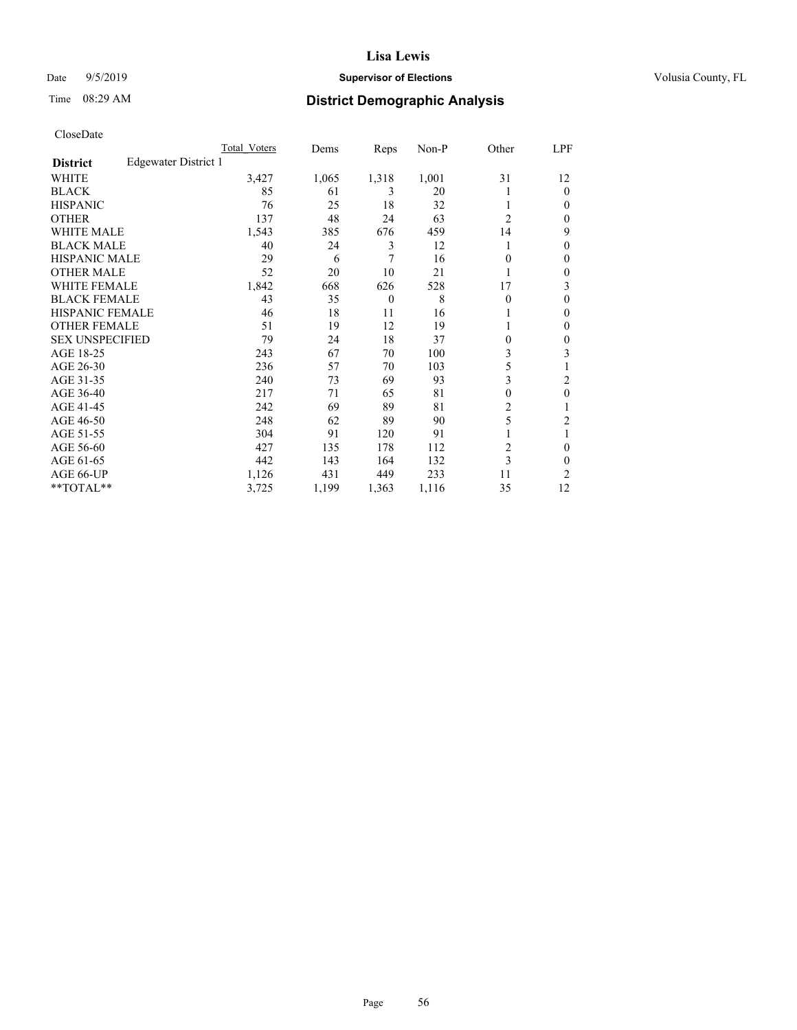# Date 9/5/2019 **Supervisor of Elections Supervisor of Elections** Volusia County, FL

# Time 08:29 AM **District Demographic Analysis**

|                        |                      | Total Voters | Dems  | Reps           | Non-P | Other          | LPF    |
|------------------------|----------------------|--------------|-------|----------------|-------|----------------|--------|
| <b>District</b>        | Edgewater District 1 |              |       |                |       |                |        |
| WHITE                  |                      | 3,427        | 1,065 | 1,318          | 1,001 | 31             | 12     |
| <b>BLACK</b>           |                      | 85           | 61    | 3              | 20    |                | 0      |
| <b>HISPANIC</b>        |                      | 76           | 25    | 18             | 32    |                | $_{0}$ |
| <b>OTHER</b>           |                      | 137          | 48    | 24             | 63    | $\overline{2}$ | 0      |
| WHITE MALE             |                      | 1,543        | 385   | 676            | 459   | 14             | 9      |
| <b>BLACK MALE</b>      |                      | 40           | 24    | 3              | 12    |                | 0      |
| <b>HISPANIC MALE</b>   |                      | 29           | 6     | 7              | 16    | 0              | 0      |
| <b>OTHER MALE</b>      |                      | 52           | 20    | 10             | 21    |                | 0      |
| WHITE FEMALE           |                      | 1,842        | 668   | 626            | 528   | 17             | 3      |
| <b>BLACK FEMALE</b>    |                      | 43           | 35    | $\overline{0}$ | 8     | 0              | 0      |
| <b>HISPANIC FEMALE</b> |                      | 46           | 18    | 11             | 16    |                | 0      |
| <b>OTHER FEMALE</b>    |                      | 51           | 19    | 12             | 19    |                | 0      |
| <b>SEX UNSPECIFIED</b> |                      | 79           | 24    | 18             | 37    | 0              | 0      |
| AGE 18-25              |                      | 243          | 67    | 70             | 100   | 3              | 3      |
| AGE 26-30              |                      | 236          | 57    | 70             | 103   | 5              |        |
| AGE 31-35              |                      | 240          | 73    | 69             | 93    | 3              | 2      |
| AGE 36-40              |                      | 217          | 71    | 65             | 81    | 0              | 0      |
| AGE 41-45              |                      | 242          | 69    | 89             | 81    | 2              |        |
| AGE 46-50              |                      | 248          | 62    | 89             | 90    | 5              | 2      |
| AGE 51-55              |                      | 304          | 91    | 120            | 91    |                | 1      |
| AGE 56-60              |                      | 427          | 135   | 178            | 112   | $\overline{c}$ | 0      |
| AGE 61-65              |                      | 442          | 143   | 164            | 132   | 3              | 0      |
| AGE 66-UP              |                      | 1,126        | 431   | 449            | 233   | 11             | 2      |
| **TOTAL**              |                      | 3,725        | 1,199 | 1,363          | 1,116 | 35             | 12     |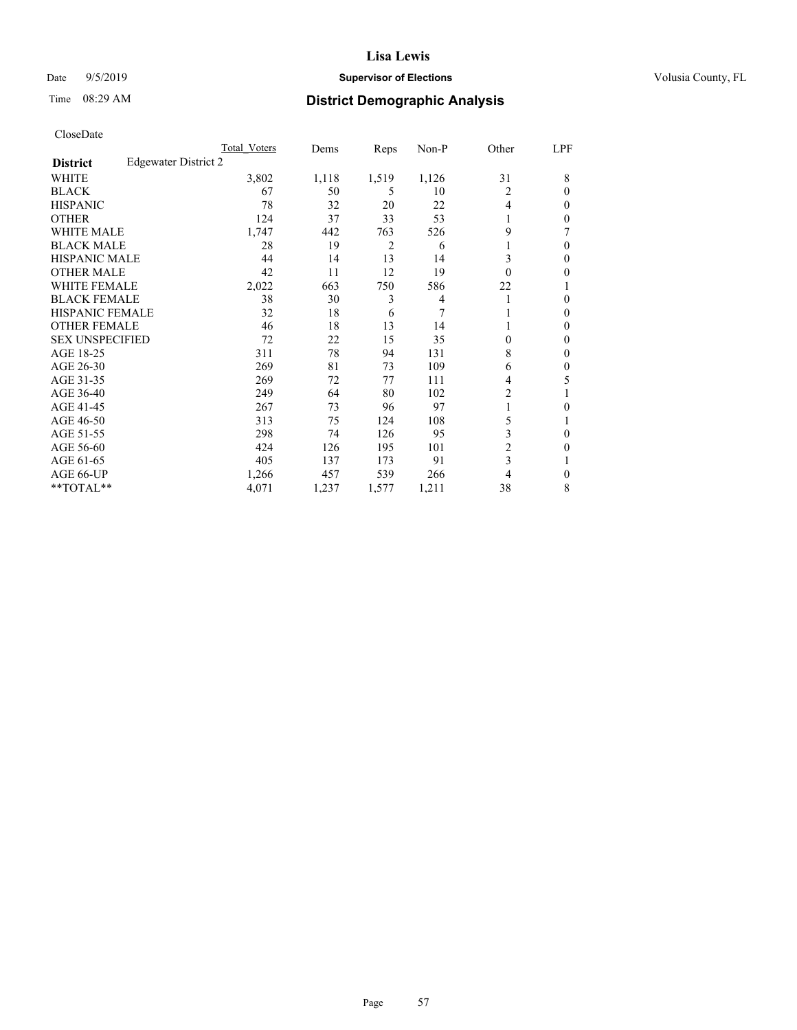# Date 9/5/2019 **Supervisor of Elections Supervisor of Elections** Volusia County, FL

# Time 08:29 AM **District Demographic Analysis**

|                        |                      | Total Voters | Dems  | Reps           | Non-P          | Other          | LPF    |
|------------------------|----------------------|--------------|-------|----------------|----------------|----------------|--------|
| <b>District</b>        | Edgewater District 2 |              |       |                |                |                |        |
| WHITE                  |                      | 3,802        | 1,118 | 1,519          | 1,126          | 31             | 8      |
| <b>BLACK</b>           |                      | 67           | 50    | 5              | 10             | 2              | 0      |
| <b>HISPANIC</b>        |                      | 78           | 32    | 20             | 22             | 4              | $_{0}$ |
| <b>OTHER</b>           |                      | 124          | 37    | 33             | 53             |                | 0      |
| WHITE MALE             |                      | 1,747        | 442   | 763            | 526            | 9              |        |
| <b>BLACK MALE</b>      |                      | 28           | 19    | $\overline{2}$ | 6              |                | 0      |
| <b>HISPANIC MALE</b>   |                      | 44           | 14    | 13             | 14             | 3              | 0      |
| <b>OTHER MALE</b>      |                      | 42           | 11    | 12             | 19             | 0              | 0      |
| WHITE FEMALE           |                      | 2,022        | 663   | 750            | 586            | 22             |        |
| <b>BLACK FEMALE</b>    |                      | 38           | 30    | 3              | $\overline{4}$ |                | 0      |
| <b>HISPANIC FEMALE</b> |                      | 32           | 18    | 6              | 7              |                | 0      |
| <b>OTHER FEMALE</b>    |                      | 46           | 18    | 13             | 14             |                | 0      |
| <b>SEX UNSPECIFIED</b> |                      | 72           | 22    | 15             | 35             | 0              | 0      |
| AGE 18-25              |                      | 311          | 78    | 94             | 131            | 8              | 0      |
| AGE 26-30              |                      | 269          | 81    | 73             | 109            | 6              | 0      |
| AGE 31-35              |                      | 269          | 72    | 77             | 111            | 4              | 5      |
| AGE 36-40              |                      | 249          | 64    | 80             | 102            | 2              |        |
| AGE 41-45              |                      | 267          | 73    | 96             | 97             |                | 0      |
| AGE 46-50              |                      | 313          | 75    | 124            | 108            | 5              |        |
| AGE 51-55              |                      | 298          | 74    | 126            | 95             | 3              | 0      |
| AGE 56-60              |                      | 424          | 126   | 195            | 101            | $\overline{c}$ | 0      |
| AGE 61-65              |                      | 405          | 137   | 173            | 91             | 3              |        |
| AGE 66-UP              |                      | 1,266        | 457   | 539            | 266            | 4              | 0      |
| **TOTAL**              |                      | 4,071        | 1,237 | 1,577          | 1,211          | 38             | 8      |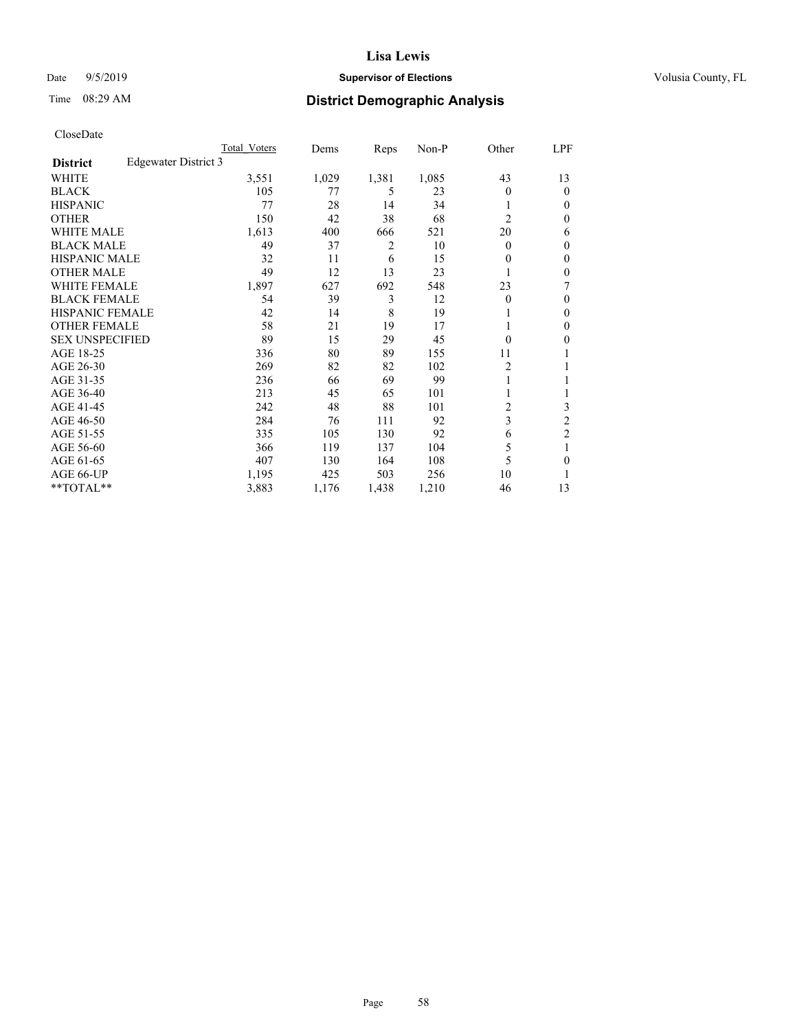# Date 9/5/2019 **Supervisor of Elections Supervisor of Elections** Volusia County, FL

# Time 08:29 AM **District Demographic Analysis**

|                        |                      | Total Voters | Dems  | Reps  | Non-P | Other          | LPF            |
|------------------------|----------------------|--------------|-------|-------|-------|----------------|----------------|
| <b>District</b>        | Edgewater District 3 |              |       |       |       |                |                |
| WHITE                  |                      | 3,551        | 1,029 | 1,381 | 1,085 | 43             | 13             |
| <b>BLACK</b>           |                      | 105          | 77    | 5     | 23    | 0              | $\mathbf{0}$   |
| <b>HISPANIC</b>        |                      | 77           | 28    | 14    | 34    |                | $\Omega$       |
| <b>OTHER</b>           |                      | 150          | 42    | 38    | 68    | $\overline{2}$ | 0              |
| <b>WHITE MALE</b>      |                      | 1,613        | 400   | 666   | 521   | 20             | 6              |
| <b>BLACK MALE</b>      |                      | 49           | 37    | 2     | 10    | 0              | $\mathbf{0}$   |
| <b>HISPANIC MALE</b>   |                      | 32           | 11    | 6     | 15    | 0              | $\theta$       |
| <b>OTHER MALE</b>      |                      | 49           | 12    | 13    | 23    | 1              | 0              |
| WHITE FEMALE           |                      | 1,897        | 627   | 692   | 548   | 23             | 7              |
| <b>BLACK FEMALE</b>    |                      | 54           | 39    | 3     | 12    | 0              | $\mathbf{0}$   |
| <b>HISPANIC FEMALE</b> |                      | 42           | 14    | 8     | 19    |                | 0              |
| <b>OTHER FEMALE</b>    |                      | 58           | 21    | 19    | 17    |                | 0              |
| <b>SEX UNSPECIFIED</b> |                      | 89           | 15    | 29    | 45    | 0              | 0              |
| AGE 18-25              |                      | 336          | 80    | 89    | 155   | 11             |                |
| AGE 26-30              |                      | 269          | 82    | 82    | 102   | 2              | 1              |
| AGE 31-35              |                      | 236          | 66    | 69    | 99    |                |                |
| AGE 36-40              |                      | 213          | 45    | 65    | 101   |                |                |
| AGE 41-45              |                      | 242          | 48    | 88    | 101   | 2              | 3              |
| AGE 46-50              |                      | 284          | 76    | 111   | 92    | 3              | $\overline{2}$ |
| AGE 51-55              |                      | 335          | 105   | 130   | 92    | 6              | $\overline{c}$ |
| AGE 56-60              |                      | 366          | 119   | 137   | 104   | 5              |                |
| AGE 61-65              |                      | 407          | 130   | 164   | 108   | 5              | 0              |
| AGE 66-UP              |                      | 1,195        | 425   | 503   | 256   | 10             |                |
| **TOTAL**              |                      | 3,883        | 1,176 | 1,438 | 1,210 | 46             | 13             |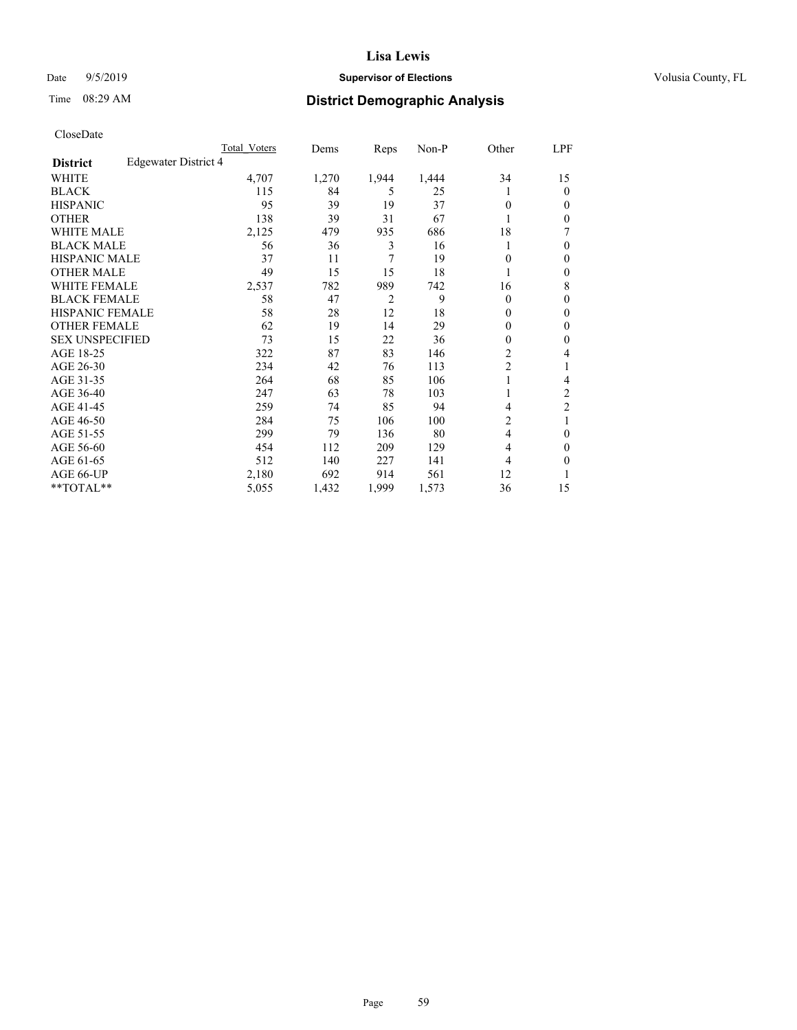# Date 9/5/2019 **Supervisor of Elections Supervisor of Elections** Volusia County, FL

# Time 08:29 AM **District Demographic Analysis**

|                        |                      | Total Voters | Dems  | Reps           | Non-P | Other          | LPF            |
|------------------------|----------------------|--------------|-------|----------------|-------|----------------|----------------|
| <b>District</b>        | Edgewater District 4 |              |       |                |       |                |                |
| WHITE                  |                      | 4,707        | 1,270 | 1,944          | 1,444 | 34             | 15             |
| <b>BLACK</b>           |                      | 115          | 84    | 5              | 25    |                | $\mathbf{0}$   |
| <b>HISPANIC</b>        |                      | 95           | 39    | 19             | 37    | 0              | $\Omega$       |
| <b>OTHER</b>           |                      | 138          | 39    | 31             | 67    |                | 0              |
| <b>WHITE MALE</b>      |                      | 2,125        | 479   | 935            | 686   | 18             | 7              |
| <b>BLACK MALE</b>      |                      | 56           | 36    | 3              | 16    |                | $\theta$       |
| <b>HISPANIC MALE</b>   |                      | 37           | 11    | 7              | 19    | 0              | $\theta$       |
| <b>OTHER MALE</b>      |                      | 49           | 15    | 15             | 18    | 1              | $\mathbf{0}$   |
| WHITE FEMALE           |                      | 2,537        | 782   | 989            | 742   | 16             | 8              |
| <b>BLACK FEMALE</b>    |                      | 58           | 47    | $\overline{2}$ | 9     | 0              | $\theta$       |
| <b>HISPANIC FEMALE</b> |                      | 58           | 28    | 12             | 18    | 0              | 0              |
| <b>OTHER FEMALE</b>    |                      | 62           | 19    | 14             | 29    | 0              | $\theta$       |
| <b>SEX UNSPECIFIED</b> |                      | 73           | 15    | 22             | 36    | 0              | $\theta$       |
| AGE 18-25              |                      | 322          | 87    | 83             | 146   | $\overline{c}$ | 4              |
| AGE 26-30              |                      | 234          | 42    | 76             | 113   | 2              | 1              |
| AGE 31-35              |                      | 264          | 68    | 85             | 106   |                | 4              |
| AGE 36-40              |                      | 247          | 63    | 78             | 103   |                | $\overline{c}$ |
| AGE 41-45              |                      | 259          | 74    | 85             | 94    | 4              | $\overline{c}$ |
| AGE 46-50              |                      | 284          | 75    | 106            | 100   | 2              | 1              |
| AGE 51-55              |                      | 299          | 79    | 136            | 80    | 4              | 0              |
| AGE 56-60              |                      | 454          | 112   | 209            | 129   | 4              | $\theta$       |
| AGE 61-65              |                      | 512          | 140   | 227            | 141   | 4              | 0              |
| AGE 66-UP              |                      | 2,180        | 692   | 914            | 561   | 12             |                |
| **TOTAL**              |                      | 5,055        | 1,432 | 1,999          | 1,573 | 36             | 15             |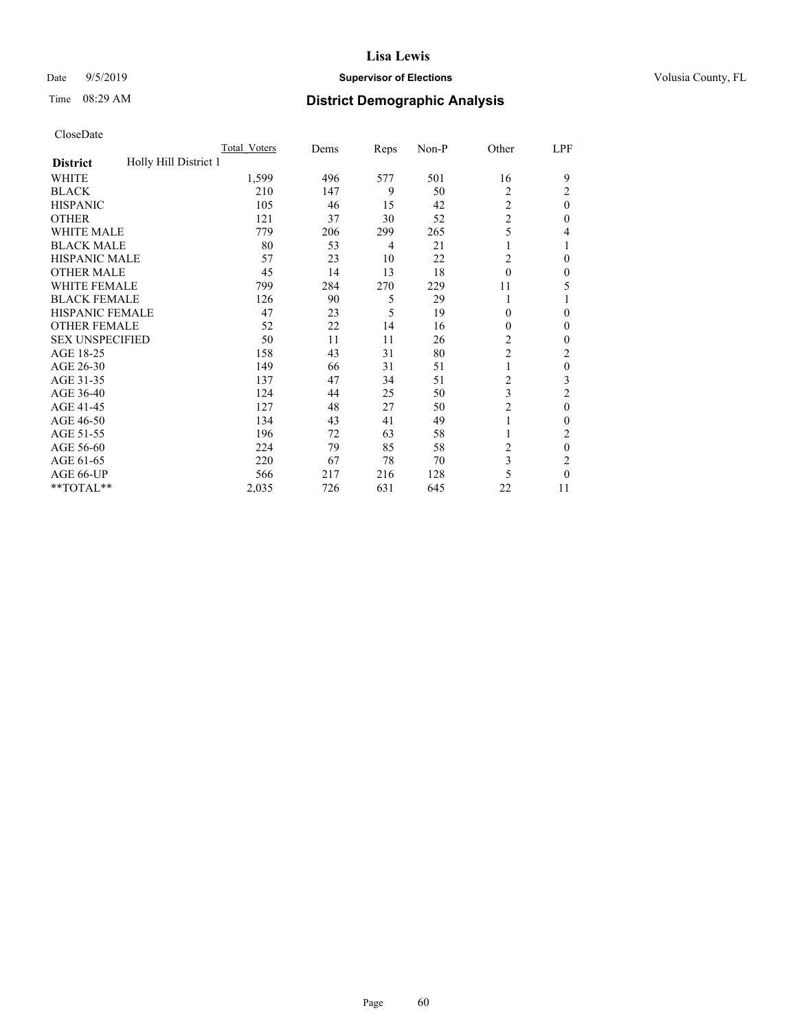# **Lisa Lewis** Date  $9/5/2019$  **Supervisor of Elections Supervisor of Elections** Volusia County, FL

# Time 08:29 AM **District Demographic Analysis**

|                                          | Total Voters | Dems | Reps | Non-P | Other          | LPF      |
|------------------------------------------|--------------|------|------|-------|----------------|----------|
| Holly Hill District 1<br><b>District</b> |              |      |      |       |                |          |
| WHITE                                    | 1,599        | 496  | 577  | 501   | 16             | 9        |
| <b>BLACK</b>                             | 210          | 147  | 9    | 50    | 2              | 2        |
| <b>HISPANIC</b>                          | 105          | 46   | 15   | 42    | $\overline{2}$ | $\theta$ |
| <b>OTHER</b>                             | 121          | 37   | 30   | 52    | $\overline{c}$ | 0        |
| WHITE MALE                               | 779          | 206  | 299  | 265   | 5              | 4        |
| <b>BLACK MALE</b>                        | 80           | 53   | 4    | 21    | 1              |          |
| <b>HISPANIC MALE</b>                     | 57           | 23   | 10   | 22    | 2              | 0        |
| <b>OTHER MALE</b>                        | 45           | 14   | 13   | 18    | $\theta$       | 0        |
| WHITE FEMALE                             | 799          | 284  | 270  | 229   | 11             | 5        |
| <b>BLACK FEMALE</b>                      | 126          | 90   | 5    | 29    | 1              |          |
| <b>HISPANIC FEMALE</b>                   | 47           | 23   | 5    | 19    | $\Omega$       | 0        |
| <b>OTHER FEMALE</b>                      | 52           | 22   | 14   | 16    | $\Omega$       | 0        |
| <b>SEX UNSPECIFIED</b>                   | 50           | 11   | 11   | 26    | $\overline{c}$ | 0        |
| AGE 18-25                                | 158          | 43   | 31   | 80    | $\overline{c}$ | 2        |
| AGE 26-30                                | 149          | 66   | 31   | 51    | 1              | $\theta$ |
| AGE 31-35                                | 137          | 47   | 34   | 51    | $\overline{c}$ | 3        |
| AGE 36-40                                | 124          | 44   | 25   | 50    | 3              | 2        |
| AGE 41-45                                | 127          | 48   | 27   | 50    | $\overline{c}$ | $\theta$ |
| AGE 46-50                                | 134          | 43   | 41   | 49    | 1              | 0        |
| AGE 51-55                                | 196          | 72   | 63   | 58    |                | 2        |
| AGE 56-60                                | 224          | 79   | 85   | 58    | $\overline{c}$ | $\theta$ |
| AGE 61-65                                | 220          | 67   | 78   | 70    | 3              | 2        |
| AGE 66-UP                                | 566          | 217  | 216  | 128   | 5              | 0        |
| **TOTAL**                                | 2,035        | 726  | 631  | 645   | 22             | 11       |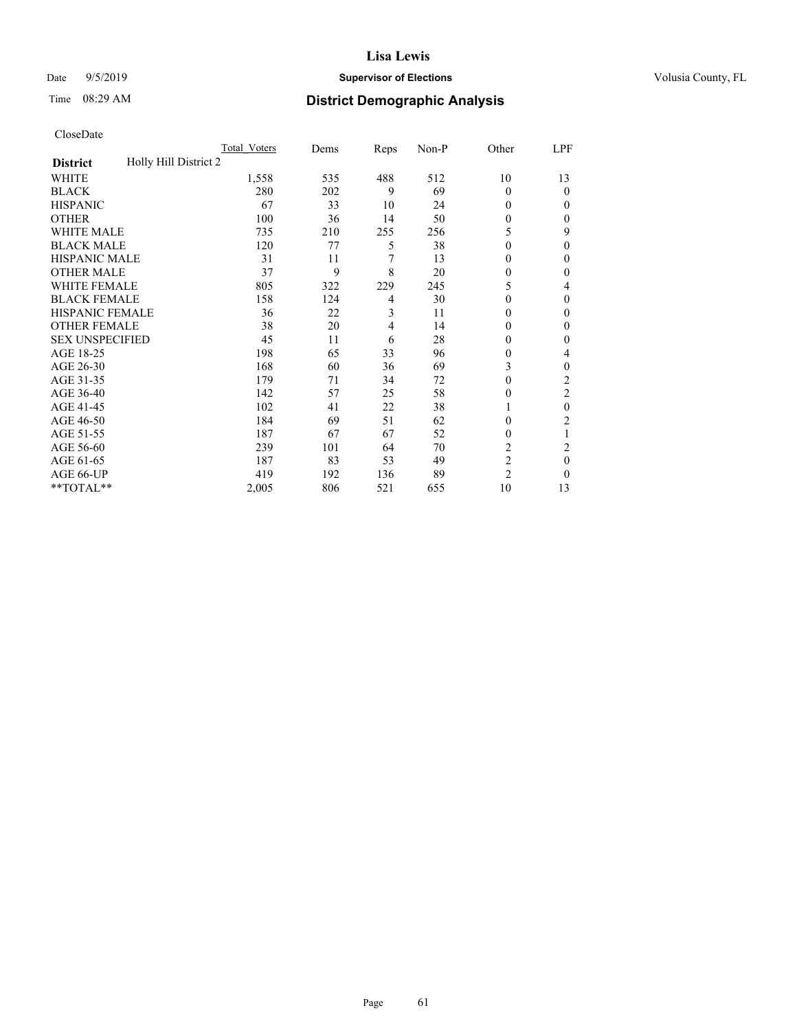# Date 9/5/2019 **Supervisor of Elections Supervisor of Elections** Volusia County, FL

# Time 08:29 AM **District Demographic Analysis**

|                                          | Total Voters | Dems | Reps | Non-P | Other          | LPF            |
|------------------------------------------|--------------|------|------|-------|----------------|----------------|
| Holly Hill District 2<br><b>District</b> |              |      |      |       |                |                |
| WHITE                                    | 1,558        | 535  | 488  | 512   | 10             | 13             |
| <b>BLACK</b>                             | 280          | 202  | 9    | 69    | 0              | 0              |
| <b>HISPANIC</b>                          | 67           | 33   | 10   | 24    | 0              | $_{0}$         |
| <b>OTHER</b>                             | 100          | 36   | 14   | 50    | 0              | 0              |
| WHITE MALE                               | 735          | 210  | 255  | 256   | 5              | 9              |
| <b>BLACK MALE</b>                        | 120          | 77   | 5    | 38    | $\Omega$       | 0              |
| <b>HISPANIC MALE</b>                     | 31           | 11   | 7    | 13    | 0              | 0              |
| <b>OTHER MALE</b>                        | 37           | 9    | 8    | 20    | 0              | 0              |
| WHITE FEMALE                             | 805          | 322  | 229  | 245   | 5              | 4              |
| <b>BLACK FEMALE</b>                      | 158          | 124  | 4    | 30    | 0              | 0              |
| <b>HISPANIC FEMALE</b>                   | 36           | 22   | 3    | 11    | 0              | 0              |
| <b>OTHER FEMALE</b>                      | 38           | 20   | 4    | 14    | 0              | 0              |
| <b>SEX UNSPECIFIED</b>                   | 45           | 11   | 6    | 28    | 0              | 0              |
| AGE 18-25                                | 198          | 65   | 33   | 96    | 0              | 4              |
| AGE 26-30                                | 168          | 60   | 36   | 69    | 3              | 0              |
| AGE 31-35                                | 179          | 71   | 34   | 72    | 0              | $\overline{c}$ |
| AGE 36-40                                | 142          | 57   | 25   | 58    | 0              | 2              |
| AGE 41-45                                | 102          | 41   | 22   | 38    |                | 0              |
| AGE 46-50                                | 184          | 69   | 51   | 62    | 0              | 2              |
| AGE 51-55                                | 187          | 67   | 67   | 52    | 0              | 1              |
| AGE 56-60                                | 239          | 101  | 64   | 70    | $\overline{c}$ | 2              |
| AGE 61-65                                | 187          | 83   | 53   | 49    | $\overline{2}$ | 0              |
| AGE 66-UP                                | 419          | 192  | 136  | 89    | $\overline{2}$ | 0              |
| **TOTAL**                                | 2,005        | 806  | 521  | 655   | 10             | 13             |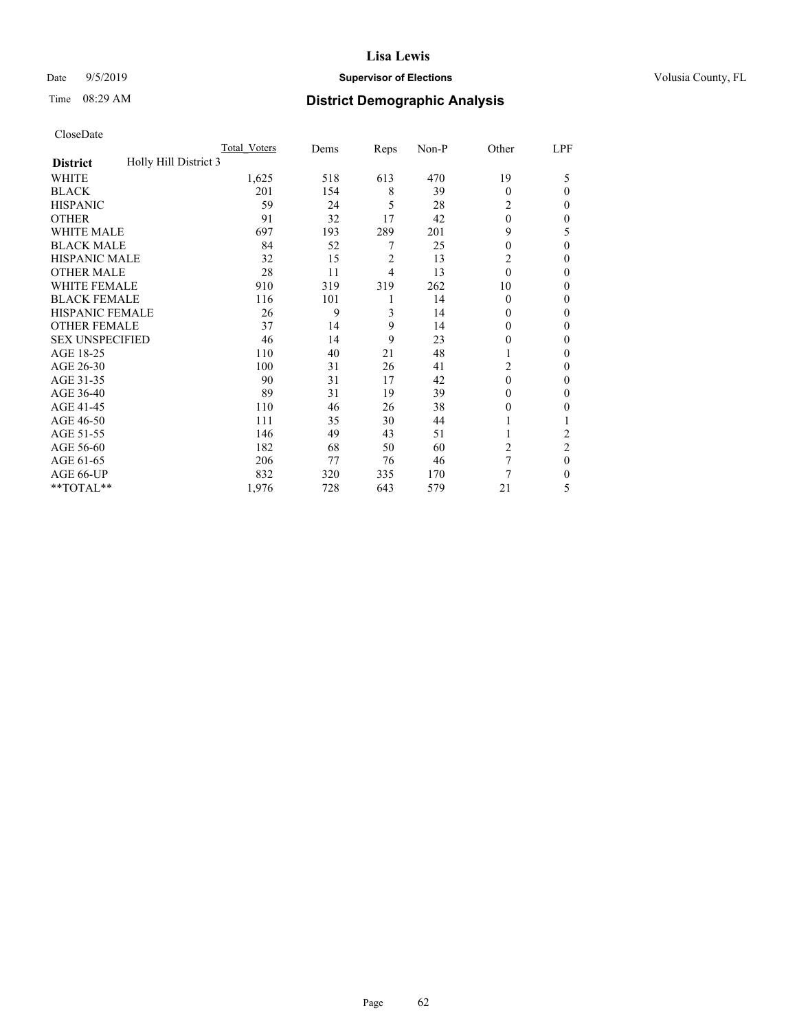# Date 9/5/2019 **Supervisor of Elections Supervisor of Elections** Volusia County, FL

# Time 08:29 AM **District Demographic Analysis**

|                                          | Total Voters | Dems | Reps           | Non-P | Other    | LPF            |
|------------------------------------------|--------------|------|----------------|-------|----------|----------------|
| Holly Hill District 3<br><b>District</b> |              |      |                |       |          |                |
| WHITE                                    | 1,625        | 518  | 613            | 470   | 19       | 5              |
| <b>BLACK</b>                             | 201          | 154  | 8              | 39    | $\Omega$ | 0              |
| <b>HISPANIC</b>                          | 59           | 24   | 5              | 28    | 2        | $_{0}$         |
| <b>OTHER</b>                             | 91           | 32   | 17             | 42    | $\theta$ | 0              |
| WHITE MALE                               | 697          | 193  | 289            | 201   | 9        | 5              |
| <b>BLACK MALE</b>                        | 84           | 52   | 7              | 25    | $\theta$ | 0              |
| <b>HISPANIC MALE</b>                     | 32           | 15   | $\overline{c}$ | 13    | 2        | 0              |
| <b>OTHER MALE</b>                        | 28           | 11   | 4              | 13    | $\theta$ | 0              |
| <b>WHITE FEMALE</b>                      | 910          | 319  | 319            | 262   | 10       | 0              |
| <b>BLACK FEMALE</b>                      | 116          | 101  | 1              | 14    | $\Omega$ | 0              |
| <b>HISPANIC FEMALE</b>                   | 26           | 9    | 3              | 14    | 0        | 0              |
| <b>OTHER FEMALE</b>                      | 37           | 14   | 9              | 14    | $\Omega$ | 0              |
| <b>SEX UNSPECIFIED</b>                   | 46           | 14   | 9              | 23    | 0        | 0              |
| AGE 18-25                                | 110          | 40   | 21             | 48    |          | 0              |
| AGE 26-30                                | 100          | 31   | 26             | 41    | 2        | 0              |
| AGE 31-35                                | 90           | 31   | 17             | 42    | 0        | 0              |
| AGE 36-40                                | 89           | 31   | 19             | 39    | 0        | 0              |
| AGE 41-45                                | 110          | 46   | 26             | 38    | $_{0}$   | 0              |
| AGE 46-50                                | 111          | 35   | 30             | 44    |          |                |
| AGE 51-55                                | 146          | 49   | 43             | 51    |          | $\overline{c}$ |
| AGE 56-60                                | 182          | 68   | 50             | 60    | 2        | $\overline{2}$ |
| AGE 61-65                                | 206          | 77   | 76             | 46    | 7        | $\theta$       |
| AGE 66-UP                                | 832          | 320  | 335            | 170   | 7        | 0              |
| **TOTAL**                                | 1,976        | 728  | 643            | 579   | 21       | 5              |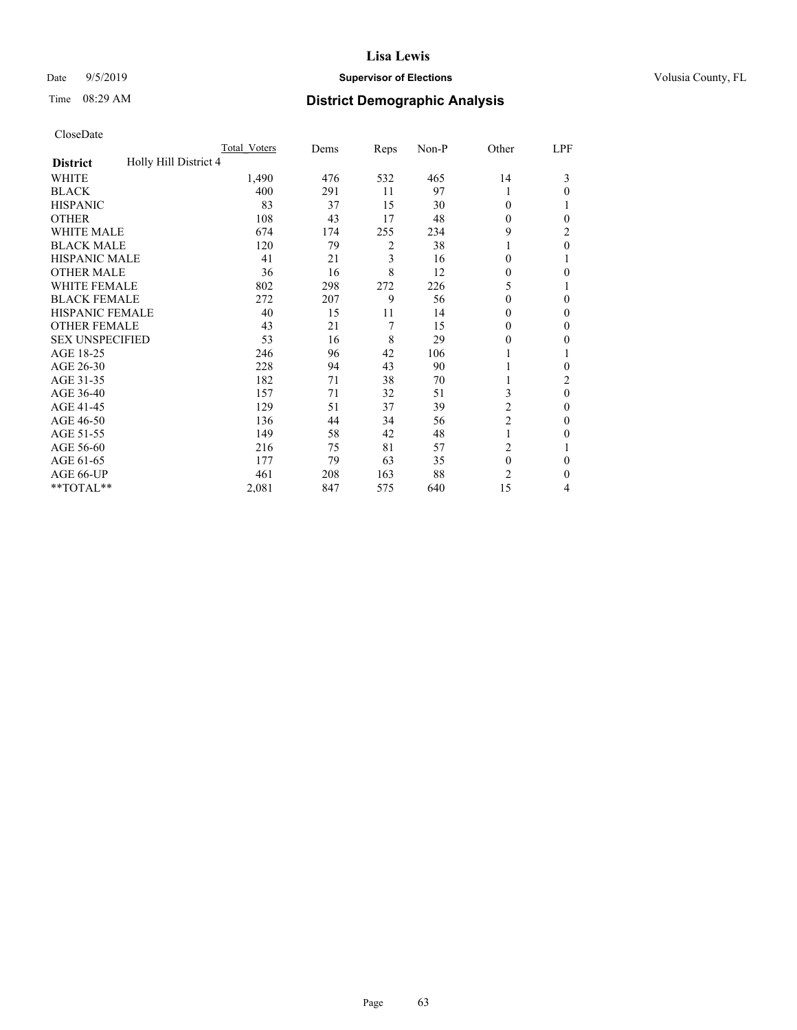# Date 9/5/2019 **Supervisor of Elections Supervisor of Elections** Volusia County, FL

# Time 08:29 AM **District Demographic Analysis**

|                                          | Total Voters | Dems | Reps | Non-P | Other          | LPF      |
|------------------------------------------|--------------|------|------|-------|----------------|----------|
| Holly Hill District 4<br><b>District</b> |              |      |      |       |                |          |
| WHITE                                    | 1,490        | 476  | 532  | 465   | 14             | 3        |
| <b>BLACK</b>                             | 400          | 291  | 11   | 97    |                | 0        |
| <b>HISPANIC</b>                          | 83           | 37   | 15   | 30    | $\theta$       |          |
| <b>OTHER</b>                             | 108          | 43   | 17   | 48    | $\Omega$       | 0        |
| <b>WHITE MALE</b>                        | 674          | 174  | 255  | 234   | 9              | 2        |
| <b>BLACK MALE</b>                        | 120          | 79   | 2    | 38    |                | 0        |
| <b>HISPANIC MALE</b>                     | 41           | 21   | 3    | 16    | $\theta$       |          |
| <b>OTHER MALE</b>                        | 36           | 16   | 8    | 12    | 0              | 0        |
| <b>WHITE FEMALE</b>                      | 802          | 298  | 272  | 226   | 5              |          |
| <b>BLACK FEMALE</b>                      | 272          | 207  | 9    | 56    | $\theta$       | 0        |
| <b>HISPANIC FEMALE</b>                   | 40           | 15   | 11   | 14    | 0              | 0        |
| <b>OTHER FEMALE</b>                      | 43           | 21   | 7    | 15    | $\theta$       | 0        |
| <b>SEX UNSPECIFIED</b>                   | 53           | 16   | 8    | 29    | 0              | 0        |
| AGE 18-25                                | 246          | 96   | 42   | 106   |                |          |
| AGE 26-30                                | 228          | 94   | 43   | 90    |                | 0        |
| AGE 31-35                                | 182          | 71   | 38   | 70    |                | 2        |
| AGE 36-40                                | 157          | 71   | 32   | 51    | 3              | $\theta$ |
| AGE 41-45                                | 129          | 51   | 37   | 39    | 2              | 0        |
| AGE 46-50                                | 136          | 44   | 34   | 56    | $\overline{c}$ | 0        |
| AGE 51-55                                | 149          | 58   | 42   | 48    |                | 0        |
| AGE 56-60                                | 216          | 75   | 81   | 57    | $\overline{c}$ |          |
| AGE 61-65                                | 177          | 79   | 63   | 35    | $\mathbf{0}$   | 0        |
| AGE 66-UP                                | 461          | 208  | 163  | 88    | $\overline{c}$ | 0        |
| **TOTAL**                                | 2,081        | 847  | 575  | 640   | 15             | 4        |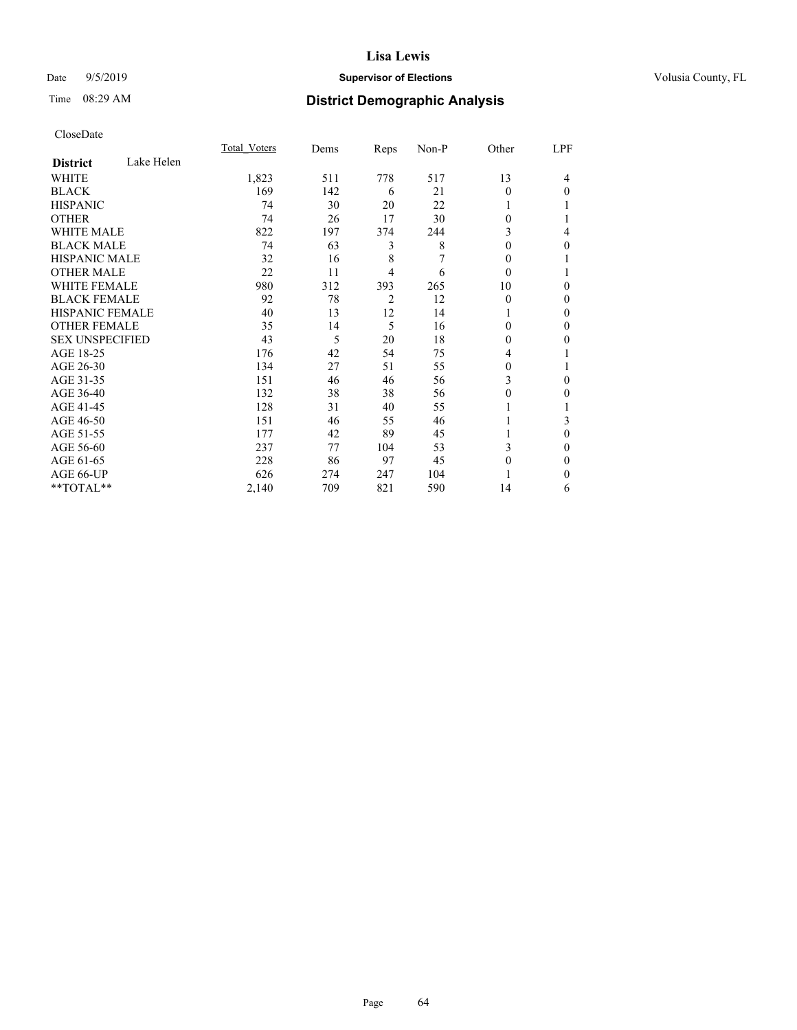# Date 9/5/2019 **Supervisor of Elections Supervisor of Elections** Volusia County, FL

# Time 08:29 AM **District Demographic Analysis**

|                        |            | Total Voters | Dems | Reps           | Non-P | Other    | LPF |
|------------------------|------------|--------------|------|----------------|-------|----------|-----|
| <b>District</b>        | Lake Helen |              |      |                |       |          |     |
| WHITE                  |            | 1,823        | 511  | 778            | 517   | 13       | 4   |
| <b>BLACK</b>           |            | 169          | 142  | 6              | 21    | 0        | 0   |
| <b>HISPANIC</b>        |            | 74           | 30   | 20             | 22    |          |     |
| <b>OTHER</b>           |            | 74           | 26   | 17             | 30    | 0        |     |
| WHITE MALE             |            | 822          | 197  | 374            | 244   | 3        | 4   |
| <b>BLACK MALE</b>      |            | 74           | 63   | 3              | 8     | 0        | 0   |
| <b>HISPANIC MALE</b>   |            | 32           | 16   | 8              | 7     | 0        |     |
| <b>OTHER MALE</b>      |            | 22           | 11   | 4              | 6     | $\theta$ |     |
| WHITE FEMALE           |            | 980          | 312  | 393            | 265   | 10       | 0   |
| <b>BLACK FEMALE</b>    |            | 92           | 78   | $\overline{2}$ | 12    | $\theta$ | 0   |
| <b>HISPANIC FEMALE</b> |            | 40           | 13   | 12             | 14    |          | 0   |
| <b>OTHER FEMALE</b>    |            | 35           | 14   | 5              | 16    | 0        | 0   |
| <b>SEX UNSPECIFIED</b> |            | 43           | 5    | 20             | 18    | 0        | 0   |
| AGE 18-25              |            | 176          | 42   | 54             | 75    | 4        |     |
| AGE 26-30              |            | 134          | 27   | 51             | 55    | 0        |     |
| AGE 31-35              |            | 151          | 46   | 46             | 56    | 3        | 0   |
| AGE 36-40              |            | 132          | 38   | 38             | 56    | 0        | 0   |
| AGE 41-45              |            | 128          | 31   | 40             | 55    |          |     |
| AGE 46-50              |            | 151          | 46   | 55             | 46    |          | 3   |
| AGE 51-55              |            | 177          | 42   | 89             | 45    |          | 0   |
| AGE 56-60              |            | 237          | 77   | 104            | 53    | 3        | 0   |
| AGE 61-65              |            | 228          | 86   | 97             | 45    | 0        | 0   |
| AGE 66-UP              |            | 626          | 274  | 247            | 104   |          | 0   |
| **TOTAL**              |            | 2,140        | 709  | 821            | 590   | 14       | 6   |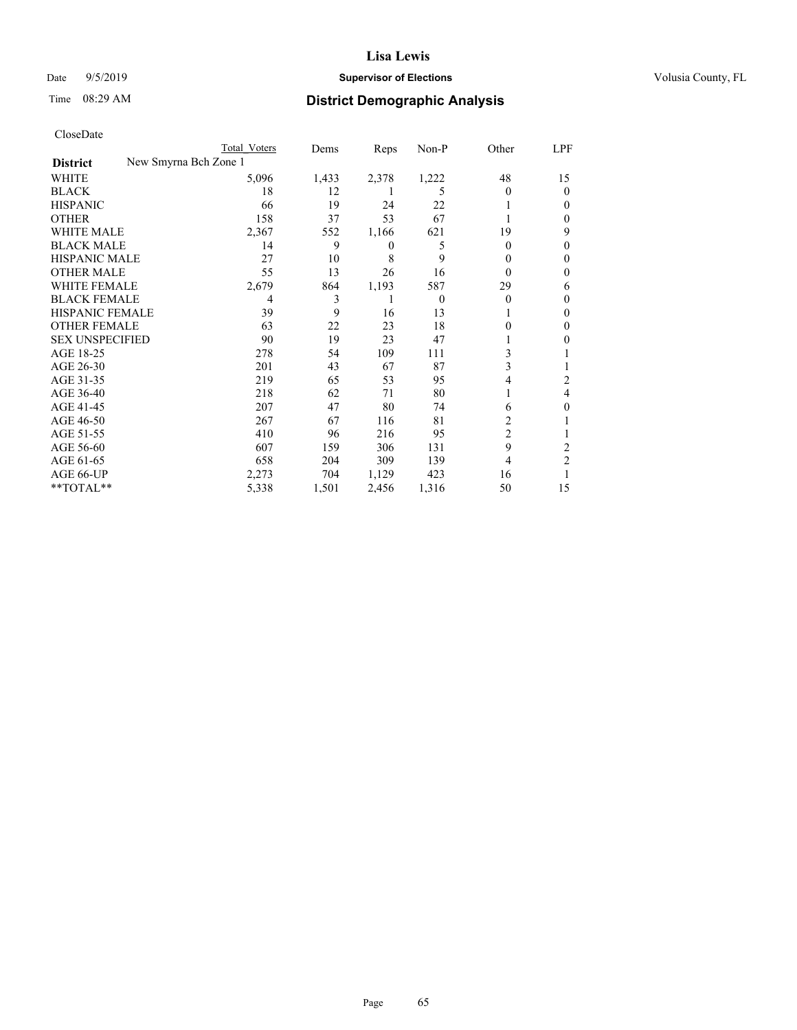# Date 9/5/2019 **Supervisor of Elections Supervisor of Elections** Volusia County, FL

# Time 08:29 AM **District Demographic Analysis**

|                                          | Total Voters | Dems  | Reps  | Non-P    | Other          | LPF            |
|------------------------------------------|--------------|-------|-------|----------|----------------|----------------|
| New Smyrna Bch Zone 1<br><b>District</b> |              |       |       |          |                |                |
| WHITE                                    | 5,096        | 1,433 | 2,378 | 1,222    | 48             | 15             |
| <b>BLACK</b>                             | 18           | 12    |       | 5        | 0              | $\Omega$       |
| <b>HISPANIC</b>                          | 66           | 19    | 24    | 22       |                | 0              |
| <b>OTHER</b>                             | 158          | 37    | 53    | 67       |                | 0              |
| <b>WHITE MALE</b>                        | 2,367        | 552   | 1,166 | 621      | 19             | 9              |
| <b>BLACK MALE</b>                        | 14           | 9     | 0     | 5        | $\overline{0}$ | 0              |
| <b>HISPANIC MALE</b>                     | 27           | 10    | 8     | 9        | 0              | 0              |
| <b>OTHER MALE</b>                        | 55           | 13    | 26    | 16       | 0              | 0              |
| <b>WHITE FEMALE</b>                      | 2,679        | 864   | 1,193 | 587      | 29             | 6              |
| <b>BLACK FEMALE</b>                      | 4            | 3     |       | $\theta$ | 0              | 0              |
| <b>HISPANIC FEMALE</b>                   | 39           | 9     | 16    | 13       |                | 0              |
| <b>OTHER FEMALE</b>                      | 63           | 22    | 23    | 18       | 0              | 0              |
| <b>SEX UNSPECIFIED</b>                   | 90           | 19    | 23    | 47       |                | 0              |
| AGE 18-25                                | 278          | 54    | 109   | 111      | 3              |                |
| AGE 26-30                                | 201          | 43    | 67    | 87       | 3              |                |
| AGE 31-35                                | 219          | 65    | 53    | 95       | 4              | 2              |
| AGE 36-40                                | 218          | 62    | 71    | 80       |                | 4              |
| AGE 41-45                                | 207          | 47    | 80    | 74       | 6              | 0              |
| AGE 46-50                                | 267          | 67    | 116   | 81       | 2              |                |
| AGE 51-55                                | 410          | 96    | 216   | 95       | 2              |                |
| AGE 56-60                                | 607          | 159   | 306   | 131      | 9              | 2              |
| AGE 61-65                                | 658          | 204   | 309   | 139      | 4              | $\overline{2}$ |
| AGE 66-UP                                | 2,273        | 704   | 1,129 | 423      | 16             |                |
| **TOTAL**                                | 5,338        | 1,501 | 2,456 | 1,316    | 50             | 15             |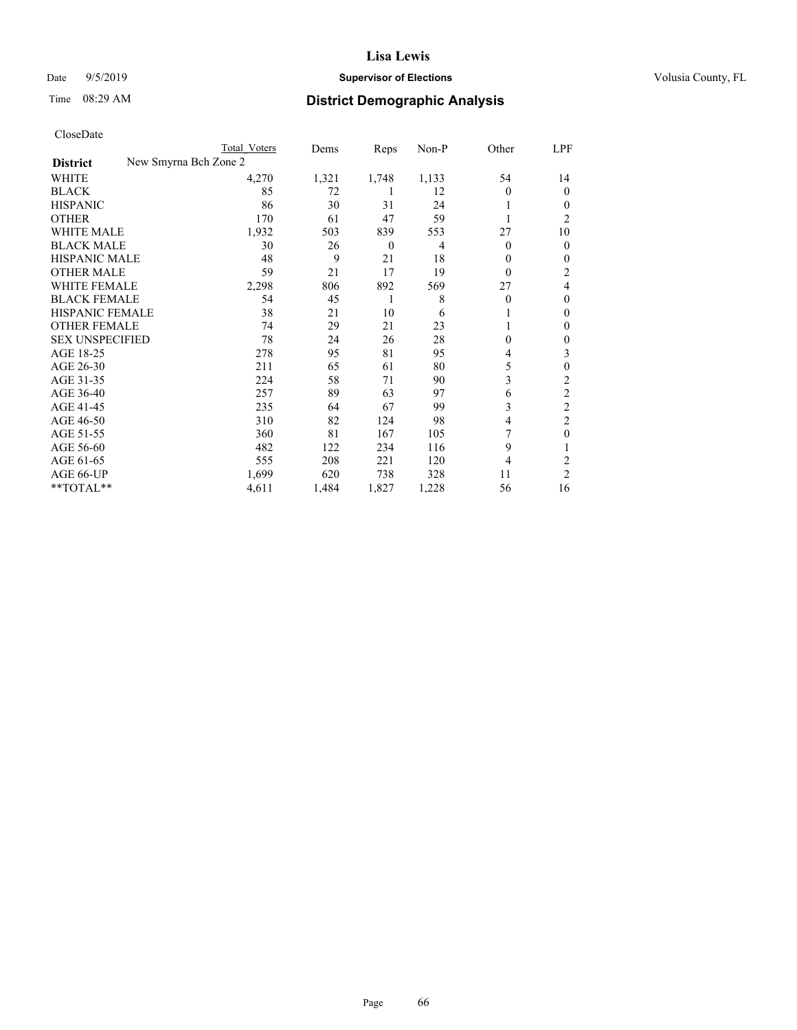# Date 9/5/2019 **Supervisor of Elections Supervisor of Elections** Volusia County, FL

# Time 08:29 AM **District Demographic Analysis**

| CloseDate |
|-----------|
|-----------|

|                        | Total Voters          | Dems  | Reps     | Non-P | Other    | LPF            |
|------------------------|-----------------------|-------|----------|-------|----------|----------------|
| <b>District</b>        | New Smyrna Bch Zone 2 |       |          |       |          |                |
| WHITE                  | 4,270                 | 1,321 | 1,748    | 1,133 | 54       | 14             |
| <b>BLACK</b>           | 85                    | 72    |          | 12    | $\theta$ | $\Omega$       |
| <b>HISPANIC</b>        | 86                    | 30    | 31       | 24    |          | 0              |
| <b>OTHER</b>           | 170                   | 61    | 47       | 59    |          | 2              |
| <b>WHITE MALE</b>      | 1,932                 | 503   | 839      | 553   | 27       | 10             |
| <b>BLACK MALE</b>      | 30                    | 26    | $\theta$ | 4     | $\Omega$ | 0              |
| <b>HISPANIC MALE</b>   | 48                    | 9     | 21       | 18    | $\theta$ | 0              |
| <b>OTHER MALE</b>      | 59                    | 21    | 17       | 19    | $\theta$ | 2              |
| <b>WHITE FEMALE</b>    | 2,298                 | 806   | 892      | 569   | 27       | 4              |
| <b>BLACK FEMALE</b>    | 54                    | 45    | 1        | 8     | $\Omega$ | 0              |
| HISPANIC FEMALE        | 38                    | 21    | 10       | 6     |          | 0              |
| <b>OTHER FEMALE</b>    | 74                    | 29    | 21       | 23    |          | 0              |
| <b>SEX UNSPECIFIED</b> | 78                    | 24    | 26       | 28    | $\theta$ | 0              |
| AGE 18-25              | 278                   | 95    | 81       | 95    | 4        | 3              |
| AGE 26-30              | 211                   | 65    | 61       | 80    | 5        | 0              |
| AGE 31-35              | 224                   | 58    | 71       | 90    | 3        | 2              |
| AGE 36-40              | 257                   | 89    | 63       | 97    | 6        | $\mathfrak{2}$ |
| AGE 41-45              | 235                   | 64    | 67       | 99    | 3        | 2              |
| AGE 46-50              | 310                   | 82    | 124      | 98    | 4        | 2              |
| AGE 51-55              | 360                   | 81    | 167      | 105   |          | 0              |
| AGE 56-60              | 482                   | 122   | 234      | 116   | 9        |                |
| AGE 61-65              | 555                   | 208   | 221      | 120   | 4        | 2              |
| AGE 66-UP              | 1,699                 | 620   | 738      | 328   | 11       | $\overline{2}$ |
| **TOTAL**              | 4,611                 | 1,484 | 1,827    | 1,228 | 56       | 16             |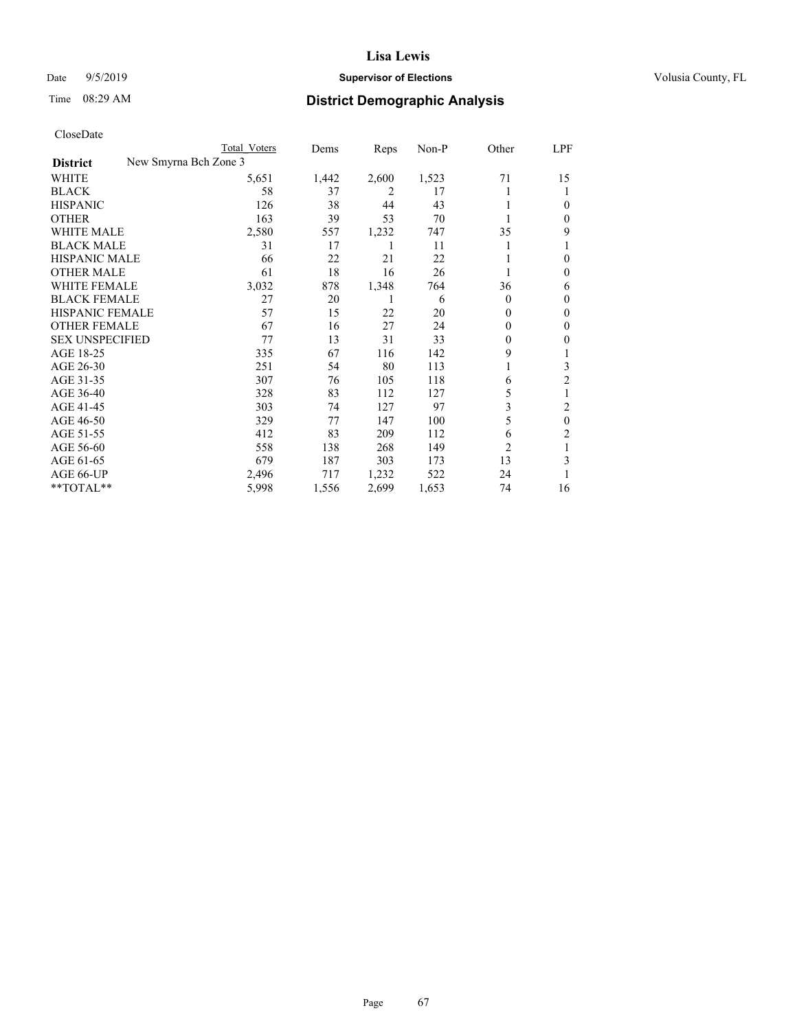AGE 61-65  $\,$ 

## **Lisa Lewis**

#### Date  $9/5/2019$  **Supervisor of Elections Supervisor of Elections** Volusia County, FL

# Time 08:29 AM **District Demographic Analysis**

| CloseDate              |                       |              |       |       |       |          |          |
|------------------------|-----------------------|--------------|-------|-------|-------|----------|----------|
|                        |                       | Total Voters | Dems  | Reps  | Non-P | Other    | LPF      |
| <b>District</b>        | New Smyrna Bch Zone 3 |              |       |       |       |          |          |
| WHITE                  |                       | 5,651        | 1,442 | 2,600 | 1,523 | 71       | 15       |
| <b>BLACK</b>           |                       | 58           | 37    | 2     | 17    |          |          |
| <b>HISPANIC</b>        |                       | 126          | 38    | 44    | 43    |          | 0        |
| <b>OTHER</b>           |                       | 163          | 39    | 53    | 70    |          | 0        |
| WHITE MALE             |                       | 2,580        | 557   | 1,232 | 747   | 35       | 9        |
| <b>BLACK MALE</b>      |                       | 31           | 17    |       | 11    |          |          |
| <b>HISPANIC MALE</b>   |                       | 66           | 22    | 21    | 22    |          | $\theta$ |
| <b>OTHER MALE</b>      |                       | 61           | 18    | 16    | 26    |          | $\theta$ |
| WHITE FEMALE           |                       | 3,032        | 878   | 1,348 | 764   | 36       | 6        |
| <b>BLACK FEMALE</b>    |                       | 27           | 20    |       | 6     | $\theta$ | $\theta$ |
| <b>HISPANIC FEMALE</b> |                       | 57           | 15    | 22    | 20    | 0        | $\theta$ |
| <b>OTHER FEMALE</b>    |                       | 67           | 16    | 27    | 24    | 0        | $\theta$ |
| <b>SEX UNSPECIFIED</b> |                       | 77           | 13    | 31    | 33    | 0        | $\theta$ |
| AGE 18-25              |                       | 335          | 67    | 116   | 142   | 9        |          |
| AGE 26-30              |                       | 251          | 54    | 80    | 113   |          | 3        |
| AGE 31-35              |                       | 307          | 76    | 105   | 118   | 6        | 2        |

\*\*TOTAL\*\* 5,998 1,556 2,699

AGE 36-40 328 83 112 127 5 1<br>AGE 41-45 303 74 127 97 3 2 AGE 41-45<br>
AGE 46-50<br>
AGE 46-50<br>
29<br>
29<br>
27<br>
27<br>
27<br>
27<br>
27<br>
27<br>
3<br>
3<br>
2<br>
3<br>
5<br>
0 AGE 46-50 329 77 147 100 5 0<br>AGE 51-55 412 83 209 112 6 2 AGE 51-55 412 83 209 112 6 2<br>AGE 56-60 558 138 268 149 2 1 AGE 56-60 558 138 268 149 2 1<br>AGE 61-65 679 187 303 173 13 3

AGE 66-UP <br>  $2,496$  717 1,232 522 24 1<br>
\*\*TOTAL\*\* 5,998 1,556 2,699 1,653 74 16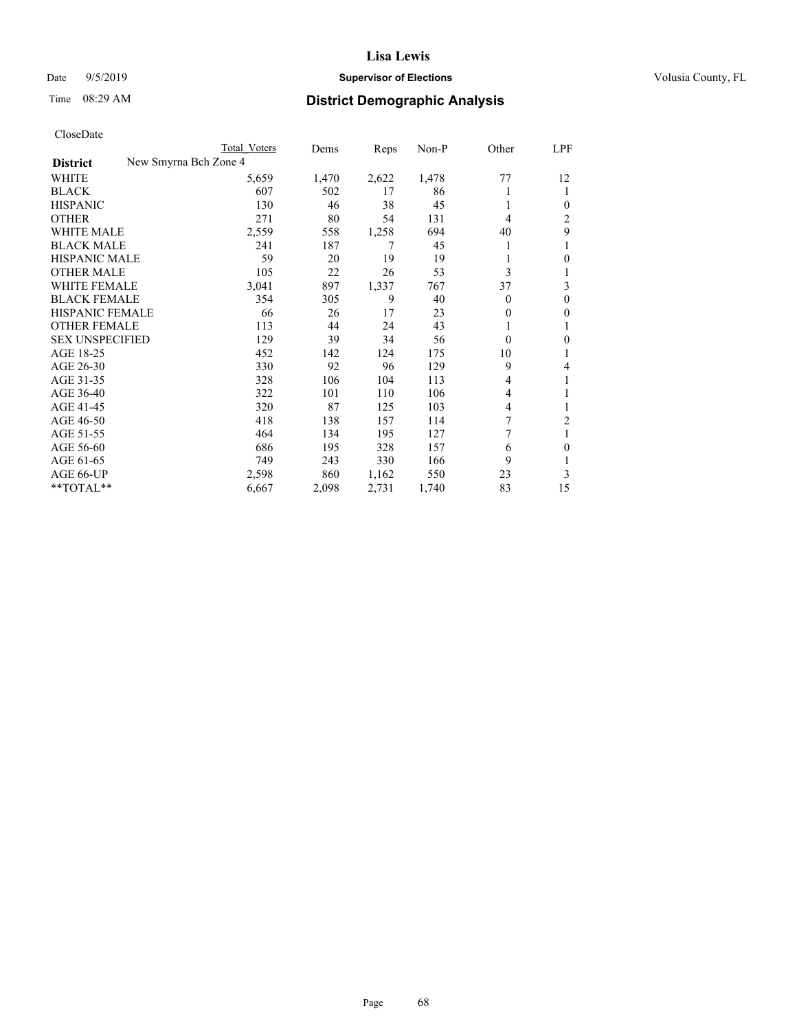# Date 9/5/2019 **Supervisor of Elections Supervisor of Elections** Volusia County, FL

# Time 08:29 AM **District Demographic Analysis**

|                                          | Total Voters | Dems  | Reps  | Non-P | Other    | LPF            |
|------------------------------------------|--------------|-------|-------|-------|----------|----------------|
| New Smyrna Bch Zone 4<br><b>District</b> |              |       |       |       |          |                |
| WHITE                                    | 5,659        | 1,470 | 2,622 | 1,478 | 77       | 12             |
| <b>BLACK</b>                             | 607          | 502   | 17    | 86    | 1        | 1              |
| <b>HISPANIC</b>                          | 130          | 46    | 38    | 45    | 1        | 0              |
| <b>OTHER</b>                             | 271          | 80    | 54    | 131   | 4        | 2              |
| <b>WHITE MALE</b>                        | 2,559        | 558   | 1,258 | 694   | 40       | 9              |
| <b>BLACK MALE</b>                        | 241          | 187   | 7     | 45    | 1        | 1              |
| HISPANIC MALE                            | 59           | 20    | 19    | 19    | 1        | 0              |
| <b>OTHER MALE</b>                        | 105          | 22    | 26    | 53    | 3        |                |
| <b>WHITE FEMALE</b>                      | 3,041        | 897   | 1,337 | 767   | 37       | 3              |
| <b>BLACK FEMALE</b>                      | 354          | 305   | 9     | 40    | $\theta$ | $\Omega$       |
| <b>HISPANIC FEMALE</b>                   | 66           | 26    | 17    | 23    | $\theta$ | 0              |
| <b>OTHER FEMALE</b>                      | 113          | 44    | 24    | 43    | 1        |                |
| <b>SEX UNSPECIFIED</b>                   | 129          | 39    | 34    | 56    | $\theta$ | 0              |
| AGE 18-25                                | 452          | 142   | 124   | 175   | 10       |                |
| AGE 26-30                                | 330          | 92    | 96    | 129   | 9        | 4              |
| AGE 31-35                                | 328          | 106   | 104   | 113   | 4        | 1              |
| AGE 36-40                                | 322          | 101   | 110   | 106   | 4        |                |
| AGE 41-45                                | 320          | 87    | 125   | 103   | 4        |                |
| AGE 46-50                                | 418          | 138   | 157   | 114   | 7        | $\overline{c}$ |
| AGE 51-55                                | 464          | 134   | 195   | 127   | 7        | 1              |
| AGE 56-60                                | 686          | 195   | 328   | 157   | 6        | 0              |
| AGE 61-65                                | 749          | 243   | 330   | 166   | 9        |                |
| AGE 66-UP                                | 2,598        | 860   | 1,162 | 550   | 23       | 3              |
| **TOTAL**                                | 6,667        | 2,098 | 2,731 | 1,740 | 83       | 15             |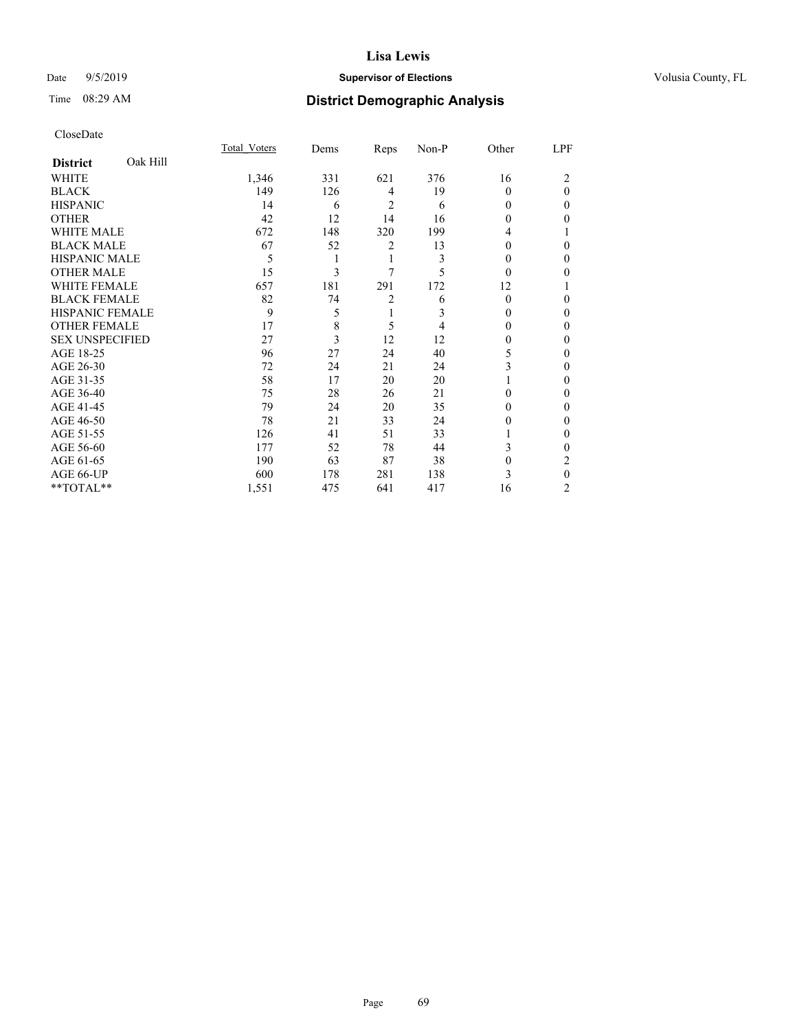# Date 9/5/2019 **Supervisor of Elections Supervisor of Elections** Volusia County, FL

# Time 08:29 AM **District Demographic Analysis**

|                        |          | Total Voters | Dems | Reps | Non-P | Other    | LPF |
|------------------------|----------|--------------|------|------|-------|----------|-----|
| <b>District</b>        | Oak Hill |              |      |      |       |          |     |
| WHITE                  |          | 1,346        | 331  | 621  | 376   | 16       | 2   |
| <b>BLACK</b>           |          | 149          | 126  | 4    | 19    | 0        | 0   |
| <b>HISPANIC</b>        |          | 14           | 6    | 2    | 6     | 0        | 0   |
| <b>OTHER</b>           |          | 42           | 12   | 14   | 16    | 0        | 0   |
| WHITE MALE             |          | 672          | 148  | 320  | 199   | 4        |     |
| <b>BLACK MALE</b>      |          | 67           | 52   | 2    | 13    | 0        | 0   |
| <b>HISPANIC MALE</b>   |          | 5            |      | 1    | 3     | $_{0}$   | 0   |
| <b>OTHER MALE</b>      |          | 15           | 3    | 7    | 5     | 0        | 0   |
| WHITE FEMALE           |          | 657          | 181  | 291  | 172   | 12       |     |
| <b>BLACK FEMALE</b>    |          | 82           | 74   | 2    | 6     | $\Omega$ | 0   |
| <b>HISPANIC FEMALE</b> |          | 9            | 5    | 1    | 3     | 0        | 0   |
| <b>OTHER FEMALE</b>    |          | 17           | 8    | 5    | 4     | 0        | 0   |
| <b>SEX UNSPECIFIED</b> |          | 27           | 3    | 12   | 12    | 0        | 0   |
| AGE 18-25              |          | 96           | 27   | 24   | 40    | 5        | 0   |
| AGE 26-30              |          | 72           | 24   | 21   | 24    | 3        | 0   |
| AGE 31-35              |          | 58           | 17   | 20   | 20    |          | 0   |
| AGE 36-40              |          | 75           | 28   | 26   | 21    | 0        | 0   |
| AGE 41-45              |          | 79           | 24   | 20   | 35    | 0        | 0   |
| AGE 46-50              |          | 78           | 21   | 33   | 24    | 0        | 0   |
| AGE 51-55              |          | 126          | 41   | 51   | 33    |          | 0   |
| AGE 56-60              |          | 177          | 52   | 78   | 44    | 3        | 0   |
| AGE 61-65              |          | 190          | 63   | 87   | 38    | 0        | 2   |
| AGE 66-UP              |          | 600          | 178  | 281  | 138   | 3        | 0   |
| **TOTAL**              |          | 1,551        | 475  | 641  | 417   | 16       | 2   |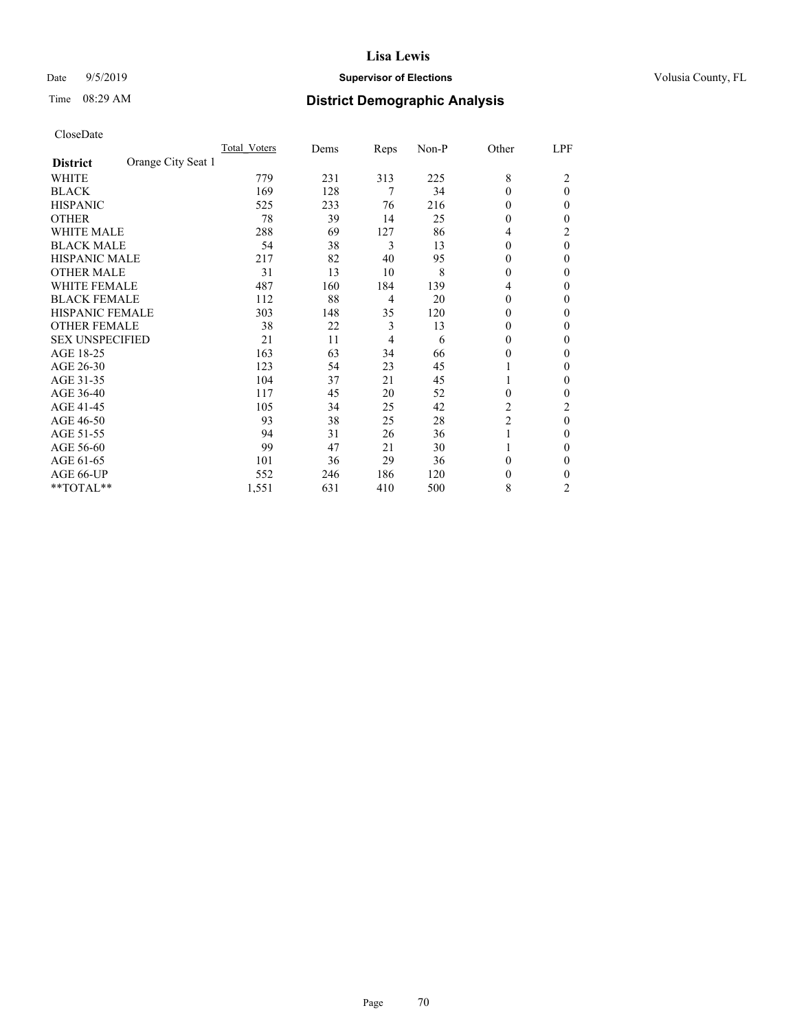# Date 9/5/2019 **Supervisor of Elections Supervisor of Elections** Volusia County, FL

# Time 08:29 AM **District Demographic Analysis**

|                                       | Total Voters | Dems | Reps           | Non-P | Other          | LPF            |
|---------------------------------------|--------------|------|----------------|-------|----------------|----------------|
| Orange City Seat 1<br><b>District</b> |              |      |                |       |                |                |
| WHITE                                 | 779          | 231  | 313            | 225   | 8              | 2              |
| <b>BLACK</b>                          | 169          | 128  | 7              | 34    | $\Omega$       | $\theta$       |
| <b>HISPANIC</b>                       | 525          | 233  | 76             | 216   | $\Omega$       | 0              |
| <b>OTHER</b>                          | 78           | 39   | 14             | 25    | $\Omega$       | 0              |
| <b>WHITE MALE</b>                     | 288          | 69   | 127            | 86    | 4              | 2              |
| <b>BLACK MALE</b>                     | 54           | 38   | 3              | 13    | $\Omega$       | $\theta$       |
| <b>HISPANIC MALE</b>                  | 217          | 82   | 40             | 95    | $\Omega$       | 0              |
| <b>OTHER MALE</b>                     | 31           | 13   | 10             | 8     | $\theta$       | 0              |
| <b>WHITE FEMALE</b>                   | 487          | 160  | 184            | 139   | 4              | 0              |
| <b>BLACK FEMALE</b>                   | 112          | 88   | $\overline{4}$ | 20    | $\Omega$       | 0              |
| <b>HISPANIC FEMALE</b>                | 303          | 148  | 35             | 120   | $\Omega$       | 0              |
| <b>OTHER FEMALE</b>                   | 38           | 22   | 3              | 13    | $\Omega$       | 0              |
| <b>SEX UNSPECIFIED</b>                | 21           | 11   | $\overline{4}$ | 6     | $\Omega$       | 0              |
| AGE 18-25                             | 163          | 63   | 34             | 66    | $\Omega$       | 0              |
| AGE 26-30                             | 123          | 54   | 23             | 45    |                | 0              |
| AGE 31-35                             | 104          | 37   | 21             | 45    |                | 0              |
| AGE 36-40                             | 117          | 45   | 20             | 52    | $\Omega$       | 0              |
| AGE 41-45                             | 105          | 34   | 25             | 42    | 2              | 2              |
| AGE 46-50                             | 93           | 38   | 25             | 28    | $\overline{2}$ | $\theta$       |
| AGE 51-55                             | 94           | 31   | 26             | 36    | 1              | 0              |
| AGE 56-60                             | 99           | 47   | 21             | 30    |                | 0              |
| AGE 61-65                             | 101          | 36   | 29             | 36    | $\theta$       | 0              |
| AGE 66-UP                             | 552          | 246  | 186            | 120   | 0              | 0              |
| **TOTAL**                             | 1,551        | 631  | 410            | 500   | 8              | $\overline{c}$ |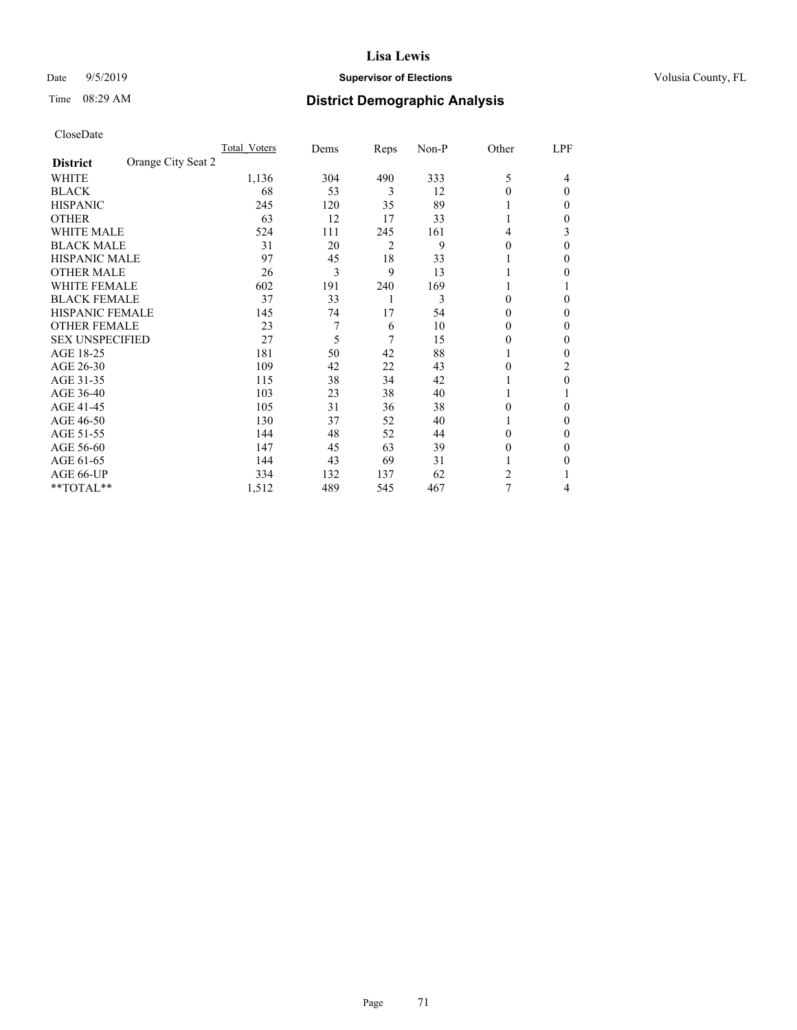# Date 9/5/2019 **Supervisor of Elections Supervisor of Elections** Volusia County, FL

# Time 08:29 AM **District Demographic Analysis**

|                                       | Total Voters | Dems | Reps | Non-P | Other    | LPF      |
|---------------------------------------|--------------|------|------|-------|----------|----------|
| Orange City Seat 2<br><b>District</b> |              |      |      |       |          |          |
| WHITE                                 | 1,136        | 304  | 490  | 333   | 5        | 4        |
| <b>BLACK</b>                          | 68           | 53   | 3    | 12    | $\Omega$ | $\Omega$ |
| <b>HISPANIC</b>                       | 245          | 120  | 35   | 89    | 1        | 0        |
| <b>OTHER</b>                          | 63           | 12   | 17   | 33    |          | 0        |
| <b>WHITE MALE</b>                     | 524          | 111  | 245  | 161   | 4        | 3        |
| <b>BLACK MALE</b>                     | 31           | 20   | 2    | 9     | $\theta$ | $\Omega$ |
| HISPANIC MALE                         | 97           | 45   | 18   | 33    |          | 0        |
| <b>OTHER MALE</b>                     | 26           | 3    | 9    | 13    | 1        | 0        |
| <b>WHITE FEMALE</b>                   | 602          | 191  | 240  | 169   |          |          |
| <b>BLACK FEMALE</b>                   | 37           | 33   | 1    | 3     | $\theta$ | 0        |
| <b>HISPANIC FEMALE</b>                | 145          | 74   | 17   | 54    | $\Omega$ | 0        |
| <b>OTHER FEMALE</b>                   | 23           | 7    | 6    | 10    | $\Omega$ | 0        |
| <b>SEX UNSPECIFIED</b>                | 27           | 5    | 7    | 15    | $\theta$ | 0        |
| AGE 18-25                             | 181          | 50   | 42   | 88    |          | 0        |
| AGE 26-30                             | 109          | 42   | 22   | 43    | $\theta$ | 2        |
| AGE 31-35                             | 115          | 38   | 34   | 42    |          | 0        |
| AGE 36-40                             | 103          | 23   | 38   | 40    | 1        |          |
| AGE 41-45                             | 105          | 31   | 36   | 38    | $\Omega$ | 0        |
| AGE 46-50                             | 130          | 37   | 52   | 40    | 1        | 0        |
| AGE 51-55                             | 144          | 48   | 52   | 44    | $\Omega$ | 0        |
| AGE 56-60                             | 147          | 45   | 63   | 39    | $\theta$ | 0        |
| AGE 61-65                             | 144          | 43   | 69   | 31    |          | 0        |
| AGE 66-UP                             | 334          | 132  | 137  | 62    | 2        |          |
| **TOTAL**                             | 1,512        | 489  | 545  | 467   | 7        | 4        |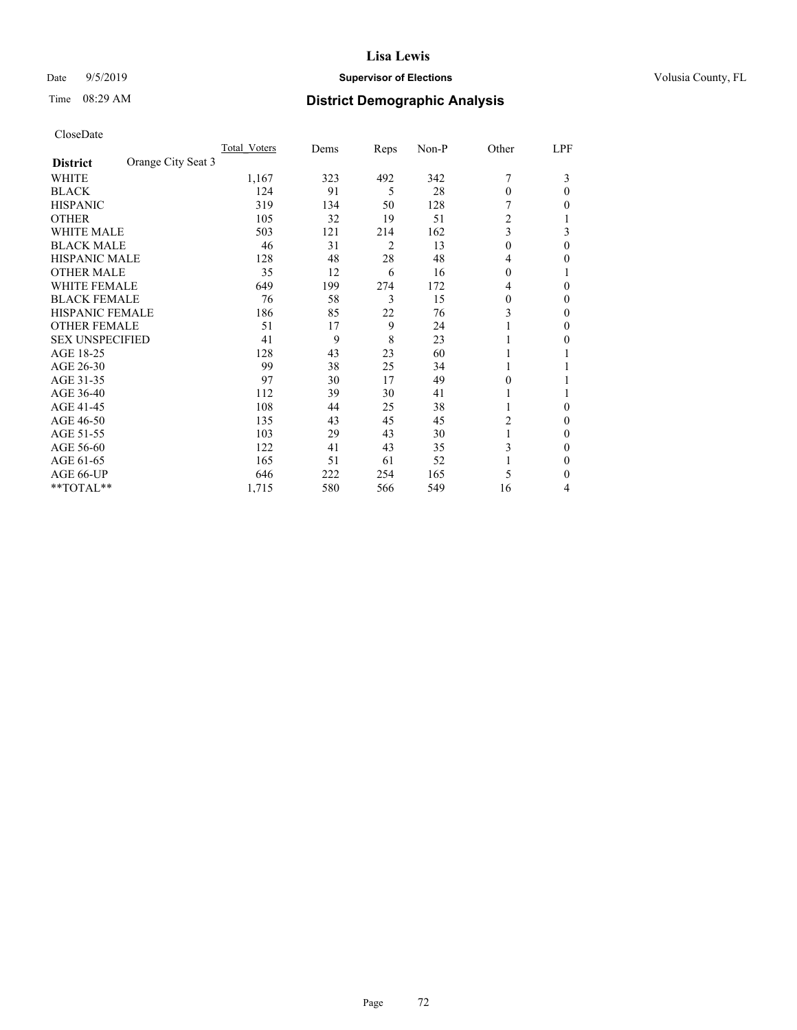# Date 9/5/2019 **Supervisor of Elections Supervisor of Elections** Volusia County, FL

# Time 08:29 AM **District Demographic Analysis**

|                                       | Total Voters | Dems | Reps           | Non-P | Other        | LPF |
|---------------------------------------|--------------|------|----------------|-------|--------------|-----|
| Orange City Seat 3<br><b>District</b> |              |      |                |       |              |     |
| WHITE                                 | 1,167        | 323  | 492            | 342   | 7            | 3   |
| <b>BLACK</b>                          | 124          | 91   | 5              | 28    | $\theta$     | 0   |
| <b>HISPANIC</b>                       | 319          | 134  | 50             | 128   |              | 0   |
| <b>OTHER</b>                          | 105          | 32   | 19             | 51    | 2            |     |
| <b>WHITE MALE</b>                     | 503          | 121  | 214            | 162   | 3            | 3   |
| <b>BLACK MALE</b>                     | 46           | 31   | $\overline{2}$ | 13    | $\mathbf{0}$ | 0   |
| <b>HISPANIC MALE</b>                  | 128          | 48   | 28             | 48    | 4            | 0   |
| <b>OTHER MALE</b>                     | 35           | 12   | 6              | 16    | $\theta$     |     |
| <b>WHITE FEMALE</b>                   | 649          | 199  | 274            | 172   | 4            | 0   |
| <b>BLACK FEMALE</b>                   | 76           | 58   | 3              | 15    | $\theta$     | 0   |
| <b>HISPANIC FEMALE</b>                | 186          | 85   | 22             | 76    | 3            | 0   |
| <b>OTHER FEMALE</b>                   | 51           | 17   | 9              | 24    |              | 0   |
| <b>SEX UNSPECIFIED</b>                | 41           | 9    | 8              | 23    | 1            | 0   |
| AGE 18-25                             | 128          | 43   | 23             | 60    |              |     |
| AGE 26-30                             | 99           | 38   | 25             | 34    | 1            |     |
| AGE 31-35                             | 97           | 30   | 17             | 49    | 0            |     |
| AGE 36-40                             | 112          | 39   | 30             | 41    | 1            |     |
| AGE 41-45                             | 108          | 44   | 25             | 38    |              | 0   |
| AGE 46-50                             | 135          | 43   | 45             | 45    | 2            | 0   |
| AGE 51-55                             | 103          | 29   | 43             | 30    | 1            | 0   |
| AGE 56-60                             | 122          | 41   | 43             | 35    | 3            | 0   |
| AGE 61-65                             | 165          | 51   | 61             | 52    | 1            | 0   |
| AGE 66-UP                             | 646          | 222  | 254            | 165   | 5            | 0   |
| **TOTAL**                             | 1,715        | 580  | 566            | 549   | 16           | 4   |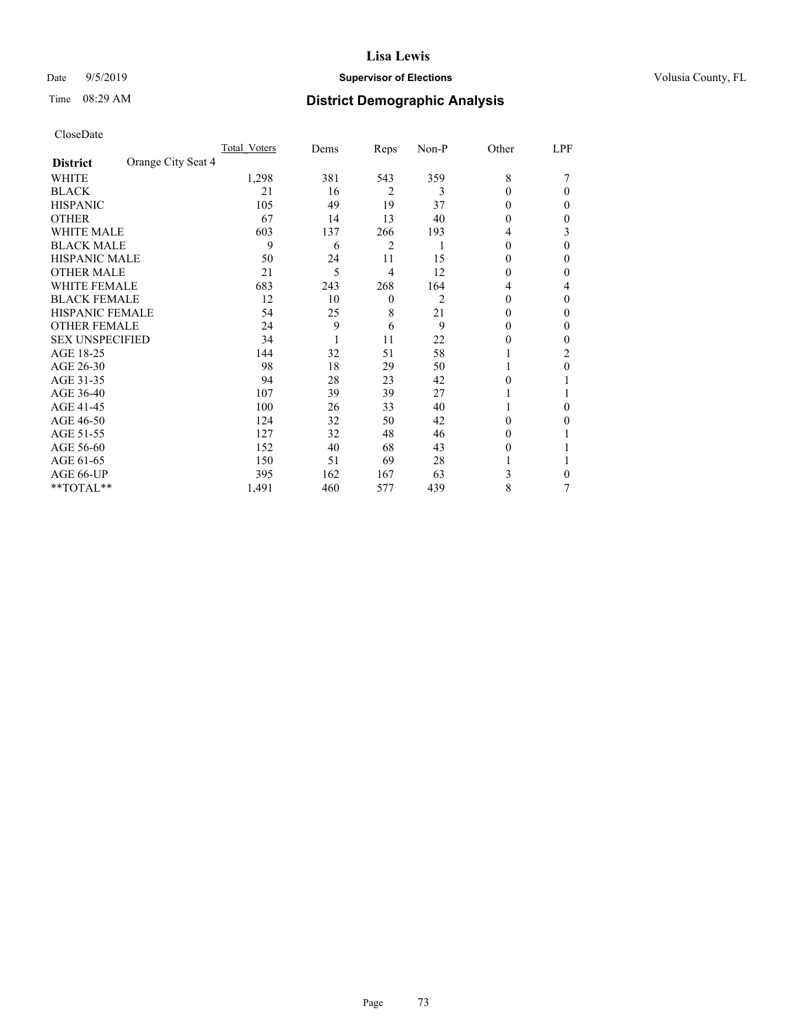## Date 9/5/2019 **Supervisor of Elections Supervisor of Elections** Volusia County, FL

# Time 08:29 AM **District Demographic Analysis**

|                        |                    | Total Voters | Dems | Reps             | Non-P | Other    | LPF |
|------------------------|--------------------|--------------|------|------------------|-------|----------|-----|
| <b>District</b>        | Orange City Seat 4 |              |      |                  |       |          |     |
| WHITE                  |                    | 1,298        | 381  | 543              | 359   | 8        |     |
| <b>BLACK</b>           |                    | 21           | 16   | $\overline{2}$   | 3     | $\Omega$ | 0   |
| <b>HISPANIC</b>        |                    | 105          | 49   | 19               | 37    | 0        | 0   |
| <b>OTHER</b>           |                    | 67           | 14   | 13               | 40    | 0        | 0   |
| <b>WHITE MALE</b>      |                    | 603          | 137  | 266              | 193   | 4        | 3   |
| <b>BLACK MALE</b>      |                    | 9            | 6    | 2                |       | $\theta$ | 0   |
| <b>HISPANIC MALE</b>   |                    | 50           | 24   | 11               | 15    | $_{0}$   | 0   |
| <b>OTHER MALE</b>      |                    | 21           | 5    | 4                | 12    | 0        | 0   |
| <b>WHITE FEMALE</b>    |                    | 683          | 243  | 268              | 164   | 4        | 4   |
| <b>BLACK FEMALE</b>    |                    | 12           | 10   | $\boldsymbol{0}$ | 2     | 0        | 0   |
| <b>HISPANIC FEMALE</b> |                    | 54           | 25   | 8                | 21    | 0        | 0   |
| <b>OTHER FEMALE</b>    |                    | 24           | 9    | 6                | 9     | $\theta$ | 0   |
| <b>SEX UNSPECIFIED</b> |                    | 34           |      | 11               | 22    | 0        | 0   |
| AGE 18-25              |                    | 144          | 32   | 51               | 58    |          | 2   |
| AGE 26-30              |                    | 98           | 18   | 29               | 50    |          | 0   |
| AGE 31-35              |                    | 94           | 28   | 23               | 42    | 0        |     |
| AGE 36-40              |                    | 107          | 39   | 39               | 27    |          |     |
| AGE 41-45              |                    | 100          | 26   | 33               | 40    |          | 0   |
| AGE 46-50              |                    | 124          | 32   | 50               | 42    | 0        | 0   |
| AGE 51-55              |                    | 127          | 32   | 48               | 46    | $_{0}$   |     |
| AGE 56-60              |                    | 152          | 40   | 68               | 43    | $_{0}$   |     |
| AGE 61-65              |                    | 150          | 51   | 69               | 28    |          |     |
| AGE 66-UP              |                    | 395          | 162  | 167              | 63    | 3        | 0   |
| **TOTAL**              |                    | 1,491        | 460  | 577              | 439   | 8        | 7   |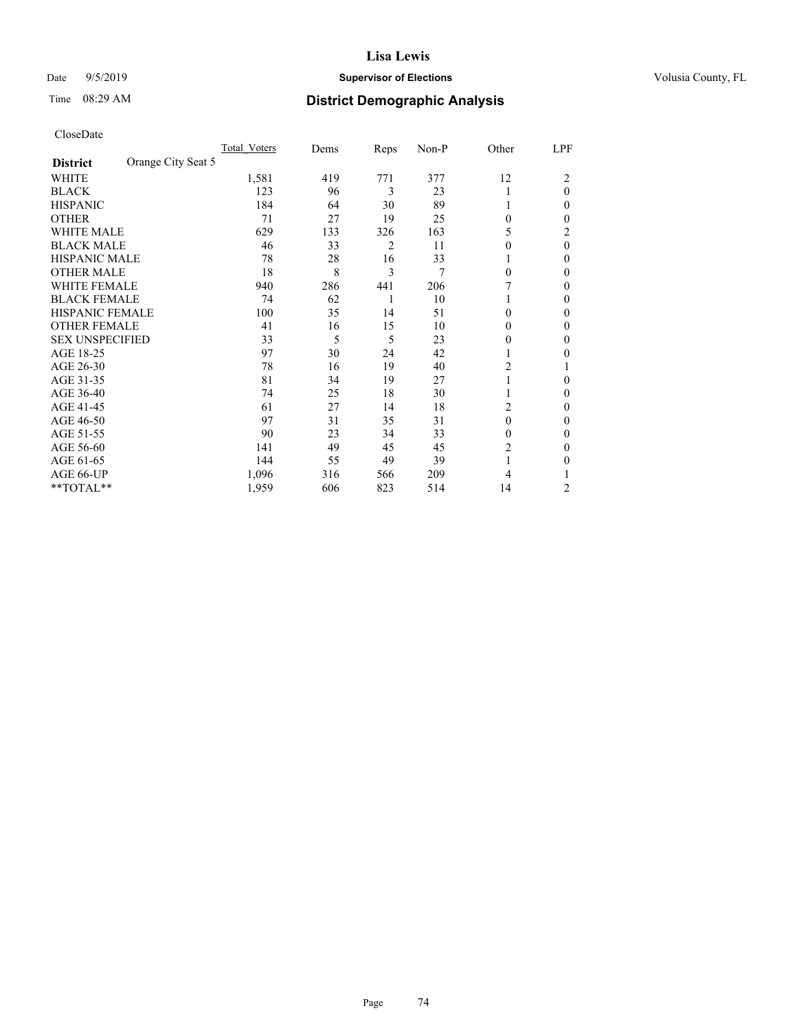## Date 9/5/2019 **Supervisor of Elections Supervisor of Elections** Volusia County, FL

# Time 08:29 AM **District Demographic Analysis**

|                        |                    | Total Voters | Dems | Reps | Non-P | Other          | LPF      |
|------------------------|--------------------|--------------|------|------|-------|----------------|----------|
| <b>District</b>        | Orange City Seat 5 |              |      |      |       |                |          |
| WHITE                  |                    | 1,581        | 419  | 771  | 377   | 12             | 2        |
| <b>BLACK</b>           |                    | 123          | 96   | 3    | 23    |                | $\theta$ |
| <b>HISPANIC</b>        |                    | 184          | 64   | 30   | 89    |                | 0        |
| <b>OTHER</b>           |                    | 71           | 27   | 19   | 25    | $\theta$       | 0        |
| <b>WHITE MALE</b>      |                    | 629          | 133  | 326  | 163   | 5              | 2        |
| <b>BLACK MALE</b>      |                    | 46           | 33   | 2    | 11    | $\theta$       | $\theta$ |
| <b>HISPANIC MALE</b>   |                    | 78           | 28   | 16   | 33    |                | 0        |
| <b>OTHER MALE</b>      |                    | 18           | 8    | 3    | 7     | $\theta$       | 0        |
| <b>WHITE FEMALE</b>    |                    | 940          | 286  | 441  | 206   |                | 0        |
| <b>BLACK FEMALE</b>    |                    | 74           | 62   | 1    | 10    |                | 0        |
| <b>HISPANIC FEMALE</b> |                    | 100          | 35   | 14   | 51    | $\Omega$       | 0        |
| <b>OTHER FEMALE</b>    |                    | 41           | 16   | 15   | 10    | $\Omega$       | 0        |
| <b>SEX UNSPECIFIED</b> |                    | 33           | 5    | 5    | 23    | $\theta$       | 0        |
| AGE 18-25              |                    | 97           | 30   | 24   | 42    |                | 0        |
| AGE 26-30              |                    | 78           | 16   | 19   | 40    | $\overline{c}$ |          |
| AGE 31-35              |                    | 81           | 34   | 19   | 27    |                | 0        |
| AGE 36-40              |                    | 74           | 25   | 18   | 30    |                | 0        |
| AGE 41-45              |                    | 61           | 27   | 14   | 18    | 2              | 0        |
| AGE 46-50              |                    | 97           | 31   | 35   | 31    | $\theta$       | 0        |
| AGE 51-55              |                    | 90           | 23   | 34   | 33    | $\Omega$       | 0        |
| AGE 56-60              |                    | 141          | 49   | 45   | 45    | 2              | 0        |
| AGE 61-65              |                    | 144          | 55   | 49   | 39    |                | 0        |
| AGE 66-UP              |                    | 1,096        | 316  | 566  | 209   | 4              |          |
| **TOTAL**              |                    | 1,959        | 606  | 823  | 514   | 14             | 2        |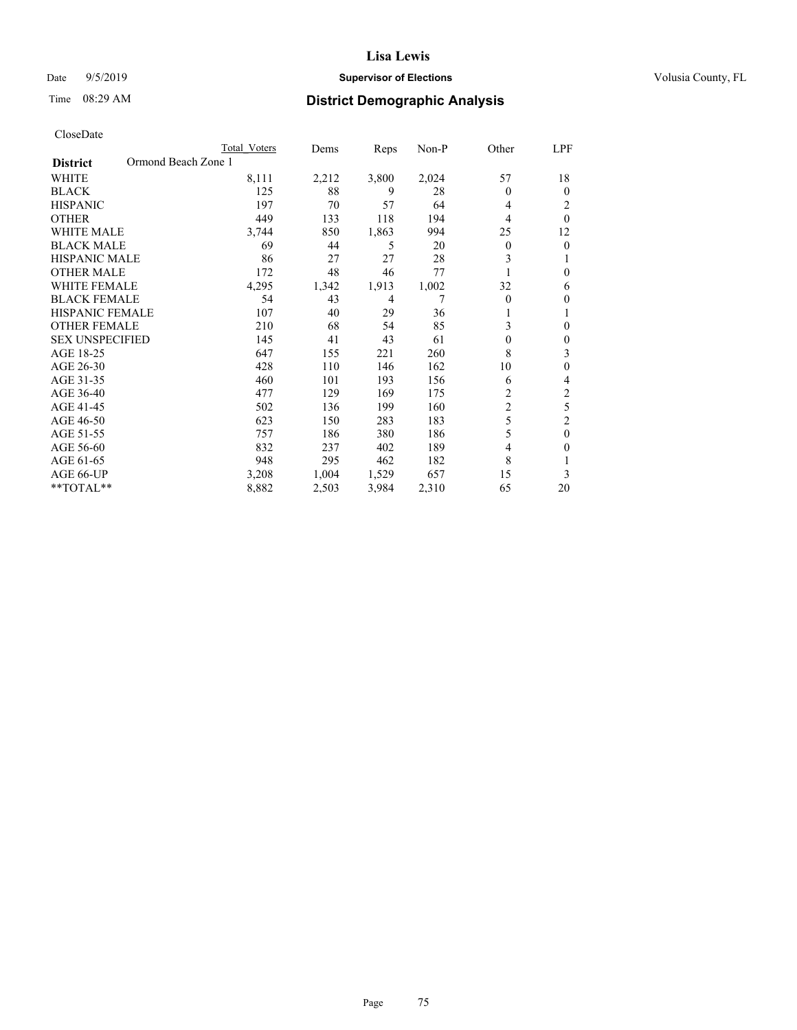## Date 9/5/2019 **Supervisor of Elections Supervisor of Elections** Volusia County, FL

# Time 08:29 AM **District Demographic Analysis**

|                                        | Total Voters | Dems  | Reps  | Non-P | Other          | LPF            |
|----------------------------------------|--------------|-------|-------|-------|----------------|----------------|
| Ormond Beach Zone 1<br><b>District</b> |              |       |       |       |                |                |
| WHITE                                  | 8,111        | 2,212 | 3,800 | 2,024 | 57             | 18             |
| <b>BLACK</b>                           | 125          | 88    | 9     | 28    | $\theta$       | $\mathbf{0}$   |
| <b>HISPANIC</b>                        | 197          | 70    | 57    | 64    | 4              | 2              |
| <b>OTHER</b>                           | 449          | 133   | 118   | 194   | 4              | $\theta$       |
| <b>WHITE MALE</b>                      | 3,744        | 850   | 1,863 | 994   | 25             | 12             |
| <b>BLACK MALE</b>                      | 69           | 44    | 5     | 20    | $\mathbf{0}$   | $\theta$       |
| <b>HISPANIC MALE</b>                   | 86           | 27    | 27    | 28    | 3              |                |
| <b>OTHER MALE</b>                      | 172          | 48    | 46    | 77    |                | 0              |
| WHITE FEMALE                           | 4,295        | 1,342 | 1,913 | 1,002 | 32             | 6              |
| <b>BLACK FEMALE</b>                    | 54           | 43    | 4     | 7     | $\Omega$       | $\mathbf{0}$   |
| <b>HISPANIC FEMALE</b>                 | 107          | 40    | 29    | 36    |                |                |
| <b>OTHER FEMALE</b>                    | 210          | 68    | 54    | 85    | 3              | $\theta$       |
| <b>SEX UNSPECIFIED</b>                 | 145          | 41    | 43    | 61    | $\theta$       | $\theta$       |
| AGE 18-25                              | 647          | 155   | 221   | 260   | 8              | 3              |
| AGE 26-30                              | 428          | 110   | 146   | 162   | 10             | $\theta$       |
| AGE 31-35                              | 460          | 101   | 193   | 156   | 6              | 4              |
| AGE 36-40                              | 477          | 129   | 169   | 175   | 2              | 2              |
| AGE 41-45                              | 502          | 136   | 199   | 160   | $\overline{c}$ | 5              |
| AGE 46-50                              | 623          | 150   | 283   | 183   | 5              | $\overline{2}$ |
| AGE 51-55                              | 757          | 186   | 380   | 186   | 5              | $\theta$       |
| AGE 56-60                              | 832          | 237   | 402   | 189   | $\overline{4}$ | $\theta$       |
| AGE 61-65                              | 948          | 295   | 462   | 182   | 8              |                |
| AGE 66-UP                              | 3,208        | 1,004 | 1,529 | 657   | 15             | 3              |
| **TOTAL**                              | 8,882        | 2,503 | 3,984 | 2,310 | 65             | 20             |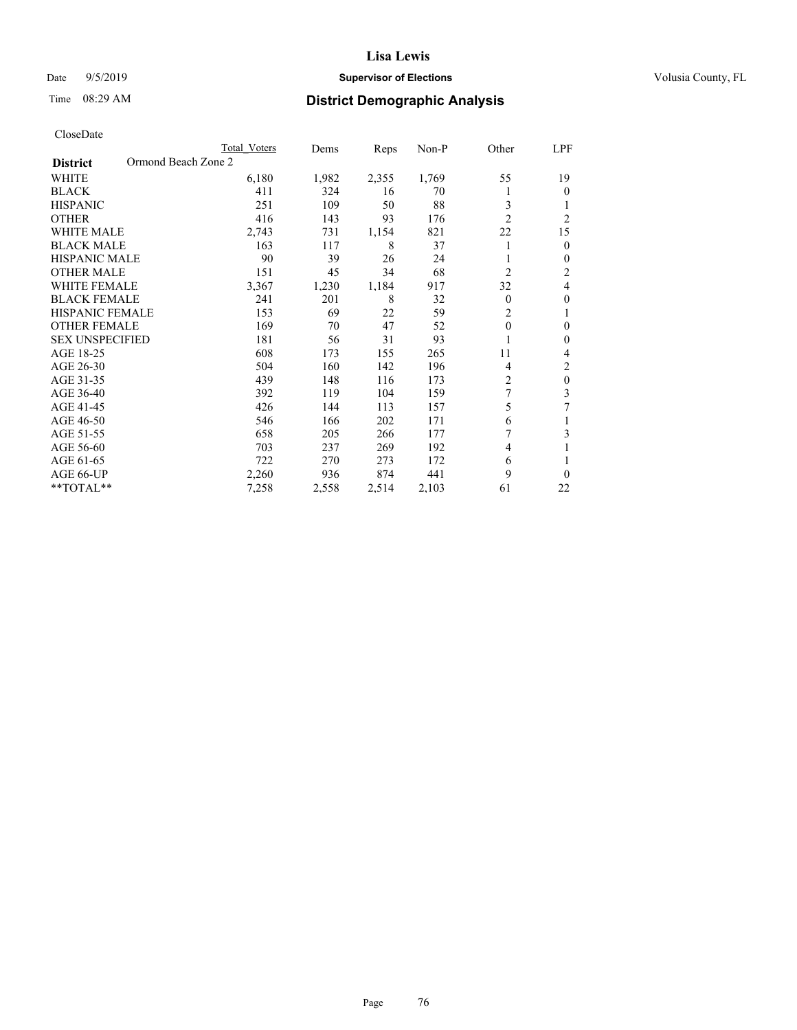## Date 9/5/2019 **Supervisor of Elections Supervisor of Elections** Volusia County, FL

# Time 08:29 AM **District Demographic Analysis**

|                                        | Total Voters | Dems  | Reps  | Non-P | Other          | LPF            |
|----------------------------------------|--------------|-------|-------|-------|----------------|----------------|
| Ormond Beach Zone 2<br><b>District</b> |              |       |       |       |                |                |
| WHITE                                  | 6,180        | 1,982 | 2,355 | 1,769 | 55             | 19             |
| <b>BLACK</b>                           | 411          | 324   | 16    | 70    |                | $\theta$       |
| <b>HISPANIC</b>                        | 251          | 109   | 50    | 88    | 3              | 1              |
| <b>OTHER</b>                           | 416          | 143   | 93    | 176   | $\overline{2}$ | $\overline{2}$ |
| <b>WHITE MALE</b>                      | 2,743        | 731   | 1,154 | 821   | 22             | 15             |
| <b>BLACK MALE</b>                      | 163          | 117   | 8     | 37    |                | $\mathbf{0}$   |
| <b>HISPANIC MALE</b>                   | 90           | 39    | 26    | 24    |                | $\mathbf{0}$   |
| <b>OTHER MALE</b>                      | 151          | 45    | 34    | 68    | $\overline{2}$ | 2              |
| <b>WHITE FEMALE</b>                    | 3,367        | 1,230 | 1,184 | 917   | 32             | 4              |
| <b>BLACK FEMALE</b>                    | 241          | 201   | 8     | 32    | $\theta$       | $\theta$       |
| <b>HISPANIC FEMALE</b>                 | 153          | 69    | 22    | 59    | $\overline{2}$ | 1              |
| <b>OTHER FEMALE</b>                    | 169          | 70    | 47    | 52    | $\theta$       | $\theta$       |
| <b>SEX UNSPECIFIED</b>                 | 181          | 56    | 31    | 93    |                | $\theta$       |
| AGE 18-25                              | 608          | 173   | 155   | 265   | 11             | 4              |
| AGE 26-30                              | 504          | 160   | 142   | 196   | 4              | $\overline{2}$ |
| AGE 31-35                              | 439          | 148   | 116   | 173   | $\overline{2}$ | $\theta$       |
| AGE 36-40                              | 392          | 119   | 104   | 159   | $\overline{7}$ | 3              |
| AGE 41-45                              | 426          | 144   | 113   | 157   | 5              | 7              |
| AGE 46-50                              | 546          | 166   | 202   | 171   | 6              |                |
| AGE 51-55                              | 658          | 205   | 266   | 177   |                | 3              |
| AGE 56-60                              | 703          | 237   | 269   | 192   | 4              |                |
| AGE 61-65                              | 722          | 270   | 273   | 172   | 6              | 1              |
| AGE 66-UP                              | 2,260        | 936   | 874   | 441   | 9              | $\theta$       |
| **TOTAL**                              | 7,258        | 2,558 | 2,514 | 2,103 | 61             | 22             |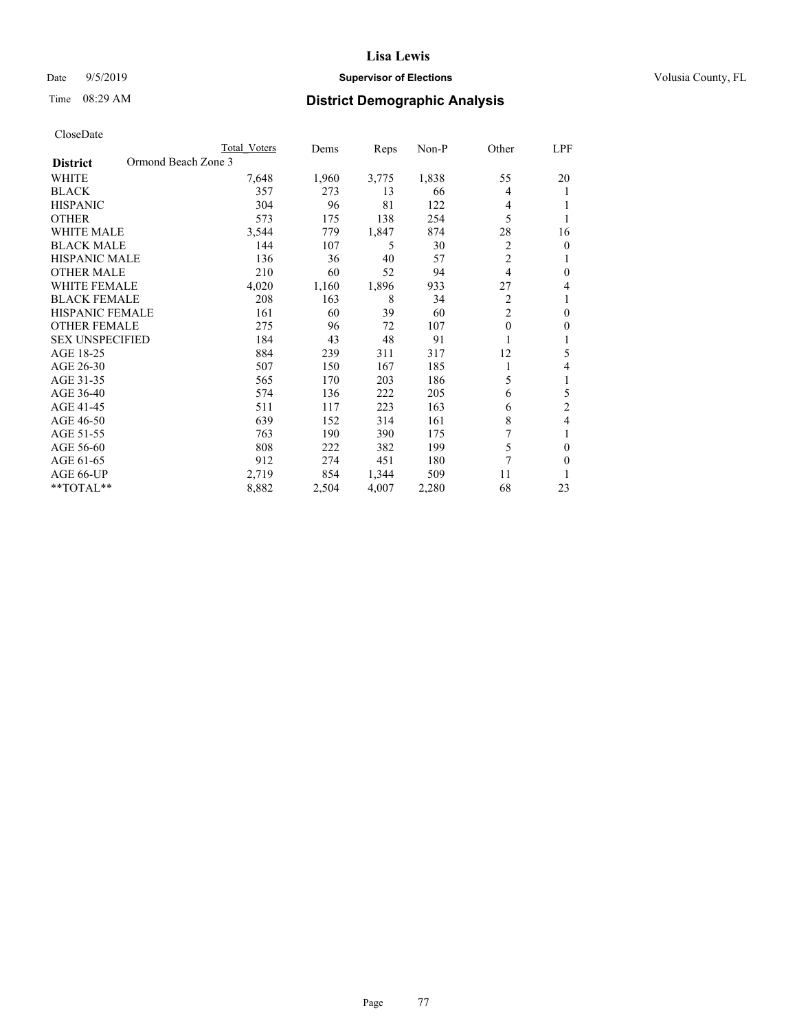## Date 9/5/2019 **Supervisor of Elections Supervisor of Elections** Volusia County, FL

# Time 08:29 AM **District Demographic Analysis**

|                                        | Total Voters | Dems  | Reps  | $Non-P$ | Other          | LPF            |
|----------------------------------------|--------------|-------|-------|---------|----------------|----------------|
| Ormond Beach Zone 3<br><b>District</b> |              |       |       |         |                |                |
| <b>WHITE</b>                           | 7,648        | 1,960 | 3,775 | 1,838   | 55             | 20             |
| <b>BLACK</b>                           | 357          | 273   | 13    | 66      | 4              | 1              |
| <b>HISPANIC</b>                        | 304          | 96    | 81    | 122     | 4              |                |
| <b>OTHER</b>                           | 573          | 175   | 138   | 254     | 5              |                |
| <b>WHITE MALE</b>                      | 3,544        | 779   | 1,847 | 874     | 28             | 16             |
| <b>BLACK MALE</b>                      | 144          | 107   | 5     | 30      | 2              | $\theta$       |
| <b>HISPANIC MALE</b>                   | 136          | 36    | 40    | 57      | $\overline{2}$ |                |
| <b>OTHER MALE</b>                      | 210          | 60    | 52    | 94      | 4              | $\theta$       |
| <b>WHITE FEMALE</b>                    | 4,020        | 1,160 | 1,896 | 933     | 27             | 4              |
| <b>BLACK FEMALE</b>                    | 208          | 163   | 8     | 34      | $\overline{c}$ |                |
| <b>HISPANIC FEMALE</b>                 | 161          | 60    | 39    | 60      | $\overline{2}$ | $\theta$       |
| <b>OTHER FEMALE</b>                    | 275          | 96    | 72    | 107     | $\theta$       | $\mathbf{0}$   |
| <b>SEX UNSPECIFIED</b>                 | 184          | 43    | 48    | 91      |                |                |
| AGE 18-25                              | 884          | 239   | 311   | 317     | 12             | 5              |
| AGE 26-30                              | 507          | 150   | 167   | 185     | 1              | 4              |
| AGE 31-35                              | 565          | 170   | 203   | 186     | 5              | 1              |
| AGE 36-40                              | 574          | 136   | 222   | 205     | 6              | 5              |
| AGE 41-45                              | 511          | 117   | 223   | 163     | 6              | $\overline{c}$ |
| AGE 46-50                              | 639          | 152   | 314   | 161     | 8              | 4              |
| AGE 51-55                              | 763          | 190   | 390   | 175     | 7              |                |
| AGE 56-60                              | 808          | 222   | 382   | 199     | 5              | $\theta$       |
| AGE 61-65                              | 912          | 274   | 451   | 180     | 7              | $\theta$       |
| AGE 66-UP                              | 2,719        | 854   | 1,344 | 509     | 11             |                |
| $*$ TOTAL $*$                          | 8,882        | 2,504 | 4,007 | 2,280   | 68             | 23             |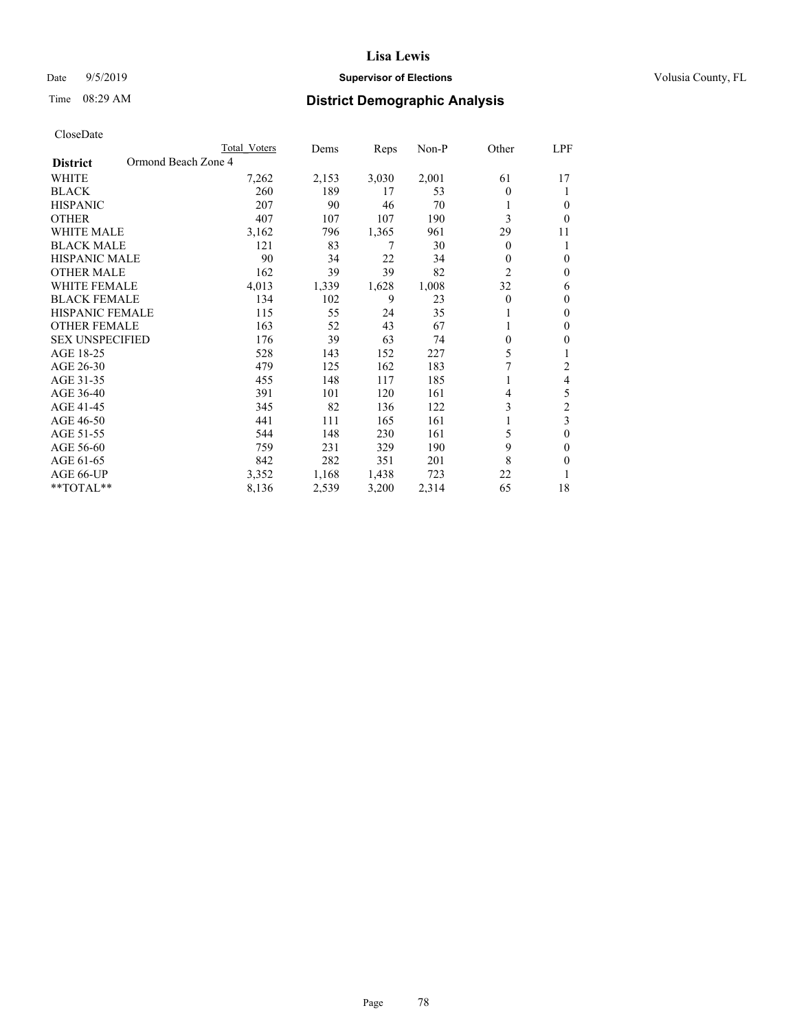## Date 9/5/2019 **Supervisor of Elections Supervisor of Elections** Volusia County, FL

# Time 08:29 AM **District Demographic Analysis**

|                                        | Total Voters | Dems  | Reps  | Non-P | Other          | LPF          |
|----------------------------------------|--------------|-------|-------|-------|----------------|--------------|
| Ormond Beach Zone 4<br><b>District</b> |              |       |       |       |                |              |
| WHITE                                  | 7,262        | 2,153 | 3,030 | 2,001 | 61             | 17           |
| <b>BLACK</b>                           | 260          | 189   | 17    | 53    | $\theta$       | 1            |
| <b>HISPANIC</b>                        | 207          | 90    | 46    | 70    |                | $\theta$     |
| <b>OTHER</b>                           | 407          | 107   | 107   | 190   | 3              | $\theta$     |
| <b>WHITE MALE</b>                      | 3,162        | 796   | 1,365 | 961   | 29             | 11           |
| <b>BLACK MALE</b>                      | 121          | 83    | 7     | 30    | $\theta$       | 1            |
| <b>HISPANIC MALE</b>                   | 90           | 34    | 22    | 34    | 0              | $\theta$     |
| <b>OTHER MALE</b>                      | 162          | 39    | 39    | 82    | $\overline{2}$ | $\mathbf{0}$ |
| <b>WHITE FEMALE</b>                    | 4,013        | 1,339 | 1,628 | 1,008 | 32             | 6            |
| <b>BLACK FEMALE</b>                    | 134          | 102   | 9     | 23    | $\theta$       | $\mathbf{0}$ |
| <b>HISPANIC FEMALE</b>                 | 115          | 55    | 24    | 35    |                | $\Omega$     |
| <b>OTHER FEMALE</b>                    | 163          | 52    | 43    | 67    |                | $\theta$     |
| <b>SEX UNSPECIFIED</b>                 | 176          | 39    | 63    | 74    | 0              | $\theta$     |
| AGE 18-25                              | 528          | 143   | 152   | 227   | 5              | 1            |
| AGE 26-30                              | 479          | 125   | 162   | 183   | 7              | 2            |
| AGE 31-35                              | 455          | 148   | 117   | 185   |                | 4            |
| AGE 36-40                              | 391          | 101   | 120   | 161   | 4              | 5            |
| AGE 41-45                              | 345          | 82    | 136   | 122   | 3              | 2            |
| AGE 46-50                              | 441          | 111   | 165   | 161   |                | 3            |
| AGE 51-55                              | 544          | 148   | 230   | 161   | 5              | $\theta$     |
| AGE 56-60                              | 759          | 231   | 329   | 190   | 9              | $\theta$     |
| AGE 61-65                              | 842          | 282   | 351   | 201   | 8              | $\theta$     |
| AGE 66-UP                              | 3,352        | 1,168 | 1,438 | 723   | 22             |              |
| **TOTAL**                              | 8,136        | 2,539 | 3,200 | 2,314 | 65             | 18           |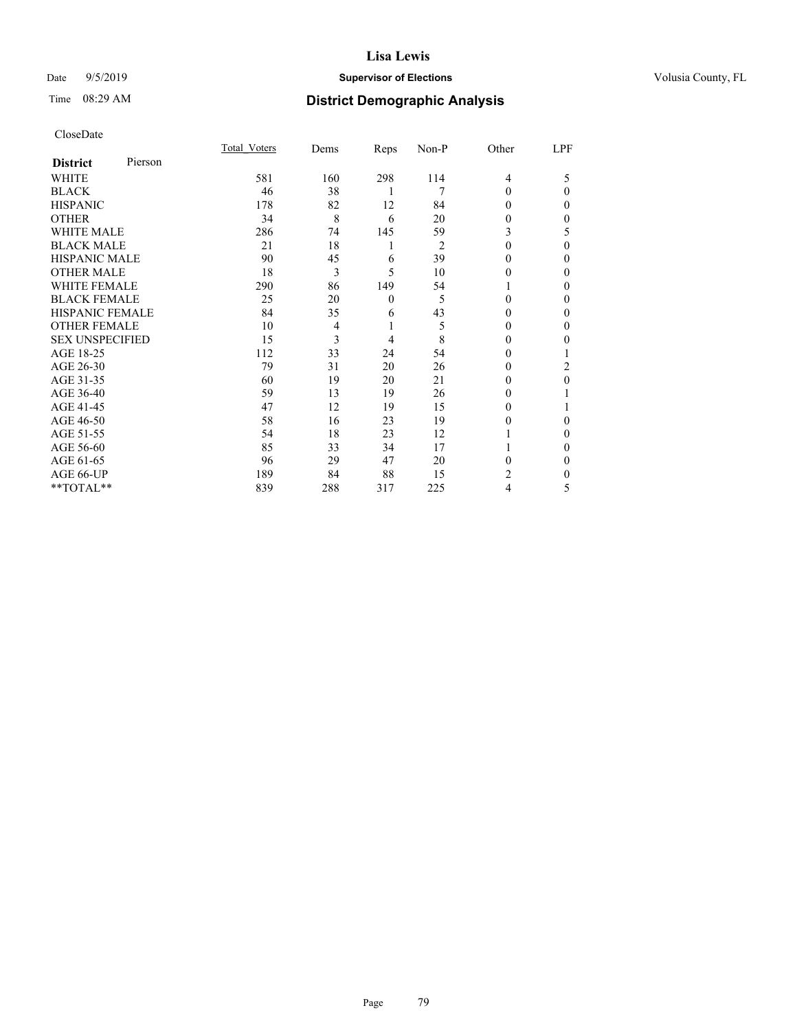## Date 9/5/2019 **Supervisor of Elections Supervisor of Elections** Volusia County, FL

# Time 08:29 AM **District Demographic Analysis**

|                        |         | Total Voters | Dems           | Reps           | Non-P          | Other          | LPF      |
|------------------------|---------|--------------|----------------|----------------|----------------|----------------|----------|
| <b>District</b>        | Pierson |              |                |                |                |                |          |
| WHITE                  |         | 581          | 160            | 298            | 114            | $\overline{4}$ | 5        |
| <b>BLACK</b>           |         | 46           | 38             | 1              | 7              | $\Omega$       | $\theta$ |
| <b>HISPANIC</b>        |         | 178          | 82             | 12             | 84             | 0              | 0        |
| <b>OTHER</b>           |         | 34           | 8              | 6              | 20             | 0              | 0        |
| WHITE MALE             |         | 286          | 74             | 145            | 59             | 3              | 5        |
| <b>BLACK MALE</b>      |         | 21           | 18             | 1              | $\overline{2}$ | $\Omega$       | $\Omega$ |
| <b>HISPANIC MALE</b>   |         | 90           | 45             | 6              | 39             | 0              | 0        |
| <b>OTHER MALE</b>      |         | 18           | 3              | 5              | 10             | 0              | 0        |
| <b>WHITE FEMALE</b>    |         | 290          | 86             | 149            | 54             |                | 0        |
| <b>BLACK FEMALE</b>    |         | 25           | 20             | $\theta$       | 5              | 0              | 0        |
| <b>HISPANIC FEMALE</b> |         | 84           | 35             | 6              | 43             | 0              | 0        |
| <b>OTHER FEMALE</b>    |         | 10           | $\overline{4}$ | 1              | 5              | 0              | 0        |
| <b>SEX UNSPECIFIED</b> |         | 15           | 3              | $\overline{4}$ | 8              | $\Omega$       | 0        |
| AGE 18-25              |         | 112          | 33             | 24             | 54             | 0              |          |
| AGE 26-30              |         | 79           | 31             | 20             | 26             | 0              | 2        |
| AGE 31-35              |         | 60           | 19             | 20             | 21             | 0              | $\Omega$ |
| AGE 36-40              |         | 59           | 13             | 19             | 26             | 0              |          |
| AGE 41-45              |         | 47           | 12             | 19             | 15             | 0              |          |
| AGE 46-50              |         | 58           | 16             | 23             | 19             | 0              | 0        |
| AGE 51-55              |         | 54           | 18             | 23             | 12             |                | $\Omega$ |
| AGE 56-60              |         | 85           | 33             | 34             | 17             |                | 0        |
| AGE 61-65              |         | 96           | 29             | 47             | 20             | 0              | 0        |
| AGE 66-UP              |         | 189          | 84             | 88             | 15             | 2              | 0        |
| **TOTAL**              |         | 839          | 288            | 317            | 225            | 4              | 5        |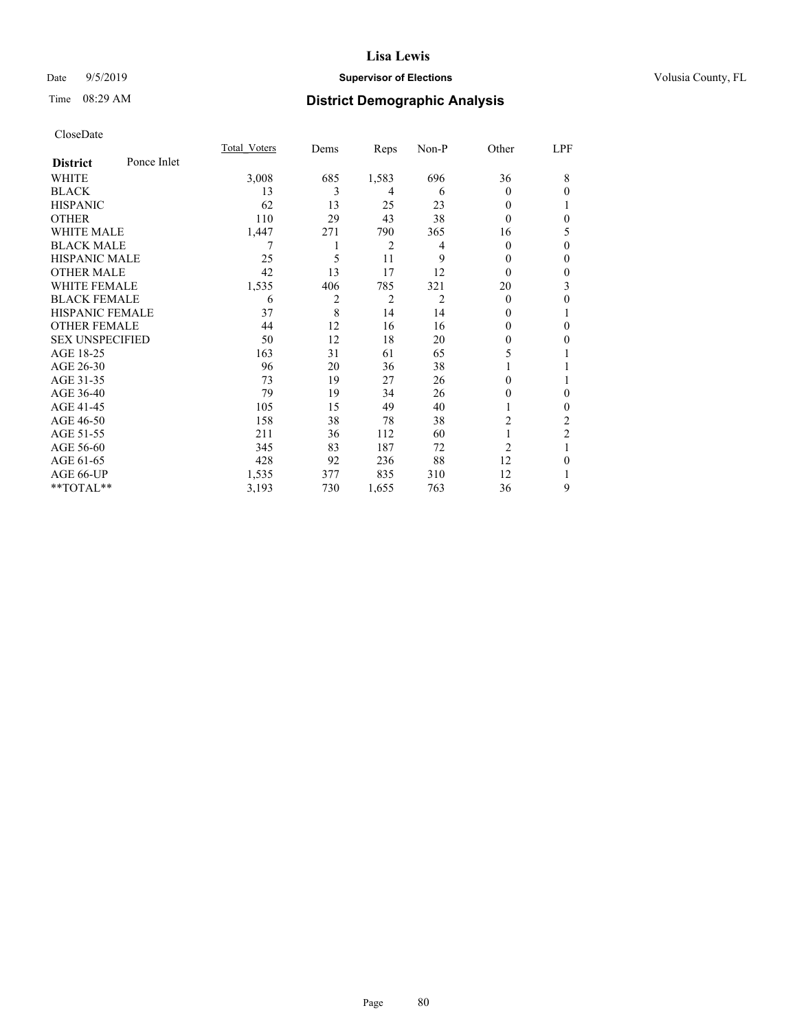### Date  $9/5/2019$  **Supervisor of Elections Supervisor of Elections** Volusia County, FL

# Time 08:29 AM **District Demographic Analysis**

|                        |             | Total Voters | Dems | Reps  | Non-P | Other          | LPF            |
|------------------------|-------------|--------------|------|-------|-------|----------------|----------------|
| <b>District</b>        | Ponce Inlet |              |      |       |       |                |                |
| WHITE                  |             | 3,008        | 685  | 1,583 | 696   | 36             | 8              |
| <b>BLACK</b>           |             | 13           | 3    | 4     | 6     | 0              | $\theta$       |
| <b>HISPANIC</b>        |             | 62           | 13   | 25    | 23    | 0              |                |
| <b>OTHER</b>           |             | 110          | 29   | 43    | 38    | 0              | $\theta$       |
| WHITE MALE             |             | 1,447        | 271  | 790   | 365   | 16             | 5              |
| <b>BLACK MALE</b>      |             |              |      | 2     | 4     | 0              | $\theta$       |
| <b>HISPANIC MALE</b>   |             | 25           | 5    | 11    | 9     | $_{0}$         | $\theta$       |
| <b>OTHER MALE</b>      |             | 42           | 13   | 17    | 12    | $\theta$       | $\mathbf{0}$   |
| <b>WHITE FEMALE</b>    |             | 1,535        | 406  | 785   | 321   | 20             | 3              |
| <b>BLACK FEMALE</b>    |             | 6            | 2    | 2     | 2     | $\theta$       | $\theta$       |
| <b>HISPANIC FEMALE</b> |             | 37           | 8    | 14    | 14    | $_{0}$         | 1              |
| <b>OTHER FEMALE</b>    |             | 44           | 12   | 16    | 16    | 0              | $\theta$       |
| <b>SEX UNSPECIFIED</b> |             | 50           | 12   | 18    | 20    | 0              | $\theta$       |
| AGE 18-25              |             | 163          | 31   | 61    | 65    | 5              |                |
| AGE 26-30              |             | 96           | 20   | 36    | 38    |                |                |
| AGE 31-35              |             | 73           | 19   | 27    | 26    | 0              | 1              |
| AGE 36-40              |             | 79           | 19   | 34    | 26    | 0              | $\theta$       |
| AGE 41-45              |             | 105          | 15   | 49    | 40    |                | $\theta$       |
| AGE 46-50              |             | 158          | 38   | 78    | 38    | 2              | 2              |
| AGE 51-55              |             | 211          | 36   | 112   | 60    |                | $\overline{2}$ |
| AGE 56-60              |             | 345          | 83   | 187   | 72    | $\overline{2}$ | 1              |
| AGE 61-65              |             | 428          | 92   | 236   | 88    | 12             | $\theta$       |
| AGE 66-UP              |             | 1,535        | 377  | 835   | 310   | 12             | 1              |
| **TOTAL**              |             | 3,193        | 730  | 1,655 | 763   | 36             | 9              |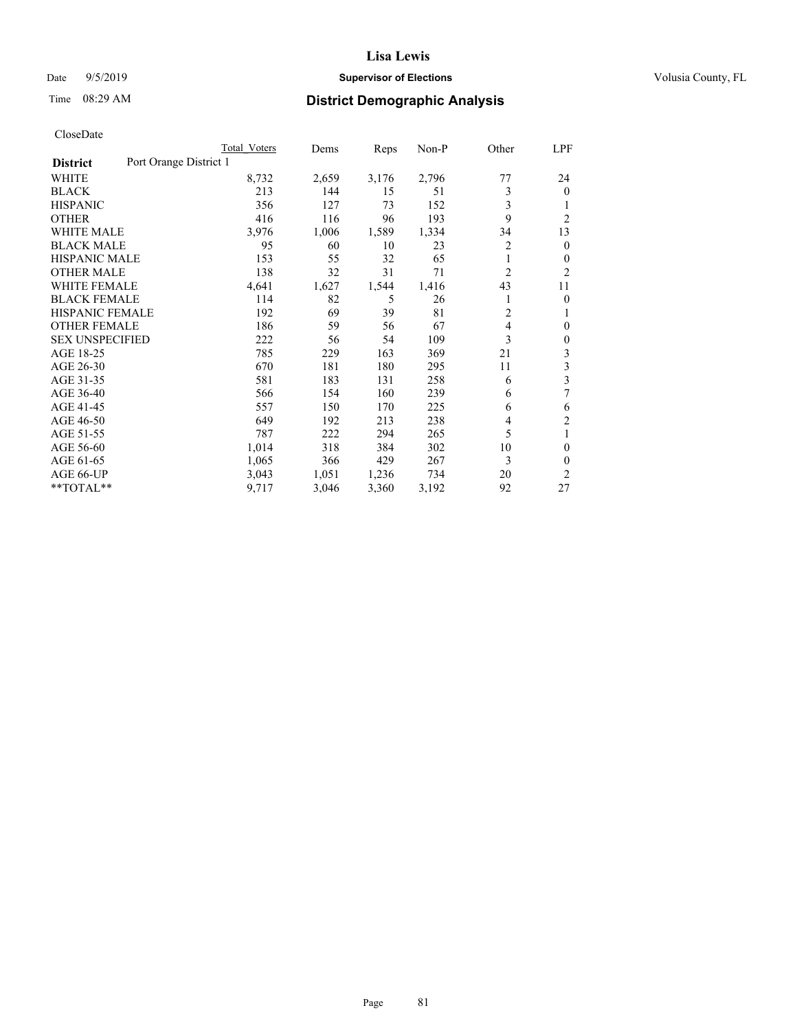## Date 9/5/2019 **Supervisor of Elections Supervisor of Elections** Volusia County, FL

# Time 08:29 AM **District Demographic Analysis**

|                        |                        | Total Voters | Dems  | Reps  | Non-P | Other          | LPF            |
|------------------------|------------------------|--------------|-------|-------|-------|----------------|----------------|
| <b>District</b>        | Port Orange District 1 |              |       |       |       |                |                |
| WHITE                  |                        | 8,732        | 2,659 | 3,176 | 2,796 | 77             | 24             |
| <b>BLACK</b>           |                        | 213          | 144   | 15    | 51    | 3              | $\overline{0}$ |
| <b>HISPANIC</b>        |                        | 356          | 127   | 73    | 152   | 3              |                |
| <b>OTHER</b>           |                        | 416          | 116   | 96    | 193   | 9              | $\overline{2}$ |
| WHITE MALE             |                        | 3,976        | 1,006 | 1,589 | 1,334 | 34             | 13             |
| <b>BLACK MALE</b>      |                        | 95           | 60    | 10    | 23    | 2              | 0              |
| <b>HISPANIC MALE</b>   |                        | 153          | 55    | 32    | 65    | 1              | 0              |
| <b>OTHER MALE</b>      |                        | 138          | 32    | 31    | 71    | $\overline{2}$ | 2              |
| WHITE FEMALE           |                        | 4,641        | 1,627 | 1,544 | 1,416 | 43             | 11             |
| <b>BLACK FEMALE</b>    |                        | 114          | 82    | 5     | 26    | 1              | 0              |
| <b>HISPANIC FEMALE</b> |                        | 192          | 69    | 39    | 81    | $\overline{2}$ | 1              |
| <b>OTHER FEMALE</b>    |                        | 186          | 59    | 56    | 67    | 4              | 0              |
| <b>SEX UNSPECIFIED</b> |                        | 222          | 56    | 54    | 109   | 3              | 0              |
| AGE 18-25              |                        | 785          | 229   | 163   | 369   | 21             | 3              |
| AGE 26-30              |                        | 670          | 181   | 180   | 295   | 11             | 3              |
| AGE 31-35              |                        | 581          | 183   | 131   | 258   | 6              | 3              |
| AGE 36-40              |                        | 566          | 154   | 160   | 239   | 6              | 7              |
| AGE 41-45              |                        | 557          | 150   | 170   | 225   | 6              | 6              |
| AGE 46-50              |                        | 649          | 192   | 213   | 238   | 4              | 2              |
| AGE 51-55              |                        | 787          | 222   | 294   | 265   | 5              | 1              |
| AGE 56-60              |                        | 1,014        | 318   | 384   | 302   | 10             | 0              |
| AGE 61-65              |                        | 1,065        | 366   | 429   | 267   | 3              | 0              |
| AGE 66-UP              |                        | 3,043        | 1,051 | 1,236 | 734   | 20             | $\overline{c}$ |
| **TOTAL**              |                        | 9,717        | 3,046 | 3,360 | 3,192 | 92             | 27             |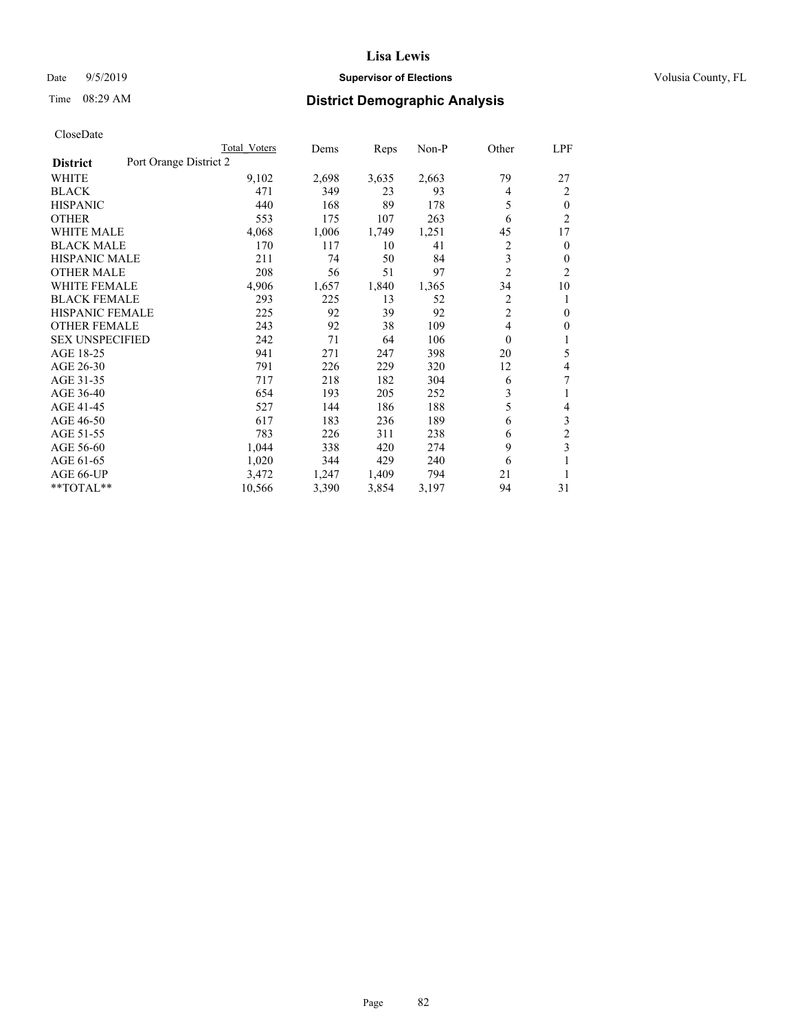## Date 9/5/2019 **Supervisor of Elections Supervisor of Elections** Volusia County, FL

# Time 08:29 AM **District Demographic Analysis**

|                                           | Total Voters | Dems  | Reps  | $Non-P$ | Other          | <u>LPF</u>     |
|-------------------------------------------|--------------|-------|-------|---------|----------------|----------------|
| Port Orange District 2<br><b>District</b> |              |       |       |         |                |                |
| WHITE                                     | 9,102        | 2,698 | 3,635 | 2,663   | 79             | 27             |
| <b>BLACK</b>                              | 471          | 349   | 23    | 93      | 4              | 2              |
| <b>HISPANIC</b>                           | 440          | 168   | 89    | 178     | 5              | $\mathbf{0}$   |
| <b>OTHER</b>                              | 553          | 175   | 107   | 263     | 6              | $\overline{2}$ |
| <b>WHITE MALE</b>                         | 4,068        | 1,006 | 1,749 | 1,251   | 45             | 17             |
| <b>BLACK MALE</b>                         | 170          | 117   | 10    | 41      | 2              | $\mathbf{0}$   |
| <b>HISPANIC MALE</b>                      | 211          | 74    | 50    | 84      | 3              | $\theta$       |
| <b>OTHER MALE</b>                         | 208          | 56    | 51    | 97      | $\overline{2}$ | 2              |
| <b>WHITE FEMALE</b>                       | 4,906        | 1,657 | 1,840 | 1,365   | 34             | 10             |
| <b>BLACK FEMALE</b>                       | 293          | 225   | 13    | 52      | 2              | 1              |
| <b>HISPANIC FEMALE</b>                    | 225          | 92    | 39    | 92      | 2              | $\mathbf{0}$   |
| <b>OTHER FEMALE</b>                       | 243          | 92    | 38    | 109     | 4              | $\mathbf{0}$   |
| <b>SEX UNSPECIFIED</b>                    | 242          | 71    | 64    | 106     | $\theta$       | 1              |
| AGE 18-25                                 | 941          | 271   | 247   | 398     | 20             | 5              |
| AGE 26-30                                 | 791          | 226   | 229   | 320     | 12             | 4              |
| AGE 31-35                                 | 717          | 218   | 182   | 304     | 6              | 7              |
| AGE 36-40                                 | 654          | 193   | 205   | 252     | 3              | 1              |
| AGE 41-45                                 | 527          | 144   | 186   | 188     | 5              | 4              |
| AGE 46-50                                 | 617          | 183   | 236   | 189     | 6              | $\mathfrak{Z}$ |
| AGE 51-55                                 | 783          | 226   | 311   | 238     | 6              | $\overline{2}$ |
| AGE 56-60                                 | 1,044        | 338   | 420   | 274     | 9              | 3              |
| AGE 61-65                                 | 1,020        | 344   | 429   | 240     | 6              | 1              |
| AGE 66-UP                                 | 3,472        | 1,247 | 1,409 | 794     | 21             | 1              |
| **TOTAL**                                 | 10,566       | 3,390 | 3,854 | 3,197   | 94             | 31             |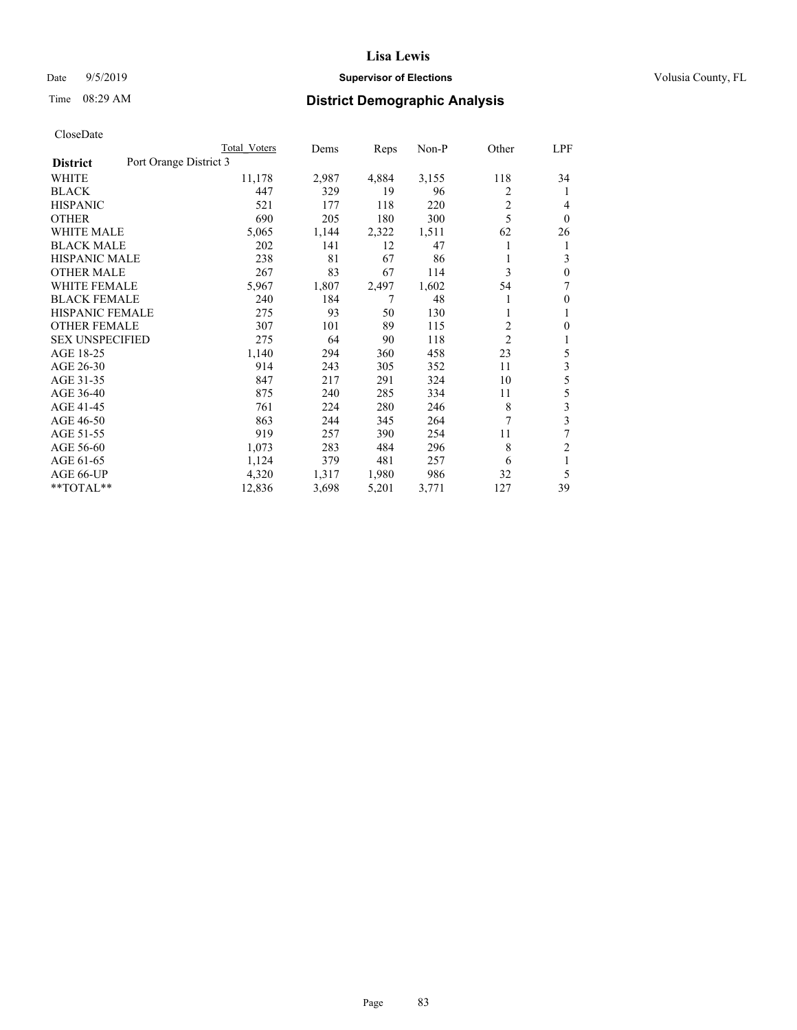### Date  $9/5/2019$  **Supervisor of Elections Supervisor of Elections** Volusia County, FL

# Time 08:29 AM **District Demographic Analysis**

|                                           | Total Voters | Dems  | Reps  | $Non-P$ | Other          | LPF          |
|-------------------------------------------|--------------|-------|-------|---------|----------------|--------------|
| Port Orange District 3<br><b>District</b> |              |       |       |         |                |              |
| WHITE                                     | 11,178       | 2,987 | 4,884 | 3,155   | 118            | 34           |
| <b>BLACK</b>                              | 447          | 329   | 19    | 96      | 2              | 1            |
| <b>HISPANIC</b>                           | 521          | 177   | 118   | 220     | 2              | 4            |
| <b>OTHER</b>                              | 690          | 205   | 180   | 300     | 5              | $\theta$     |
| <b>WHITE MALE</b>                         | 5,065        | 1,144 | 2,322 | 1,511   | 62             | 26           |
| <b>BLACK MALE</b>                         | 202          | 141   | 12    | 47      |                | 1            |
| <b>HISPANIC MALE</b>                      | 238          | 81    | 67    | 86      | 1              | 3            |
| <b>OTHER MALE</b>                         | 267          | 83    | 67    | 114     | 3              | $\mathbf{0}$ |
| <b>WHITE FEMALE</b>                       | 5,967        | 1,807 | 2,497 | 1,602   | 54             | 7            |
| <b>BLACK FEMALE</b>                       | 240          | 184   | 7     | 48      |                | $\mathbf{0}$ |
| <b>HISPANIC FEMALE</b>                    | 275          | 93    | 50    | 130     |                | 1            |
| <b>OTHER FEMALE</b>                       | 307          | 101   | 89    | 115     | $\overline{2}$ | $\theta$     |
| <b>SEX UNSPECIFIED</b>                    | 275          | 64    | 90    | 118     | $\overline{2}$ | 1            |
| AGE 18-25                                 | 1,140        | 294   | 360   | 458     | 23             | 5            |
| AGE 26-30                                 | 914          | 243   | 305   | 352     | 11             | 3            |
| AGE 31-35                                 | 847          | 217   | 291   | 324     | 10             | 5            |
| AGE 36-40                                 | 875          | 240   | 285   | 334     | 11             | 5            |
| AGE 41-45                                 | 761          | 224   | 280   | 246     | 8              | 3            |
| AGE 46-50                                 | 863          | 244   | 345   | 264     | 7              | 3            |
| AGE 51-55                                 | 919          | 257   | 390   | 254     | 11             | 7            |
| AGE 56-60                                 | 1,073        | 283   | 484   | 296     | 8              | 2            |
| AGE 61-65                                 | 1,124        | 379   | 481   | 257     | 6              | 1            |
| AGE 66-UP                                 | 4,320        | 1,317 | 1,980 | 986     | 32             | 5            |
| **TOTAL**                                 | 12,836       | 3,698 | 5,201 | 3,771   | 127            | 39           |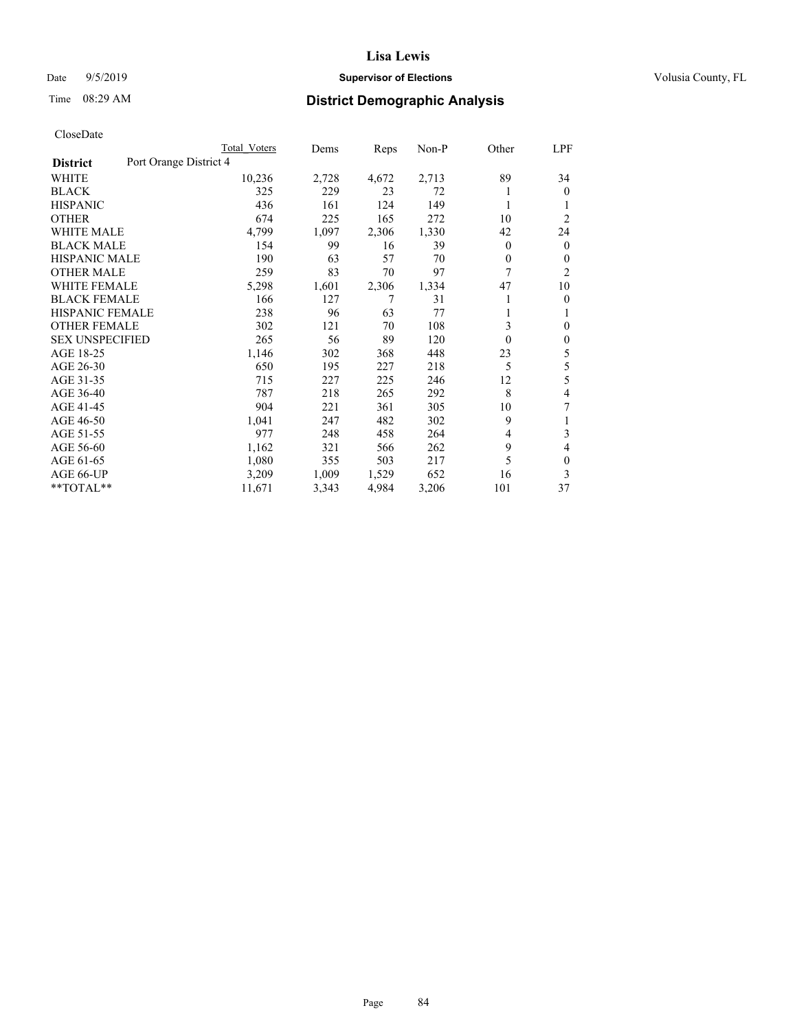## Date 9/5/2019 **Supervisor of Elections Supervisor of Elections** Volusia County, FL

# Time 08:29 AM **District Demographic Analysis**

|                        |                        | Total Voters | Dems  | Reps  | Non-P | Other        | LPF            |
|------------------------|------------------------|--------------|-------|-------|-------|--------------|----------------|
| <b>District</b>        | Port Orange District 4 |              |       |       |       |              |                |
| WHITE                  |                        | 10,236       | 2,728 | 4,672 | 2,713 | 89           | 34             |
| <b>BLACK</b>           |                        | 325          | 229   | 23    | 72    |              | $\mathbf{0}$   |
| <b>HISPANIC</b>        |                        | 436          | 161   | 124   | 149   | 1            |                |
| <b>OTHER</b>           |                        | 674          | 225   | 165   | 272   | 10           | $\overline{2}$ |
| <b>WHITE MALE</b>      |                        | 4,799        | 1,097 | 2,306 | 1,330 | 42           | 24             |
| <b>BLACK MALE</b>      |                        | 154          | 99    | 16    | 39    | $\mathbf{0}$ | $\mathbf{0}$   |
| <b>HISPANIC MALE</b>   |                        | 190          | 63    | 57    | 70    | 0            | 0              |
| <b>OTHER MALE</b>      |                        | 259          | 83    | 70    | 97    | 7            | 2              |
| <b>WHITE FEMALE</b>    |                        | 5,298        | 1,601 | 2,306 | 1,334 | 47           | 10             |
| <b>BLACK FEMALE</b>    |                        | 166          | 127   | 7     | 31    |              | 0              |
| <b>HISPANIC FEMALE</b> |                        | 238          | 96    | 63    | 77    |              | 1              |
| <b>OTHER FEMALE</b>    |                        | 302          | 121   | 70    | 108   | 3            | 0              |
| <b>SEX UNSPECIFIED</b> |                        | 265          | 56    | 89    | 120   | 0            | $\theta$       |
| AGE 18-25              |                        | 1,146        | 302   | 368   | 448   | 23           | 5              |
| AGE 26-30              |                        | 650          | 195   | 227   | 218   | 5            | 5              |
| AGE 31-35              |                        | 715          | 227   | 225   | 246   | 12           | 5              |
| AGE 36-40              |                        | 787          | 218   | 265   | 292   | 8            | 4              |
| AGE 41-45              |                        | 904          | 221   | 361   | 305   | 10           | 7              |
| AGE 46-50              |                        | 1,041        | 247   | 482   | 302   | 9            | 1              |
| AGE 51-55              |                        | 977          | 248   | 458   | 264   | 4            | 3              |
| AGE 56-60              |                        | 1,162        | 321   | 566   | 262   | 9            | 4              |
| AGE 61-65              |                        | 1,080        | 355   | 503   | 217   | 5            | $\theta$       |
| AGE 66-UP              |                        | 3,209        | 1,009 | 1,529 | 652   | 16           | 3              |
| $*$ TOTAL $*$          |                        | 11,671       | 3,343 | 4,984 | 3,206 | 101          | 37             |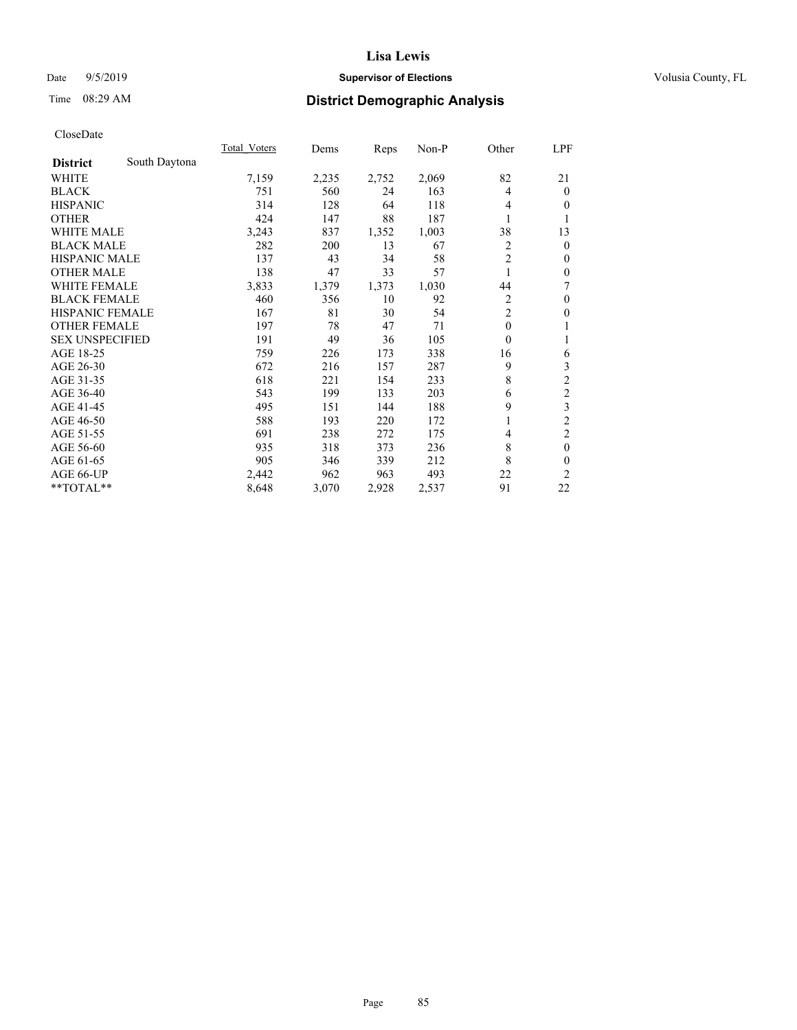## Date 9/5/2019 **Supervisor of Elections Supervisor of Elections** Volusia County, FL

# Time 08:29 AM **District Demographic Analysis**

|                        |               | Total Voters | Dems  | Reps  | Non-P | Other          | LPF              |
|------------------------|---------------|--------------|-------|-------|-------|----------------|------------------|
| <b>District</b>        | South Daytona |              |       |       |       |                |                  |
| WHITE                  |               | 7,159        | 2,235 | 2,752 | 2,069 | 82             | 21               |
| <b>BLACK</b>           |               | 751          | 560   | 24    | 163   | 4              | $\mathbf{0}$     |
| <b>HISPANIC</b>        |               | 314          | 128   | 64    | 118   | 4              | $\theta$         |
| <b>OTHER</b>           |               | 424          | 147   | 88    | 187   |                | 1                |
| WHITE MALE             |               | 3,243        | 837   | 1,352 | 1,003 | 38             | 13               |
| <b>BLACK MALE</b>      |               | 282          | 200   | 13    | 67    | $\overline{2}$ | $\mathbf{0}$     |
| <b>HISPANIC MALE</b>   |               | 137          | 43    | 34    | 58    | $\overline{2}$ | $\mathbf{0}$     |
| <b>OTHER MALE</b>      |               | 138          | 47    | 33    | 57    | 1              | $\boldsymbol{0}$ |
| <b>WHITE FEMALE</b>    |               | 3,833        | 1,379 | 1,373 | 1,030 | 44             | 7                |
| <b>BLACK FEMALE</b>    |               | 460          | 356   | 10    | 92    | $\overline{c}$ | $\boldsymbol{0}$ |
| <b>HISPANIC FEMALE</b> |               | 167          | 81    | 30    | 54    | $\overline{c}$ | $\theta$         |
| <b>OTHER FEMALE</b>    |               | 197          | 78    | 47    | 71    | $\theta$       | 1                |
| <b>SEX UNSPECIFIED</b> |               | 191          | 49    | 36    | 105   | $\theta$       | 1                |
| AGE 18-25              |               | 759          | 226   | 173   | 338   | 16             | 6                |
| AGE 26-30              |               | 672          | 216   | 157   | 287   | 9              | 3                |
| AGE 31-35              |               | 618          | 221   | 154   | 233   | 8              | $\sqrt{2}$       |
| AGE 36-40              |               | 543          | 199   | 133   | 203   | 6              | $\sqrt{2}$       |
| AGE 41-45              |               | 495          | 151   | 144   | 188   | 9              | 3                |
| AGE 46-50              |               | 588          | 193   | 220   | 172   |                | $\overline{c}$   |
| AGE 51-55              |               | 691          | 238   | 272   | 175   | 4              | $\mathfrak{2}$   |
| AGE 56-60              |               | 935          | 318   | 373   | 236   | 8              | $\mathbf{0}$     |
| AGE 61-65              |               | 905          | 346   | 339   | 212   | 8              | $\mathbf{0}$     |
| AGE 66-UP              |               | 2,442        | 962   | 963   | 493   | 22             | $\overline{2}$   |
| **TOTAL**              |               | 8,648        | 3,070 | 2,928 | 2,537 | 91             | 22               |